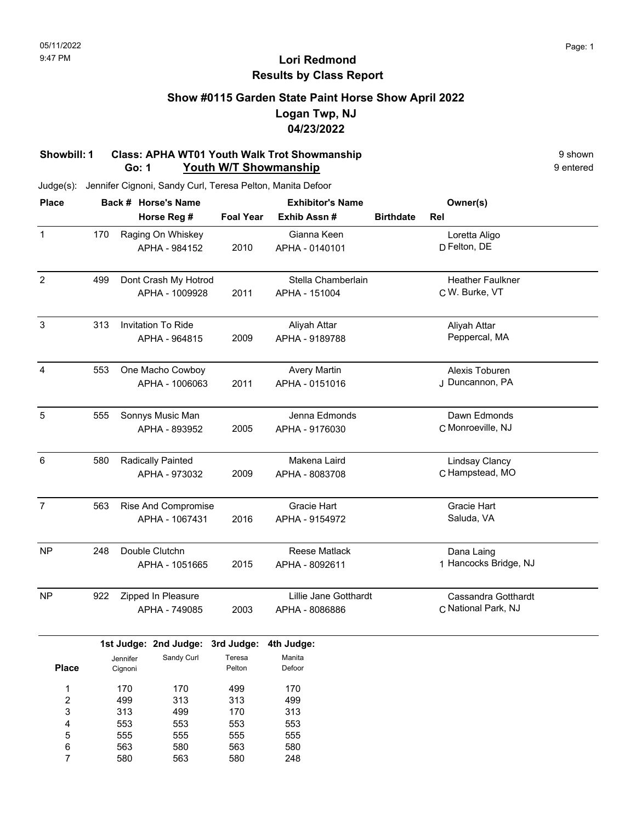### **Show #0115 Garden State Paint Horse Show April 2022 Logan Twp, NJ 04/23/2022**

#### **Showbill: 1 Class: APHA WT01 Youth Walk Trot Showmanship**<br> **Go: 1 Youth W/T Showmanship** 9 shown **Go: 1 Youth W/T Showmanship**

Judge(s): Jennifer Cignoni, Sandy Curl, Teresa Pelton, Manita Defoor

563 580

6 7 580 563

563 580 580 248

| <b>Place</b>              |                                   |                     | Back # Horse's Name   | <b>Exhibitor's Name</b> |                       |                  | Owner(s)                |  |
|---------------------------|-----------------------------------|---------------------|-----------------------|-------------------------|-----------------------|------------------|-------------------------|--|
|                           |                                   |                     | Horse Reg #           | <b>Foal Year</b>        | Exhib Assn #          | <b>Birthdate</b> | Rel                     |  |
| $\mathbf{1}$              | 170                               |                     | Raging On Whiskey     |                         | Gianna Keen           |                  | Loretta Aligo           |  |
|                           |                                   |                     | APHA - 984152         | 2010                    | APHA - 0140101        |                  | D Felton, DE            |  |
| $\overline{2}$            | 499                               |                     | Dont Crash My Hotrod  |                         | Stella Chamberlain    |                  | <b>Heather Faulkner</b> |  |
|                           |                                   |                     | APHA - 1009928        | 2011                    | APHA - 151004         |                  | C W. Burke, VT          |  |
| $\ensuremath{\mathsf{3}}$ | 313                               |                     | Invitation To Ride    |                         | Aliyah Attar          |                  | Aliyah Attar            |  |
|                           |                                   |                     | APHA - 964815         | 2009                    | APHA - 9189788        |                  | Peppercal, MA           |  |
| 4                         | 553                               |                     | One Macho Cowboy      |                         | <b>Avery Martin</b>   |                  | Alexis Toburen          |  |
|                           |                                   |                     | APHA - 1006063        | 2011                    | APHA - 0151016        |                  | J Duncannon, PA         |  |
| 5                         | 555                               |                     | Sonnys Music Man      |                         | Jenna Edmonds         |                  | Dawn Edmonds            |  |
|                           |                                   |                     | APHA - 893952         | 2005                    | APHA - 9176030        |                  | C Monroeville, NJ       |  |
| 6                         | 580                               |                     | Radically Painted     |                         | Makena Laird          |                  | <b>Lindsay Clancy</b>   |  |
|                           |                                   |                     | APHA - 973032         | 2009                    | APHA - 8083708        |                  | C Hampstead, MO         |  |
| $\overline{7}$            | <b>Rise And Compromise</b><br>563 |                     |                       | Gracie Hart             |                       | Gracie Hart      |                         |  |
|                           |                                   |                     | APHA - 1067431        | 2016                    | APHA - 9154972        |                  | Saluda, VA              |  |
| NP                        | 248                               |                     | Double Clutchn        |                         | <b>Reese Matlack</b>  |                  | Dana Laing              |  |
|                           |                                   |                     | APHA - 1051665        | 2015                    | APHA - 8092611        |                  | 1 Hancocks Bridge, NJ   |  |
| <b>NP</b>                 | 922                               |                     | Zipped In Pleasure    |                         | Lillie Jane Gotthardt |                  | Cassandra Gotthardt     |  |
|                           |                                   |                     | APHA - 749085         | 2003                    | APHA - 8086886        |                  | C National Park, NJ     |  |
|                           |                                   |                     | 1st Judge: 2nd Judge: | 3rd Judge:              | 4th Judge:            |                  |                         |  |
| <b>Place</b>              |                                   | Jennifer<br>Cignoni | Sandy Curl            | Teresa<br>Pelton        | Manita<br>Defoor      |                  |                         |  |
| 1                         |                                   | 170                 | 170                   | 499                     | 170                   |                  |                         |  |
| $\overline{c}$            |                                   | 499                 | 313                   | 313                     | 499                   |                  |                         |  |
| 3                         |                                   | 313                 | 499                   | 170                     | 313                   |                  |                         |  |
| 4                         |                                   | 553                 | 553                   | 553                     | 553                   |                  |                         |  |
| 5                         |                                   | 555                 | 555                   | 555                     | 555                   |                  |                         |  |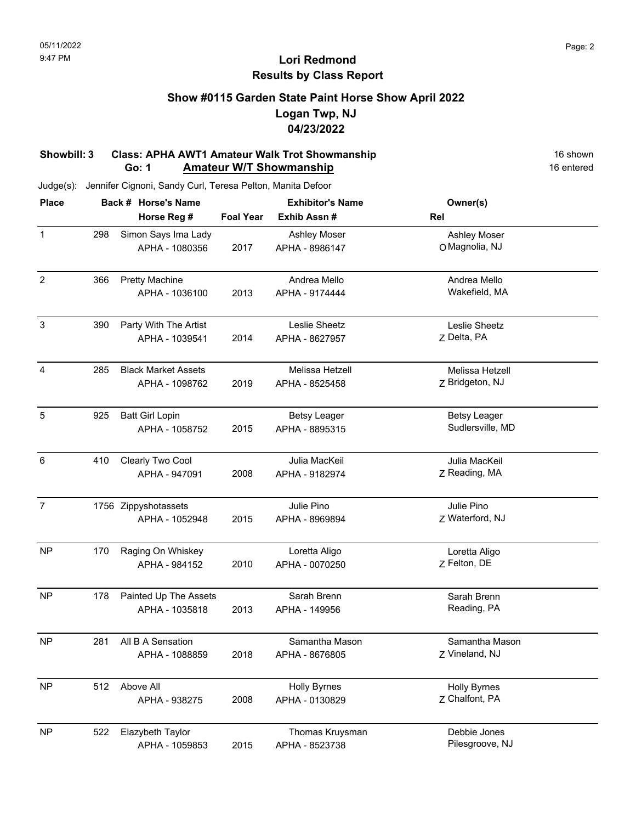## **Show #0115 Garden State Paint Horse Show April 2022 Logan Twp, NJ 04/23/2022**

#### **Showbill: 3 Class: APHA AWT1 Amateur Walk Trot Showmanship 16 Shown 16 shown Go: 1 Amateur W/T Showmanship** 16 entered

| <b>Place</b>   |     | Back # Horse's Name        |                  | <b>Exhibitor's Name</b> | Owner(s)            |  |
|----------------|-----|----------------------------|------------------|-------------------------|---------------------|--|
|                |     | Horse Reg #                | <b>Foal Year</b> | Exhib Assn #            | Rel                 |  |
| $\mathbf{1}$   | 298 | Simon Says Ima Lady        |                  | Ashley Moser            | <b>Ashley Moser</b> |  |
|                |     | APHA - 1080356             | 2017             | APHA - 8986147          | O Magnolia, NJ      |  |
| $\overline{2}$ | 366 | <b>Pretty Machine</b>      |                  | Andrea Mello            | Andrea Mello        |  |
|                |     | APHA - 1036100             | 2013             | APHA - 9174444          | Wakefield, MA       |  |
| $\sqrt{3}$     | 390 | Party With The Artist      |                  | Leslie Sheetz           | Leslie Sheetz       |  |
|                |     | APHA - 1039541             | 2014             | APHA - 8627957          | Z Delta, PA         |  |
| 4              | 285 | <b>Black Market Assets</b> |                  | Melissa Hetzell         | Melissa Hetzell     |  |
|                |     | APHA - 1098762             | 2019             | APHA - 8525458          | Z Bridgeton, NJ     |  |
| 5              | 925 | <b>Batt Girl Lopin</b>     |                  | <b>Betsy Leager</b>     | <b>Betsy Leager</b> |  |
|                |     | APHA - 1058752             | 2015             | APHA - 8895315          | Sudlersville, MD    |  |
| $\,6\,$        | 410 | Clearly Two Cool           |                  | Julia MacKeil           | Julia MacKeil       |  |
|                |     | APHA - 947091              | 2008             | APHA - 9182974          | Z Reading, MA       |  |
| $\overline{7}$ |     | 1756 Zippyshotassets       |                  | Julie Pino              | Julie Pino          |  |
|                |     | APHA - 1052948             | 2015             | APHA - 8969894          | Z Waterford, NJ     |  |
| <b>NP</b>      | 170 | Raging On Whiskey          |                  | Loretta Aligo           | Loretta Aligo       |  |
|                |     | APHA - 984152              | 2010             | APHA - 0070250          | Z Felton, DE        |  |
| <b>NP</b>      | 178 | Painted Up The Assets      |                  | Sarah Brenn             | Sarah Brenn         |  |
|                |     | APHA - 1035818             | 2013             | APHA - 149956           | Reading, PA         |  |
| <b>NP</b>      | 281 | All B A Sensation          |                  | Samantha Mason          | Samantha Mason      |  |
|                |     | APHA - 1088859             | 2018             | APHA - 8676805          | Z Vineland, NJ      |  |
| <b>NP</b>      | 512 | Above All                  |                  | <b>Holly Byrnes</b>     | <b>Holly Byrnes</b> |  |
|                |     | APHA - 938275              | 2008             | APHA - 0130829          | Z Chalfont, PA      |  |
| <b>NP</b>      | 522 | Elazybeth Taylor           |                  | Thomas Kruysman         | Debbie Jones        |  |
|                |     | APHA - 1059853             | 2015             | APHA - 8523738          | Pilesgroove, NJ     |  |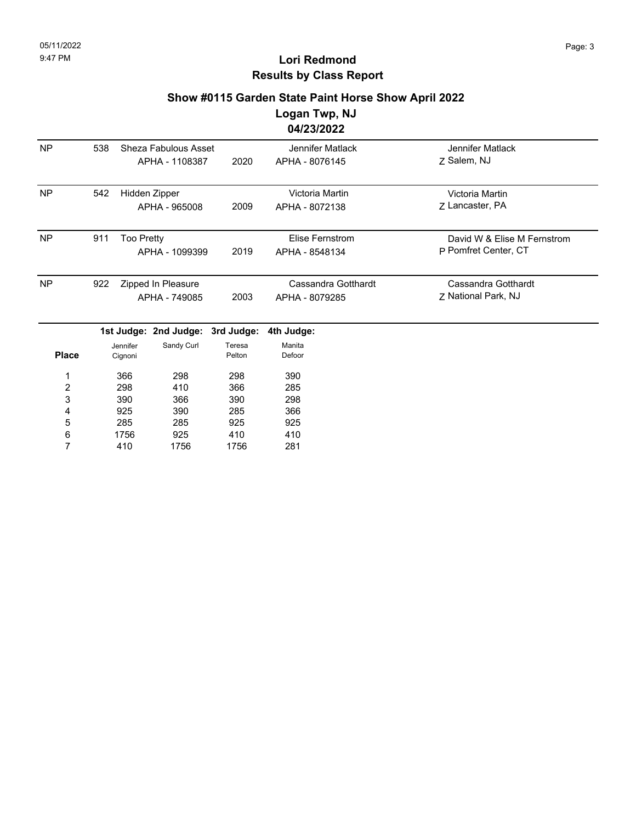#### **Show #0115 Garden State Paint Horse Show April 2022**

**Logan Twp, NJ 04/23/2022**

| <b>NP</b> | 538 | Sheza Fabulous Asset<br>APHA - 1108387 | 2020 | Jennifer Matlack<br>APHA - 8076145    | Jennifer Matlack<br>7 Salem, NJ                     |
|-----------|-----|----------------------------------------|------|---------------------------------------|-----------------------------------------------------|
| <b>NP</b> | 542 | Hidden Zipper<br>APHA - 965008         | 2009 | Victoria Martin<br>APHA - 8072138     | Victoria Martin<br>7 Lancaster, PA                  |
| <b>NP</b> | 911 | <b>Too Pretty</b><br>APHA - 1099399    | 2019 | Elise Fernstrom<br>APHA - 8548134     | David W & Elise M Fernstrom<br>P Pomfret Center, CT |
| <b>NP</b> | 922 | Zipped In Pleasure<br>APHA - 749085    | 2003 | Cassandra Gotthardt<br>APHA - 8079285 | Cassandra Gotthardt<br>7 National Park, NJ          |

|              |          | 1st Judge: 2nd Judge: 3rd Judge: 4th Judge: |        |        |
|--------------|----------|---------------------------------------------|--------|--------|
|              | Jennifer | Sandy Curl                                  | Teresa | Manita |
| <b>Place</b> | Cignoni  |                                             | Pelton | Defoor |
| 1            | 366      | 298                                         | 298    | 390    |
| 2            | 298      | 410                                         | 366    | 285    |
| 3            | 390      | 366                                         | 390    | 298    |
| 4            | 925      | 390                                         | 285    | 366    |
| 5            | 285      | 285                                         | 925    | 925    |
| 6            | 1756     | 925                                         | 410    | 410    |
|              | 410      | 1756                                        | 1756   | 281    |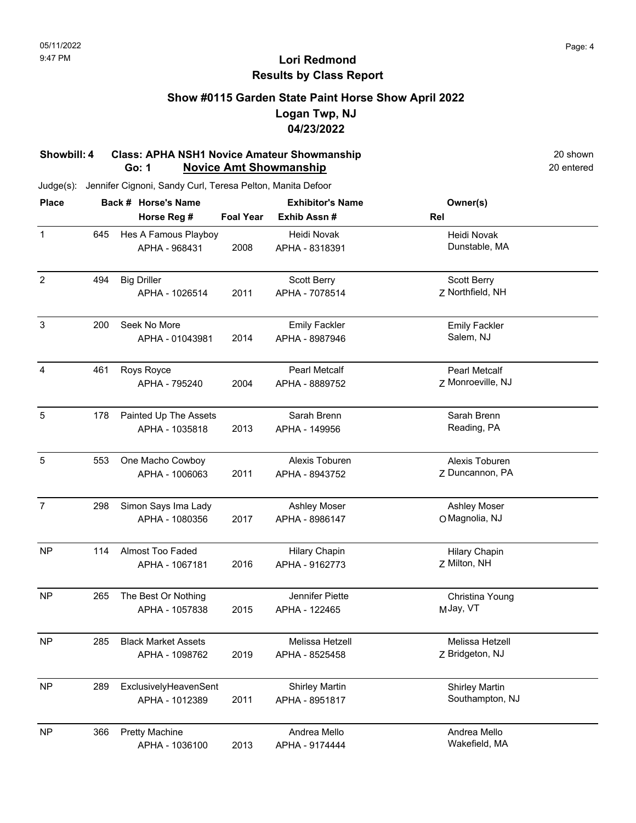### **Show #0115 Garden State Paint Horse Show April 2022 Logan Twp, NJ 04/23/2022**

#### **Showbill: 4 Class: APHA NSH1 Novice Amateur Showmanship** 20 shown 20 shown<br> **Go: 1 Novice Amt Showmanship** 20 entered **Go: 1 Novice Amt Showmanship**

| <b>Place</b>   |     | Back # Horse's Name        |                  | <b>Exhibitor's Name</b> | Owner(s)              |  |
|----------------|-----|----------------------------|------------------|-------------------------|-----------------------|--|
|                |     | Horse Reg #                | <b>Foal Year</b> | Exhib Assn#             | Rel                   |  |
| $\mathbf{1}$   | 645 | Hes A Famous Playboy       |                  | Heidi Novak             | Heidi Novak           |  |
|                |     | APHA - 968431              | 2008             | APHA - 8318391          | Dunstable, MA         |  |
| $\overline{2}$ | 494 | <b>Big Driller</b>         |                  | Scott Berry             | Scott Berry           |  |
|                |     | APHA - 1026514             | 2011             | APHA - 7078514          | Z Northfield, NH      |  |
| $\mathbf{3}$   | 200 | Seek No More               |                  | <b>Emily Fackler</b>    | <b>Emily Fackler</b>  |  |
|                |     | APHA - 01043981            | 2014             | APHA - 8987946          | Salem, NJ             |  |
| 4              | 461 | Roys Royce                 |                  | <b>Pearl Metcalf</b>    | <b>Pearl Metcalf</b>  |  |
|                |     | APHA - 795240              | 2004             | APHA - 8889752          | Z Monroeville, NJ     |  |
| 5              | 178 | Painted Up The Assets      |                  | Sarah Brenn             | Sarah Brenn           |  |
|                |     | APHA - 1035818             | 2013             | APHA - 149956           | Reading, PA           |  |
| 5              | 553 | One Macho Cowboy           |                  | Alexis Toburen          | Alexis Toburen        |  |
|                |     | APHA - 1006063             | 2011             | APHA - 8943752          | Z Duncannon, PA       |  |
| $\overline{7}$ | 298 | Simon Says Ima Lady        |                  | <b>Ashley Moser</b>     | <b>Ashley Moser</b>   |  |
|                |     | APHA - 1080356             | 2017             | APHA - 8986147          | O Magnolia, NJ        |  |
| <b>NP</b>      | 114 | Almost Too Faded           |                  | <b>Hilary Chapin</b>    | <b>Hilary Chapin</b>  |  |
|                |     | APHA - 1067181             | 2016             | APHA - 9162773          | Z Milton, NH          |  |
| <b>NP</b>      | 265 | The Best Or Nothing        |                  | Jennifer Piette         | Christina Young       |  |
|                |     | APHA - 1057838             | 2015             | APHA - 122465           | MJay, VT              |  |
| <b>NP</b>      | 285 | <b>Black Market Assets</b> |                  | Melissa Hetzell         | Melissa Hetzell       |  |
|                |     | APHA - 1098762             | 2019             | APHA - 8525458          | Z Bridgeton, NJ       |  |
| <b>NP</b>      | 289 | ExclusivelyHeavenSent      |                  | <b>Shirley Martin</b>   | <b>Shirley Martin</b> |  |
|                |     | APHA - 1012389             | 2011             | APHA - 8951817          | Southampton, NJ       |  |
| <b>NP</b>      | 366 | <b>Pretty Machine</b>      |                  | Andrea Mello            | Andrea Mello          |  |
|                |     | APHA - 1036100             | 2013             | APHA - 9174444          | Wakefield, MA         |  |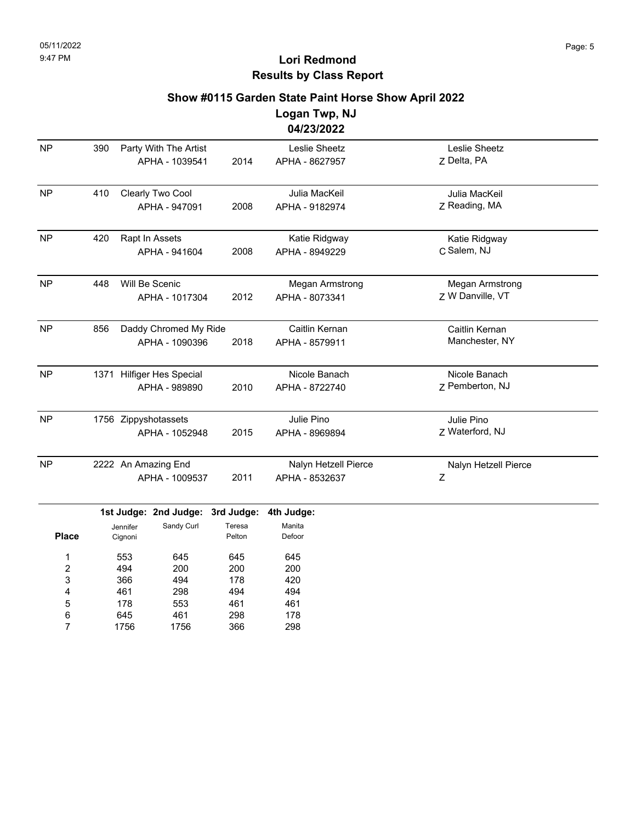## **Lori Redmond Results by Class Report**

#### **Show #0115 Garden State Paint Horse Show April 2022**

**Logan Twp, NJ 04/23/2022**

| <b>NP</b>    | 390 |                     | Party With The Artist     |                  | Leslie Sheetz          | Leslie Sheetz          |
|--------------|-----|---------------------|---------------------------|------------------|------------------------|------------------------|
|              |     |                     | APHA - 1039541            | 2014             | APHA - 8627957         | Z Delta, PA            |
| <b>NP</b>    | 410 |                     | Clearly Two Cool          |                  | Julia MacKeil          | Julia MacKeil          |
|              |     |                     | APHA - 947091             | 2008             | APHA - 9182974         | Z Reading, MA          |
| <b>NP</b>    | 420 |                     | Rapt In Assets            |                  | Katie Ridgway          | Katie Ridgway          |
|              |     |                     | APHA - 941604             | 2008             | APHA - 8949229         | C Salem, NJ            |
| <b>NP</b>    | 448 |                     | Will Be Scenic            |                  | <b>Megan Armstrong</b> | <b>Megan Armstrong</b> |
|              |     |                     | APHA - 1017304            | 2012             | APHA - 8073341         | Z W Danville, VT       |
| <b>NP</b>    | 856 |                     | Daddy Chromed My Ride     |                  | Caitlin Kernan         | Caitlin Kernan         |
|              |     |                     | APHA - 1090396            | 2018             | APHA - 8579911         | Manchester, NY         |
| <b>NP</b>    |     |                     | 1371 Hilfiger Hes Special |                  | Nicole Banach          | Nicole Banach          |
|              |     |                     | APHA - 989890             | 2010             | APHA - 8722740         | Z Pemberton, NJ        |
| <b>NP</b>    |     |                     | 1756 Zippyshotassets      |                  | Julie Pino             | Julie Pino             |
|              |     |                     | APHA - 1052948            | 2015             | APHA - 8969894         | Z Waterford, NJ        |
| <b>NP</b>    |     |                     | 2222 An Amazing End       |                  | Nalyn Hetzell Pierce   | Nalyn Hetzell Pierce   |
|              |     |                     | APHA - 1009537            | 2011             | APHA - 8532637         | Ζ                      |
|              |     |                     | 1st Judge: 2nd Judge:     | 3rd Judge:       | 4th Judge:             |                        |
| <b>Place</b> |     | Jennifer<br>Cignoni | Sandy Curl                | Teresa<br>Pelton | Manita<br>Defoor       |                        |
| 1            |     | 553                 | 645                       | 645              | 645                    |                        |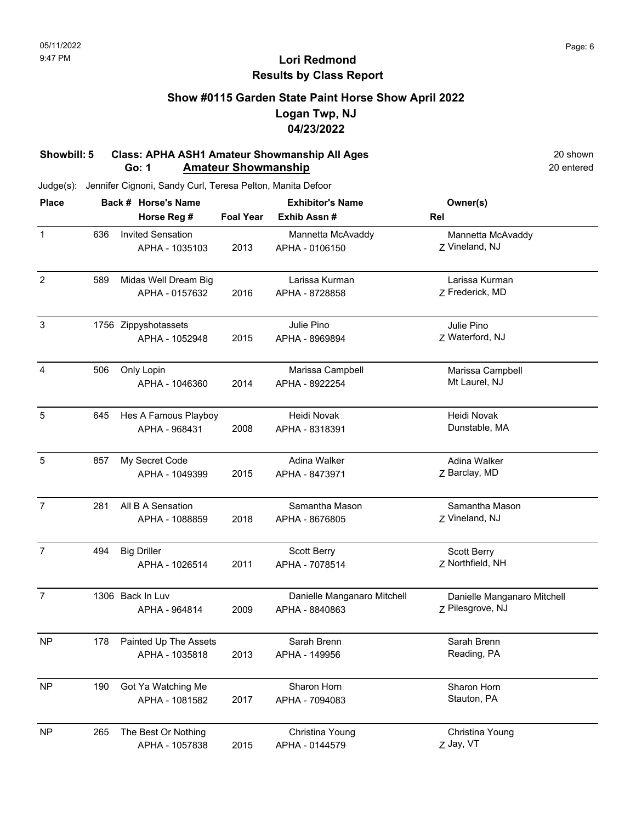### **Show #0115 Garden State Paint Horse Show April 2022 Logan Twp, NJ 04/23/2022**

#### **Showbill: 5 Class: APHA ASH1 Amateur Showmanship All Ages** 20 shown<br> **Go: 1 Amateur Showmanship** 20 **Amateur Showmanship Go: 1 Amateur Showmanship**

| <b>Place</b>   |     | Back # Horse's Name                        | <b>Exhibitor's Name</b> |                                               | Owner(s)                                        |
|----------------|-----|--------------------------------------------|-------------------------|-----------------------------------------------|-------------------------------------------------|
|                |     | Horse Reg #                                | <b>Foal Year</b>        | Exhib Assn#                                   | Rel                                             |
| $\mathbf{1}$   | 636 | <b>Invited Sensation</b><br>APHA - 1035103 | 2013                    | Mannetta McAvaddy<br>APHA - 0106150           | Mannetta McAvaddy<br>Z Vineland, NJ             |
| $\overline{2}$ | 589 | Midas Well Dream Big<br>APHA - 0157632     | 2016                    | Larissa Kurman<br>APHA - 8728858              | Larissa Kurman<br>Z Frederick, MD               |
| $\sqrt{3}$     |     | 1756 Zippyshotassets<br>APHA - 1052948     | 2015                    | Julie Pino<br>APHA - 8969894                  | Julie Pino<br>Z Waterford, NJ                   |
| 4              | 506 | Only Lopin<br>APHA - 1046360               | 2014                    | Marissa Campbell<br>APHA - 8922254            | Marissa Campbell<br>Mt Laurel, NJ               |
| 5              | 645 | Hes A Famous Playboy<br>APHA - 968431      | 2008                    | Heidi Novak<br>APHA - 8318391                 | Heidi Novak<br>Dunstable, MA                    |
| 5              | 857 | My Secret Code<br>APHA - 1049399           | 2015                    | Adina Walker<br>APHA - 8473971                | Adina Walker<br>Z Barclay, MD                   |
| $\overline{7}$ | 281 | All B A Sensation<br>APHA - 1088859        | 2018                    | Samantha Mason<br>APHA - 8676805              | Samantha Mason<br>Z Vineland, NJ                |
| $\overline{7}$ | 494 | <b>Big Driller</b><br>APHA - 1026514       | 2011                    | Scott Berry<br>APHA - 7078514                 | Scott Berry<br>Z Northfield, NH                 |
| $\overline{7}$ |     | 1306 Back In Luv<br>APHA - 964814          | 2009                    | Danielle Manganaro Mitchell<br>APHA - 8840863 | Danielle Manganaro Mitchell<br>Z Pilesgrove, NJ |
| <b>NP</b>      | 178 | Painted Up The Assets<br>APHA - 1035818    | 2013                    | Sarah Brenn<br>APHA - 149956                  | Sarah Brenn<br>Reading, PA                      |
| <b>NP</b>      | 190 | Got Ya Watching Me<br>APHA - 1081582       | 2017                    | Sharon Horn<br>APHA - 7094083                 | Sharon Horn<br>Stauton, PA                      |
| <b>NP</b>      | 265 | The Best Or Nothing<br>APHA - 1057838      | 2015                    | Christina Young<br>APHA - 0144579             | Christina Young<br>Z Jay, VT                    |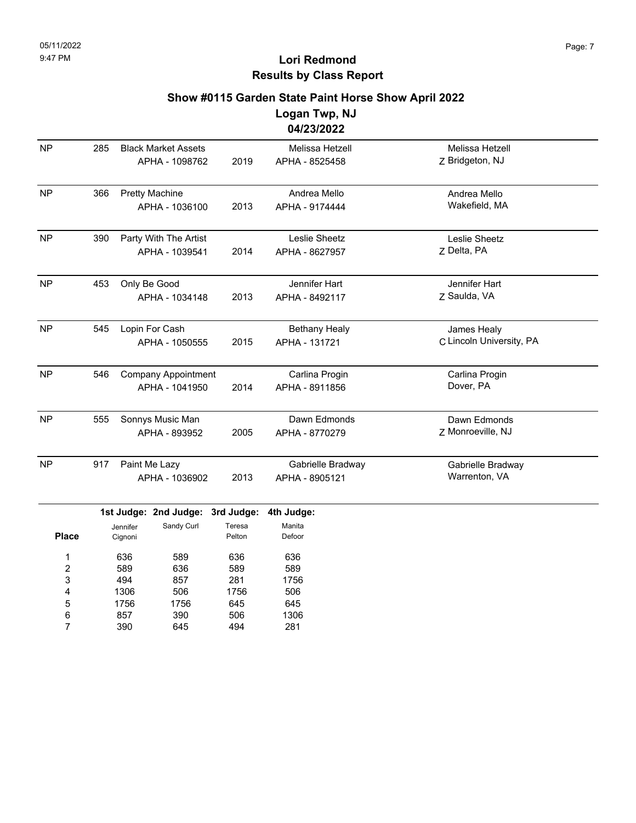### **Show #0115 Garden State Paint Horse Show April 2022**

**Logan Twp, NJ 04/23/2022**

|              |     |                                                            |                                | <u> 9412312922</u>                    |                                         |
|--------------|-----|------------------------------------------------------------|--------------------------------|---------------------------------------|-----------------------------------------|
| <b>NP</b>    | 285 | <b>Black Market Assets</b><br>APHA - 1098762               | 2019                           | Melissa Hetzell<br>APHA - 8525458     | Melissa Hetzell<br>Z Bridgeton, NJ      |
| <b>NP</b>    | 366 | <b>Pretty Machine</b><br>APHA - 1036100                    | 2013                           | Andrea Mello<br>APHA - 9174444        | Andrea Mello<br>Wakefield, MA           |
| <b>NP</b>    | 390 | Party With The Artist<br>APHA - 1039541                    | 2014                           | Leslie Sheetz<br>APHA - 8627957       | Leslie Sheetz<br>Z Delta, PA            |
| <b>NP</b>    | 453 | Only Be Good<br>APHA - 1034148                             | 2013                           | Jennifer Hart<br>APHA - 8492117       | Jennifer Hart<br>Z Saulda, VA           |
| <b>NP</b>    | 545 | Lopin For Cash<br>APHA - 1050555                           | 2015                           | <b>Bethany Healy</b><br>APHA - 131721 | James Healy<br>C Lincoln University, PA |
| <b>NP</b>    | 546 | <b>Company Appointment</b><br>APHA - 1041950               | 2014                           | Carlina Progin<br>APHA - 8911856      | Carlina Progin<br>Dover, PA             |
| <b>NP</b>    | 555 | Sonnys Music Man<br>APHA - 893952                          | 2005                           | Dawn Edmonds<br>APHA - 8770279        | Dawn Edmonds<br>Z Monroeville, NJ       |
| <b>NP</b>    | 917 | Paint Me Lazy<br>APHA - 1036902                            | 2013                           | Gabrielle Bradway<br>APHA - 8905121   | Gabrielle Bradway<br>Warrenton, VA      |
| <b>Place</b> |     | 1st Judge: 2nd Judge:<br>Sandy Curl<br>Jennifer<br>Cignoni | 3rd Judge:<br>Teresa<br>Pelton | 4th Judge:<br>Manita<br>Defoor        |                                         |

636 589 494 1306 1756 857 390 589 636 857 506 1756 390 645 636 589 281 1756 645 506 494 636 589 1756 506 645 1306 281 1 2 3 4 5 6 7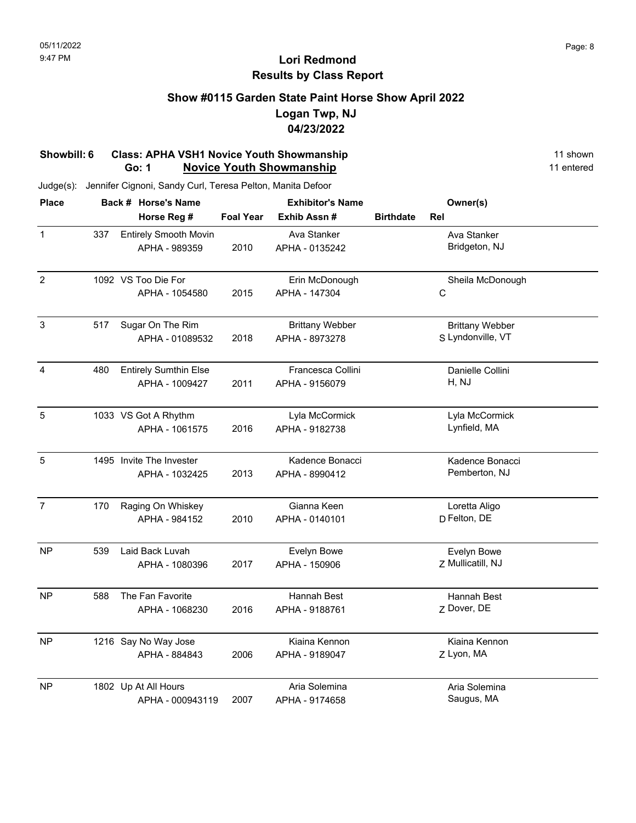## **Show #0115 Garden State Paint Horse Show April 2022 Logan Twp, NJ 04/23/2022**

#### **Showbill: 6 Class: APHA VSH1 Novice Youth Showmanship** 11 shown 11 shown **Go: 1 Novice Youth Showmanship** 11 entered

| <b>Place</b>          |                              | Back # Horse's Name          |                   | <b>Exhibitor's Name</b> |                   | Owner(s)               |  |
|-----------------------|------------------------------|------------------------------|-------------------|-------------------------|-------------------|------------------------|--|
|                       |                              | Horse Reg #                  | <b>Foal Year</b>  | Exhib Assn#             | <b>Birthdate</b>  | Rel                    |  |
| $\mathbf{1}$          | 337                          | <b>Entirely Smooth Movin</b> |                   | Ava Stanker             |                   | Ava Stanker            |  |
|                       |                              | APHA - 989359                | 2010              | APHA - 0135242          |                   | Bridgeton, NJ          |  |
| $\overline{c}$        |                              | 1092 VS Too Die For          |                   | Erin McDonough          |                   | Sheila McDonough       |  |
|                       |                              | APHA - 1054580               | 2015              | APHA - 147304           |                   | $\mathsf C$            |  |
| $\mathbf{3}$          | 517                          | Sugar On The Rim             |                   | <b>Brittany Webber</b>  |                   | <b>Brittany Webber</b> |  |
|                       | APHA - 01089532              | 2018                         | APHA - 8973278    |                         | S Lyndonville, VT |                        |  |
| $\overline{4}$<br>480 | <b>Entirely Sumthin Else</b> |                              | Francesca Collini |                         | Danielle Collini  |                        |  |
|                       |                              | APHA - 1009427               | 2011              | APHA - 9156079          |                   | H, NJ                  |  |
| 5                     |                              | 1033 VS Got A Rhythm         |                   | Lyla McCormick          |                   | Lyla McCormick         |  |
|                       |                              | APHA - 1061575               | 2016              | APHA - 9182738          |                   | Lynfield, MA           |  |
| 5                     |                              | 1495 Invite The Invester     |                   | Kadence Bonacci         |                   | Kadence Bonacci        |  |
|                       |                              | APHA - 1032425               | 2013              | APHA - 8990412          |                   | Pemberton, NJ          |  |
| $\overline{7}$        | 170                          | Raging On Whiskey            |                   | Gianna Keen             |                   | Loretta Aligo          |  |
|                       |                              | APHA - 984152                | 2010              | APHA - 0140101          |                   | D Felton, DE           |  |
| <b>NP</b>             | 539                          | Laid Back Luvah              |                   | Evelyn Bowe             |                   | Evelyn Bowe            |  |
|                       |                              | APHA - 1080396               | 2017              | APHA - 150906           |                   | Z Mullicatill, NJ      |  |
| <b>NP</b>             | 588                          | The Fan Favorite             |                   | Hannah Best             |                   | Hannah Best            |  |
|                       |                              | APHA - 1068230               | 2016              | APHA - 9188761          |                   | Z Dover, DE            |  |
| <b>NP</b>             |                              | 1216 Say No Way Jose         |                   | Kiaina Kennon           |                   | Kiaina Kennon          |  |
|                       |                              | APHA - 884843                | 2006              | APHA - 9189047          |                   | Z Lyon, MA             |  |
| <b>NP</b>             |                              | 1802 Up At All Hours         |                   | Aria Solemina           |                   | Aria Solemina          |  |
|                       |                              | APHA - 000943119             | 2007              | APHA - 9174658          |                   | Saugus, MA             |  |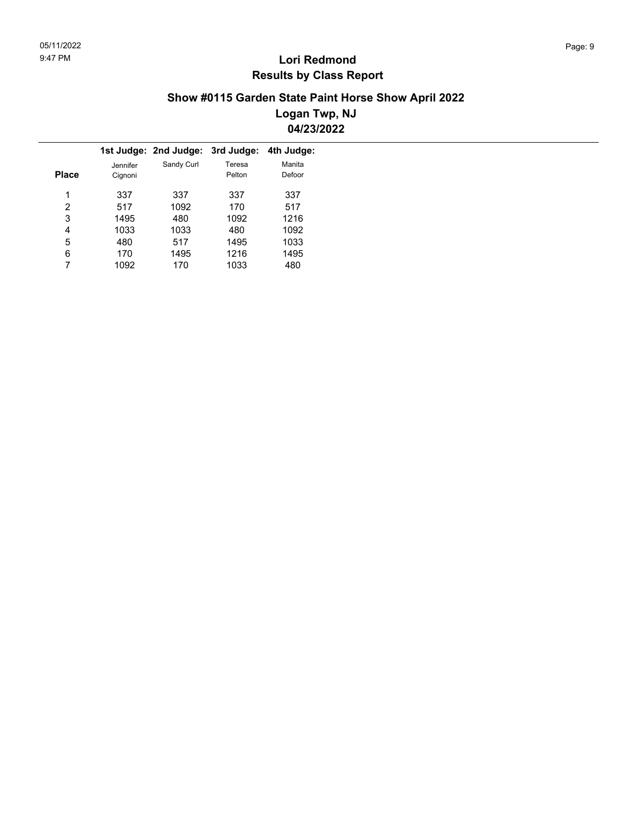### **Show #0115 Garden State Paint Horse Show April 2022 Logan Twp, NJ 04/23/2022**

|       |                     | 1st Judge: 2nd Judge: 3rd Judge: |                  | 4th Judge:       |  |
|-------|---------------------|----------------------------------|------------------|------------------|--|
| Place | Jennifer<br>Cignoni | Sandy Curl                       | Teresa<br>Pelton | Manita<br>Defoor |  |
|       |                     |                                  |                  |                  |  |
| 1     | 337                 | 337                              | 337              | 337              |  |
| 2     | 517                 | 1092                             | 170              | 517              |  |
| 3     | 1495                | 480                              | 1092             | 1216             |  |
| 4     | 1033                | 1033                             | 480              | 1092             |  |
| 5     | 480                 | 517                              | 1495             | 1033             |  |
| 6     | 170                 | 1495                             | 1216             | 1495             |  |
|       | 1092                | 170                              | 1033             | 480              |  |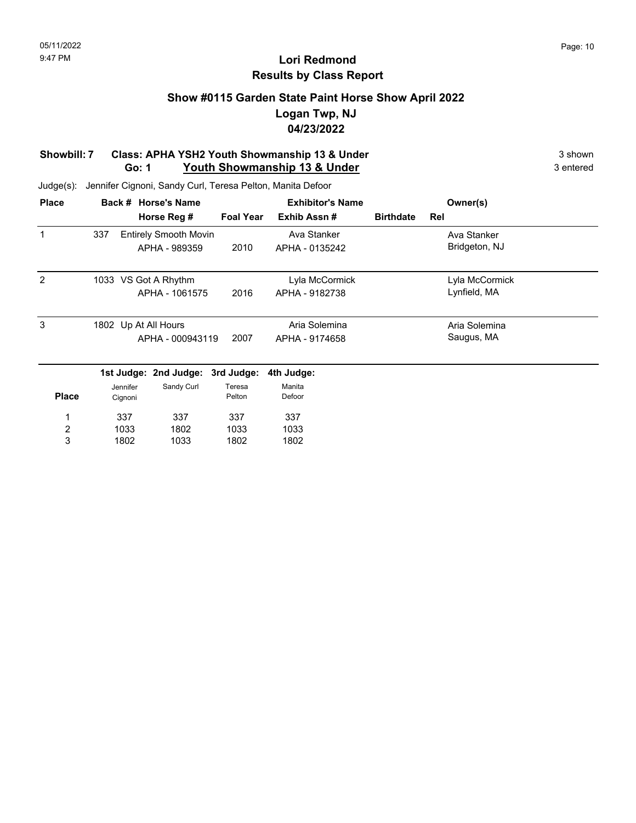## **Show #0115 Garden State Paint Horse Show April 2022 Logan Twp, NJ 04/23/2022**

#### **Showbill: 7 Class: APHA YSH2 Youth Showmanship 13 & Under** 3 Shown 3 shown **Go: 1 Youth Showmanship 13 & Under** 3 entered

| <b>Place</b>   |     |          | Back # Horse's Name          | <b>Exhibitor's Name</b> |                |                  | Owner(s)       |  |
|----------------|-----|----------|------------------------------|-------------------------|----------------|------------------|----------------|--|
|                |     |          | Horse Reg #                  | <b>Foal Year</b>        | Exhib Assn#    | <b>Birthdate</b> | Rel            |  |
|                | 337 |          | <b>Entirely Smooth Movin</b> |                         | Ava Stanker    |                  | Ava Stanker    |  |
|                |     |          | APHA - 989359                | 2010                    | APHA - 0135242 |                  | Bridgeton, NJ  |  |
| 2              |     |          | 1033 VS Got A Rhythm         |                         | Lyla McCormick |                  | Lyla McCormick |  |
|                |     |          | APHA - 1061575               | 2016                    | APHA - 9182738 |                  | Lynfield, MA   |  |
| 3              |     |          | 1802 Up At All Hours         |                         | Aria Solemina  |                  | Aria Solemina  |  |
|                |     |          | APHA - 000943119             | 2007                    | APHA - 9174658 |                  | Saugus, MA     |  |
|                |     |          | 1st Judge: 2nd Judge:        | 3rd Judge:              | 4th Judge:     |                  |                |  |
|                |     | Jennifer | Sandy Curl                   | Teresa                  | Manita         |                  |                |  |
| <b>Place</b>   |     | Cignoni  |                              | Pelton                  | Defoor         |                  |                |  |
| 1              |     | 337      | 337                          | 337                     | 337            |                  |                |  |
| $\overline{c}$ |     | 1033     | 1802                         | 1033                    | 1033           |                  |                |  |
| 3              |     | 1802     | 1033                         | 1802                    | 1802           |                  |                |  |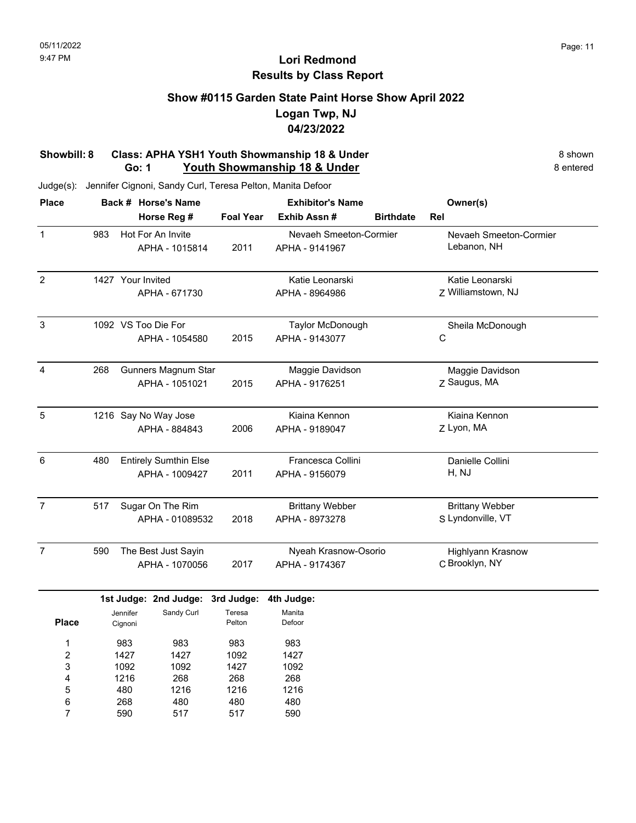### **Show #0115 Garden State Paint Horse Show April 2022 Logan Twp, NJ 04/23/2022**

#### **Showbill: 8 Class: APHA YSH1 Youth Showmanship 18 & Under** 8 **Shown** 8 shown **Go: 1 Youth Showmanship 18 & Under** 8 **entered** 8 entered

Judge(s): Jennifer Cignoni, Sandy Curl, Teresa Pelton, Manita Defoor

590

7

517

517

590

| <b>Place</b>   |     |                   | Back # Horse's Name          | <b>Exhibitor's Name</b> |                        | Owner(s)         |                        |
|----------------|-----|-------------------|------------------------------|-------------------------|------------------------|------------------|------------------------|
|                |     |                   | Horse Reg #                  | <b>Foal Year</b>        | Exhib Assn#            | <b>Birthdate</b> | Rel                    |
| $\mathbf{1}$   | 983 |                   | Hot For An Invite            |                         | Nevaeh Smeeton-Cormier |                  | Nevaeh Smeeton-Cormier |
|                |     |                   | APHA - 1015814               | 2011                    | APHA - 9141967         |                  | Lebanon, NH            |
| $\overline{2}$ |     | 1427 Your Invited |                              |                         | Katie Leonarski        |                  | Katie Leonarski        |
|                |     |                   | APHA - 671730                |                         | APHA - 8964986         |                  | Z Williamstown, NJ     |
| $\mathsf 3$    |     |                   | 1092 VS Too Die For          |                         | Taylor McDonough       |                  | Sheila McDonough       |
|                |     |                   | APHA - 1054580               | 2015                    | APHA - 9143077         |                  | C                      |
| 4              | 268 |                   | Gunners Magnum Star          |                         | Maggie Davidson        |                  | Maggie Davidson        |
|                |     |                   | APHA - 1051021               | 2015                    | APHA - 9176251         |                  | Z Saugus, MA           |
| $\sqrt{5}$     |     |                   | 1216 Say No Way Jose         |                         | Kiaina Kennon          |                  | Kiaina Kennon          |
|                |     |                   | APHA - 884843                | 2006                    | APHA - 9189047         |                  | Z Lyon, MA             |
| 6              | 480 |                   | <b>Entirely Sumthin Else</b> |                         | Francesca Collini      |                  | Danielle Collini       |
|                |     |                   | APHA - 1009427               | 2011                    | APHA - 9156079         |                  | H, NJ                  |
| $\overline{7}$ | 517 |                   | Sugar On The Rim             |                         | <b>Brittany Webber</b> |                  | <b>Brittany Webber</b> |
|                |     |                   | APHA - 01089532              | 2018                    | APHA - 8973278         |                  | S Lyndonville, VT      |
| $\overline{7}$ | 590 |                   | The Best Just Sayin          |                         | Nyeah Krasnow-Osorio   |                  | Highlyann Krasnow      |
|                |     |                   | APHA - 1070056               | 2017                    | APHA - 9174367         |                  | C Brooklyn, NY         |
|                |     |                   | 1st Judge: 2nd Judge:        | 3rd Judge:              | 4th Judge:             |                  |                        |
|                |     | Jennifer          | Sandy Curl                   | Teresa                  | Manita                 |                  |                        |
| <b>Place</b>   |     | Cignoni           |                              | Pelton                  | Defoor                 |                  |                        |
| 1              |     | 983               | 983                          | 983                     | 983                    |                  |                        |
| 2              |     | 1427              | 1427                         | 1092                    | 1427                   |                  |                        |
| 3              |     | 1092              | 1092                         | 1427                    | 1092                   |                  |                        |
| 4              |     | 1216              | 268                          | 268                     | 268                    |                  |                        |
| 5              |     | 480               | 1216                         | 1216                    | 1216                   |                  |                        |
| 6              |     | 268               | 480                          | 480                     | 480                    |                  |                        |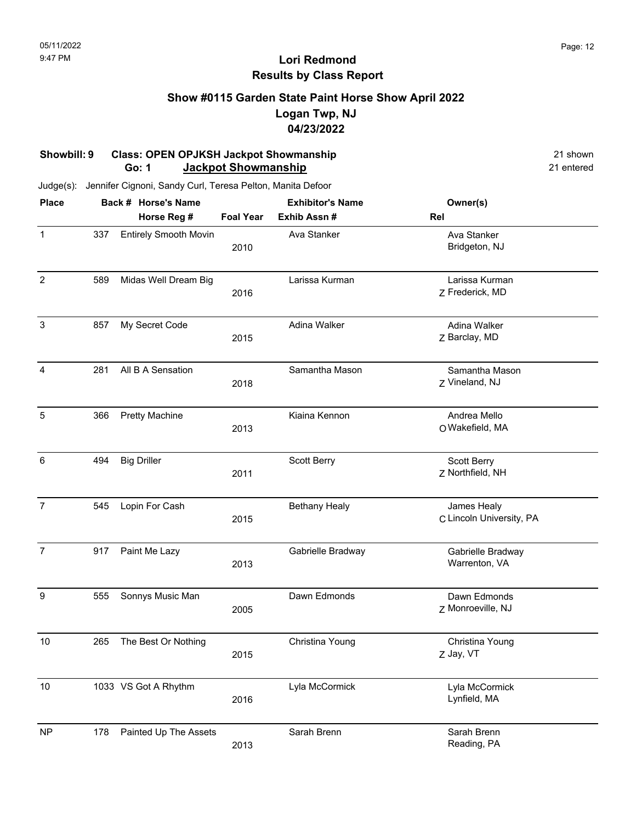### **Show #0115 Garden State Paint Horse Show April 2022 Logan Twp, NJ 04/23/2022**

#### **Showbill: 9 Class: OPEN OPJKSH Jackpot Showmanship 21 shown 21 shown Go: 1 Jackpot Showmanship** 21 entered

| <b>Place</b>   |     | Back # Horse's Name          | <b>Exhibitor's Name</b> |                      | Owner(s)                                |
|----------------|-----|------------------------------|-------------------------|----------------------|-----------------------------------------|
|                |     | Horse Reg #                  | <b>Foal Year</b>        | Exhib Assn #         | Rel                                     |
| $\mathbf{1}$   | 337 | <b>Entirely Smooth Movin</b> | 2010                    | Ava Stanker          | Ava Stanker<br>Bridgeton, NJ            |
| $\overline{2}$ | 589 | Midas Well Dream Big         | 2016                    | Larissa Kurman       | Larissa Kurman<br>Z Frederick, MD       |
| $\mathbf{3}$   | 857 | My Secret Code               | 2015                    | Adina Walker         | Adina Walker<br>Z Barclay, MD           |
| 4              | 281 | All B A Sensation            | 2018                    | Samantha Mason       | Samantha Mason<br>Z Vineland, NJ        |
| 5              | 366 | <b>Pretty Machine</b>        | 2013                    | Kiaina Kennon        | Andrea Mello<br>O Wakefield, MA         |
| $\,6$          | 494 | <b>Big Driller</b>           | 2011                    | Scott Berry          | Scott Berry<br>Z Northfield, NH         |
| $\overline{7}$ | 545 | Lopin For Cash               | 2015                    | <b>Bethany Healy</b> | James Healy<br>C Lincoln University, PA |
| $\overline{7}$ | 917 | Paint Me Lazy                | 2013                    | Gabrielle Bradway    | Gabrielle Bradway<br>Warrenton, VA      |
| 9              | 555 | Sonnys Music Man             | 2005                    | Dawn Edmonds         | Dawn Edmonds<br>Z Monroeville, NJ       |
| 10             | 265 | The Best Or Nothing          | 2015                    | Christina Young      | Christina Young<br>Z Jay, VT            |
| 10             |     | 1033 VS Got A Rhythm         | 2016                    | Lyla McCormick       | Lyla McCormick<br>Lynfield, MA          |
| <b>NP</b>      | 178 | Painted Up The Assets        | 2013                    | Sarah Brenn          | Sarah Brenn<br>Reading, PA              |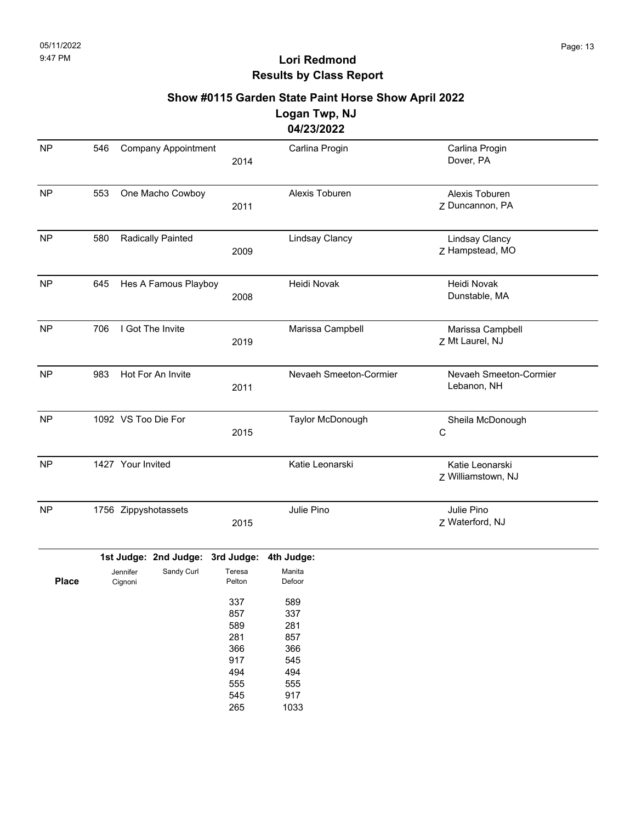# **Show #0115 Garden State Paint Horse Show April 2022**

#### **Logan Twp, NJ 04/23/2022**

|              |                     |                      |                            |                                                             | <u>04/23/2022</u>                                           |                                          |
|--------------|---------------------|----------------------|----------------------------|-------------------------------------------------------------|-------------------------------------------------------------|------------------------------------------|
| <b>NP</b>    | 546                 |                      | <b>Company Appointment</b> | 2014                                                        | Carlina Progin                                              | Carlina Progin<br>Dover, PA              |
| <b>NP</b>    | 553                 |                      | One Macho Cowboy           | 2011                                                        | Alexis Toburen                                              | Alexis Toburen<br>Z Duncannon, PA        |
| <b>NP</b>    | 580                 |                      | Radically Painted          | 2009                                                        | <b>Lindsay Clancy</b>                                       | <b>Lindsay Clancy</b><br>Z Hampstead, MO |
| <b>NP</b>    | 645                 | Hes A Famous Playboy |                            | 2008                                                        | Heidi Novak                                                 | Heidi Novak<br>Dunstable, MA             |
| <b>NP</b>    | 706                 |                      | I Got The Invite           | 2019                                                        | Marissa Campbell                                            | Marissa Campbell<br>Z Mt Laurel, NJ      |
| <b>NP</b>    | 983                 |                      | Hot For An Invite          | 2011                                                        | Nevaeh Smeeton-Cormier                                      | Nevaeh Smeeton-Cormier<br>Lebanon, NH    |
| <b>NP</b>    | 1092 VS Too Die For |                      | 2015                       | Taylor McDonough                                            | Sheila McDonough<br>C                                       |                                          |
| NP           |                     | 1427 Your Invited    |                            |                                                             | Katie Leonarski                                             | Katie Leonarski<br>Z Williamstown, NJ    |
| <b>NP</b>    |                     |                      | 1756 Zippyshotassets       | 2015                                                        | Julie Pino                                                  | Julie Pino<br>Z Waterford, NJ            |
|              |                     |                      | 1st Judge: 2nd Judge:      | 3rd Judge:                                                  | 4th Judge:                                                  |                                          |
| <b>Place</b> |                     | Jennifer<br>Cignoni  | Sandy Curl                 | Teresa<br>Pelton                                            | Manita<br>Defoor                                            |                                          |
|              |                     |                      |                            | 337<br>857<br>589<br>281<br>366<br>917<br>494<br>555<br>545 | 589<br>337<br>281<br>857<br>366<br>545<br>494<br>555<br>917 |                                          |
|              |                     |                      |                            | 265                                                         | 1033                                                        |                                          |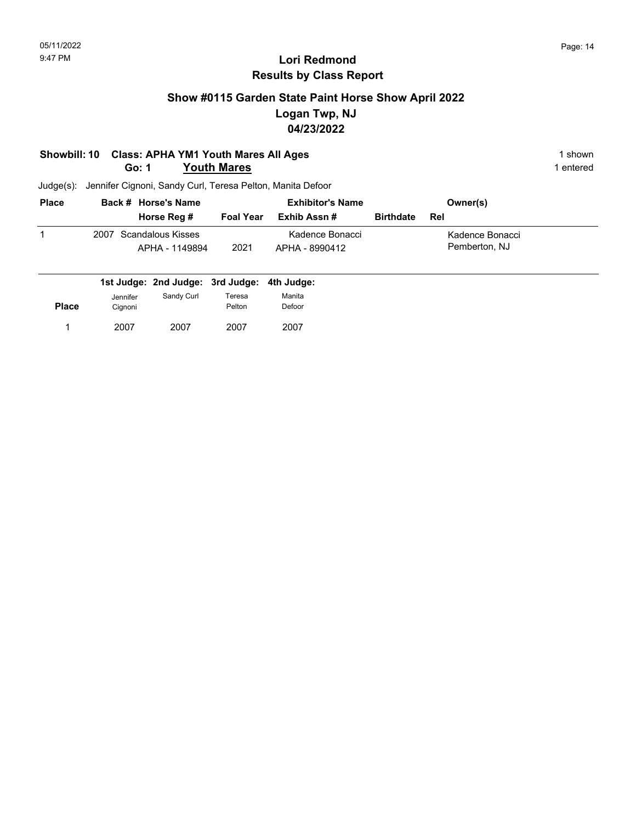## **Show #0115 Garden State Paint Horse Show April 2022 Logan Twp, NJ 04/23/2022**

#### **Showbill: 10 Class: APHA YM1 Youth Mares All Ages** 1 shown **Go: 1 Youth Mares** 1 entered

| <b>Place</b> | Back # Horse's Name                      | <b>Exhibitor's Name</b> |                                   |                  | Owner(s)                         |  |
|--------------|------------------------------------------|-------------------------|-----------------------------------|------------------|----------------------------------|--|
|              | Horse Reg #                              | <b>Foal Year</b>        | Exhib Assn #                      | <b>Birthdate</b> | Rel                              |  |
|              | 2007 Scandalous Kisses<br>APHA - 1149894 | 2021                    | Kadence Bonacci<br>APHA - 8990412 |                  | Kadence Bonacci<br>Pemberton, NJ |  |

|              |                     | 1st Judge: 2nd Judge: 3rd Judge: 4th Judge: |                  |                  |
|--------------|---------------------|---------------------------------------------|------------------|------------------|
| <b>Place</b> | Jennifer<br>Cignoni | Sandy Curl                                  | Teresa<br>Pelton | Manita<br>Defoor |
|              | 2007                | 2007                                        | 2007             | 2007             |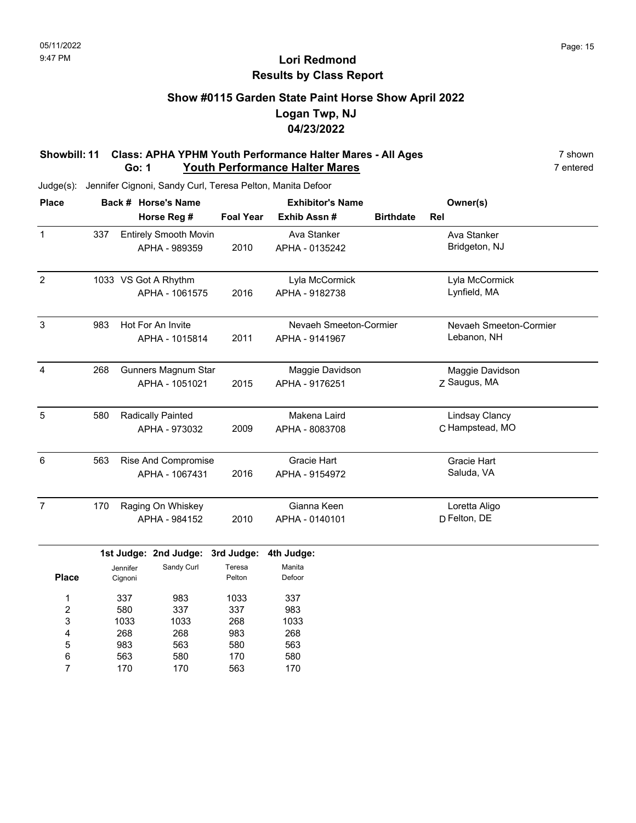### **Show #0115 Garden State Paint Horse Show April 2022 Logan Twp, NJ 04/23/2022**

#### **Showbill: 11 Class: APHA YPHM Youth Performance Halter Mares - All Ages** 7 shown **Go: 1** Youth Performance Halter Mares **7** entered

Judge(s): Jennifer Cignoni, Sandy Curl, Teresa Pelton, Manita Defoor

| <b>Place</b>   |     |                     | Back # Horse's Name          |                  | <b>Exhibitor's Name</b> | Owner(s)         |                        |  |
|----------------|-----|---------------------|------------------------------|------------------|-------------------------|------------------|------------------------|--|
|                |     |                     | Horse Reg #                  | <b>Foal Year</b> | Exhib Assn#             | <b>Birthdate</b> | Rel                    |  |
| $\mathbf{1}$   | 337 |                     | <b>Entirely Smooth Movin</b> |                  | Ava Stanker             |                  | Ava Stanker            |  |
|                |     |                     | APHA - 989359                | 2010             | APHA - 0135242          |                  | Bridgeton, NJ          |  |
| $\overline{2}$ |     |                     | 1033 VS Got A Rhythm         |                  | Lyla McCormick          |                  | Lyla McCormick         |  |
|                |     |                     | APHA - 1061575               | 2016             | APHA - 9182738          |                  | Lynfield, MA           |  |
| $\mathbf{3}$   | 983 |                     | Hot For An Invite            |                  | Nevaeh Smeeton-Cormier  |                  | Nevaeh Smeeton-Cormier |  |
|                |     |                     | APHA - 1015814               | 2011             | APHA - 9141967          |                  | Lebanon, NH            |  |
| 4              | 268 |                     | Gunners Magnum Star          |                  | Maggie Davidson         |                  | Maggie Davidson        |  |
|                |     |                     | APHA - 1051021               | 2015             | APHA - 9176251          |                  | Z Saugus, MA           |  |
| 5              | 580 |                     | <b>Radically Painted</b>     |                  | Makena Laird            |                  | <b>Lindsay Clancy</b>  |  |
|                |     |                     | APHA - 973032                | 2009             | APHA - 8083708          |                  | C Hampstead, MO        |  |
| 6              | 563 |                     | <b>Rise And Compromise</b>   |                  | <b>Gracie Hart</b>      |                  | <b>Gracie Hart</b>     |  |
|                |     |                     | APHA - 1067431               | 2016             | APHA - 9154972          |                  | Saluda, VA             |  |
| $\overline{7}$ | 170 |                     | Raging On Whiskey            |                  | Gianna Keen             |                  | Loretta Aligo          |  |
|                |     |                     | APHA - 984152                | 2010             | APHA - 0140101          |                  | D Felton, DE           |  |
|                |     |                     | 1st Judge: 2nd Judge:        | 3rd Judge:       | 4th Judge:              |                  |                        |  |
| <b>Place</b>   |     | Jennifer<br>Cignoni | Sandy Curl                   | Teresa<br>Pelton | Manita<br>Defoor        |                  |                        |  |
| 1              |     | 337                 | 983                          | 1033             | 337                     |                  |                        |  |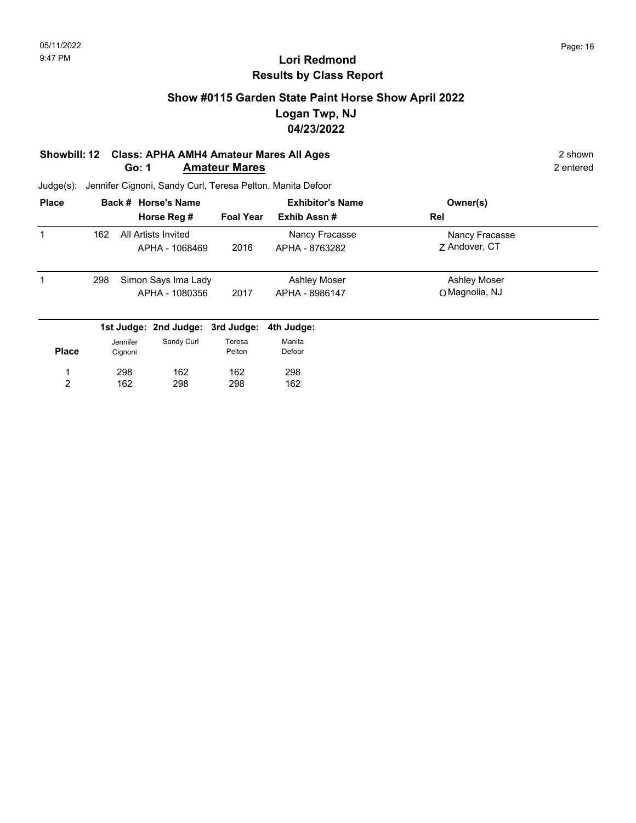### **Show #0115 Garden State Paint Horse Show April 2022 Logan Twp, NJ 04/23/2022**

#### **Showbill: 12 Class: APHA AMH4 Amateur Mares All Ages** 2 shown **Go: 1 Amateur Mares** 2 entered

| <b>Place</b> | Back # Horse's Name |          |                                  |                  | <b>Exhibitor's Name</b> | Owner(s)            |  |
|--------------|---------------------|----------|----------------------------------|------------------|-------------------------|---------------------|--|
|              |                     |          | Horse Reg #                      | <b>Foal Year</b> | Exhib Assn#             | Rel                 |  |
| 1            | 162                 |          | All Artists Invited              |                  | Nancy Fracasse          | Nancy Fracasse      |  |
|              |                     |          | APHA - 1068469                   | 2016             | APHA - 8763282          | 7 Andover, CT       |  |
| 1            | 298                 |          | Simon Says Ima Lady              |                  | <b>Ashley Moser</b>     | <b>Ashley Moser</b> |  |
|              |                     |          | APHA - 1080356                   | 2017             | APHA - 8986147          | O Magnolia, NJ      |  |
|              |                     |          | 1st Judge: 2nd Judge: 3rd Judge: |                  | 4th Judge:              |                     |  |
|              |                     | Jennifer | Sandy Curl                       | Teresa           | Manita                  |                     |  |
| <b>Place</b> |                     | Cignoni  |                                  | Pelton           | Defoor                  |                     |  |
|              |                     | 298      | 162                              | 162              | 298                     |                     |  |
| 2            |                     | 162      | 298                              | 298              | 162                     |                     |  |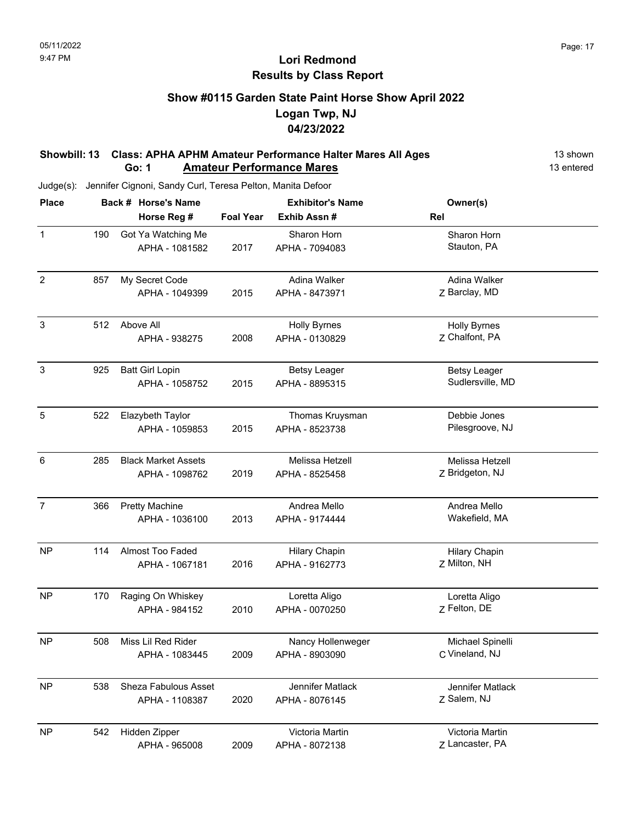## **Show #0115 Garden State Paint Horse Show April 2022 Logan Twp, NJ 04/23/2022**

#### **Showbill: 13 Class: APHA APHM Amateur Performance Halter Mares All Ages** 13 shown **Go: 1 Amateur Performance Mares 13 entered**

| <b>Place</b>   |     | Back # Horse's Name         |                  | <b>Exhibitor's Name</b> | Owner(s)             |  |  |
|----------------|-----|-----------------------------|------------------|-------------------------|----------------------|--|--|
|                |     | Horse Reg #                 | <b>Foal Year</b> | Exhib Assn #            | Rel                  |  |  |
| $\mathbf{1}$   | 190 | Got Ya Watching Me          |                  | Sharon Horn             | Sharon Horn          |  |  |
|                |     | APHA - 1081582              | 2017             | APHA - 7094083          | Stauton, PA          |  |  |
| $\overline{2}$ | 857 | My Secret Code              |                  | Adina Walker            | Adina Walker         |  |  |
|                |     | APHA - 1049399              | 2015             | APHA - 8473971          | Z Barclay, MD        |  |  |
| $\sqrt{3}$     | 512 | Above All                   |                  | <b>Holly Byrnes</b>     | <b>Holly Byrnes</b>  |  |  |
|                |     | APHA - 938275               | 2008             | APHA - 0130829          | Z Chalfont, PA       |  |  |
| $\mathbf{3}$   | 925 | <b>Batt Girl Lopin</b>      |                  | <b>Betsy Leager</b>     | <b>Betsy Leager</b>  |  |  |
|                |     | APHA - 1058752              | 2015             | APHA - 8895315          | Sudlersville, MD     |  |  |
| 5              | 522 | Elazybeth Taylor            |                  | Thomas Kruysman         | Debbie Jones         |  |  |
|                |     | APHA - 1059853              | 2015             | APHA - 8523738          | Pilesgroove, NJ      |  |  |
| 6              | 285 | <b>Black Market Assets</b>  |                  | Melissa Hetzell         | Melissa Hetzell      |  |  |
|                |     | APHA - 1098762              | 2019             | APHA - 8525458          | Z Bridgeton, NJ      |  |  |
| $\overline{7}$ | 366 | <b>Pretty Machine</b>       |                  | Andrea Mello            | Andrea Mello         |  |  |
|                |     | APHA - 1036100              | 2013             | APHA - 9174444          | Wakefield, MA        |  |  |
| <b>NP</b>      | 114 | Almost Too Faded            |                  | <b>Hilary Chapin</b>    | <b>Hilary Chapin</b> |  |  |
|                |     | APHA - 1067181              | 2016             | APHA - 9162773          | Z Milton, NH         |  |  |
| <b>NP</b>      | 170 | Raging On Whiskey           |                  | Loretta Aligo           | Loretta Aligo        |  |  |
|                |     | APHA - 984152               | 2010             | APHA - 0070250          | Z Felton, DE         |  |  |
| <b>NP</b>      | 508 | Miss Lil Red Rider          |                  | Nancy Hollenweger       | Michael Spinelli     |  |  |
|                |     | APHA - 1083445              | 2009             | APHA - 8903090          | C Vineland, NJ       |  |  |
| <b>NP</b>      | 538 | <b>Sheza Fabulous Asset</b> |                  | Jennifer Matlack        | Jennifer Matlack     |  |  |
|                |     | APHA - 1108387              | 2020             | APHA - 8076145          | Z Salem, NJ          |  |  |
| <b>NP</b>      | 542 | Hidden Zipper               |                  | Victoria Martin         | Victoria Martin      |  |  |
|                |     | APHA - 965008               | 2009             | APHA - 8072138          | Z Lancaster, PA      |  |  |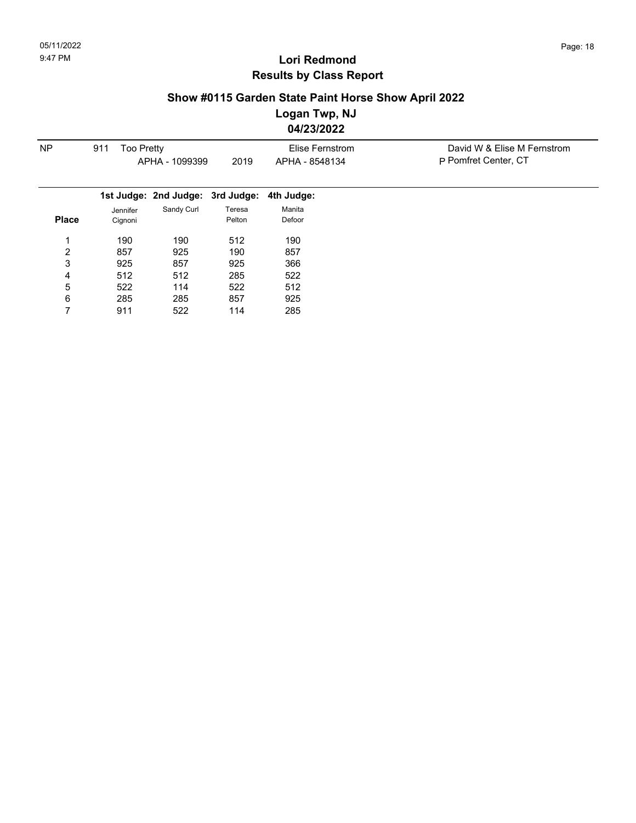## **Show #0115 Garden State Paint Horse Show April 2022**

**Logan Twp, NJ**

**04/23/2022**

| <b>NP</b>      | <b>Too Pretty</b><br>911 |                                  |        | Elise Fernstrom | David W & Elise M Fernstrom |
|----------------|--------------------------|----------------------------------|--------|-----------------|-----------------------------|
|                |                          | APHA - 1099399                   | 2019   | APHA - 8548134  | P Pomfret Center, CT        |
|                |                          |                                  |        |                 |                             |
|                |                          | 1st Judge: 2nd Judge: 3rd Judge: |        | 4th Judge:      |                             |
|                | Jennifer                 | Sandy Curl                       | Teresa | Manita          |                             |
| <b>Place</b>   | Cignoni                  |                                  | Pelton | Defoor          |                             |
|                | 190                      | 190                              | 512    | 190             |                             |
| $\overline{2}$ | 857                      | 925                              | 190    | 857             |                             |
| 3              | 925                      | 857                              | 925    | 366             |                             |
| 4              | 512                      | 512                              | 285    | 522             |                             |
| 5              | 522                      | 114                              | 522    | 512             |                             |
| 6              | 285                      | 285                              | 857    | 925             |                             |
|                | 911                      | 522                              | 114    | 285             |                             |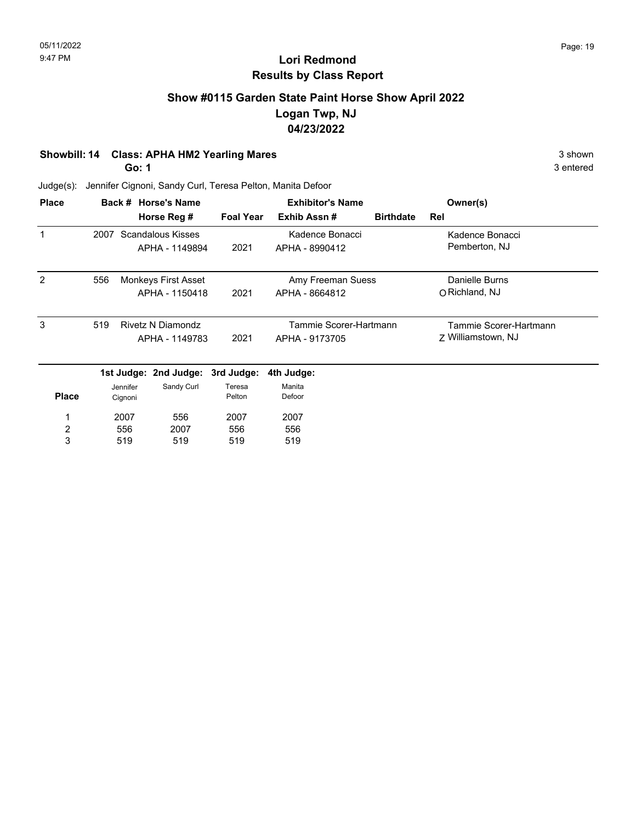### **Show #0115 Garden State Paint Horse Show April 2022 Logan Twp, NJ 04/23/2022**

#### **Showbill: 14 Class: APHA HM2 Yearling Mares** 3 shown

**Go: 1**

Judge(s): Jennifer Cignoni, Sandy Curl, Teresa Pelton, Manita Defoor

| <b>Place</b>   |      |          | Back # Horse's Name      |                  | <b>Exhibitor's Name</b> | Owner(s)         |                        |
|----------------|------|----------|--------------------------|------------------|-------------------------|------------------|------------------------|
|                |      |          | Horse Reg #              | <b>Foal Year</b> | Exhib Assn#             | <b>Birthdate</b> | Rel                    |
|                | 2007 |          | Scandalous Kisses        |                  | Kadence Bonacci         |                  | Kadence Bonacci        |
|                |      |          | APHA - 1149894           | 2021             | APHA - 8990412          |                  | Pemberton, NJ          |
| 2              | 556  |          | Monkeys First Asset      |                  | Amy Freeman Suess       |                  | Danielle Burns         |
|                |      |          | APHA - 1150418           | 2021             | APHA - 8664812          |                  | O Richland, NJ         |
| 3              | 519  |          | <b>Rivetz N Diamondz</b> |                  | Tammie Scorer-Hartmann  |                  | Tammie Scorer-Hartmann |
|                |      |          | APHA - 1149783           | 2021             | APHA - 9173705          |                  | Z Williamstown, NJ     |
|                |      |          | 1st Judge: 2nd Judge:    | 3rd Judge:       | 4th Judge:              |                  |                        |
|                |      | Jennifer | Sandy Curl               | Teresa           | Manita                  |                  |                        |
| <b>Place</b>   |      | Cignoni  |                          | Pelton           | Defoor                  |                  |                        |
| 1              |      | 2007     | 556                      | 2007             | 2007                    |                  |                        |
| $\overline{c}$ |      | 556      | 2007                     | 556              | 556                     |                  |                        |
| 3              |      | 519      | 519                      | 519              | 519                     |                  |                        |

3 entered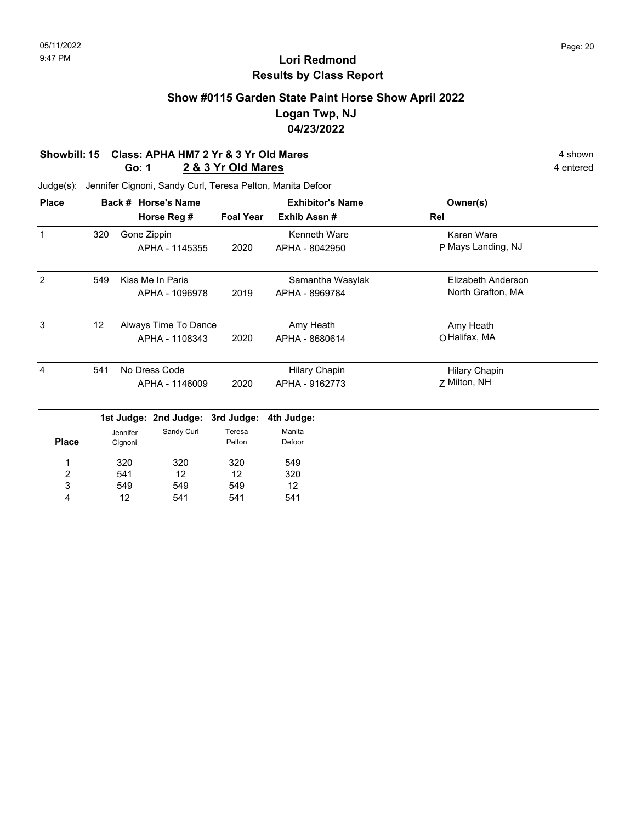## **Show #0115 Garden State Paint Horse Show April 2022 Logan Twp, NJ 04/23/2022**

#### **Showbill: 15 Class: APHA HM7 2 Yr & 3 Yr Old Mares** 4 shown 4 shown **Go: 1 2 & 3 Yr Old Mares** 4 entered

| <b>Place</b> |     | Back # Horse's Name              |                  | <b>Exhibitor's Name</b> | Owner(s)             |  |
|--------------|-----|----------------------------------|------------------|-------------------------|----------------------|--|
|              |     | Horse Reg #                      | <b>Foal Year</b> | Exhib Assn#             | Rel                  |  |
|              | 320 | Gone Zippin                      |                  | Kenneth Ware            | Karen Ware           |  |
|              |     | APHA - 1145355                   | 2020             | APHA - 8042950          | P Mays Landing, NJ   |  |
| 2            | 549 | Kiss Me In Paris                 |                  | Samantha Wasylak        | Elizabeth Anderson   |  |
|              |     | APHA - 1096978                   | 2019             | APHA - 8969784          | North Grafton, MA    |  |
| 3            | 12  | Always Time To Dance             |                  | Amy Heath               | Amy Heath            |  |
|              |     | APHA - 1108343                   | 2020             | APHA - 8680614          | O Halifax, MA        |  |
| 4            | 541 | No Dress Code                    |                  | <b>Hilary Chapin</b>    | <b>Hilary Chapin</b> |  |
|              |     | APHA - 1146009                   | 2020             | APHA - 9162773          | Z Milton, NH         |  |
|              |     | 1st Judge: 2nd Judge: 3rd Judge: |                  | 4th Judge:              |                      |  |
|              |     | Sandy Curl<br>Jennifer           | Teresa           | Manita                  |                      |  |

| <b>Place</b> | Jennifer<br>Cignoni | Sandy Curl | Teresa<br>Pelton | Manita<br>Defoor |
|--------------|---------------------|------------|------------------|------------------|
| $\mathbf 1$  | 320                 | 320        | 320              | 549              |
| 2            | 541                 | 12         | 12               | 320              |
| 3            | 549                 | 549        | 549              | 12               |
|              | 12                  | 541        | 541              | 541              |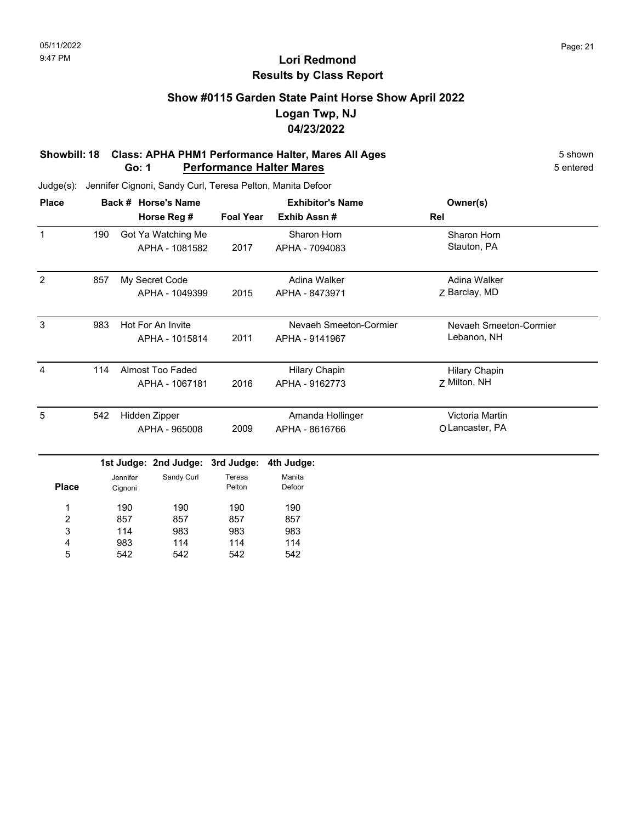### **Show #0115 Garden State Paint Horse Show April 2022 Logan Twp, NJ 04/23/2022**

#### **Showbill: 18 Class: APHA PHM1 Performance Halter, Mares All Ages** 5 Shown **Go: 1 Performance Halter Mares 1988 1999 <b>1999 1999 <b>1999 1999 1999 1999 1999 1999 1999 1999 1999 1999 1999 1999 1999 1999 1999 1999 1999 1999 1999 1999 1999 1999 1999 1999**

| <b>Place</b>   |     | Back # Horse's Name |                       |                  | <b>Exhibitor's Name</b> | Owner(s)               |
|----------------|-----|---------------------|-----------------------|------------------|-------------------------|------------------------|
|                |     |                     | Horse Reg #           | <b>Foal Year</b> | Exhib Assn#             | Rel                    |
| $\mathbf{1}$   | 190 |                     | Got Ya Watching Me    |                  | Sharon Horn             | Sharon Horn            |
|                |     |                     | APHA - 1081582        | 2017             | APHA - 7094083          | Stauton, PA            |
| 2              | 857 |                     | My Secret Code        |                  | Adina Walker            | Adina Walker           |
|                |     |                     | APHA - 1049399        | 2015             | APHA - 8473971          | Z Barclay, MD          |
| 3              | 983 |                     | Hot For An Invite     |                  | Nevaeh Smeeton-Cormier  | Nevaeh Smeeton-Cormier |
|                |     |                     | APHA - 1015814        | 2011             | APHA - 9141967          | Lebanon, NH            |
| $\overline{4}$ | 114 |                     | Almost Too Faded      |                  | <b>Hilary Chapin</b>    | <b>Hilary Chapin</b>   |
|                |     |                     | APHA - 1067181        | 2016             | APHA - 9162773          | Z Milton, NH           |
| 5              | 542 |                     | Hidden Zipper         |                  | Amanda Hollinger        | Victoria Martin        |
|                |     |                     | APHA - 965008         | 2009             | APHA - 8616766          | O Lancaster, PA        |
|                |     |                     | 1st Judge: 2nd Judge: | 3rd Judge:       | 4th Judge:              |                        |
| <b>Place</b>   |     | Jennifer<br>Cignoni | Sandy Curl            | Teresa<br>Pelton | Manita<br>Defoor        |                        |
| 1              |     | 190                 | 190                   | 190              | 190                     |                        |
| 2              |     | 857                 | 857                   | 857              | 857                     |                        |
| 3              |     | 114                 | 983                   | 983              | 983                     |                        |
| 4              |     | 983                 | 114                   | 114              | 114                     |                        |
| 5              |     | 542                 | 542                   | 542              | 542                     |                        |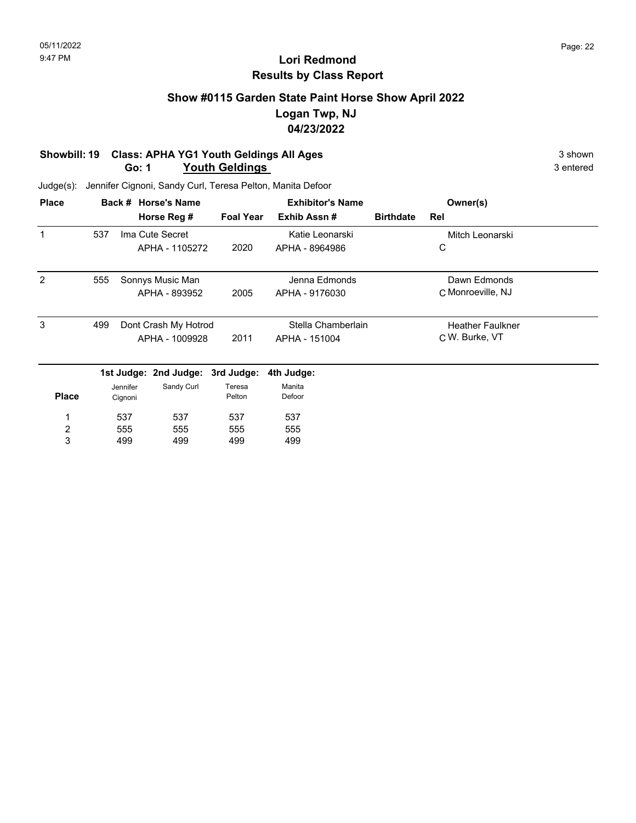## **Show #0115 Garden State Paint Horse Show April 2022 Logan Twp, NJ 04/23/2022**

#### **Showbill: 19 Class: APHA YG1 Youth Geldings All Ages** 3 shown 3 shown 3 shown 3 shown 3 shown **Go: 1 Youth Geldings**

| <b>Place</b> |     |          | Back # Horse's Name              |                  | <b>Exhibitor's Name</b> |                  | Owner(s)                |  |
|--------------|-----|----------|----------------------------------|------------------|-------------------------|------------------|-------------------------|--|
|              |     |          | Horse Reg #                      | <b>Foal Year</b> | Exhib Assn#             | <b>Birthdate</b> | Rel                     |  |
|              | 537 |          | Ima Cute Secret                  |                  | Katie Leonarski         |                  | Mitch Leonarski         |  |
|              |     |          | APHA - 1105272                   | 2020             | APHA - 8964986          |                  | С                       |  |
| 2            | 555 |          | Sonnys Music Man                 |                  | Jenna Edmonds           |                  | Dawn Edmonds            |  |
|              |     |          | APHA - 893952                    | 2005             | APHA - 9176030          |                  | C Monroeville, NJ       |  |
| 3            | 499 |          | Dont Crash My Hotrod             |                  | Stella Chamberlain      |                  | <b>Heather Faulkner</b> |  |
|              |     |          | APHA - 1009928                   | 2011             | APHA - 151004           |                  | C W. Burke, VT          |  |
|              |     |          | 1st Judge: 2nd Judge: 3rd Judge: |                  | 4th Judge:              |                  |                         |  |
|              |     | Jennifer | Sandy Curl                       | Teresa           | Manita                  |                  |                         |  |
| <b>Place</b> |     | Cignoni  |                                  | Pelton           | Defoor                  |                  |                         |  |
| 1            |     | 537      | 537                              | 537              | 537                     |                  |                         |  |
| 2            |     | 555      | 555                              | 555              | 555                     |                  |                         |  |
| 3            |     | 499      | 499                              | 499              | 499                     |                  |                         |  |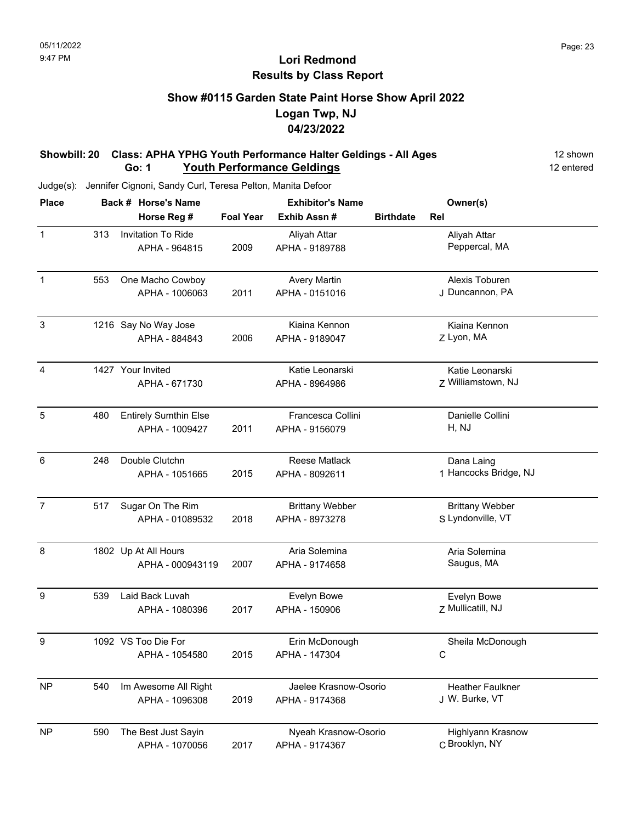## **Show #0115 Garden State Paint Horse Show April 2022 Logan Twp, NJ 04/23/2022**

#### **Showbill: 20 Class: APHA YPHG Youth Performance Halter Geldings - All Ages** 12 shown **Go: 1** Youth Performance Geldings **12 entered** 12 entered

| <b>Place</b>     |                | Back # Horse's Name          |                  | <b>Exhibitor's Name</b> |                       | Owner(s)                 |  |
|------------------|----------------|------------------------------|------------------|-------------------------|-----------------------|--------------------------|--|
|                  |                | Horse Reg #                  | <b>Foal Year</b> | Exhib Assn #            | <b>Birthdate</b>      | Rel                      |  |
| $\mathbf{1}$     | 313            | Invitation To Ride           |                  | Aliyah Attar            |                       | Aliyah Attar             |  |
|                  |                | APHA - 964815                | 2009             | APHA - 9189788          |                       | Peppercal, MA            |  |
| $\mathbf{1}$     | 553            | One Macho Cowboy             |                  | <b>Avery Martin</b>     |                       | Alexis Toburen           |  |
|                  |                | APHA - 1006063               | 2011             | APHA - 0151016          |                       | J Duncannon, PA          |  |
| $\sqrt{3}$       |                | 1216 Say No Way Jose         |                  | Kiaina Kennon           |                       | Kiaina Kennon            |  |
|                  |                | APHA - 884843                | 2006             | APHA - 9189047          |                       | Z Lyon, MA               |  |
| 4                |                | 1427 Your Invited            |                  | Katie Leonarski         |                       | Katie Leonarski          |  |
|                  |                | APHA - 671730                |                  | APHA - 8964986          |                       | Z Williamstown, NJ       |  |
| 5                | 480            | <b>Entirely Sumthin Else</b> |                  | Francesca Collini       |                       | Danielle Collini         |  |
|                  | APHA - 1009427 | 2011                         | APHA - 9156079   |                         | H, NJ                 |                          |  |
| 6                | 248            | Double Clutchn               |                  | <b>Reese Matlack</b>    |                       | Dana Laing               |  |
|                  | APHA - 1051665 | 2015                         | APHA - 8092611   |                         | 1 Hancocks Bridge, NJ |                          |  |
| $\overline{7}$   | 517            | Sugar On The Rim             |                  | <b>Brittany Webber</b>  |                       | <b>Brittany Webber</b>   |  |
|                  |                | APHA - 01089532              | 2018             | APHA - 8973278          |                       | S Lyndonville, VT        |  |
| 8                |                | 1802 Up At All Hours         |                  | Aria Solemina           |                       | Aria Solemina            |  |
|                  |                | APHA - 000943119             | 2007             | APHA - 9174658          |                       | Saugus, MA               |  |
| $\boldsymbol{9}$ | 539            | Laid Back Luvah              |                  | Evelyn Bowe             |                       | Evelyn Bowe              |  |
|                  |                | APHA - 1080396               | 2017             | APHA - 150906           |                       | Z Mullicatill, NJ        |  |
| 9                |                | 1092 VS Too Die For          |                  | Erin McDonough          |                       | Sheila McDonough         |  |
|                  |                | APHA - 1054580               | 2015             | APHA - 147304           |                       | C                        |  |
| <b>NP</b>        | 540            | Im Awesome All Right         |                  | Jaelee Krasnow-Osorio   |                       | <b>Heather Faulkner</b>  |  |
|                  |                | APHA - 1096308               | 2019             | APHA - 9174368          |                       | J W. Burke, VT           |  |
| <b>NP</b>        | 590            | The Best Just Sayin          |                  | Nyeah Krasnow-Osorio    |                       | <b>Highlyann Krasnow</b> |  |
|                  |                | APHA - 1070056               | 2017             | APHA - 9174367          |                       | C Brooklyn, NY           |  |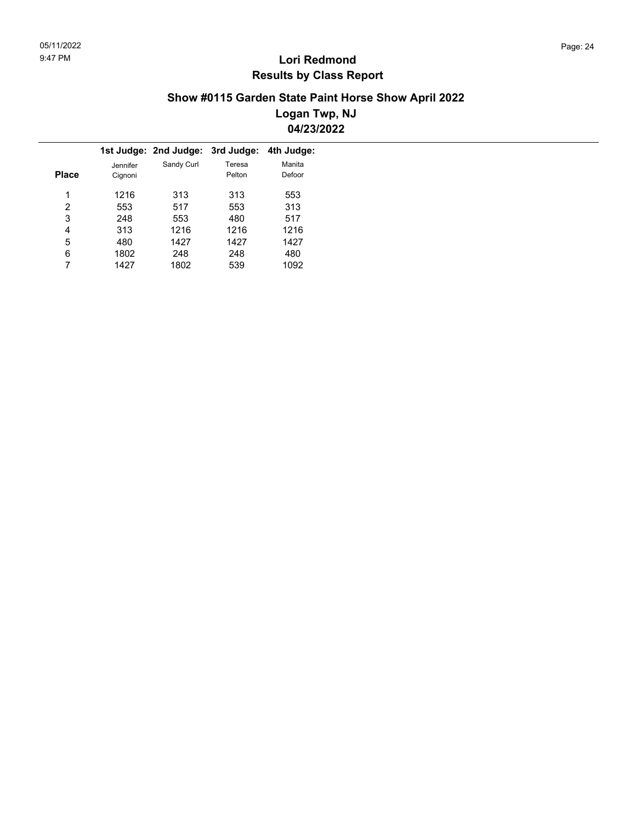### **Show #0115 Garden State Paint Horse Show April 2022 Logan Twp, NJ 04/23/2022**

|       |          | 1st Judge: 2nd Judge: | 3rd Judge: | 4th Judge: |
|-------|----------|-----------------------|------------|------------|
|       | Jennifer | Sandy Curl            | Teresa     | Manita     |
| Place | Cignoni  |                       | Pelton     | Defoor     |
|       |          |                       |            |            |
| 1     | 1216     | 313                   | 313        | 553        |
| 2     | 553      | 517                   | 553        | 313        |
| 3     | 248      | 553                   | 480        | 517        |
| 4     | 313      | 1216                  | 1216       | 1216       |
| 5     | 480      | 1427                  | 1427       | 1427       |
| 6     | 1802     | 248                   | 248        | 480        |
|       | 1427     | 1802                  | 539        | 1092       |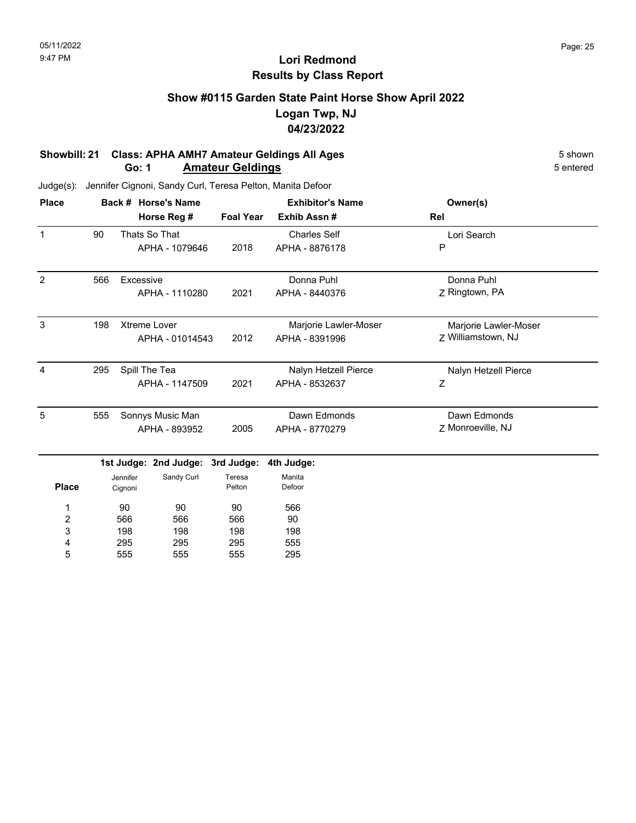### **Show #0115 Garden State Paint Horse Show April 2022 Logan Twp, NJ 04/23/2022**

#### **Showbill: 21 Class: APHA AMH7 Amateur Geldings All Ages** 5 shown 5 shown 5 shown 5 shown **Go: 1 Amateur Geldings**

| <b>Place</b>   |     |                     | Back # Horse's Name   |                  | <b>Exhibitor's Name</b> | Owner(s)              |
|----------------|-----|---------------------|-----------------------|------------------|-------------------------|-----------------------|
|                |     |                     | Horse Reg #           | <b>Foal Year</b> | Exhib Assn#             | Rel                   |
| $\mathbf{1}$   | 90  |                     | Thats So That         |                  | <b>Charles Self</b>     | Lori Search           |
|                |     |                     | APHA - 1079646        | 2018             | APHA - 8876178          | P                     |
| 2              | 566 | Excessive           |                       |                  | Donna Puhl              | Donna Puhl            |
|                |     |                     | APHA - 1110280        | 2021             | APHA - 8440376          | Z Ringtown, PA        |
| 3              | 198 |                     | <b>Xtreme Lover</b>   |                  | Marjorie Lawler-Moser   | Marjorie Lawler-Moser |
|                |     |                     | APHA - 01014543       | 2012             | APHA - 8391996          | Z Williamstown, NJ    |
| $\overline{4}$ | 295 |                     | Spill The Tea         |                  | Nalyn Hetzell Pierce    | Nalyn Hetzell Pierce  |
|                |     |                     | APHA - 1147509        | 2021             | APHA - 8532637          | Ζ                     |
| 5              | 555 |                     | Sonnys Music Man      |                  | Dawn Edmonds            | Dawn Edmonds          |
|                |     |                     | APHA - 893952         | 2005             | APHA - 8770279          | Z Monroeville, NJ     |
|                |     |                     | 1st Judge: 2nd Judge: | 3rd Judge:       | 4th Judge:              |                       |
| <b>Place</b>   |     | Jennifer<br>Cignoni | Sandy Curl            | Teresa<br>Pelton | Manita<br>Defoor        |                       |
| 1              |     | 90                  | 90                    | 90               | 566                     |                       |
| 2              |     | 566                 | 566                   | 566              | 90                      |                       |
| 3              |     | 198                 | 198                   | 198              | 198                     |                       |
| 4              |     | 295                 | 295                   | 295              | 555                     |                       |
| 5              |     | 555                 | 555                   | 555              | 295                     |                       |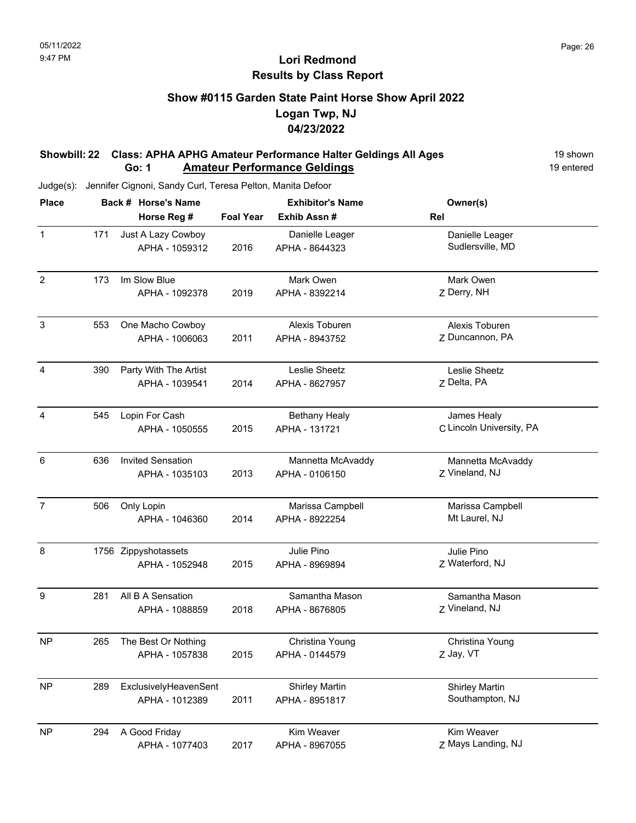## **Show #0115 Garden State Paint Horse Show April 2022 Logan Twp, NJ 04/23/2022**

#### **Showbill: 22 Class: APHA APHG Amateur Performance Halter Geldings All Ages** 19 Shown **Go: 1** Amateur Performance Geldings **19 entered** 19 entered

| <b>Place</b>     |     | Back # Horse's Name                        |                  | <b>Exhibitor's Name</b>                 | Owner(s)                                 |  |  |
|------------------|-----|--------------------------------------------|------------------|-----------------------------------------|------------------------------------------|--|--|
|                  |     | Horse Reg #                                | <b>Foal Year</b> | Exhib Assn#                             | Rel                                      |  |  |
| $\mathbf{1}$     | 171 | Just A Lazy Cowboy<br>APHA - 1059312       | 2016             | Danielle Leager<br>APHA - 8644323       | Danielle Leager<br>Sudlersville, MD      |  |  |
| $\overline{2}$   | 173 | Im Slow Blue<br>APHA - 1092378             | 2019             | Mark Owen<br>APHA - 8392214             | Mark Owen<br>Z Derry, NH                 |  |  |
| $\sqrt{3}$       | 553 | One Macho Cowboy<br>APHA - 1006063         | 2011             | Alexis Toburen<br>APHA - 8943752        | Alexis Toburen<br>Z Duncannon, PA        |  |  |
| $\overline{4}$   | 390 | Party With The Artist<br>APHA - 1039541    | 2014             | Leslie Sheetz<br>APHA - 8627957         | Leslie Sheetz<br>Z Delta, PA             |  |  |
| $\overline{4}$   | 545 | Lopin For Cash<br>APHA - 1050555           | 2015             | <b>Bethany Healy</b><br>APHA - 131721   | James Healy<br>C Lincoln University, PA  |  |  |
| 6                | 636 | <b>Invited Sensation</b><br>APHA - 1035103 | 2013             | Mannetta McAvaddy<br>APHA - 0106150     | Mannetta McAvaddy<br>Z Vineland, NJ      |  |  |
| $\overline{7}$   | 506 | Only Lopin<br>APHA - 1046360               | 2014             | Marissa Campbell<br>APHA - 8922254      | Marissa Campbell<br>Mt Laurel, NJ        |  |  |
| 8                |     | 1756 Zippyshotassets<br>APHA - 1052948     | 2015             | Julie Pino<br>APHA - 8969894            | Julie Pino<br>Z Waterford, NJ            |  |  |
| $\boldsymbol{9}$ | 281 | All B A Sensation<br>APHA - 1088859        | 2018             | Samantha Mason<br>APHA - 8676805        | Samantha Mason<br>Z Vineland, NJ         |  |  |
| <b>NP</b>        | 265 | The Best Or Nothing<br>APHA - 1057838      | 2015             | Christina Young<br>APHA - 0144579       | Christina Young<br>Z Jay, VT             |  |  |
| <b>NP</b>        | 289 | ExclusivelyHeavenSent<br>APHA - 1012389    | 2011             | <b>Shirley Martin</b><br>APHA - 8951817 | <b>Shirley Martin</b><br>Southampton, NJ |  |  |
| <b>NP</b>        | 294 | A Good Friday<br>APHA - 1077403            | 2017             | Kim Weaver<br>APHA - 8967055            | Kim Weaver<br>Z Mays Landing, NJ         |  |  |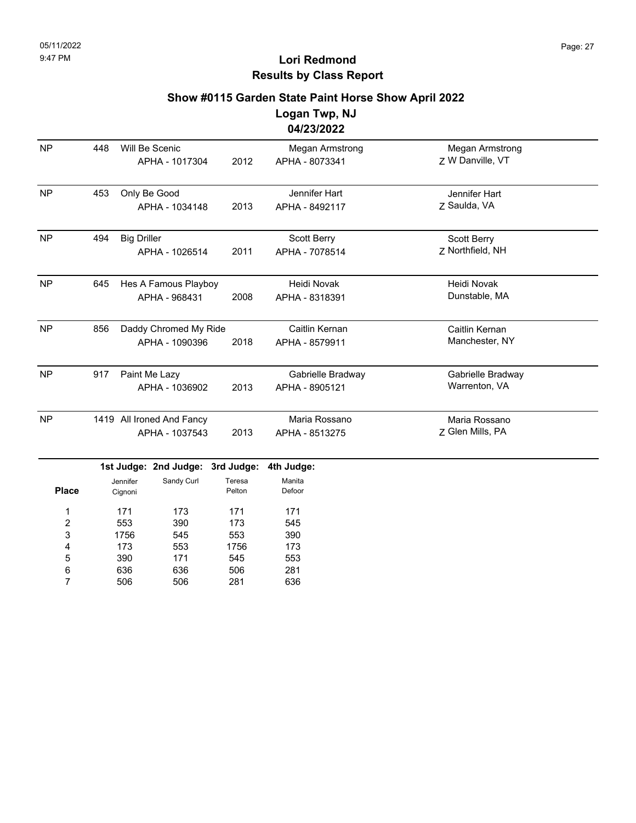### **Show #0115 Garden State Paint Horse Show April 2022**

**Logan Twp, NJ 04/23/2022**

|                                |     |                    |                                             |                      | TI ∠JI ∠V∠∠                              |                                     |  |
|--------------------------------|-----|--------------------|---------------------------------------------|----------------------|------------------------------------------|-------------------------------------|--|
| <b>NP</b>                      | 448 |                    | Will Be Scenic<br>APHA - 1017304            | 2012                 | <b>Megan Armstrong</b><br>APHA - 8073341 | Megan Armstrong<br>Z W Danville, VT |  |
| <b>NP</b>                      | 453 |                    | Only Be Good<br>APHA - 1034148              | 2013                 | Jennifer Hart<br>APHA - 8492117          | Jennifer Hart<br>Z Saulda, VA       |  |
| <b>NP</b>                      | 494 | <b>Big Driller</b> | APHA - 1026514                              | 2011                 | Scott Berry<br>APHA - 7078514            | Scott Berry<br>Z Northfield, NH     |  |
| <b>NP</b>                      | 645 |                    | Hes A Famous Playboy<br>APHA - 968431       | 2008                 | Heidi Novak<br>APHA - 8318391            | Heidi Novak<br>Dunstable, MA        |  |
| <b>NP</b>                      | 856 |                    | Daddy Chromed My Ride<br>APHA - 1090396     | 2018                 | Caitlin Kernan<br>APHA - 8579911         | Caitlin Kernan<br>Manchester, NY    |  |
| <b>NP</b>                      | 917 |                    | Paint Me Lazy<br>APHA - 1036902             | 2013                 | Gabrielle Bradway<br>APHA - 8905121      | Gabrielle Bradway<br>Warrenton, VA  |  |
| <b>NP</b>                      |     |                    | 1419 All Ironed And Fancy<br>APHA - 1037543 | 2013                 | Maria Rossano<br>APHA - 8513275          | Maria Rossano<br>Z Glen Mills, PA   |  |
|                                |     | Jennifer           | 1st Judge: 2nd Judge:<br>Sandy Curl         | 3rd Judge:<br>Teresa | 4th Judge:<br>Manita                     |                                     |  |
| <b>Place</b><br>$\overline{ }$ |     | Cignoni<br>171     | 172                                         | Pelton<br>171        | Defoor<br>171                            |                                     |  |

|   | . .  |     |      |     |
|---|------|-----|------|-----|
| 1 | 171  | 173 | 171  | 171 |
| 2 | 553  | 390 | 173  | 545 |
| 3 | 1756 | 545 | 553  | 390 |
| 4 | 173  | 553 | 1756 | 173 |
| 5 | 390  | 171 | 545  | 553 |
| 6 | 636  | 636 | 506  | 281 |
| 7 | 506  | 506 | 281  | 636 |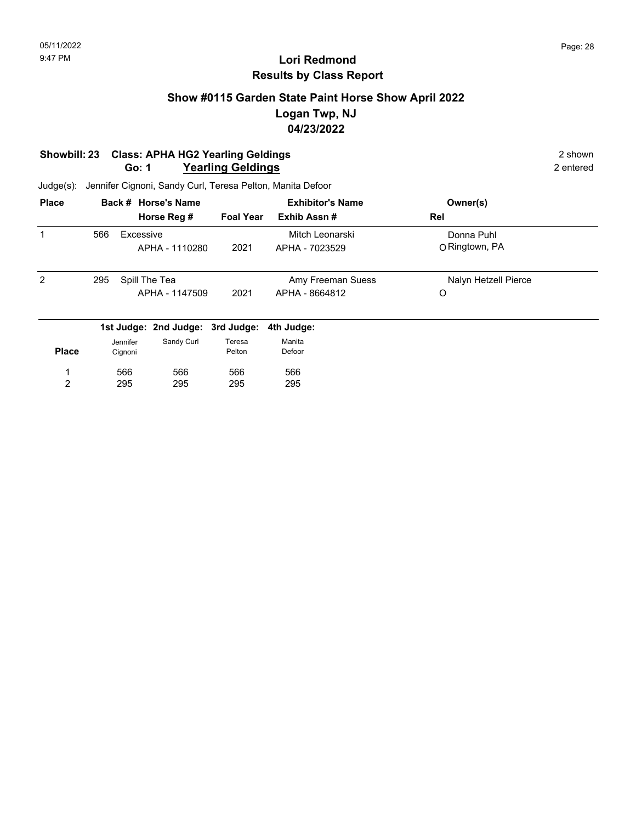### **Show #0115 Garden State Paint Horse Show April 2022 Logan Twp, NJ 04/23/2022**

#### **Showbill: 23 Class: APHA HG2 Yearling Geldings** 2 shown **Go: 1 Yearling Geldings** 2 entered

295

2

Judge(s): Jennifer Cignoni, Sandy Curl, Teresa Pelton, Manita Defoor

295

295

| <b>Place</b> |     | Back # Horse's Name |                                  |                  | <b>Exhibitor's Name</b> | Owner(s)             |  |
|--------------|-----|---------------------|----------------------------------|------------------|-------------------------|----------------------|--|
|              |     |                     | Horse Reg #                      | <b>Foal Year</b> | Exhib Assn#             | Rel                  |  |
| 1            | 566 | Excessive           |                                  |                  | Mitch Leonarski         | Donna Puhl           |  |
|              |     |                     | APHA - 1110280                   | 2021             | APHA - 7023529          | O Ringtown, PA       |  |
| 2            | 295 |                     | Spill The Tea                    |                  | Amy Freeman Suess       | Nalyn Hetzell Pierce |  |
|              |     |                     | APHA - 1147509                   | 2021             | APHA - 8664812          | O                    |  |
|              |     |                     | 1st Judge: 2nd Judge: 3rd Judge: |                  | 4th Judge:              |                      |  |
|              |     | Jennifer            | Sandy Curl                       | Teresa           | Manita                  |                      |  |
| <b>Place</b> |     | Cignoni             |                                  | Pelton           | Defoor                  |                      |  |
|              |     | 566                 | 566                              | 566              | 566                     |                      |  |

295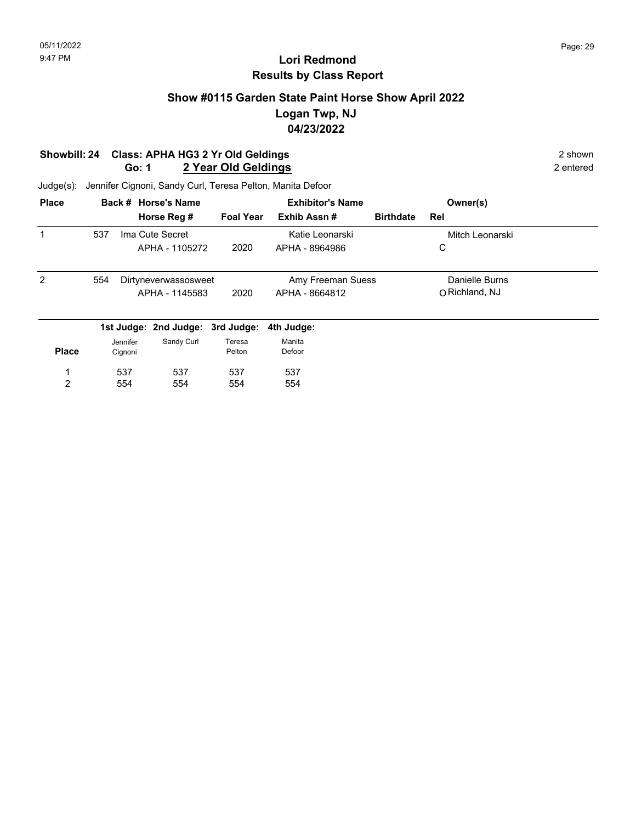## **Show #0115 Garden State Paint Horse Show April 2022 Logan Twp, NJ 04/23/2022**

#### **Showbill: 24 Class: APHA HG3 2 Yr Old Geldings** 2 Shown 2 shown **Go: 1** 2 Year Old Geldings **2 Year Old Geldings 2 Personal Property** 2 entered

| <b>Place</b>   |     |          | Back # Horse's Name              | <b>Exhibitor's Name</b> |                 |                   |                  | Owner(s)        |  |
|----------------|-----|----------|----------------------------------|-------------------------|-----------------|-------------------|------------------|-----------------|--|
|                |     |          | Horse Reg #                      | <b>Foal Year</b>        | Exhib Assn#     |                   | <b>Birthdate</b> | Rel             |  |
| 1              | 537 |          | Ima Cute Secret                  |                         | Katie Leonarski |                   |                  | Mitch Leonarski |  |
|                |     |          | APHA - 1105272                   | 2020                    | APHA - 8964986  |                   |                  | С               |  |
| $\overline{2}$ | 554 |          | Dirtyneverwassosweet             |                         |                 | Amy Freeman Suess |                  | Danielle Burns  |  |
|                |     |          | APHA - 1145583                   | 2020                    | APHA - 8664812  |                   |                  | O Richland, NJ  |  |
|                |     |          | 1st Judge: 2nd Judge: 3rd Judge: |                         | 4th Judge:      |                   |                  |                 |  |
|                |     | Jennifer | Sandy Curl                       | Teresa                  | Manita          |                   |                  |                 |  |
| <b>Place</b>   |     | Cignoni  |                                  | Pelton                  | Defoor          |                   |                  |                 |  |
| 1              |     | 537      | 537                              | 537                     | 537             |                   |                  |                 |  |
| 2              |     | 554      | 554                              | 554                     | 554             |                   |                  |                 |  |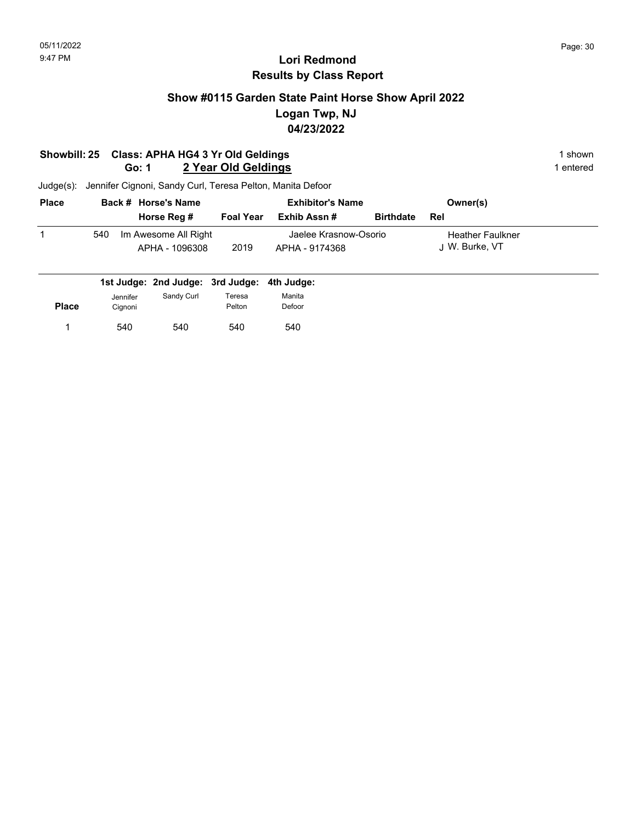## **Show #0115 Garden State Paint Horse Show April 2022 Logan Twp, NJ 04/23/2022**

#### **Showbill: 25 Class: APHA HG4 3 Yr Old Geldings** 1 shown **Go: 1** 2 Year Old Geldings **1** entered

| <b>Place</b> |     | Back # Horse's Name                    | <b>Exhibitor's Name</b> |                                         |                  | Owner(s)                                  |  |
|--------------|-----|----------------------------------------|-------------------------|-----------------------------------------|------------------|-------------------------------------------|--|
|              |     | Horse Reg #                            | <b>Foal Year</b>        | Exhib Assn #                            | <b>Birthdate</b> | Rel                                       |  |
|              | 540 | Im Awesome All Right<br>APHA - 1096308 | 2019                    | Jaelee Krasnow-Osorio<br>APHA - 9174368 |                  | <b>Heather Faulkner</b><br>J W. Burke, VT |  |

|              |                     | 1st Judge: 2nd Judge: 3rd Judge: 4th Judge: |                  |                  |
|--------------|---------------------|---------------------------------------------|------------------|------------------|
| <b>Place</b> | Jennifer<br>Cignoni | Sandy Curl                                  | Teresa<br>Pelton | Manita<br>Defoor |
|              | 540                 | 540                                         | 540              | 540              |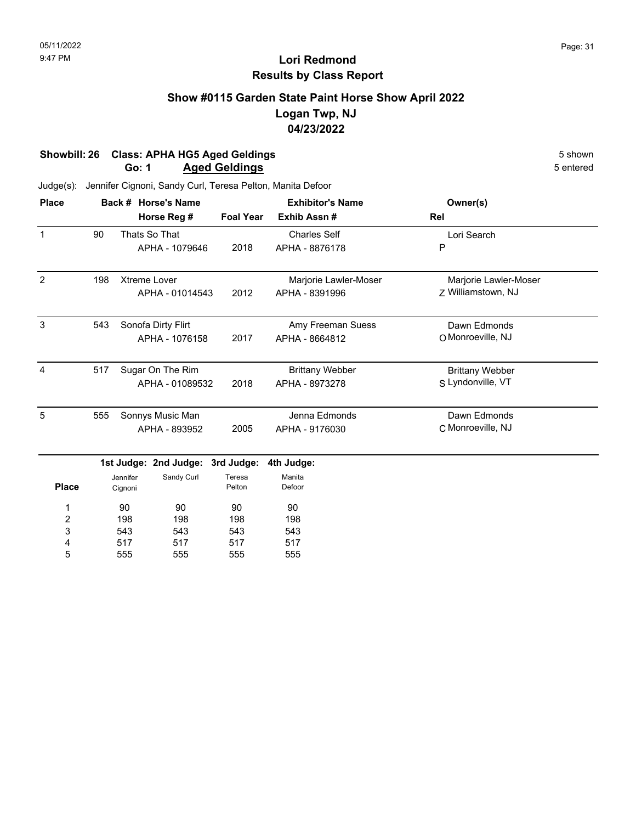### **Show #0115 Garden State Paint Horse Show April 2022 Logan Twp, NJ 04/23/2022**

#### **Showbill: 26 Class: APHA HG5 Aged Geldings**<br> **Shown** 5 shown<br> **Go: 1 Aged Geldings** 5 entered **Go: 1 Aged Geldings**

| <b>Place</b>   |     | Back # Horse's Name |                       |                  | <b>Exhibitor's Name</b> | Owner(s)               |
|----------------|-----|---------------------|-----------------------|------------------|-------------------------|------------------------|
|                |     |                     | Horse Reg #           | <b>Foal Year</b> | Exhib Assn#             | Rel                    |
| $\mathbf{1}$   | 90  |                     | Thats So That         |                  | <b>Charles Self</b>     | Lori Search            |
|                |     |                     | APHA - 1079646        | 2018             | APHA - 8876178          | P                      |
| $\overline{2}$ | 198 |                     | Xtreme Lover          |                  | Marjorie Lawler-Moser   | Marjorie Lawler-Moser  |
|                |     |                     | APHA - 01014543       | 2012             | APHA - 8391996          | Z Williamstown, NJ     |
| 3              | 543 |                     | Sonofa Dirty Flirt    |                  | Amy Freeman Suess       | Dawn Edmonds           |
|                |     |                     | APHA - 1076158        | 2017             | APHA - 8664812          | O Monroeville, NJ      |
| $\overline{4}$ | 517 |                     | Sugar On The Rim      |                  | <b>Brittany Webber</b>  | <b>Brittany Webber</b> |
|                |     |                     | APHA - 01089532       | 2018             | APHA - 8973278          | S Lyndonville, VT      |
| 5              | 555 |                     | Sonnys Music Man      |                  | Jenna Edmonds           | Dawn Edmonds           |
|                |     |                     | APHA - 893952         | 2005             | APHA - 9176030          | C Monroeville, NJ      |
|                |     |                     | 1st Judge: 2nd Judge: | 3rd Judge:       | 4th Judge:              |                        |
| <b>Place</b>   |     | Jennifer<br>Cignoni | Sandy Curl            | Teresa<br>Pelton | Manita<br>Defoor        |                        |
| 1              |     | 90                  | 90                    | 90               | 90                      |                        |
| 2              |     | 198                 | 198                   | 198              | 198                     |                        |
| 3              |     | 543<br>543          |                       | 543              | 543                     |                        |
| 4              |     | 517                 | 517                   | 517              | 517                     |                        |
| 5              |     | 555                 | 555                   | 555              | 555                     |                        |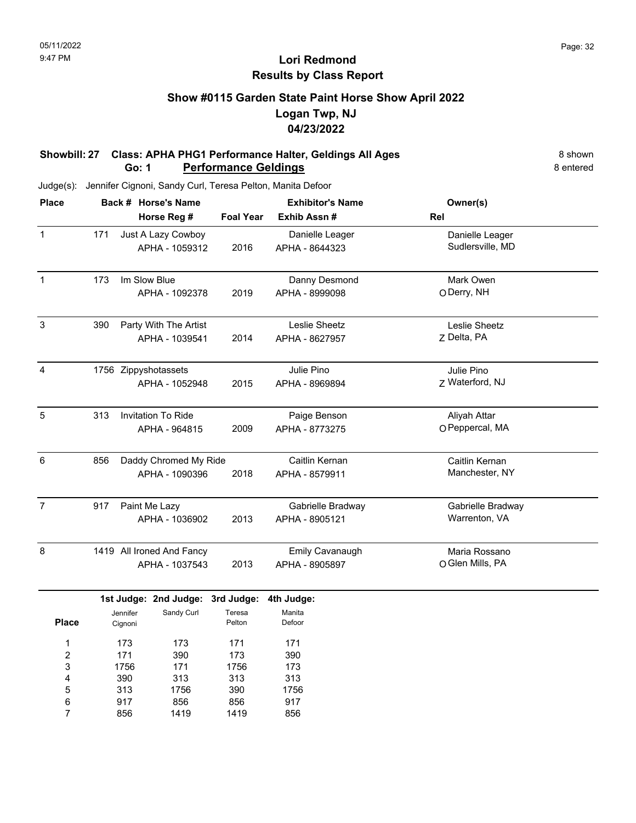### **Show #0115 Garden State Paint Horse Show April 2022 Logan Twp, NJ 04/23/2022**

#### **Showbill: 27 Class: APHA PHG1 Performance Halter, Geldings All Ages** 8 Shown **Go: 1 Performance Geldings** 8 entered

Judge(s): Jennifer Cignoni, Sandy Curl, Teresa Pelton, Manita Defoor

856

7

1419

1419

856

| <b>Place</b>            |     |                     | Back # Horse's Name       |                  | <b>Exhibitor's Name</b> | Owner(s)          |  |
|-------------------------|-----|---------------------|---------------------------|------------------|-------------------------|-------------------|--|
|                         |     |                     | Horse Reg #               | <b>Foal Year</b> | Exhib Assn #            | Rel               |  |
| $\mathbf{1}$            | 171 |                     | Just A Lazy Cowboy        |                  | Danielle Leager         | Danielle Leager   |  |
|                         |     |                     | APHA - 1059312            | 2016             | APHA - 8644323          | Sudlersville, MD  |  |
| $\overline{1}$          | 173 |                     | Im Slow Blue              |                  | Danny Desmond           | Mark Owen         |  |
|                         |     |                     | APHA - 1092378            | 2019             | APHA - 8999098          | O Derry, NH       |  |
| 3                       | 390 |                     | Party With The Artist     |                  | Leslie Sheetz           | Leslie Sheetz     |  |
|                         |     |                     | APHA - 1039541            | 2014             | APHA - 8627957          | Z Delta, PA       |  |
| $\overline{\mathbf{4}}$ |     |                     | 1756 Zippyshotassets      |                  | Julie Pino              | Julie Pino        |  |
|                         |     |                     | APHA - 1052948            | 2015             | APHA - 8969894          | Z Waterford, NJ   |  |
| $\mathbf 5$             | 313 |                     | Invitation To Ride        |                  | Paige Benson            | Aliyah Attar      |  |
|                         |     |                     | APHA - 964815             | 2009             | APHA - 8773275          | O Peppercal, MA   |  |
| 6                       | 856 |                     | Daddy Chromed My Ride     |                  | Caitlin Kernan          | Caitlin Kernan    |  |
|                         |     |                     | APHA - 1090396            | 2018             | APHA - 8579911          | Manchester, NY    |  |
| $\overline{7}$          | 917 |                     | Paint Me Lazy             |                  | Gabrielle Bradway       | Gabrielle Bradway |  |
|                         |     |                     | APHA - 1036902            | 2013             | APHA - 8905121          | Warrenton, VA     |  |
| 8                       |     |                     | 1419 All Ironed And Fancy |                  | Emily Cavanaugh         | Maria Rossano     |  |
|                         |     |                     | APHA - 1037543            | 2013             | APHA - 8905897          | O Glen Mills, PA  |  |
|                         |     |                     | 1st Judge: 2nd Judge:     | 3rd Judge:       | 4th Judge:              |                   |  |
| <b>Place</b>            |     | Jennifer<br>Cignoni | Sandy Curl                | Teresa<br>Pelton | Manita<br>Defoor        |                   |  |
| 1                       | 173 |                     | 173                       | 171              | 171                     |                   |  |
| $\overline{\mathbf{c}}$ |     | 171                 | 390                       | 173              | 390                     |                   |  |
| 3                       |     | 1756                | 171                       | 1756             | 173                     |                   |  |
| 4                       |     | 390                 | 313                       | 313              | 313                     |                   |  |
| 5                       |     | 313                 | 1756                      | 390              | 1756                    |                   |  |
| 6                       |     | 917                 | 856                       | 856              | 917                     |                   |  |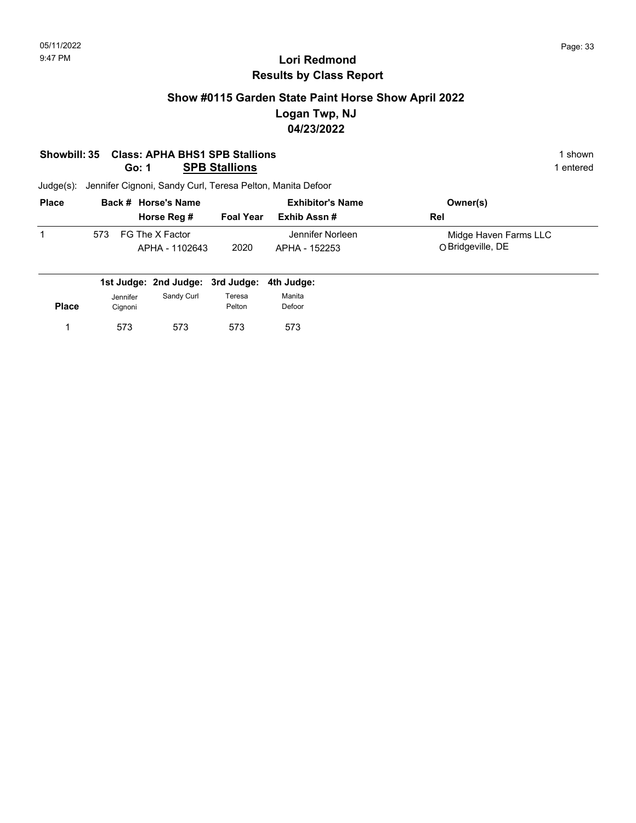### **Show #0115 Garden State Paint Horse Show April 2022 Logan Twp, NJ 04/23/2022**

#### **Showbill: 35 Class: APHA BHS1 SPB Stallions** 1 shown **Go: 1 SPB Stallions** 1 entered

| <b>Place</b> | Back # Horse's Name                      |                  | <b>Exhibitor's Name</b>           | Owner(s)                                   |
|--------------|------------------------------------------|------------------|-----------------------------------|--------------------------------------------|
|              | Horse Reg #                              | <b>Foal Year</b> | Exhib Assn #                      | Rel                                        |
|              | FG The X Factor<br>573<br>APHA - 1102643 | 2020             | Jennifer Norleen<br>APHA - 152253 | Midge Haven Farms LLC<br>O Bridgeville, DE |

|              |                     | 1st Judge: 2nd Judge: 3rd Judge: 4th Judge: |                  |                  |
|--------------|---------------------|---------------------------------------------|------------------|------------------|
| <b>Place</b> | Jennifer<br>Cignoni | Sandy Curl                                  | Teresa<br>Pelton | Manita<br>Defoor |
|              | 573                 | 573                                         | 573              | 573              |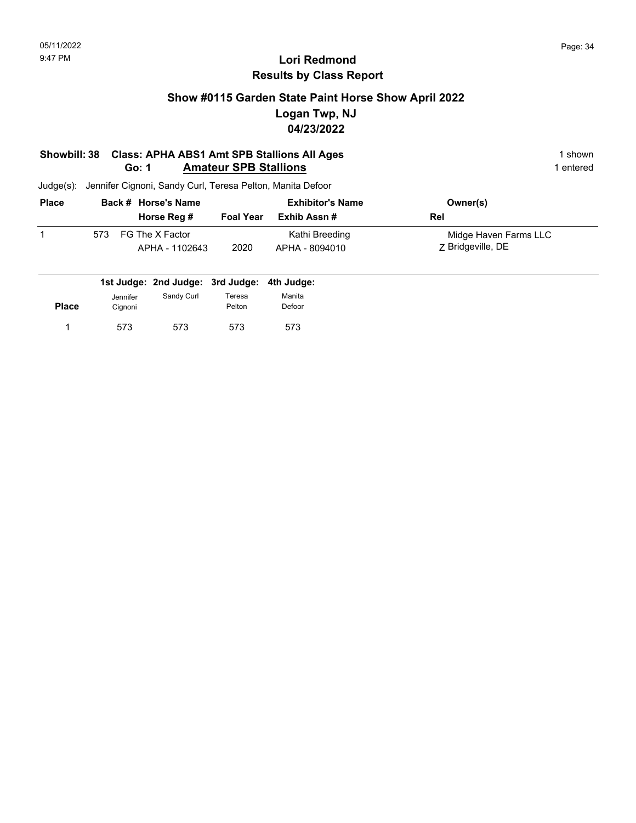## **Show #0115 Garden State Paint Horse Show April 2022 Logan Twp, NJ 04/23/2022**

#### **Showbill: 38 Class: APHA ABS1 Amt SPB Stallions All Ages** 1 shown **Go: 1** Amateur SPB Stallions **1** entered

| <b>Place</b> |     | Back # Horse's Name               |                  | <b>Exhibitor's Name</b>          | Owner(s)                                   |
|--------------|-----|-----------------------------------|------------------|----------------------------------|--------------------------------------------|
|              |     | Horse Reg #                       | <b>Foal Year</b> | Exhib Assn #                     | Rel                                        |
|              | 573 | FG The X Factor<br>APHA - 1102643 | 2020             | Kathi Breeding<br>APHA - 8094010 | Midge Haven Farms LLC<br>Z Bridgeville, DE |

|              |                     | 1st Judge: 2nd Judge: 3rd Judge: 4th Judge: |                  |                  |
|--------------|---------------------|---------------------------------------------|------------------|------------------|
| <b>Place</b> | Jennifer<br>Cignoni | Sandy Curl                                  | Teresa<br>Pelton | Manita<br>Defoor |
|              | 573                 | 573                                         | 573              | 573              |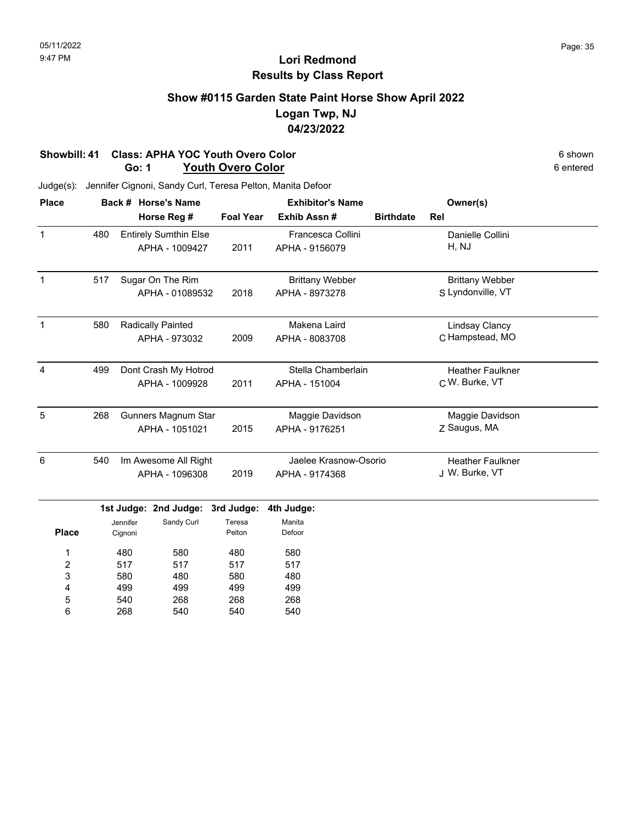## **Show #0115 Garden State Paint Horse Show April 2022 Logan Twp, NJ 04/23/2022**

#### **Showbill: 41 Class: APHA YOC Youth Overo Color** 6 shown 6 shown 6 shown 6 shown 6 shown 6 shown 6 shown 6 shown 6 characters and **G** entered **Go: 1 Youth Overo Color**

| <b>Place</b>    |     |                      | Back # Horse's Name          |                  | <b>Exhibitor's Name</b> | Owner(s)         |                         |  |
|-----------------|-----|----------------------|------------------------------|------------------|-------------------------|------------------|-------------------------|--|
|                 |     |                      | Horse Reg #                  | <b>Foal Year</b> | Exhib Assn #            | <b>Birthdate</b> | Rel                     |  |
| $\mathbf{1}$    | 480 |                      | <b>Entirely Sumthin Else</b> |                  | Francesca Collini       |                  | Danielle Collini        |  |
|                 |     |                      | APHA - 1009427               | 2011             | APHA - 9156079          |                  | H, NJ                   |  |
| $\mathbf{1}$    | 517 |                      | Sugar On The Rim             |                  | <b>Brittany Webber</b>  |                  | <b>Brittany Webber</b>  |  |
|                 |     | APHA - 01089532      |                              | 2018             | APHA - 8973278          |                  | S Lyndonville, VT       |  |
| $\mathbf{1}$    | 580 |                      | <b>Radically Painted</b>     |                  | Makena Laird            |                  | <b>Lindsay Clancy</b>   |  |
|                 |     |                      | APHA - 973032                | 2009             | APHA - 8083708          |                  | C Hampstead, MO         |  |
| $\overline{4}$  | 499 |                      | Dont Crash My Hotrod         |                  | Stella Chamberlain      |                  | <b>Heather Faulkner</b> |  |
|                 |     |                      | APHA - 1009928               | 2011             | APHA - 151004           |                  | C W. Burke, VT          |  |
| 5               | 268 |                      | <b>Gunners Magnum Star</b>   |                  | Maggie Davidson         |                  | Maggie Davidson         |  |
|                 |     |                      | APHA - 1051021               | 2015             | APHA - 9176251          |                  | Z Saugus, MA            |  |
| $6\phantom{1}6$ | 540 | Im Awesome All Right |                              |                  | Jaelee Krasnow-Osorio   |                  | <b>Heather Faulkner</b> |  |
|                 |     | APHA - 1096308       |                              | 2019             | APHA - 9174368          |                  | J W. Burke, VT          |  |
|                 |     |                      | 1st Judge: 2nd Judge:        | 3rd Judge:       | 4th Judge:              |                  |                         |  |
|                 |     | Jennifer             | Sandy Curl                   | Teresa           | Manita                  |                  |                         |  |
| <b>Place</b>    |     | Cignoni              |                              | Pelton           | Defoor                  |                  |                         |  |
| 1               |     | 480<br>580           |                              | 480              | 580                     |                  |                         |  |
| 2               | 517 |                      | 517                          | 517              | 517                     |                  |                         |  |
| 3               |     | 580<br>480           |                              | 580              | 480                     |                  |                         |  |
| 4               |     | 499                  | 499                          | 499              | 499                     |                  |                         |  |
| 5               |     | 540                  | 268                          | 268              | 268                     |                  |                         |  |
| 6               |     | 268<br>540           |                              | 540              | 540                     |                  |                         |  |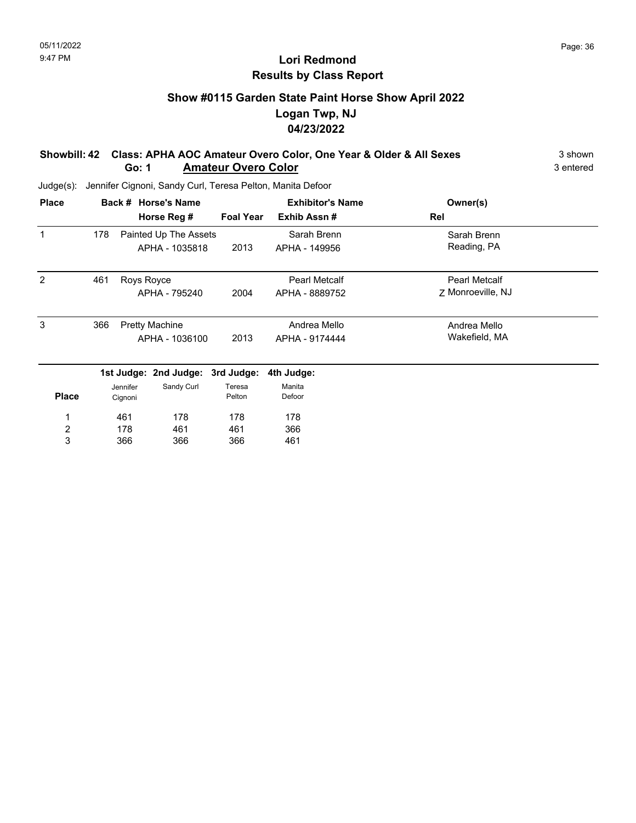## **Show #0115 Garden State Paint Horse Show April 2022 Logan Twp, NJ 04/23/2022**

#### **Showbill: 42 Class: APHA AOC Amateur Overo Color, One Year & Older & All Sexes** 3 shown **Go: 1 Amateur Overo Color** 3 entered

| <b>Place</b>            |                |                       | Back # Horse's Name              |                  | <b>Exhibitor's Name</b> | Owner(s)             |  |
|-------------------------|----------------|-----------------------|----------------------------------|------------------|-------------------------|----------------------|--|
|                         |                |                       | Horse Reg #                      | <b>Foal Year</b> | Exhib Assn#             | Rel                  |  |
|                         | 178            |                       | Painted Up The Assets            |                  | Sarah Brenn             | Sarah Brenn          |  |
|                         |                |                       | APHA - 1035818                   | 2013             | APHA - 149956           | Reading, PA          |  |
| 2                       | 461            | Roys Royce            |                                  |                  | <b>Pearl Metcalf</b>    | <b>Pearl Metcalf</b> |  |
|                         |                |                       | APHA - 795240                    | 2004             | APHA - 8889752          | Z Monroeville, NJ    |  |
| 3                       | 366            | <b>Pretty Machine</b> |                                  |                  | Andrea Mello            | Andrea Mello         |  |
|                         | APHA - 1036100 |                       | 2013                             | APHA - 9174444   | Wakefield, MA           |                      |  |
|                         |                |                       | 1st Judge: 2nd Judge: 3rd Judge: |                  | 4th Judge:              |                      |  |
|                         | Jennifer       |                       | Sandy Curl                       | Teresa           | Manita                  |                      |  |
| <b>Place</b>            |                | Cignoni               |                                  | Pelton           | Defoor                  |                      |  |
| 1                       |                | 461                   | 178                              | 178              | 178                     |                      |  |
| $\overline{\mathbf{c}}$ |                | 178                   | 461                              | 461              | 366                     |                      |  |
| 3                       |                | 366                   | 366                              | 366              | 461                     |                      |  |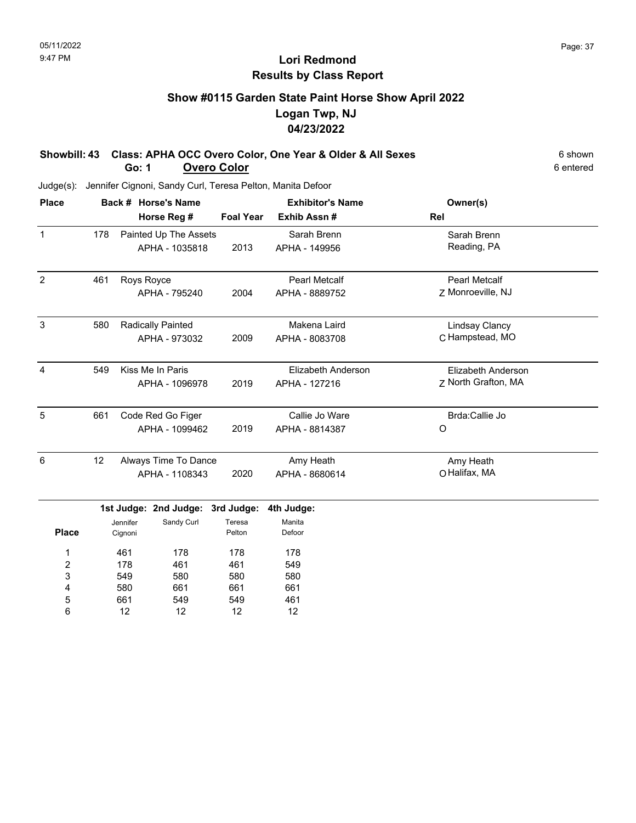# **Show #0115 Garden State Paint Horse Show April 2022 Logan Twp, NJ 04/23/2022**

#### Showbill: 43 Class: APHA OCC Overo Color, One Year & Older & All Sexes 6 Shown **Go: 1 Overo Color** 6 entered

Judge(s): Jennifer Cignoni, Sandy Curl, Teresa Pelton, Manita Defoor

661 12

5 6

549 12

549 12

| <b>Place</b>            |     | Back # Horse's Name   |                       |                  | <b>Exhibitor's Name</b>   | Owner(s)              |  |
|-------------------------|-----|-----------------------|-----------------------|------------------|---------------------------|-----------------------|--|
|                         |     |                       | Horse Reg #           | <b>Foal Year</b> | Exhib Assn#               | Rel                   |  |
| $\mathbf{1}$            | 178 | Painted Up The Assets |                       |                  | Sarah Brenn               | Sarah Brenn           |  |
|                         |     |                       | APHA - 1035818        | 2013             | APHA - 149956             | Reading, PA           |  |
| $\overline{2}$          | 461 | Roys Royce            |                       |                  | <b>Pearl Metcalf</b>      | <b>Pearl Metcalf</b>  |  |
|                         |     |                       | APHA - 795240         | 2004             | APHA - 8889752            | Z Monroeville, NJ     |  |
| 3                       | 580 |                       | Radically Painted     |                  | Makena Laird              | <b>Lindsay Clancy</b> |  |
|                         |     |                       | APHA - 973032         | 2009             | APHA - 8083708            | C Hampstead, MO       |  |
| $\overline{4}$          | 549 |                       | Kiss Me In Paris      |                  | <b>Elizabeth Anderson</b> | Elizabeth Anderson    |  |
|                         |     |                       | APHA - 1096978        | 2019             | APHA - 127216             | Z North Grafton, MA   |  |
| 5                       | 661 |                       | Code Red Go Figer     |                  | Callie Jo Ware            | Brda:Callie Jo        |  |
|                         |     |                       | APHA - 1099462        | 2019             | APHA - 8814387            | O                     |  |
| 6                       | 12  |                       | Always Time To Dance  |                  | Amy Heath                 | Amy Heath             |  |
|                         |     |                       | APHA - 1108343        | 2020             | APHA - 8680614            | O Halifax, MA         |  |
|                         |     |                       | 1st Judge: 2nd Judge: | 3rd Judge:       | 4th Judge:                |                       |  |
|                         |     | Jennifer              | Sandy Curl            | Teresa           | Manita                    |                       |  |
| <b>Place</b>            |     | Cignoni               |                       | Pelton           | Defoor                    |                       |  |
| 1                       |     | 461                   | 178                   | 178              | 178                       |                       |  |
| $\overline{\mathbf{c}}$ |     | 178                   | 461                   | 461              | 549                       |                       |  |
| 3                       |     | 549                   | 580                   | 580              | 580                       |                       |  |
| 4                       |     | 580                   | 661                   | 661              | 661                       |                       |  |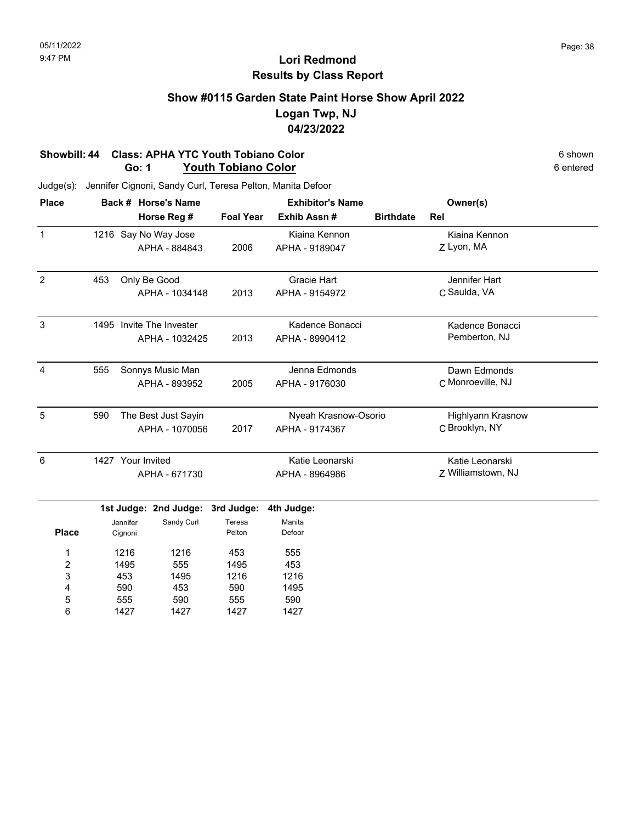## **Show #0115 Garden State Paint Horse Show April 2022 Logan Twp, NJ 04/23/2022**

#### **Showbill: 44 Class: APHA YTC Youth Tobiano Color** 6 shown 6 shown 6 shown 6 shown 6 shown 6 shown 6 chtered **Go: 1 Youth Tobiano Color**

| <b>Place</b>   |     |                   | Back # Horse's Name      |                  | <b>Exhibitor's Name</b> |                  | Owner(s)           |  |
|----------------|-----|-------------------|--------------------------|------------------|-------------------------|------------------|--------------------|--|
|                |     |                   | Horse Reg #              | <b>Foal Year</b> | Exhib Assn #            | <b>Birthdate</b> | Rel                |  |
| $\mathbf{1}$   |     |                   | 1216 Say No Way Jose     |                  | Kiaina Kennon           |                  | Kiaina Kennon      |  |
|                |     |                   | APHA - 884843            | 2006             | APHA - 9189047          |                  | Z Lyon, MA         |  |
| $\overline{2}$ | 453 |                   | Only Be Good             |                  | Gracie Hart             |                  | Jennifer Hart      |  |
|                |     |                   | APHA - 1034148           | 2013             | APHA - 9154972          |                  | C Saulda, VA       |  |
| 3              |     |                   | 1495 Invite The Invester |                  | Kadence Bonacci         |                  | Kadence Bonacci    |  |
|                |     |                   | APHA - 1032425           | 2013             | APHA - 8990412          |                  | Pemberton, NJ      |  |
| 4              | 555 |                   | Sonnys Music Man         |                  | Jenna Edmonds           |                  | Dawn Edmonds       |  |
|                |     |                   | APHA - 893952            | 2005             | APHA - 9176030          |                  | C Monroeville, NJ  |  |
| 5              | 590 |                   | The Best Just Sayin      |                  | Nyeah Krasnow-Osorio    |                  | Highlyann Krasnow  |  |
|                |     |                   | APHA - 1070056           | 2017             | APHA - 9174367          |                  | C Brooklyn, NY     |  |
| 6              |     | 1427 Your Invited |                          |                  | Katie Leonarski         |                  | Katie Leonarski    |  |
|                |     |                   | APHA - 671730            |                  | APHA - 8964986          |                  | Z Williamstown, NJ |  |
|                |     |                   | 1st Judge: 2nd Judge:    | 3rd Judge:       | 4th Judge:              |                  |                    |  |
|                |     | Jennifer          | Sandy Curl               | Teresa           | Manita                  |                  |                    |  |
| <b>Place</b>   |     | Cignoni           |                          | Pelton           | Defoor                  |                  |                    |  |
| 1              |     | 1216              | 1216                     | 453              | 555                     |                  |                    |  |
| 2              |     | 1495              | 555                      | 1495             | 453                     |                  |                    |  |
| 3              |     | 453               | 1495                     | 1216             | 1216                    |                  |                    |  |
| 4              |     | 590               | 453                      | 590              | 1495                    |                  |                    |  |
| 5              |     | 555               | 590                      | 555              | 590                     |                  |                    |  |
| 6              |     | 1427              | 1427                     | 1427             | 1427                    |                  |                    |  |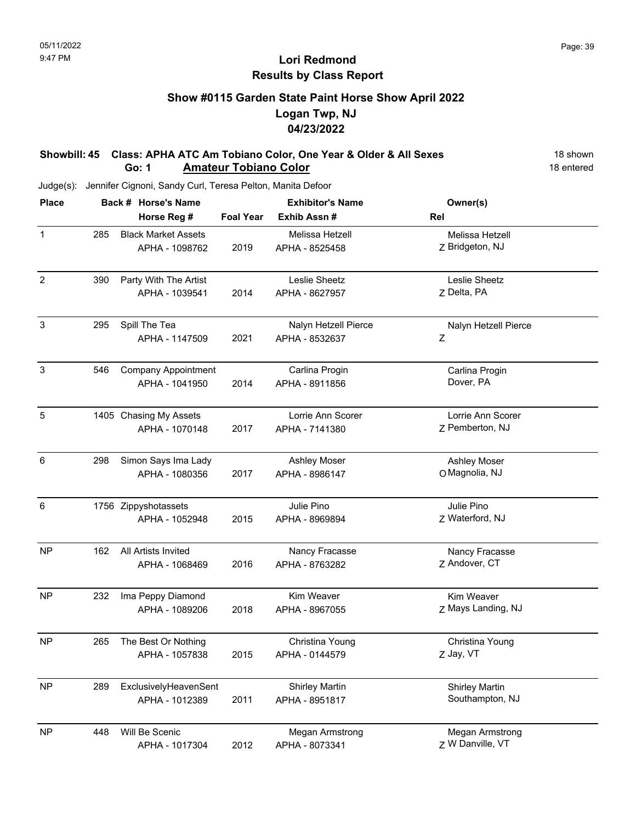### **Show #0115 Garden State Paint Horse Show April 2022 Logan Twp, NJ 04/23/2022**

#### **Showbill: 45 Class: APHA ATC Am Tobiano Color, One Year & Older & All Sexes** 18 shown **Go: 1 Amateur Tobiano Color 18 entered**

| <b>Place</b>   |     | Back # Horse's Name        | <b>Exhibitor's Name</b> |                       | Owner(s)              |  |
|----------------|-----|----------------------------|-------------------------|-----------------------|-----------------------|--|
|                |     | Horse Reg #                | <b>Foal Year</b>        | Exhib Assn#           | Rel                   |  |
| $\mathbf{1}$   | 285 | <b>Black Market Assets</b> |                         | Melissa Hetzell       | Melissa Hetzell       |  |
|                |     | APHA - 1098762             | 2019                    | APHA - 8525458        | Z Bridgeton, NJ       |  |
| $\overline{2}$ | 390 | Party With The Artist      |                         | Leslie Sheetz         | Leslie Sheetz         |  |
|                |     | APHA - 1039541             | 2014                    | APHA - 8627957        | Z Delta, PA           |  |
| 3              | 295 | Spill The Tea              |                         | Nalyn Hetzell Pierce  | Nalyn Hetzell Pierce  |  |
|                |     | APHA - 1147509             | 2021                    | APHA - 8532637        | Ζ                     |  |
| $\mathsf 3$    | 546 | Company Appointment        |                         | Carlina Progin        | Carlina Progin        |  |
|                |     | APHA - 1041950             | 2014                    | APHA - 8911856        | Dover, PA             |  |
| 5              |     | 1405 Chasing My Assets     |                         | Lorrie Ann Scorer     | Lorrie Ann Scorer     |  |
|                |     | APHA - 1070148             | 2017                    | APHA - 7141380        | Z Pemberton, NJ       |  |
| $\,6\,$        | 298 | Simon Says Ima Lady        |                         | <b>Ashley Moser</b>   | Ashley Moser          |  |
|                |     | APHA - 1080356             | 2017                    | APHA - 8986147        | O Magnolia, NJ        |  |
| 6              |     | 1756 Zippyshotassets       |                         | Julie Pino            | Julie Pino            |  |
|                |     | APHA - 1052948             | 2015                    | APHA - 8969894        | Z Waterford, NJ       |  |
| <b>NP</b>      | 162 | All Artists Invited        |                         | Nancy Fracasse        | Nancy Fracasse        |  |
|                |     | APHA - 1068469             | 2016                    | APHA - 8763282        | Z Andover, CT         |  |
| <b>NP</b>      | 232 | Ima Peppy Diamond          |                         | Kim Weaver            | Kim Weaver            |  |
|                |     | APHA - 1089206             | 2018                    | APHA - 8967055        | Z Mays Landing, NJ    |  |
| <b>NP</b>      | 265 | The Best Or Nothing        |                         | Christina Young       | Christina Young       |  |
|                |     | APHA - 1057838             | 2015                    | APHA - 0144579        | Z Jay, VT             |  |
| <b>NP</b>      | 289 | ExclusivelyHeavenSent      |                         | <b>Shirley Martin</b> | <b>Shirley Martin</b> |  |
|                |     | APHA - 1012389             | 2011                    | APHA - 8951817        | Southampton, NJ       |  |
| <b>NP</b>      | 448 | Will Be Scenic             |                         | Megan Armstrong       | Megan Armstrong       |  |
|                |     | APHA - 1017304             | 2012                    | APHA - 8073341        | Z W Danville, VT      |  |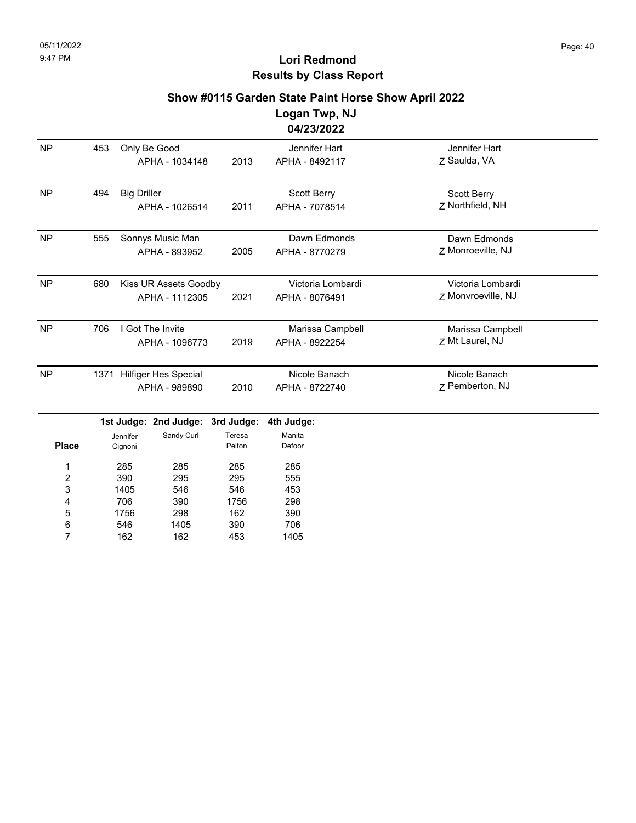162

7

162

453

1405

# **Lori Redmond Results by Class Report**

### **Show #0115 Garden State Paint Horse Show April 2022**

**Logan Twp, NJ 04/23/2022**

|                         |     |                                     |                       |                  | <u>04/23/2022</u> |                    |  |
|-------------------------|-----|-------------------------------------|-----------------------|------------------|-------------------|--------------------|--|
| <b>NP</b>               | 453 |                                     | Only Be Good          |                  | Jennifer Hart     | Jennifer Hart      |  |
|                         |     |                                     | APHA - 1034148        | 2013             | APHA - 8492117    | Z Saulda, VA       |  |
| <b>NP</b>               | 494 | <b>Big Driller</b>                  |                       |                  | Scott Berry       | Scott Berry        |  |
|                         |     |                                     | APHA - 1026514        | 2011             | APHA - 7078514    | Z Northfield, NH   |  |
| <b>NP</b>               | 555 |                                     | Sonnys Music Man      |                  | Dawn Edmonds      | Dawn Edmonds       |  |
|                         |     |                                     | APHA - 893952         | 2005             | APHA - 8770279    | Z Monroeville, NJ  |  |
| <b>NP</b>               | 680 |                                     | Kiss UR Assets Goodby |                  | Victoria Lombardi | Victoria Lombardi  |  |
|                         |     |                                     | APHA - 1112305        | 2021             | APHA - 8076491    | Z Monvroeville, NJ |  |
| <b>NP</b>               | 706 |                                     | I Got The Invite      |                  | Marissa Campbell  | Marissa Campbell   |  |
|                         |     |                                     | APHA - 1096773        | 2019             | APHA - 8922254    | Z Mt Laurel, NJ    |  |
| <b>NP</b>               |     | <b>Hilfiger Hes Special</b><br>1371 |                       |                  | Nicole Banach     | Nicole Banach      |  |
|                         |     |                                     | APHA - 989890         | 2010             | APHA - 8722740    | Z Pemberton, NJ    |  |
|                         |     |                                     | 1st Judge: 2nd Judge: | 3rd Judge:       | 4th Judge:        |                    |  |
| <b>Place</b>            |     | Jennifer<br>Cignoni                 | Sandy Curl            | Teresa<br>Pelton | Manita<br>Defoor  |                    |  |
| 1                       |     | 285                                 | 285                   | 285              | 285               |                    |  |
| $\overline{\mathbf{c}}$ |     | 390                                 | 295                   | 295              | 555               |                    |  |
| 3                       |     | 1405                                | 546                   | 546              | 453               |                    |  |
| 4                       |     | 706                                 | 390                   | 1756             | 298               |                    |  |
| 5                       |     | 1756                                | 298                   | 162              | 390               |                    |  |
| 6                       |     | 546                                 | 1405                  | 390              | 706               |                    |  |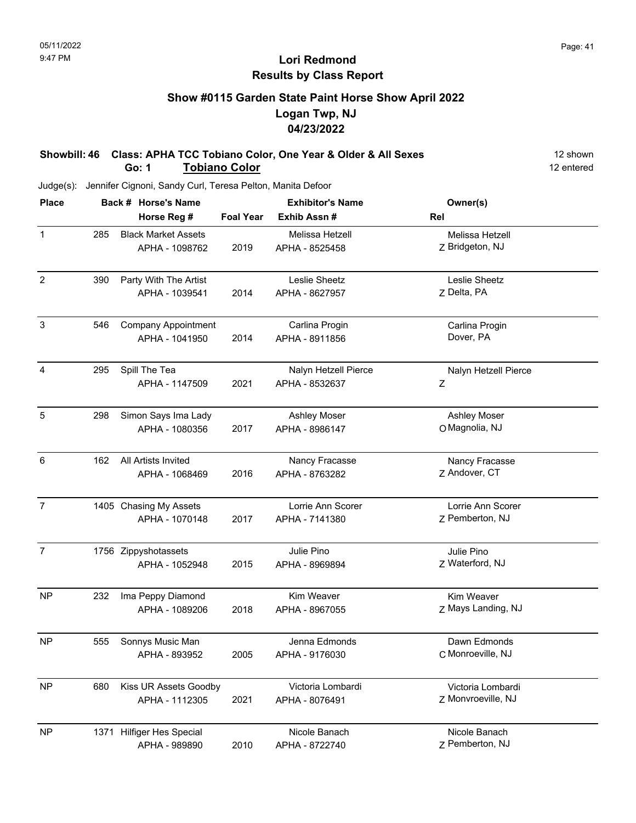# **Show #0115 Garden State Paint Horse Show April 2022 Logan Twp, NJ 04/23/2022**

**Showbill: 46 Class: APHA TCC Tobiano Color, One Year & Older & All Sexes** 12 shown **Go: 1 Tobiano Color** 12 entered

| <b>Place</b>   |     | Back # Horse's Name        | <b>Exhibitor's Name</b> |                      | Owner(s)             |  |
|----------------|-----|----------------------------|-------------------------|----------------------|----------------------|--|
|                |     | Horse Reg #                | <b>Foal Year</b>        | Exhib Assn #         | Rel                  |  |
| $\mathbf{1}$   | 285 | <b>Black Market Assets</b> |                         | Melissa Hetzell      | Melissa Hetzell      |  |
|                |     | APHA - 1098762             | 2019                    | APHA - 8525458       | Z Bridgeton, NJ      |  |
| $\overline{2}$ | 390 | Party With The Artist      |                         | Leslie Sheetz        | Leslie Sheetz        |  |
|                |     | APHA - 1039541             | 2014                    | APHA - 8627957       | Z Delta, PA          |  |
| $\sqrt{3}$     | 546 | <b>Company Appointment</b> |                         | Carlina Progin       | Carlina Progin       |  |
|                |     | APHA - 1041950             | 2014                    | APHA - 8911856       | Dover, PA            |  |
| 4              | 295 | Spill The Tea              |                         | Nalyn Hetzell Pierce | Nalyn Hetzell Pierce |  |
|                |     | APHA - 1147509             | 2021                    | APHA - 8532637       | Ζ                    |  |
| 5              | 298 | Simon Says Ima Lady        |                         | <b>Ashley Moser</b>  | Ashley Moser         |  |
|                |     | APHA - 1080356             | 2017                    | APHA - 8986147       | O Magnolia, NJ       |  |
| $\,6\,$        | 162 | All Artists Invited        |                         | Nancy Fracasse       | Nancy Fracasse       |  |
|                |     | APHA - 1068469             | 2016                    | APHA - 8763282       | Z Andover, CT        |  |
| $\overline{7}$ |     | 1405 Chasing My Assets     |                         | Lorrie Ann Scorer    | Lorrie Ann Scorer    |  |
|                |     | APHA - 1070148             | 2017                    | APHA - 7141380       | Z Pemberton, NJ      |  |
| $\overline{7}$ |     | 1756 Zippyshotassets       |                         | Julie Pino           | Julie Pino           |  |
|                |     | APHA - 1052948             | 2015                    | APHA - 8969894       | Z Waterford, NJ      |  |
| <b>NP</b>      | 232 | Ima Peppy Diamond          |                         | Kim Weaver           | Kim Weaver           |  |
|                |     | APHA - 1089206             | 2018                    | APHA - 8967055       | Z Mays Landing, NJ   |  |
| <b>NP</b>      | 555 | Sonnys Music Man           |                         | Jenna Edmonds        | Dawn Edmonds         |  |
|                |     | APHA - 893952              | 2005                    | APHA - 9176030       | C Monroeville, NJ    |  |
| <b>NP</b>      | 680 | Kiss UR Assets Goodby      |                         | Victoria Lombardi    | Victoria Lombardi    |  |
|                |     | APHA - 1112305             | 2021                    | APHA - 8076491       | Z Monvroeville, NJ   |  |
| <b>NP</b>      |     | 1371 Hilfiger Hes Special  |                         | Nicole Banach        | Nicole Banach        |  |
|                |     | APHA - 989890              | 2010                    | APHA - 8722740       | Z Pemberton, NJ      |  |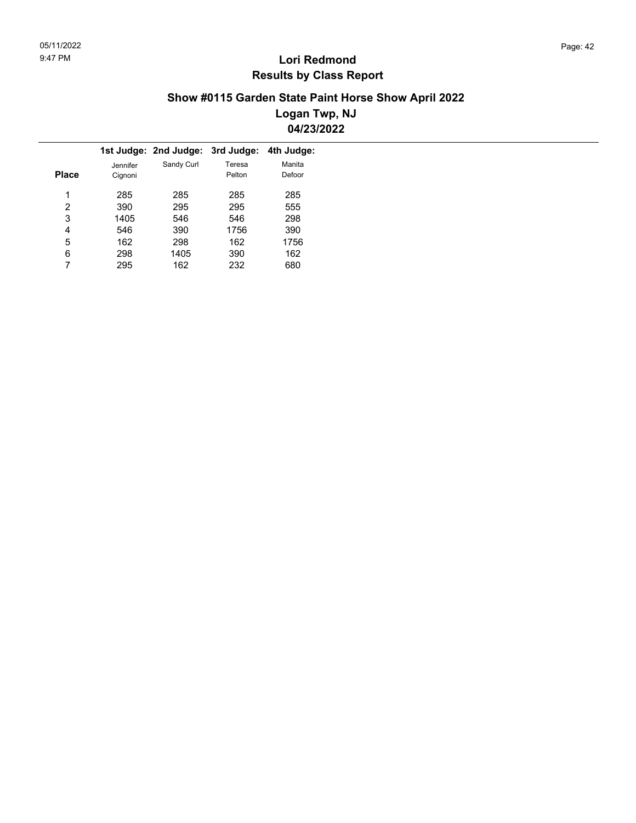### **Show #0115 Garden State Paint Horse Show April 2022 Logan Twp, NJ 04/23/2022**

|       |          | 1st Judge: 2nd Judge: 3rd Judge: 4th Judge: |        |        |
|-------|----------|---------------------------------------------|--------|--------|
|       | Jennifer | Sandy Curl                                  | Teresa | Manita |
| Place | Cignoni  |                                             | Pelton | Defoor |
|       |          |                                             |        |        |
| 1     | 285      | 285                                         | 285    | 285    |
| 2     | 390      | 295                                         | 295    | 555    |
| 3     | 1405     | 546                                         | 546    | 298    |
| 4     | 546      | 390                                         | 1756   | 390    |
| 5     | 162      | 298                                         | 162    | 1756   |
| 6     | 298      | 1405                                        | 390    | 162    |
|       | 295      | 162                                         | 232    | 680    |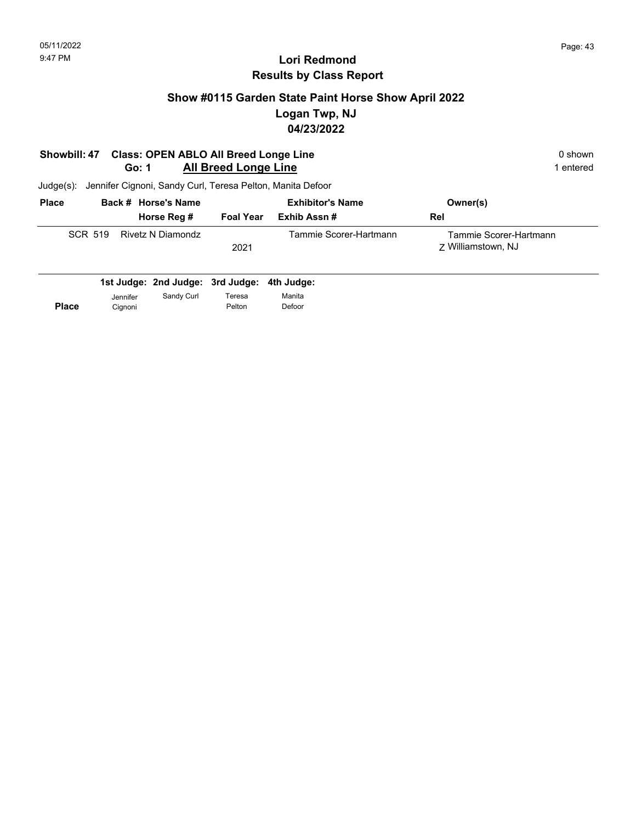# **Show #0115 Garden State Paint Horse Show April 2022 Logan Twp, NJ 04/23/2022**

#### **Showbill: 47 Class: OPEN ABLO All Breed Longe Line**  0 shown 0 shown **Go: 1** All Breed Longe Line **1** entered

| <b>Place</b> |         |  | Back # Horse's Name |                  | <b>Exhibitor's Name</b> | Owner(s)                                     |
|--------------|---------|--|---------------------|------------------|-------------------------|----------------------------------------------|
|              |         |  | Horse Reg #         | <b>Foal Year</b> | Exhib Assn #            | Rel                                          |
|              | SCR 519 |  | Rivetz N Diamondz   | 2021             | Tammie Scorer-Hartmann  | Tammie Scorer-Hartmann<br>7 Williamstown, NJ |

|              |                     | 1st Judge: 2nd Judge: 3rd Judge: 4th Judge: |                  |                  |
|--------------|---------------------|---------------------------------------------|------------------|------------------|
| <b>Place</b> | Jennifer<br>Cianoni | Sandy Curl                                  | Teresa<br>Pelton | Manita<br>Defoor |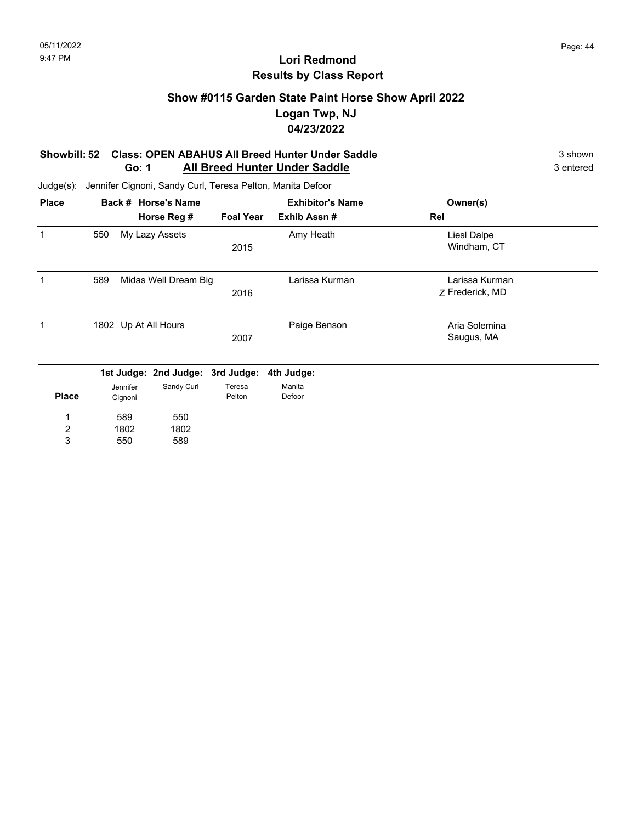## **Show #0115 Garden State Paint Horse Show April 2022 Logan Twp, NJ 04/23/2022**

#### **Showbill: 52 Class: OPEN ABAHUS All Breed Hunter Under Saddle** 3 shown **Go: 1** All Breed Hunter Under Saddle **3** antered

| <b>Place</b> |                      | Back # Horse's Name   |                  | <b>Exhibitor's Name</b> | Owner(s)                          |  |
|--------------|----------------------|-----------------------|------------------|-------------------------|-----------------------------------|--|
|              |                      | Horse Reg #           | <b>Foal Year</b> | Exhib Assn#             | Rel                               |  |
| 1            | 550                  | My Lazy Assets        | 2015             | Amy Heath               | Liesl Dalpe<br>Windham, CT        |  |
| 1            | 589                  | Midas Well Dream Big  | 2016             | Larissa Kurman          | Larissa Kurman<br>Z Frederick, MD |  |
| 1            | 1802 Up At All Hours |                       | 2007             | Paige Benson            | Aria Solemina<br>Saugus, MA       |  |
|              |                      | 1st Judge: 2nd Judge: | 3rd Judge:       | 4th Judge:              |                                   |  |
| <b>Place</b> | Jennifer<br>Cignoni  | Sandy Curl            | Teresa<br>Pelton | Manita<br>Defoor        |                                   |  |
| 1            | 589                  | 550                   |                  |                         |                                   |  |
| 2            | 1802                 | 1802                  |                  |                         |                                   |  |
| 3            | 550                  | 589                   |                  |                         |                                   |  |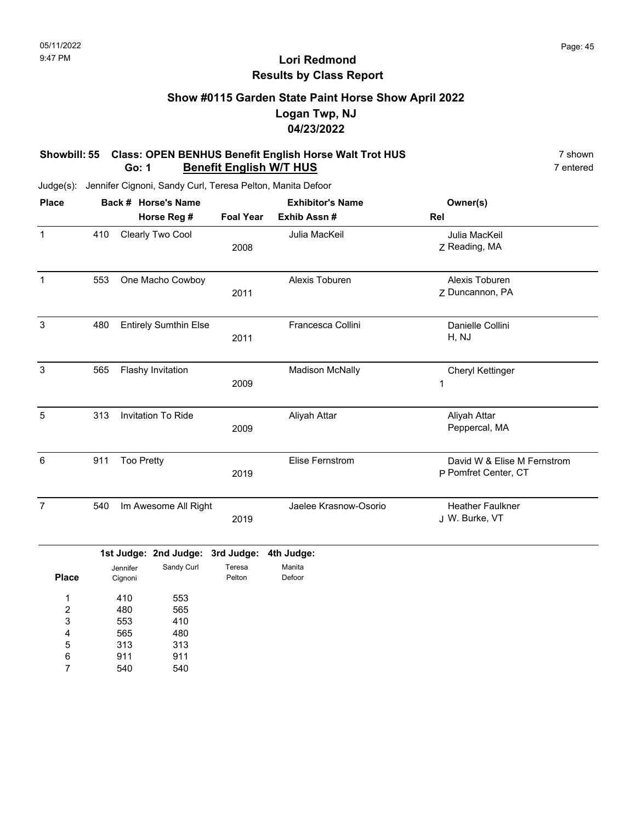### **Show #0115 Garden State Paint Horse Show April 2022 Logan Twp, NJ 04/23/2022**

#### **Showbill: 55 Class: OPEN BENHUS Benefit English Horse Walt Trot HUS** 7 shown 7 shown<br>**Go: 1 Benefit English W/T HUS** 7 entered **Go: 1 Benefit English W/T HUS**

Judge(s): Jennifer Cignoni, Sandy Curl, Teresa Pelton, Manita Defoor

| <b>Place</b>                           |     |                          | Back # Horse's Name              |                  | <b>Exhibitor's Name</b> | Owner(s)                                            |
|----------------------------------------|-----|--------------------------|----------------------------------|------------------|-------------------------|-----------------------------------------------------|
|                                        |     |                          | Horse Reg #                      | <b>Foal Year</b> | Exhib Assn #            | Rel                                                 |
| $\mathbf{1}$                           | 410 |                          | Clearly Two Cool                 | 2008             | Julia MacKeil           | Julia MacKeil<br>Z Reading, MA                      |
| $\mathbf{1}$                           | 553 |                          | One Macho Cowboy                 | 2011             | Alexis Toburen          | Alexis Toburen<br>Z Duncannon, PA                   |
| $\mathbf{3}$                           | 480 |                          | <b>Entirely Sumthin Else</b>     | 2011             | Francesca Collini       | Danielle Collini<br>H, NJ                           |
| 3                                      | 565 |                          | Flashy Invitation                | 2009             | <b>Madison McNally</b>  | Cheryl Kettinger<br>1                               |
| $\overline{5}$                         | 313 |                          | Invitation To Ride               | 2009             | Aliyah Attar            | Aliyah Attar<br>Peppercal, MA                       |
| 6                                      | 911 | <b>Too Pretty</b>        |                                  | 2019             | <b>Elise Fernstrom</b>  | David W & Elise M Fernstrom<br>P Pomfret Center, CT |
| $\overline{7}$                         | 540 |                          | Im Awesome All Right             | 2019             | Jaelee Krasnow-Osorio   | <b>Heather Faulkner</b><br>J W. Burke, VT           |
|                                        |     |                          | 1st Judge: 2nd Judge: 3rd Judge: |                  | 4th Judge:              |                                                     |
| <b>Place</b>                           |     | Jennifer<br>Cignoni      | Sandy Curl                       | Teresa<br>Pelton | Manita<br>Defoor        |                                                     |
| 1<br>$\overline{\mathbf{c}}$<br>3<br>4 |     | 410<br>480<br>553<br>565 | 553<br>565<br>410<br>480         |                  |                         |                                                     |

313 911 313 911 5 6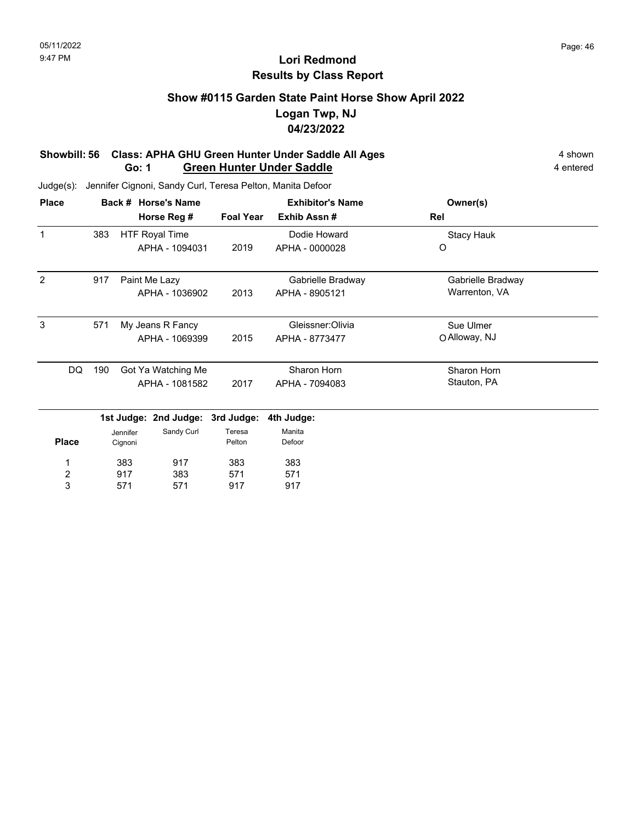# **Show #0115 Garden State Paint Horse Show April 2022 Logan Twp, NJ 04/23/2022**

#### **Showbill: 56 Class: APHA GHU Green Hunter Under Saddle All Ages** 4 shown **Go: 1 Green Hunter Under Saddle** 4 entered

| <b>Place</b> |     | Back # Horse's Name                 | <b>Exhibitor's Name</b> |                   | Owner(s)          |  |
|--------------|-----|-------------------------------------|-------------------------|-------------------|-------------------|--|
|              |     | Horse Reg #                         | <b>Foal Year</b>        | Exhib Assn#       | Rel               |  |
| 1            | 383 | <b>HTF Royal Time</b>               |                         | Dodie Howard      | Stacy Hauk        |  |
|              |     | APHA - 1094031                      | 2019                    | APHA - 0000028    | O                 |  |
| 2            | 917 | Paint Me Lazy                       |                         | Gabrielle Bradway | Gabrielle Bradway |  |
|              |     | APHA - 1036902                      | 2013                    | APHA - 8905121    | Warrenton, VA     |  |
| 3            | 571 | My Jeans R Fancy                    |                         | Gleissner:Olivia  | Sue Ulmer         |  |
|              |     | APHA - 1069399                      | 2015                    | APHA - 8773477    | O Alloway, NJ     |  |
| DQ           | 190 | Got Ya Watching Me                  |                         | Sharon Horn       | Sharon Horn       |  |
|              |     | APHA - 1081582                      | 2017                    | APHA - 7094083    | Stauton, PA       |  |
|              |     | 1st Judge: 2nd Judge:<br>3rd Judge: |                         | 4th Judge:        |                   |  |
|              |     | Sandy Curl<br>Jennifer              | Teresa                  | Manita            |                   |  |

| <b>Place</b> | Jennifer<br>Cignoni | Sandy Curl | Teresa<br>Pelton | Manita<br>Defoor |
|--------------|---------------------|------------|------------------|------------------|
| 1            | 383                 | 917        | 383              | 383              |
| 2            | 917                 | 383        | 571              | 571              |
| 3            | 571                 | 571        | 917              | 917              |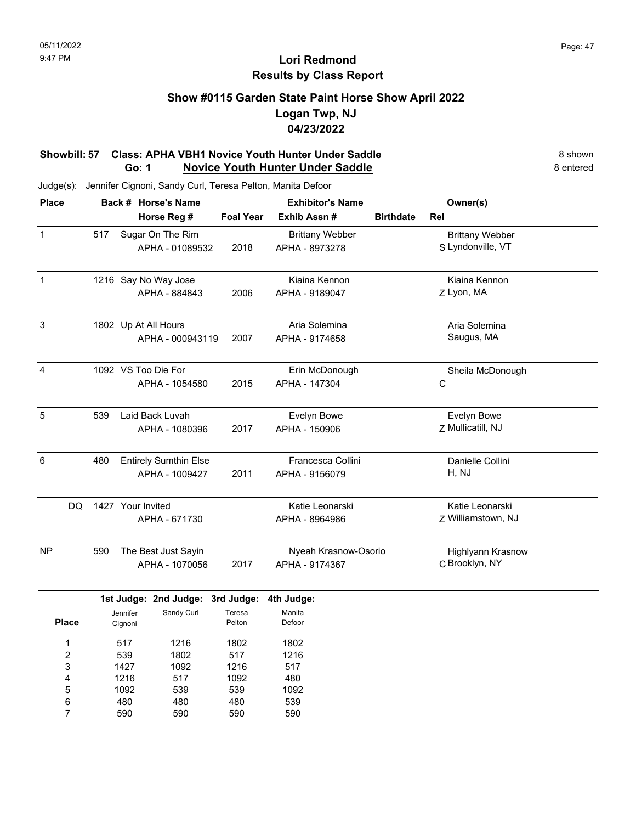## **Show #0115 Garden State Paint Horse Show April 2022 Logan Twp, NJ 04/23/2022**

#### **Showbill: 57 Class: APHA VBH1 Novice Youth Hunter Under Saddle** 8 shown **Go: 1 Novice Youth Hunter Under Saddle** 8 entered

| <b>Place</b>     |     |                     | Back # Horse's Name              |                  | <b>Exhibitor's Name</b> |                  | Owner(s)                 |  |
|------------------|-----|---------------------|----------------------------------|------------------|-------------------------|------------------|--------------------------|--|
|                  |     |                     | Horse Reg #                      | <b>Foal Year</b> | Exhib Assn #            | <b>Birthdate</b> | Rel                      |  |
| $\mathbf{1}$     | 517 |                     | Sugar On The Rim                 |                  | <b>Brittany Webber</b>  |                  | <b>Brittany Webber</b>   |  |
|                  |     |                     | APHA - 01089532                  | 2018             | APHA - 8973278          |                  | S Lyndonville, VT        |  |
| $\mathbf{1}$     |     |                     | 1216 Say No Way Jose             |                  | Kiaina Kennon           |                  | Kiaina Kennon            |  |
|                  |     |                     | APHA - 884843                    | 2006             | APHA - 9189047          |                  | Z Lyon, MA               |  |
| $\mathsf 3$      |     |                     | 1802 Up At All Hours             |                  | Aria Solemina           |                  | Aria Solemina            |  |
|                  |     |                     | APHA - 000943119                 | 2007             | APHA - 9174658          |                  | Saugus, MA               |  |
| 4                |     |                     | 1092 VS Too Die For              |                  | Erin McDonough          |                  | Sheila McDonough         |  |
|                  |     |                     | APHA - 1054580                   | 2015             | APHA - 147304           |                  | $\mathsf C$              |  |
| 5                | 539 |                     | Laid Back Luvah                  |                  | Evelyn Bowe             |                  | Evelyn Bowe              |  |
|                  |     |                     | APHA - 1080396                   | 2017             | APHA - 150906           |                  | Z Mullicatill, NJ        |  |
| $\,6$            | 480 |                     | <b>Entirely Sumthin Else</b>     |                  | Francesca Collini       |                  | Danielle Collini         |  |
|                  |     |                     | APHA - 1009427                   | 2011             | APHA - 9156079          |                  | H, NJ                    |  |
| DQ               |     |                     | 1427 Your Invited                |                  | Katie Leonarski         |                  | Katie Leonarski          |  |
|                  |     |                     | APHA - 671730                    |                  | APHA - 8964986          |                  | Z Williamstown, NJ       |  |
| <b>NP</b>        | 590 |                     | The Best Just Sayin              |                  | Nyeah Krasnow-Osorio    |                  | <b>Highlyann Krasnow</b> |  |
|                  |     |                     | APHA - 1070056                   | 2017             | APHA - 9174367          |                  | C Brooklyn, NY           |  |
|                  |     |                     | 1st Judge: 2nd Judge: 3rd Judge: |                  | 4th Judge:              |                  |                          |  |
| <b>Place</b>     |     | Jennifer<br>Cignoni | Sandy Curl                       | Teresa<br>Pelton | Manita<br>Defoor        |                  |                          |  |
| 1                |     | 517                 | 1216                             | 1802             | 1802                    |                  |                          |  |
| $\boldsymbol{2}$ |     | 539                 | 1802                             | 517              | 1216                    |                  |                          |  |
| 3                |     | 1427                | 1092                             | 1216             | 517                     |                  |                          |  |
| 4                |     | 1216                | 517                              | 1092             | 480                     |                  |                          |  |
| 5                |     | 1092                | 539                              | 539              | 1092                    |                  |                          |  |
| 6                |     | 480                 | 480                              | 480              | 539                     |                  |                          |  |
| 7                |     | 590                 | 590                              | 590              | 590                     |                  |                          |  |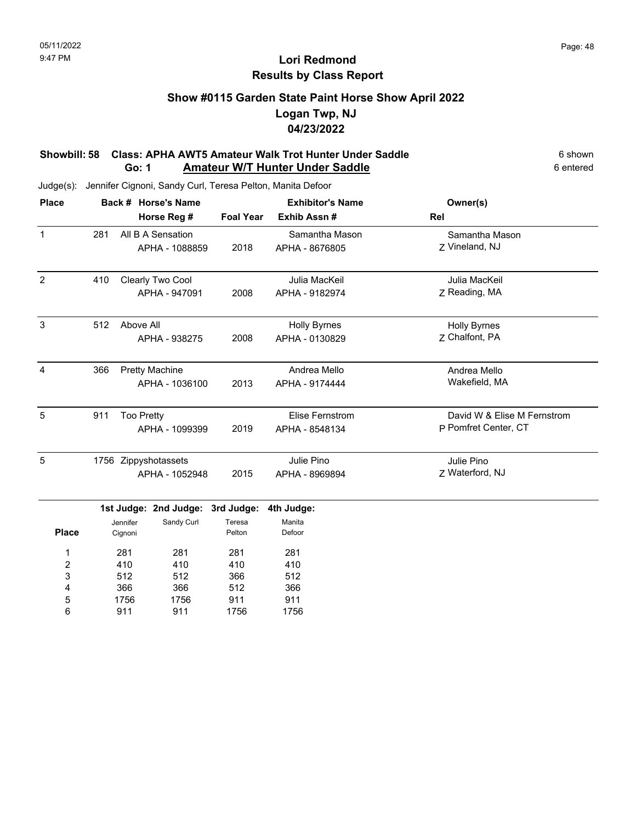# **Show #0115 Garden State Paint Horse Show April 2022 Logan Twp, NJ 04/23/2022**

#### **Showbill: 58 Class: APHA AWT5 Amateur Walk Trot Hunter Under Saddle** 6 shown **Go: 1** Amateur W/T Hunter Under Saddle **6 and 5 and 5 and 6 entered** 6 entered

Judge(s): Jennifer Cignoni, Sandy Curl, Teresa Pelton, Manita Defoor

911

6

911

1756

| <b>Place</b>   |     | Back # Horse's Name |                       |                  | <b>Exhibitor's Name</b> | Owner(s)                    |
|----------------|-----|---------------------|-----------------------|------------------|-------------------------|-----------------------------|
|                |     |                     | Horse Reg #           | <b>Foal Year</b> | Exhib Assn#             | Rel                         |
| $\mathbf{1}$   | 281 |                     | All B A Sensation     |                  | Samantha Mason          | Samantha Mason              |
|                |     |                     | APHA - 1088859        | 2018             | APHA - 8676805          | Z Vineland, NJ              |
| $\overline{2}$ | 410 |                     | Clearly Two Cool      |                  | Julia MacKeil           | Julia MacKeil               |
|                |     |                     | APHA - 947091         | 2008             | APHA - 9182974          | Z Reading, MA               |
| $\mathbf{3}$   | 512 | Above All           |                       |                  | <b>Holly Byrnes</b>     | <b>Holly Byrnes</b>         |
|                |     |                     | APHA - 938275         | 2008             | APHA - 0130829          | Z Chalfont, PA              |
| $\overline{4}$ | 366 |                     | <b>Pretty Machine</b> |                  | Andrea Mello            | Andrea Mello                |
|                |     |                     | APHA - 1036100        | 2013             | APHA - 9174444          | Wakefield, MA               |
| 5              | 911 | <b>Too Pretty</b>   |                       |                  | Elise Fernstrom         | David W & Elise M Fernstrom |
|                |     |                     | APHA - 1099399        | 2019             | APHA - 8548134          | P Pomfret Center, CT        |
| 5              |     |                     | 1756 Zippyshotassets  |                  | Julie Pino              | Julie Pino                  |
|                |     |                     | APHA - 1052948        | 2015             | APHA - 8969894          | Z Waterford, NJ             |
|                |     |                     | 1st Judge: 2nd Judge: | 3rd Judge:       | 4th Judge:              |                             |
| <b>Place</b>   |     | Jennifer<br>Cignoni | Sandy Curl            | Teresa<br>Pelton | Manita<br>Defoor        |                             |
| 1              |     | 281                 | 281                   | 281              | 281                     |                             |
| $\overline{c}$ |     | 410                 | 410                   | 410              | 410                     |                             |
| 3              |     | 512                 | 512                   | 366              | 512                     |                             |
| 4              |     | 366                 | 366                   | 512              | 366                     |                             |
| 5              |     | 1756                | 1756                  | 911              | 911                     |                             |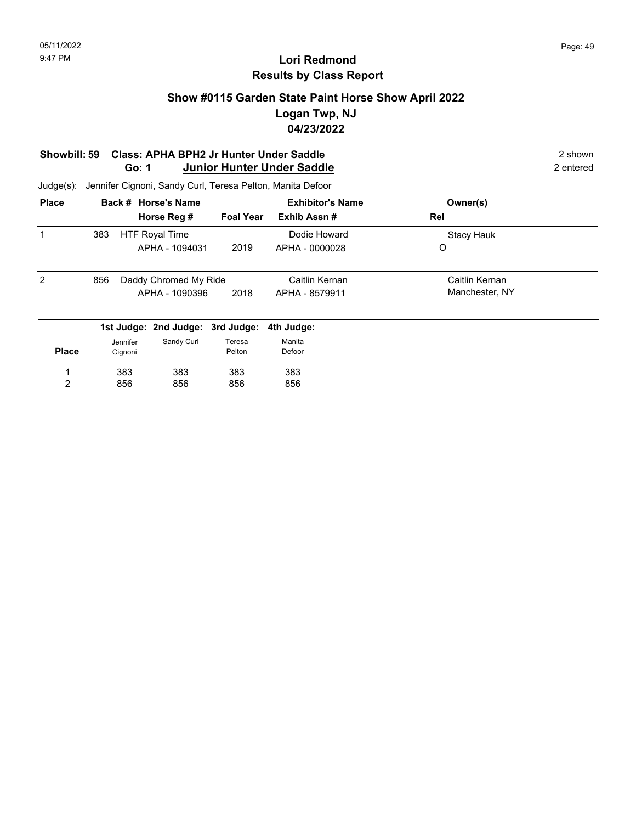### **Show #0115 Garden State Paint Horse Show April 2022 Logan Twp, NJ 04/23/2022**

#### **Showbill: 59 Class: APHA BPH2 Jr Hunter Under Saddle** 2 shown **Go: 1 Junior Hunter Under Saddle** 2 entered

Judge(s): Jennifer Cignoni, Sandy Curl, Teresa Pelton, Manita Defoor

856

856

856

2

| <b>Place</b> |     |          | Back # Horse's Name              |                  | <b>Exhibitor's Name</b> | Owner(s)          |  |
|--------------|-----|----------|----------------------------------|------------------|-------------------------|-------------------|--|
|              |     |          | Horse Reg #                      | <b>Foal Year</b> | Exhib Assn#             | Rel               |  |
| 1            | 383 |          | <b>HTF Royal Time</b>            |                  | Dodie Howard            | <b>Stacy Hauk</b> |  |
|              |     |          | APHA - 1094031                   | 2019             | APHA - 0000028          | O                 |  |
| 2            | 856 |          | Daddy Chromed My Ride            |                  | Caitlin Kernan          | Caitlin Kernan    |  |
|              |     |          | APHA - 1090396                   | 2018             | APHA - 8579911          | Manchester, NY    |  |
|              |     |          | 1st Judge: 2nd Judge: 3rd Judge: |                  | 4th Judge:              |                   |  |
|              |     | Jennifer | Sandy Curl                       | Teresa           | Manita                  |                   |  |
| <b>Place</b> |     | Cignoni  |                                  | Pelton           | Defoor                  |                   |  |
|              |     | 383      | 383                              | 383              | 383                     |                   |  |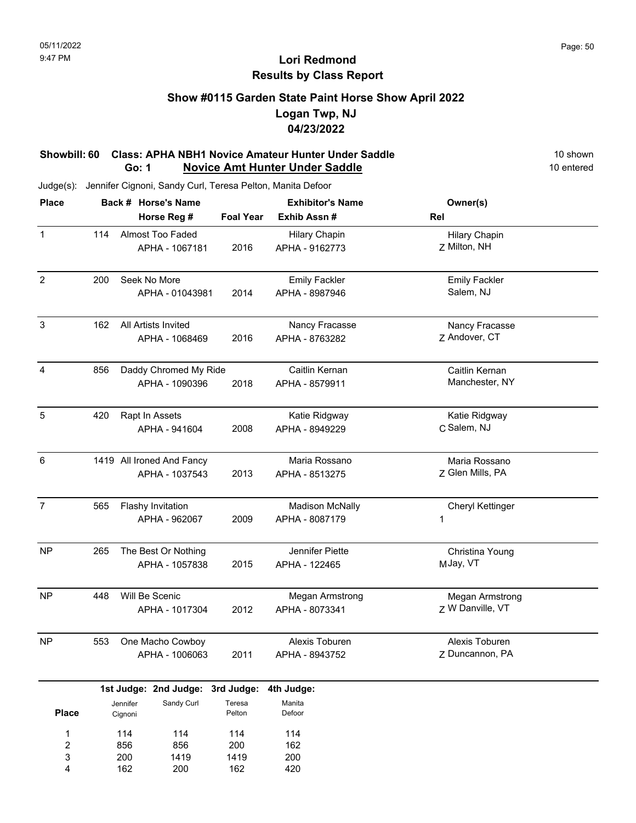### **Show #0115 Garden State Paint Horse Show April 2022 Logan Twp, NJ 04/23/2022**

#### **Showbill: 60 Class: APHA NBH1 Novice Amateur Hunter Under Saddle** 10 Shown 10 shown<br> **Go: 1 Novice Amt Hunter Under Saddle** 10 entered **Go: 1 Novice Amt Hunter Under Saddle**

Judge(s): Jennifer Cignoni, Sandy Curl, Teresa Pelton, Manita Defoor

162

4

200

162

| <b>Place</b>            |     |          | Back # Horse's Name       |                  | <b>Exhibitor's Name</b> | Owner(s)                |  |
|-------------------------|-----|----------|---------------------------|------------------|-------------------------|-------------------------|--|
|                         |     |          | Horse Reg #               | <b>Foal Year</b> | Exhib Assn #            | Rel                     |  |
| $\mathbf 1$             | 114 |          | Almost Too Faded          |                  | <b>Hilary Chapin</b>    | <b>Hilary Chapin</b>    |  |
|                         |     |          | APHA - 1067181            | 2016             | APHA - 9162773          | Z Milton, NH            |  |
|                         |     |          |                           |                  |                         |                         |  |
| $\overline{2}$          | 200 |          | Seek No More              |                  | <b>Emily Fackler</b>    | <b>Emily Fackler</b>    |  |
|                         |     |          | APHA - 01043981           | 2014             | APHA - 8987946          | Salem, NJ               |  |
|                         |     |          |                           |                  |                         |                         |  |
| 3                       | 162 |          | All Artists Invited       |                  | Nancy Fracasse          | Nancy Fracasse          |  |
|                         |     |          | APHA - 1068469            | 2016             | APHA - 8763282          | Z Andover, CT           |  |
|                         |     |          |                           |                  |                         |                         |  |
| 4                       | 856 |          | Daddy Chromed My Ride     |                  | Caitlin Kernan          | Caitlin Kernan          |  |
|                         |     |          | APHA - 1090396            | 2018             | APHA - 8579911          | Manchester, NY          |  |
|                         |     |          |                           |                  |                         |                         |  |
| 5                       | 420 |          | Rapt In Assets            |                  | Katie Ridgway           | Katie Ridgway           |  |
|                         |     |          | APHA - 941604             | 2008             | APHA - 8949229          | C Salem, NJ             |  |
|                         |     |          |                           |                  |                         |                         |  |
| 6                       |     |          | 1419 All Ironed And Fancy |                  | Maria Rossano           | Maria Rossano           |  |
|                         |     |          | APHA - 1037543            | 2013             | APHA - 8513275          | Z Glen Mills, PA        |  |
|                         |     |          |                           |                  |                         |                         |  |
| $\overline{7}$          | 565 |          | Flashy Invitation         |                  | <b>Madison McNally</b>  | <b>Cheryl Kettinger</b> |  |
|                         |     |          | APHA - 962067             | 2009             | APHA - 8087179          | 1                       |  |
|                         |     |          |                           |                  |                         |                         |  |
| <b>NP</b>               | 265 |          | The Best Or Nothing       |                  | Jennifer Piette         | Christina Young         |  |
|                         |     |          | APHA - 1057838            | 2015             | APHA - 122465           | MJay, VT                |  |
|                         |     |          |                           |                  |                         |                         |  |
| <b>NP</b>               | 448 |          | Will Be Scenic            |                  | Megan Armstrong         | Megan Armstrong         |  |
|                         |     |          | APHA - 1017304            | 2012             | APHA - 8073341          | Z W Danville, VT        |  |
|                         |     |          |                           |                  |                         |                         |  |
| <b>NP</b>               | 553 |          | One Macho Cowboy          |                  | Alexis Toburen          | Alexis Toburen          |  |
|                         |     |          | APHA - 1006063            | 2011             | APHA - 8943752          | Z Duncannon, PA         |  |
|                         |     |          |                           |                  |                         |                         |  |
|                         |     |          | 1st Judge: 2nd Judge:     | 3rd Judge:       | 4th Judge:              |                         |  |
|                         |     | Jennifer | Sandy Curl                | Teresa           | Manita                  |                         |  |
| <b>Place</b>            |     | Cignoni  |                           | Pelton           | Defoor                  |                         |  |
| 1                       |     | 114      | 114                       | 114              | 114                     |                         |  |
| $\overline{\mathbf{c}}$ |     | 856      | 856                       | 200              | 162                     |                         |  |
| 3                       |     | 200      | 1419                      | 1419             | 200                     |                         |  |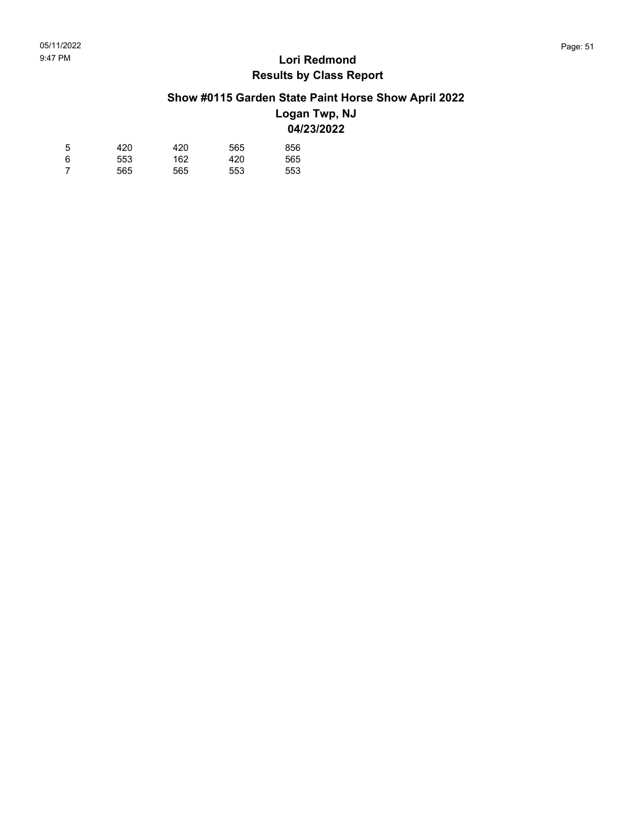# **Show #0115 Garden State Paint Horse Show April 2022**

### **Logan Twp, NJ 04/23/2022**

| 5 | 420 | 420 | 565 | 856 |
|---|-----|-----|-----|-----|
| 6 | 553 | 162 | 420 | 565 |
| 7 | 565 | 565 | 553 | 553 |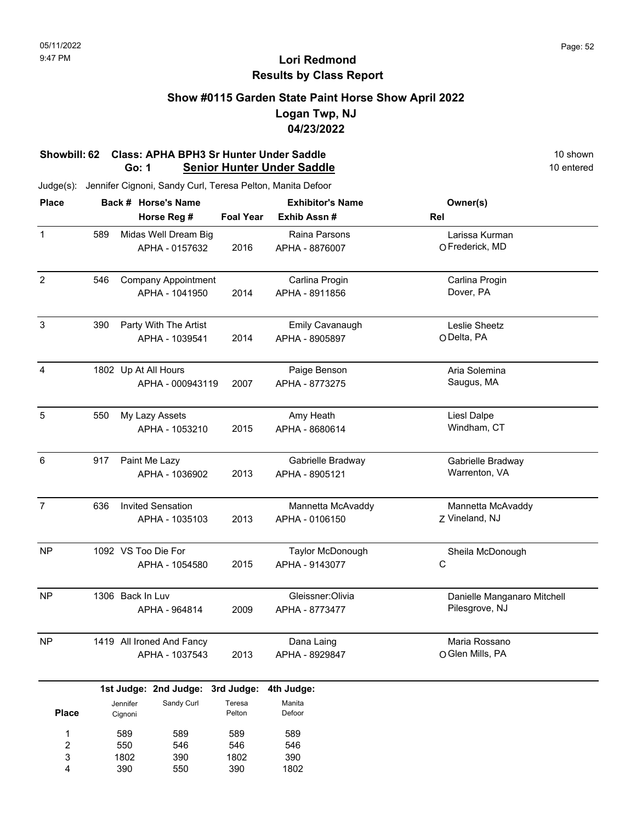## **Show #0115 Garden State Paint Horse Show April 2022 Logan Twp, NJ 04/23/2022**

#### **Showbill: 62 Class: APHA BPH3 Sr Hunter Under Saddle** 10 shown 10 shown 10 shown Co: 1 Senior Hunter Under Saddle **Go: 1 Senior Hunter Under Saddle**

| <b>Place</b>     |     |                           | Back # Horse's Name                          |                           | <b>Exhibitor's Name</b>                  | Owner(s)                                      |
|------------------|-----|---------------------------|----------------------------------------------|---------------------------|------------------------------------------|-----------------------------------------------|
|                  |     |                           | Horse Reg #                                  | <b>Foal Year</b>          | Exhib Assn #                             | Rel                                           |
| $\mathbf{1}$     | 589 |                           | Midas Well Dream Big<br>APHA - 0157632       | 2016                      | Raina Parsons<br>APHA - 8876007          | Larissa Kurman<br>O Frederick, MD             |
| $\overline{2}$   | 546 |                           | <b>Company Appointment</b><br>APHA - 1041950 | 2014                      | Carlina Progin<br>APHA - 8911856         | Carlina Progin<br>Dover, PA                   |
| $\sqrt{3}$       | 390 |                           | Party With The Artist<br>APHA - 1039541      | 2014                      | <b>Emily Cavanaugh</b><br>APHA - 8905897 | Leslie Sheetz<br>ODelta, PA                   |
| 4                |     |                           | 1802 Up At All Hours<br>APHA - 000943119     | 2007                      | Paige Benson<br>APHA - 8773275           | Aria Solemina<br>Saugus, MA                   |
| 5                | 550 |                           | My Lazy Assets<br>APHA - 1053210             | 2015                      | Amy Heath<br>APHA - 8680614              | Liesl Dalpe<br>Windham, CT                    |
| $\,6\,$          | 917 |                           | Paint Me Lazy<br>APHA - 1036902              | 2013                      | Gabrielle Bradway<br>APHA - 8905121      | Gabrielle Bradway<br>Warrenton, VA            |
| $\overline{7}$   | 636 |                           | <b>Invited Sensation</b><br>APHA - 1035103   | 2013                      | Mannetta McAvaddy<br>APHA - 0106150      | Mannetta McAvaddy<br>Z Vineland, NJ           |
| <b>NP</b>        |     |                           | 1092 VS Too Die For<br>APHA - 1054580        | 2015                      | Taylor McDonough<br>APHA - 9143077       | Sheila McDonough<br>С                         |
| <b>NP</b>        |     | 1306 Back In Luv          | APHA - 964814                                | 2009                      | Gleissner:Olivia<br>APHA - 8773477       | Danielle Manganaro Mitchell<br>Pilesgrove, NJ |
| <b>NP</b>        |     |                           | 1419 All Ironed And Fancy<br>APHA - 1037543  | 2013                      | Dana Laing<br>APHA - 8929847             | Maria Rossano<br>O Glen Mills, PA             |
|                  |     |                           | 1st Judge: 2nd Judge: 3rd Judge:             |                           | 4th Judge:                               |                                               |
| <b>Place</b>     |     | Jennifer<br>Cignoni       | Sandy Curl                                   | Teresa<br>Pelton          | Manita<br>Defoor                         |                                               |
| 1<br>2<br>3<br>4 |     | 589<br>550<br>1802<br>390 | 589<br>546<br>390<br>550                     | 589<br>546<br>1802<br>390 | 589<br>546<br>390<br>1802                |                                               |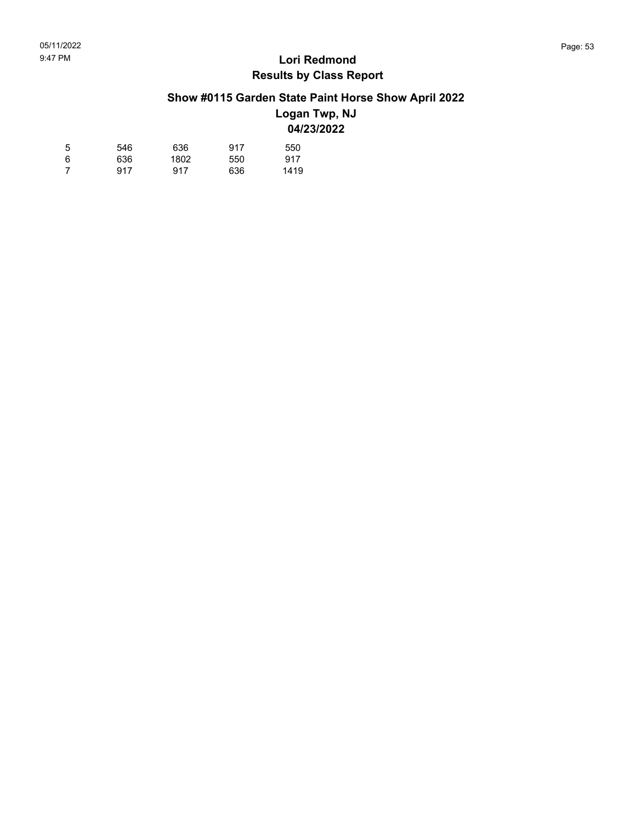# **Show #0115 Garden State Paint Horse Show April 2022**

### **Logan Twp, NJ 04/23/2022**

| 5 | 546 | 636  | 917 | 550  |
|---|-----|------|-----|------|
| 6 | 636 | 1802 | 550 | 917  |
| 7 | 917 | 917  | 636 | 1419 |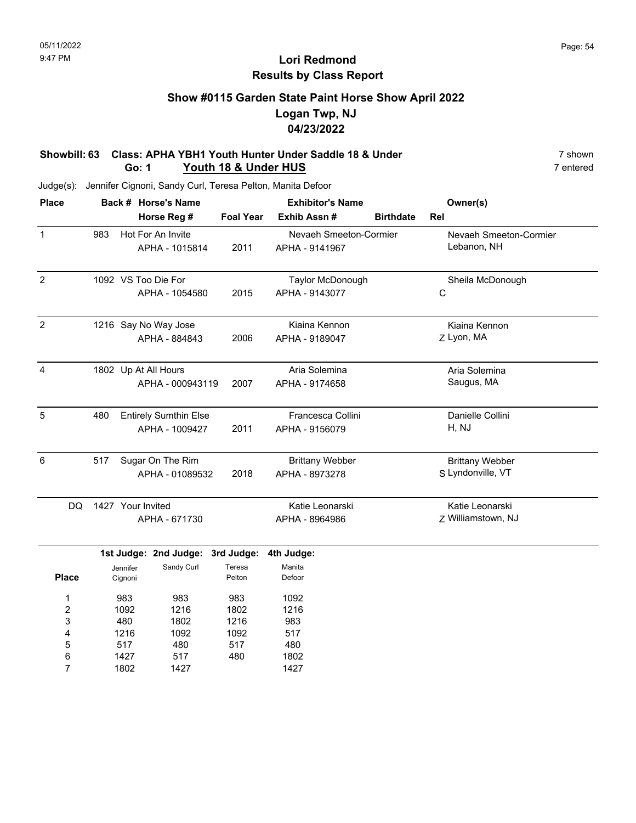# **Show #0115 Garden State Paint Horse Show April 2022 Logan Twp, NJ 04/23/2022**

#### **Showbill: 63 Class: APHA YBH1 Youth Hunter Under Saddle 18 & Under** 7 Shown 7 shown 7 shown 7 shown 7 shown 7 shown **Go: 1 Youth 18 & Under HUS**

| <b>Place</b>   |     |                     | Back # Horse's Name              | <b>Exhibitor's Name</b> |                        |                  | Owner(s)               |
|----------------|-----|---------------------|----------------------------------|-------------------------|------------------------|------------------|------------------------|
|                |     |                     | Horse Reg #                      | <b>Foal Year</b>        | Exhib Assn #           | <b>Birthdate</b> | Rel                    |
| $\mathbf 1$    | 983 |                     | Hot For An Invite                |                         | Nevaeh Smeeton-Cormier |                  | Nevaeh Smeeton-Cormier |
|                |     |                     | APHA - 1015814                   | 2011                    | APHA - 9141967         |                  | Lebanon, NH            |
| $\overline{2}$ |     |                     | 1092 VS Too Die For              |                         | Taylor McDonough       |                  | Sheila McDonough       |
|                |     |                     | APHA - 1054580                   | 2015                    | APHA - 9143077         |                  | $\mathsf C$            |
| $\overline{2}$ |     |                     | 1216 Say No Way Jose             |                         | Kiaina Kennon          |                  | Kiaina Kennon          |
|                |     |                     | APHA - 884843                    | 2006                    | APHA - 9189047         |                  | Z Lyon, MA             |
| $\overline{4}$ |     |                     | 1802 Up At All Hours             |                         | Aria Solemina          |                  | Aria Solemina          |
|                |     |                     | APHA - 000943119                 | 2007                    | APHA - 9174658         |                  | Saugus, MA             |
| $\sqrt{5}$     | 480 |                     | <b>Entirely Sumthin Else</b>     |                         | Francesca Collini      |                  | Danielle Collini       |
|                |     |                     | APHA - 1009427                   | 2011                    | APHA - 9156079         |                  | H, NJ                  |
| 6              | 517 |                     | Sugar On The Rim                 |                         | <b>Brittany Webber</b> |                  | <b>Brittany Webber</b> |
|                |     |                     | APHA - 01089532                  | 2018                    | APHA - 8973278         |                  | S Lyndonville, VT      |
| <b>DQ</b>      |     | 1427 Your Invited   |                                  |                         | Katie Leonarski        |                  | Katie Leonarski        |
|                |     |                     | APHA - 671730                    |                         | APHA - 8964986         |                  | Z Williamstown, NJ     |
|                |     |                     | 1st Judge: 2nd Judge: 3rd Judge: |                         | 4th Judge:             |                  |                        |
| <b>Place</b>   |     | Jennifer<br>Cignoni | Sandy Curl                       | Teresa<br>Pelton        | Manita<br>Defoor       |                  |                        |
| 1              |     | 983                 | 983                              | 983                     | 1092                   |                  |                        |
| 2              |     | 1092                | 1216                             | 1802                    | 1216                   |                  |                        |
| 3              |     | 480                 | 1802                             | 1216                    | 983                    |                  |                        |
| 4              |     | 1216                | 1092                             | 1092                    | 517                    |                  |                        |
| 5              |     | 517                 | 480                              | 517                     | 480                    |                  |                        |
| 6              |     | 1427                | 517                              | 480                     | 1802                   |                  |                        |
| 7              |     | 1802                | 1427                             |                         | 1427                   |                  |                        |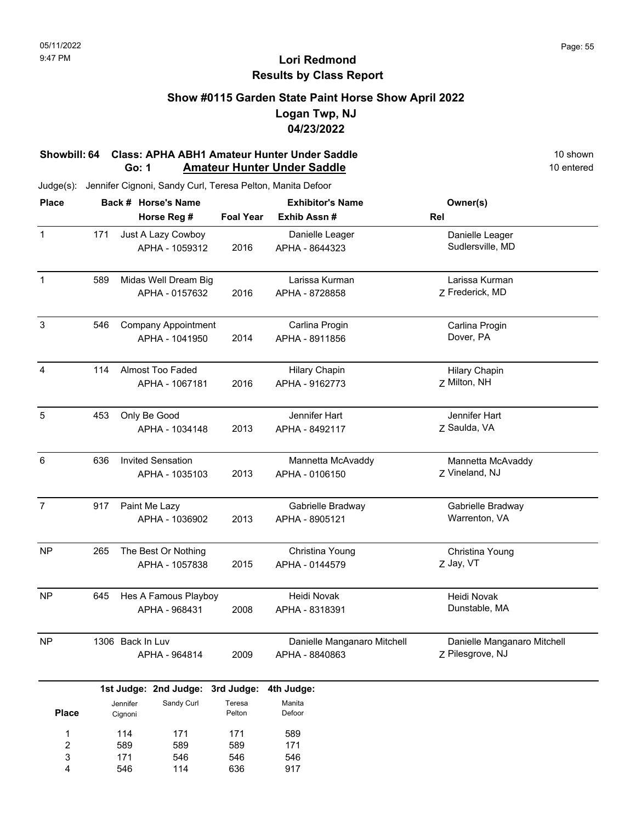### **Show #0115 Garden State Paint Horse Show April 2022 Logan Twp, NJ 04/23/2022**

#### **Showbill: 64 Class: APHA ABH1 Amateur Hunter Under Saddle** 10 Shown 10 shown **Go: 1** Amateur Hunter Under Saddle **10 entered** 10 entered

Judge(s): Jennifer Cignoni, Sandy Curl, Teresa Pelton, Manita Defoor

171 546

3 4 546 114 546 636

| <b>Place</b>   |               |                                 | Back # Horse's Name              |                  | <b>Exhibitor's Name</b>     | Owner(s)                    |
|----------------|---------------|---------------------------------|----------------------------------|------------------|-----------------------------|-----------------------------|
|                |               |                                 | Horse Reg #                      | <b>Foal Year</b> | Exhib Assn#                 | Rel                         |
| $\mathbf{1}$   | 171           |                                 | Just A Lazy Cowboy               |                  | Danielle Leager             | Danielle Leager             |
|                |               |                                 | APHA - 1059312                   | 2016             | APHA - 8644323              | Sudlersville, MD            |
| $\mathbf 1$    | 589           |                                 | Midas Well Dream Big             |                  | Larissa Kurman              | Larissa Kurman              |
|                |               |                                 | APHA - 0157632                   | 2016             | APHA - 8728858              | Z Frederick, MD             |
| $\sqrt{3}$     | 546           |                                 | <b>Company Appointment</b>       |                  | Carlina Progin              | Carlina Progin              |
|                |               |                                 | APHA - 1041950                   | 2014             | APHA - 8911856              | Dover, PA                   |
| $\overline{4}$ | 114           |                                 | <b>Almost Too Faded</b>          |                  | <b>Hilary Chapin</b>        | <b>Hilary Chapin</b>        |
|                |               | APHA - 1067181                  |                                  | 2016             | APHA - 9162773              | Z Milton, NH                |
| 5              | 453           |                                 | Only Be Good                     |                  | Jennifer Hart               | Jennifer Hart               |
|                |               |                                 | APHA - 1034148                   | 2013             | APHA - 8492117              | Z Saulda, VA                |
| $\,6$          | 636           |                                 | <b>Invited Sensation</b>         |                  | Mannetta McAvaddy           | Mannetta McAvaddy           |
|                |               | APHA - 1035103                  |                                  | 2013             | APHA - 0106150              | Z Vineland, NJ              |
| $\overline{7}$ | 917           | Paint Me Lazy<br>APHA - 1036902 |                                  |                  | Gabrielle Bradway           | Gabrielle Bradway           |
|                |               |                                 |                                  | 2013             | APHA - 8905121              | Warrenton, VA               |
| <b>NP</b>      | 265           |                                 | The Best Or Nothing              |                  | Christina Young             | Christina Young             |
|                |               | APHA - 1057838                  |                                  | 2015             | APHA - 0144579              | Z Jay, VT                   |
| NP             | 645           |                                 | Hes A Famous Playboy             |                  | Heidi Novak                 | Heidi Novak                 |
|                |               |                                 | APHA - 968431                    | 2008             | APHA - 8318391              | Dunstable, MA               |
| <b>NP</b>      |               | 1306 Back In Luv                |                                  |                  | Danielle Manganaro Mitchell | Danielle Manganaro Mitchell |
|                | APHA - 964814 |                                 |                                  | 2009             | APHA - 8840863              | Z Pilesgrove, NJ            |
|                |               |                                 | 1st Judge: 2nd Judge: 3rd Judge: |                  | 4th Judge:                  |                             |
| <b>Place</b>   |               | Jennifer<br>Cignoni             | Sandy Curl                       | Teresa<br>Pelton | Manita<br>Defoor            |                             |
| 1              |               | 114                             | 171                              | 171              | 589                         |                             |
| $\overline{c}$ |               | 589                             | 589                              | 589              | 171                         |                             |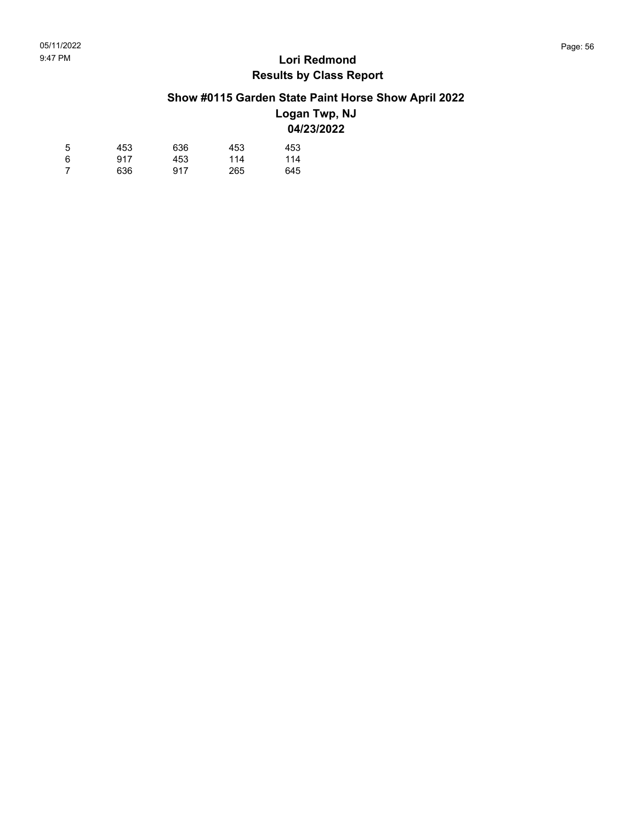# **Show #0115 Garden State Paint Horse Show April 2022**

### **Logan Twp, NJ 04/23/2022**

| 5 | 453 | 636 | 453 | 453 |
|---|-----|-----|-----|-----|
| 6 | 917 | 453 | 114 | 114 |
| 7 | 636 | 917 | 265 | 645 |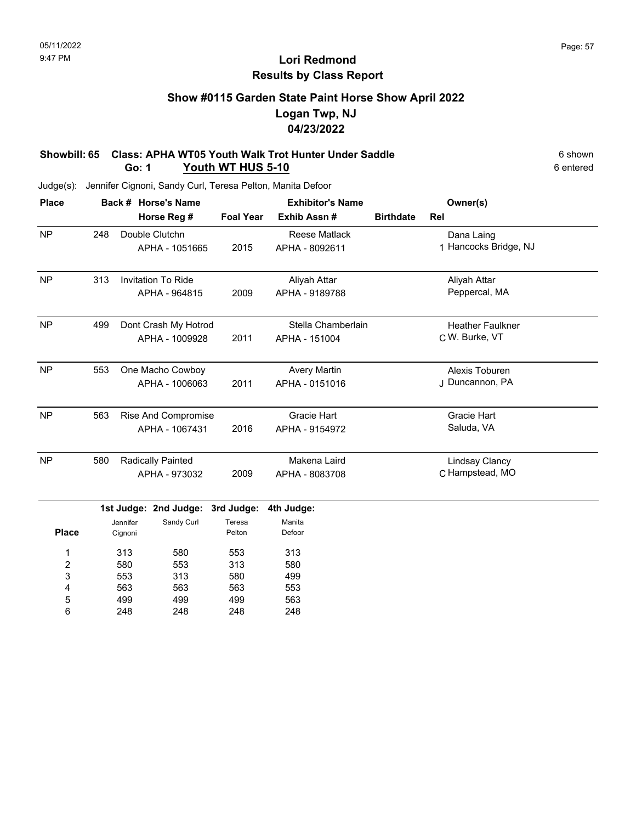# **Show #0115 Garden State Paint Horse Show April 2022 Logan Twp, NJ 04/23/2022**

#### **Showbill: 65 Class: APHA WT05 Youth Walk Trot Hunter Under Saddle** 6 shown **Go: 1 Youth WT HUS 5-10**

| <b>Place</b>     |     |                     | Back # Horse's Name       |                  | <b>Exhibitor's Name</b> | Owner(s)         |                         |  |
|------------------|-----|---------------------|---------------------------|------------------|-------------------------|------------------|-------------------------|--|
|                  |     |                     | Horse Reg #               | <b>Foal Year</b> | Exhib Assn #            | <b>Birthdate</b> | Rel                     |  |
| <b>NP</b>        | 248 |                     | Double Clutchn            |                  | <b>Reese Matlack</b>    |                  | Dana Laing              |  |
|                  |     |                     | APHA - 1051665            | 2015             | APHA - 8092611          |                  | 1 Hancocks Bridge, NJ   |  |
| <b>NP</b>        | 313 |                     | <b>Invitation To Ride</b> |                  | Aliyah Attar            |                  | Aliyah Attar            |  |
|                  |     |                     | APHA - 964815             | 2009             | APHA - 9189788          |                  | Peppercal, MA           |  |
| <b>NP</b>        | 499 |                     | Dont Crash My Hotrod      |                  | Stella Chamberlain      |                  | <b>Heather Faulkner</b> |  |
|                  |     |                     | APHA - 1009928            | 2011             | APHA - 151004           |                  | C W. Burke, VT          |  |
| <b>NP</b>        | 553 |                     | One Macho Cowboy          |                  | <b>Avery Martin</b>     |                  | Alexis Toburen          |  |
|                  |     |                     | APHA - 1006063            | 2011             | APHA - 0151016          |                  | J Duncannon, PA         |  |
| <b>NP</b>        | 563 |                     | Rise And Compromise       |                  | Gracie Hart             |                  | Gracie Hart             |  |
|                  |     |                     | APHA - 1067431            | 2016             | APHA - 9154972          |                  | Saluda, VA              |  |
| <b>NP</b>        | 580 |                     | Radically Painted         |                  | Makena Laird            |                  | <b>Lindsay Clancy</b>   |  |
|                  |     | APHA - 973032       |                           | 2009             | APHA - 8083708          |                  | C Hampstead, MO         |  |
|                  |     |                     | 1st Judge: 2nd Judge:     | 3rd Judge:       | 4th Judge:              |                  |                         |  |
| <b>Place</b>     |     | Jennifer<br>Cignoni | Sandy Curl                | Teresa<br>Pelton | Manita<br>Defoor        |                  |                         |  |
| 1                |     | 313                 | 580                       | 553              | 313                     |                  |                         |  |
| $\boldsymbol{2}$ |     | 580                 | 553                       | 313              | 580                     |                  |                         |  |
| 3                |     | 553                 | 313                       | 580              | 499                     |                  |                         |  |
| 4                |     | 563                 | 563                       | 563              | 553                     |                  |                         |  |
| 5                |     | 499                 | 499                       | 499              | 563                     |                  |                         |  |
| 6                |     | 248                 | 248                       | 248              | 248                     |                  |                         |  |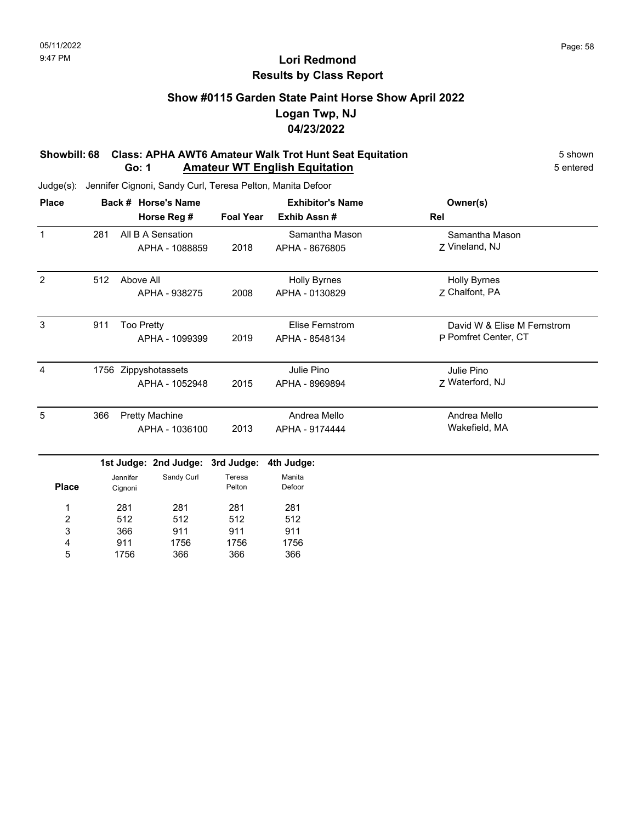## **Show #0115 Garden State Paint Horse Show April 2022 Logan Twp, NJ 04/23/2022**

#### **Showbill: 68 Class: APHA AWT6 Amateur Walk Trot Hunt Seat Equitation** 5 Shown 5 shown **Go: 1 Amateur WT English Equitation** 5 entered

| <b>Place</b>   |     |                   | Back # Horse's Name   | <b>Exhibitor's Name</b> |                        | Owner(s)                    |
|----------------|-----|-------------------|-----------------------|-------------------------|------------------------|-----------------------------|
|                |     |                   | Horse Reg #           | <b>Foal Year</b>        | Exhib Assn#            | Rel                         |
| $\mathbf{1}$   | 281 |                   | All B A Sensation     |                         | Samantha Mason         | Samantha Mason              |
|                |     |                   | APHA - 1088859        | 2018                    | APHA - 8676805         | Z Vineland, NJ              |
| 2              | 512 | Above All         |                       |                         | <b>Holly Byrnes</b>    | <b>Holly Byrnes</b>         |
|                |     |                   | APHA - 938275         | 2008                    | APHA - 0130829         | 7 Chalfont, PA              |
| 3              | 911 | <b>Too Pretty</b> |                       |                         | <b>Elise Fernstrom</b> | David W & Elise M Fernstrom |
|                |     |                   | APHA - 1099399        | 2019                    | APHA - 8548134         | P Pomfret Center, CT        |
| $\overline{4}$ |     |                   | 1756 Zippyshotassets  |                         | Julie Pino             | Julie Pino                  |
|                |     |                   | APHA - 1052948        | 2015                    | APHA - 8969894         | Z Waterford, NJ             |
| 5              | 366 |                   | <b>Pretty Machine</b> |                         | Andrea Mello           | Andrea Mello                |
|                |     |                   | APHA - 1036100        | 2013                    | APHA - 9174444         | Wakefield, MA               |
|                |     |                   | 1st Judge: 2nd Judge: | 3rd Judge:              | 4th Judge:             |                             |
|                |     | Jennifer          | Sandy Curl            | Teresa                  | Manita                 |                             |
| <b>Place</b>   |     | Cignoni           |                       | Pelton                  | Defoor                 |                             |
| 1              |     | 281               | 281                   | 281                     | 281                    |                             |
| 2              |     | 512               | 512                   | 512                     | 512                    |                             |
| 3              |     | 366               | 911                   | 911                     | 911                    |                             |
| 4              |     | 911               | 1756                  | 1756                    | 1756                   |                             |
| 5              |     | 1756              | 366                   | 366                     | 366                    |                             |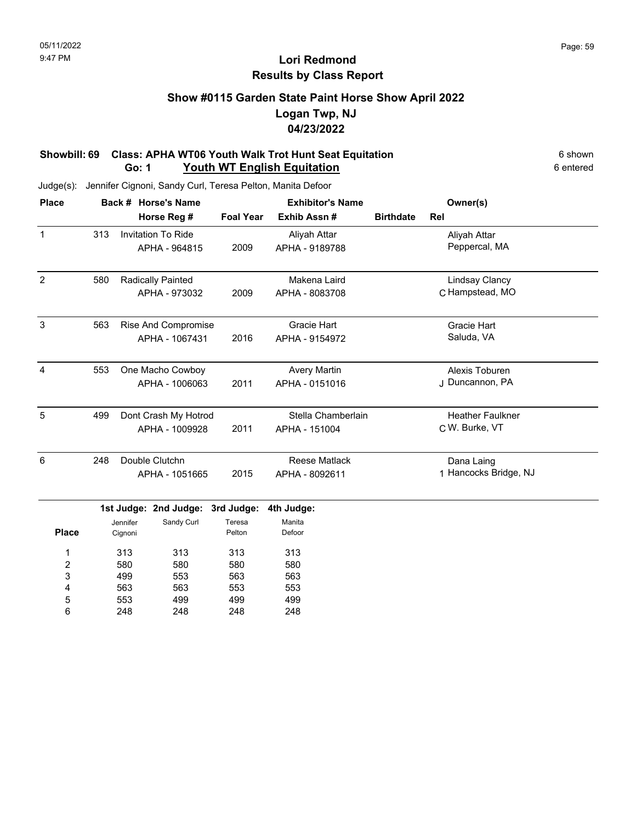### **Show #0115 Garden State Paint Horse Show April 2022 Logan Twp, NJ 04/23/2022**

#### **Showbill: 69 Class: APHA WT06 Youth Walk Trot Hunt Seat Equitation** 6 Shown 6 shown **Go: 1 Youth WT English Equitation** 6 entered

Judge(s): Jennifer Cignoni, Sandy Curl, Teresa Pelton, Manita Defoor

248

6

248

248

| <b>Place</b>     |     |                     | Back # Horse's Name       |                  | <b>Exhibitor's Name</b> | Owner(s)         |                         |  |
|------------------|-----|---------------------|---------------------------|------------------|-------------------------|------------------|-------------------------|--|
|                  |     |                     | Horse Reg #               | <b>Foal Year</b> | Exhib Assn #            | <b>Birthdate</b> | Rel                     |  |
| $\mathbf{1}$     | 313 |                     | <b>Invitation To Ride</b> |                  | Aliyah Attar            |                  | Aliyah Attar            |  |
|                  |     |                     | APHA - 964815             | 2009             | APHA - 9189788          |                  | Peppercal, MA           |  |
| $\overline{2}$   | 580 |                     | Radically Painted         |                  | Makena Laird            |                  | <b>Lindsay Clancy</b>   |  |
|                  |     |                     | APHA - 973032             | 2009             | APHA - 8083708          |                  | C Hampstead, MO         |  |
| $\mathbf{3}$     | 563 |                     | Rise And Compromise       |                  | <b>Gracie Hart</b>      |                  | <b>Gracie Hart</b>      |  |
|                  |     |                     | APHA - 1067431            | 2016             | APHA - 9154972          |                  | Saluda, VA              |  |
| $\overline{4}$   | 553 |                     | One Macho Cowboy          |                  | <b>Avery Martin</b>     |                  | Alexis Toburen          |  |
|                  |     |                     | APHA - 1006063            | 2011             | APHA - 0151016          |                  | J Duncannon, PA         |  |
| $\overline{5}$   | 499 |                     | Dont Crash My Hotrod      |                  | Stella Chamberlain      |                  | <b>Heather Faulkner</b> |  |
|                  |     |                     | APHA - 1009928            | 2011             | APHA - 151004           |                  | C W. Burke, VT          |  |
| $6\phantom{1}6$  | 248 |                     | Double Clutchn            |                  | <b>Reese Matlack</b>    |                  | Dana Laing              |  |
|                  |     |                     | APHA - 1051665            | 2015             | APHA - 8092611          |                  | 1 Hancocks Bridge, NJ   |  |
|                  |     |                     | 1st Judge: 2nd Judge:     | 3rd Judge:       | 4th Judge:              |                  |                         |  |
| <b>Place</b>     |     | Jennifer<br>Cignoni | Sandy Curl                | Teresa<br>Pelton | Manita<br>Defoor        |                  |                         |  |
| 1                |     | 313                 | 313                       | 313              | 313                     |                  |                         |  |
| $\boldsymbol{2}$ |     | 580                 | 580                       | 580              | 580                     |                  |                         |  |
| 3                |     | 499                 | 553                       | 563              | 563                     |                  |                         |  |
| 4                |     | 563                 | 563                       | 553              | 553                     |                  |                         |  |
| 5                |     | 553                 | 499                       | 499              | 499                     |                  |                         |  |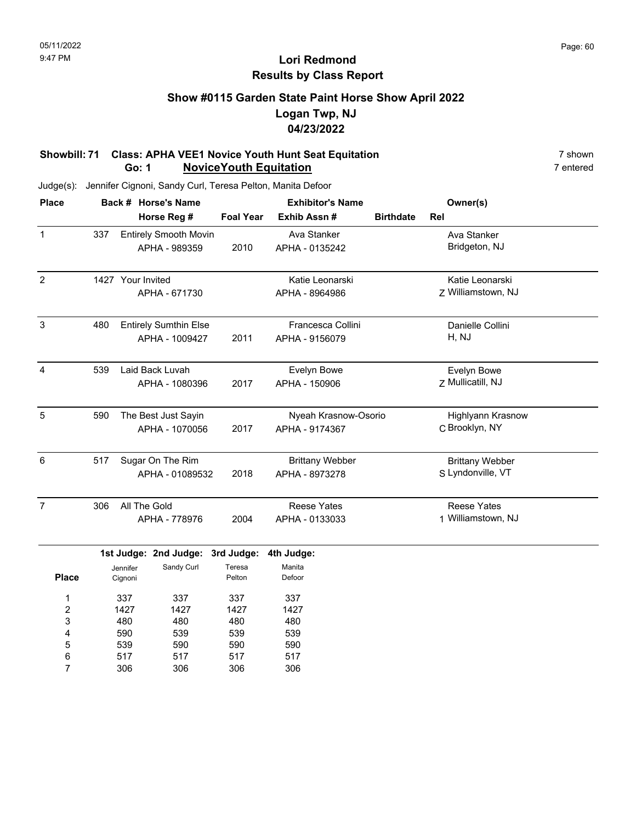## **Show #0115 Garden State Paint Horse Show April 2022 Logan Twp, NJ 04/23/2022**

#### **Showbill: 71 Class: APHA VEE1 Novice Youth Hunt Seat Equitation**<br>**Go: 1 NoviceYouth Equitation 7 Condense 20 Allegate 20 Allegate 20 Allegate 20 Allegate 20 Allegate 20 Allegate 20 Allegate 20 Allegate 20 Allegate 20 Go: 1 NoviceYouth Equitation**

Judge(s): Jennifer Cignoni, Sandy Curl, Teresa Pelton, Manita Defoor

517 306

6 7 517 306 517 306

| <b>Place</b>            |     |                   | Back # Horse's Name          |                  | <b>Exhibitor's Name</b> | Owner(s)         |                          |  |
|-------------------------|-----|-------------------|------------------------------|------------------|-------------------------|------------------|--------------------------|--|
|                         |     |                   | Horse Reg #                  | <b>Foal Year</b> | Exhib Assn #            | <b>Birthdate</b> | Rel                      |  |
| $\mathbf{1}$            | 337 |                   | <b>Entirely Smooth Movin</b> |                  | Ava Stanker             |                  | Ava Stanker              |  |
|                         |     |                   | APHA - 989359                | 2010             | APHA - 0135242          |                  | Bridgeton, NJ            |  |
| $\overline{2}$          |     | 1427 Your Invited |                              |                  | Katie Leonarski         |                  | Katie Leonarski          |  |
|                         |     |                   | APHA - 671730                |                  | APHA - 8964986          |                  | Z Williamstown, NJ       |  |
| $\mathbf{3}$            | 480 |                   | <b>Entirely Sumthin Else</b> |                  | Francesca Collini       |                  | Danielle Collini         |  |
|                         |     |                   | APHA - 1009427               | 2011             | APHA - 9156079          |                  | H, NJ                    |  |
| $\overline{4}$          | 539 |                   | Laid Back Luvah              |                  | Evelyn Bowe             |                  | Evelyn Bowe              |  |
|                         |     |                   | APHA - 1080396               | 2017             | APHA - 150906           |                  | Z Mullicatill, NJ        |  |
| 5                       | 590 |                   | The Best Just Sayin          |                  | Nyeah Krasnow-Osorio    |                  | <b>Highlyann Krasnow</b> |  |
|                         |     |                   | APHA - 1070056               | 2017             | APHA - 9174367          |                  | C Brooklyn, NY           |  |
| 6                       | 517 |                   | Sugar On The Rim             |                  | <b>Brittany Webber</b>  |                  | <b>Brittany Webber</b>   |  |
|                         |     |                   | APHA - 01089532              | 2018             | APHA - 8973278          |                  | S Lyndonville, VT        |  |
| $\overline{7}$          | 306 | All The Gold      |                              |                  | <b>Reese Yates</b>      |                  | <b>Reese Yates</b>       |  |
|                         |     |                   | APHA - 778976                | 2004             | APHA - 0133033          |                  | 1 Williamstown, NJ       |  |
|                         |     |                   | 1st Judge: 2nd Judge:        | 3rd Judge:       | 4th Judge:              |                  |                          |  |
|                         |     | Jennifer          | Sandy Curl                   | Teresa           | Manita                  |                  |                          |  |
| <b>Place</b>            |     | Cignoni           |                              | Pelton           | Defoor                  |                  |                          |  |
| 1                       |     | 337               | 337                          | 337              | 337                     |                  |                          |  |
| $\overline{\mathbf{c}}$ |     | 1427              | 1427                         | 1427             | 1427                    |                  |                          |  |
| 3                       |     | 480               | 480                          | 480              | 480                     |                  |                          |  |
| 4                       |     | 590               | 539                          | 539              | 539                     |                  |                          |  |
| 5                       |     | 539               | 590                          | 590              | 590                     |                  |                          |  |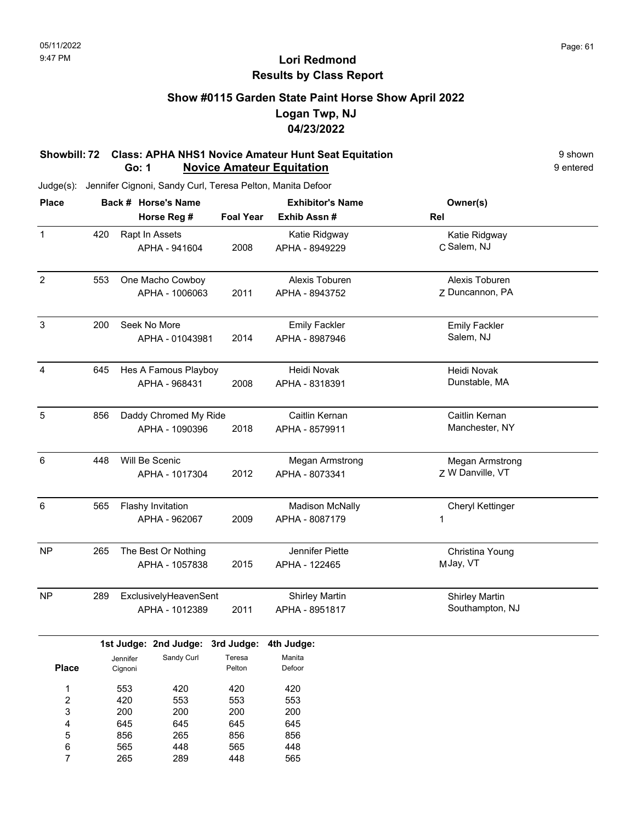### **Show #0115 Garden State Paint Horse Show April 2022 Logan Twp, NJ 04/23/2022**

#### **Showbill: 72 Class: APHA NHS1 Novice Amateur Hunt Seat Equitation**<br>**Go: 1 Movice Amateur Equitation** 9 shown 9 entered **Go: 1 Novice Amateur Equitation**

| <b>Place</b>            |     |          | Back # Horse's Name   |                  | <b>Exhibitor's Name</b> | Owner(s)              |  |  |
|-------------------------|-----|----------|-----------------------|------------------|-------------------------|-----------------------|--|--|
|                         |     |          | Horse Reg #           | <b>Foal Year</b> | Exhib Assn #            | Rel                   |  |  |
| $\mathbf 1$             | 420 |          | Rapt In Assets        |                  | Katie Ridgway           | Katie Ridgway         |  |  |
|                         |     |          | APHA - 941604         | 2008             | APHA - 8949229          | C Salem, NJ           |  |  |
|                         |     |          |                       |                  |                         |                       |  |  |
| $\overline{c}$          | 553 |          | One Macho Cowboy      |                  | Alexis Toburen          | Alexis Toburen        |  |  |
|                         |     |          | APHA - 1006063        | 2011             | APHA - 8943752          | Z Duncannon, PA       |  |  |
|                         |     |          |                       |                  |                         |                       |  |  |
| $\mathbf{3}$            | 200 |          | Seek No More          |                  | <b>Emily Fackler</b>    | <b>Emily Fackler</b>  |  |  |
|                         |     |          | APHA - 01043981       | 2014             | APHA - 8987946          | Salem, NJ             |  |  |
|                         |     |          |                       |                  |                         |                       |  |  |
| 4                       | 645 |          | Hes A Famous Playboy  |                  | Heidi Novak             | Heidi Novak           |  |  |
|                         |     |          | APHA - 968431         | 2008             | APHA - 8318391          | Dunstable, MA         |  |  |
|                         |     |          |                       |                  |                         |                       |  |  |
| 5                       | 856 |          | Daddy Chromed My Ride |                  | Caitlin Kernan          | Caitlin Kernan        |  |  |
|                         |     |          | APHA - 1090396        | 2018             | APHA - 8579911          | Manchester, NY        |  |  |
|                         |     |          |                       |                  |                         |                       |  |  |
| 6                       | 448 |          | Will Be Scenic        |                  | <b>Megan Armstrong</b>  | Megan Armstrong       |  |  |
|                         |     |          | APHA - 1017304        | 2012             | APHA - 8073341          | Z W Danville, VT      |  |  |
|                         |     |          |                       |                  |                         |                       |  |  |
| 6                       | 565 |          | Flashy Invitation     |                  | <b>Madison McNally</b>  | Cheryl Kettinger      |  |  |
|                         |     |          | APHA - 962067         | 2009             | APHA - 8087179          | 1                     |  |  |
|                         |     |          |                       |                  |                         |                       |  |  |
| <b>NP</b>               | 265 |          | The Best Or Nothing   |                  | Jennifer Piette         | Christina Young       |  |  |
|                         |     |          | APHA - 1057838        | 2015             | APHA - 122465           | MJay, VT              |  |  |
|                         |     |          |                       |                  |                         |                       |  |  |
| NP                      | 289 |          | ExclusivelyHeavenSent |                  | <b>Shirley Martin</b>   | <b>Shirley Martin</b> |  |  |
|                         |     |          | APHA - 1012389        | 2011             | APHA - 8951817          | Southampton, NJ       |  |  |
|                         |     |          |                       |                  |                         |                       |  |  |
|                         |     |          | 1st Judge: 2nd Judge: | 3rd Judge:       | 4th Judge:              |                       |  |  |
|                         |     | Jennifer | Sandy Curl            | Teresa           | Manita                  |                       |  |  |
| <b>Place</b>            |     | Cignoni  |                       | Pelton           | Defoor                  |                       |  |  |
| $\mathbf{1}$            |     | 553      | 420                   | 420              | 420                     |                       |  |  |
| $\overline{\mathbf{c}}$ |     | 420      | 553                   | 553              | 553                     |                       |  |  |
| 3                       |     | 200      | 200                   | 200              | 200                     |                       |  |  |
| 4                       |     | 645      | 645                   | 645              | 645                     |                       |  |  |
| 5                       |     | 856      | 265                   | 856              | 856                     |                       |  |  |
| $\,6$                   |     | 565      | 448                   | 565              | 448                     |                       |  |  |
| $\overline{7}$          |     | 265      | 289                   | 448              | 565                     |                       |  |  |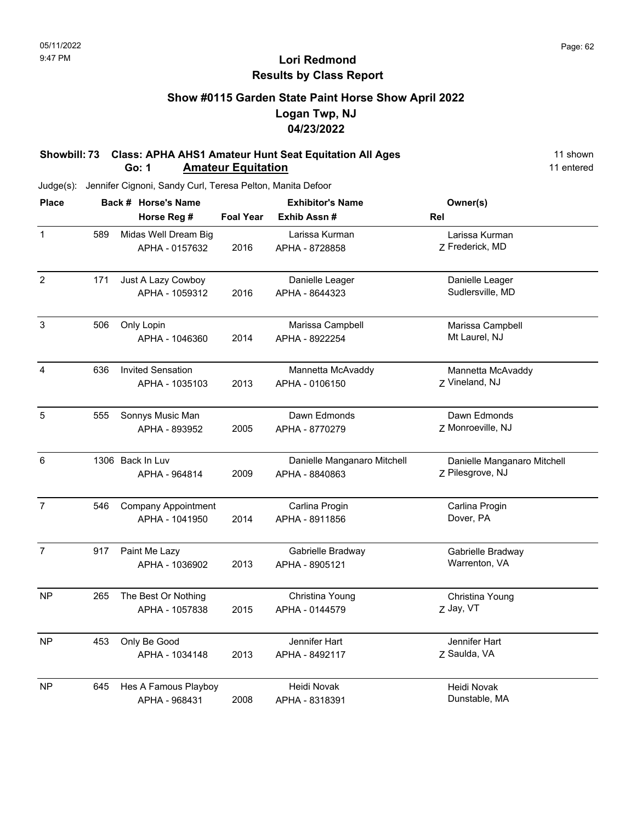### **Show #0115 Garden State Paint Horse Show April 2022 Logan Twp, NJ 04/23/2022**

#### **Showbill: 73 Class: APHA AHS1 Amateur Hunt Seat Equitation All Ages** 11 Shown **Go: 1 Amateur Equitation** 11 entered

| <b>Place</b>   |     | Back # Horse's Name        |                  | <b>Exhibitor's Name</b>     | Owner(s)                    |
|----------------|-----|----------------------------|------------------|-----------------------------|-----------------------------|
|                |     | Horse Reg #                | <b>Foal Year</b> | Exhib Assn#                 | Rel                         |
| $\mathbf{1}$   | 589 | Midas Well Dream Big       |                  | Larissa Kurman              | Larissa Kurman              |
|                |     | APHA - 0157632             | 2016             | APHA - 8728858              | Z Frederick, MD             |
| $\overline{2}$ | 171 | Just A Lazy Cowboy         |                  | Danielle Leager             | Danielle Leager             |
|                |     | APHA - 1059312             | 2016             | APHA - 8644323              | Sudlersville, MD            |
| 3              | 506 | Only Lopin                 |                  | Marissa Campbell            | Marissa Campbell            |
|                |     | APHA - 1046360             | 2014             | APHA - 8922254              | Mt Laurel, NJ               |
| $\overline{4}$ | 636 | <b>Invited Sensation</b>   |                  | Mannetta McAvaddy           | Mannetta McAvaddy           |
|                |     | APHA - 1035103             | 2013             | APHA - 0106150              | Z Vineland, NJ              |
| 5              | 555 | Sonnys Music Man           |                  | Dawn Edmonds                | Dawn Edmonds                |
|                |     | APHA - 893952              | 2005             | APHA - 8770279              | Z Monroeville, NJ           |
| $6\,$          |     | 1306 Back In Luv           |                  | Danielle Manganaro Mitchell | Danielle Manganaro Mitchell |
|                |     | APHA - 964814              | 2009             | APHA - 8840863              | Z Pilesgrove, NJ            |
| $\overline{7}$ | 546 | <b>Company Appointment</b> |                  | Carlina Progin              | Carlina Progin              |
|                |     | APHA - 1041950             | 2014             | APHA - 8911856              | Dover, PA                   |
| $\overline{7}$ | 917 | Paint Me Lazy              |                  | Gabrielle Bradway           | Gabrielle Bradway           |
|                |     | APHA - 1036902             | 2013             | APHA - 8905121              | Warrenton, VA               |
| <b>NP</b>      | 265 | The Best Or Nothing        |                  | Christina Young             | Christina Young             |
|                |     | APHA - 1057838             | 2015             | APHA - 0144579              | Z Jay, VT                   |
| <b>NP</b>      | 453 | Only Be Good               |                  | Jennifer Hart               | Jennifer Hart               |
|                |     | APHA - 1034148             | 2013             | APHA - 8492117              | Z Saulda, VA                |
| <b>NP</b>      | 645 | Hes A Famous Playboy       |                  | Heidi Novak                 | Heidi Novak                 |
|                |     | APHA - 968431              | 2008             | APHA - 8318391              | Dunstable, MA               |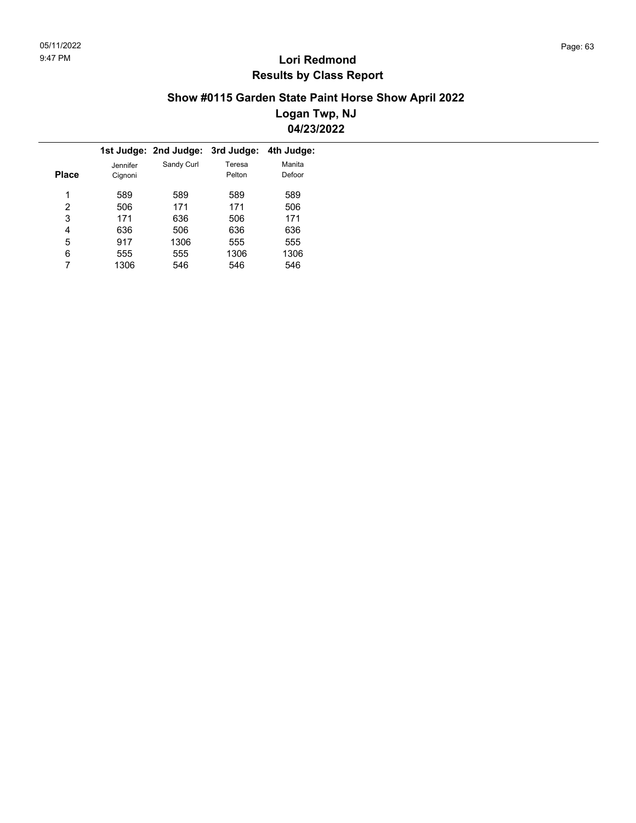### **Show #0115 Garden State Paint Horse Show April 2022 Logan Twp, NJ 04/23/2022**

|       |          | 1st Judge: 2nd Judge: | 3rd Judge: | 4th Judge: |
|-------|----------|-----------------------|------------|------------|
|       | Jennifer | Sandy Curl            | Teresa     | Manita     |
| Place | Cignoni  |                       | Pelton     | Defoor     |
|       |          |                       |            |            |
| 1     | 589      | 589                   | 589        | 589        |
| 2     | 506      | 171                   | 171        | 506        |
| 3     | 171      | 636                   | 506        | 171        |
| 4     | 636      | 506                   | 636        | 636        |
| 5     | 917      | 1306                  | 555        | 555        |
| 6     | 555      | 555                   | 1306       | 1306       |
|       | 1306     | 546                   | 546        | 546        |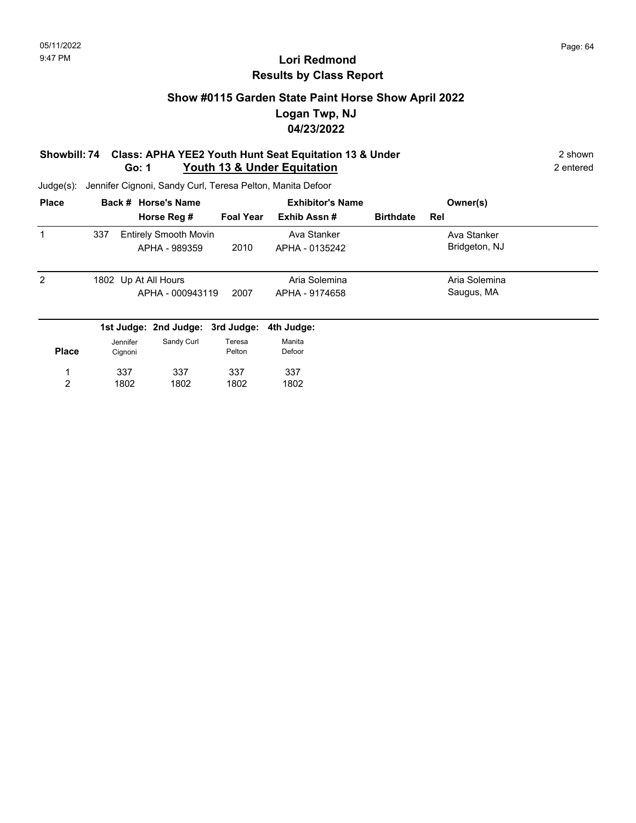### **Show #0115 Garden State Paint Horse Show April 2022 Logan Twp, NJ 04/23/2022**

#### **Showbill: 74 Class: APHA YEE2 Youth Hunt Seat Equitation 13 & Under** 2 shown 2 shown **Go: 1 Youth 13 & Under Equitation** 2 entered

| <b>Place</b>   |          | Back # Horse's Name              |                  |                | <b>Exhibitor's Name</b> |                  |     | Owner(s)      |  |
|----------------|----------|----------------------------------|------------------|----------------|-------------------------|------------------|-----|---------------|--|
|                |          | Horse Reg #                      | <b>Foal Year</b> | Exhib Assn#    |                         | <b>Birthdate</b> | Rel |               |  |
| 1              | 337      | <b>Entirely Smooth Movin</b>     |                  | Ava Stanker    |                         |                  |     | Ava Stanker   |  |
|                |          | APHA - 989359                    | 2010             | APHA - 0135242 |                         |                  |     | Bridgeton, NJ |  |
| $\overline{2}$ |          | 1802 Up At All Hours             |                  | Aria Solemina  |                         |                  |     | Aria Solemina |  |
|                |          | APHA - 000943119                 | 2007             | APHA - 9174658 |                         |                  |     | Saugus, MA    |  |
|                |          | 1st Judge: 2nd Judge: 3rd Judge: |                  | 4th Judge:     |                         |                  |     |               |  |
|                | Jennifer | Sandy Curl                       | Teresa           | Manita         |                         |                  |     |               |  |
| <b>Place</b>   | Cignoni  |                                  | Pelton           | Defoor         |                         |                  |     |               |  |
|                | 337      | 337                              | 337              | 337            |                         |                  |     |               |  |
| 2              | 1802     | 1802                             | 1802             | 1802           |                         |                  |     |               |  |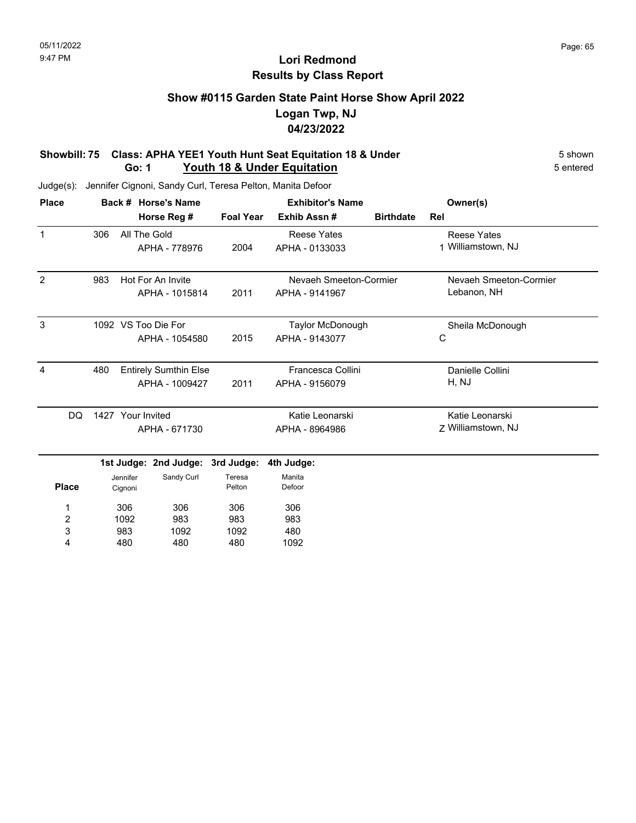# **Show #0115 Garden State Paint Horse Show April 2022 Logan Twp, NJ 04/23/2022**

#### **Showbill: 75 Class: APHA YEE1 Youth Hunt Seat Equitation 18 & Under** 5 Shown 5 shown **Go: 1** Youth 18 & Under Equitation **Figure 10 and 5 and 5 entered** 5 entered

| <b>Place</b>   |     |                   | Back # Horse's Name          |                  | <b>Exhibitor's Name</b> | Owner(s)         |                        |
|----------------|-----|-------------------|------------------------------|------------------|-------------------------|------------------|------------------------|
|                |     |                   | Horse Reg #                  | <b>Foal Year</b> | Exhib Assn#             | <b>Birthdate</b> | Rel                    |
| $\mathbf{1}$   | 306 | All The Gold      |                              |                  | <b>Reese Yates</b>      |                  | <b>Reese Yates</b>     |
|                |     |                   | APHA - 778976                | 2004             | APHA - 0133033          |                  | 1 Williamstown, NJ     |
| $\overline{2}$ | 983 |                   | Hot For An Invite            |                  | Nevaeh Smeeton-Cormier  |                  | Nevaeh Smeeton-Cormier |
|                |     |                   | APHA - 1015814               | 2011             | APHA - 9141967          |                  | Lebanon, NH            |
| 3              |     |                   | 1092 VS Too Die For          |                  | Taylor McDonough        |                  | Sheila McDonough       |
|                |     |                   | APHA - 1054580               | 2015             | APHA - 9143077          |                  | С                      |
| 4              | 480 |                   | <b>Entirely Sumthin Else</b> |                  | Francesca Collini       |                  | Danielle Collini       |
|                |     |                   | APHA - 1009427               | 2011             | APHA - 9156079          |                  | H, NJ                  |
| DQ             |     | 1427 Your Invited |                              |                  | Katie Leonarski         |                  | Katie Leonarski        |
|                |     |                   | APHA - 671730                |                  | APHA - 8964986          |                  | 7 Williamstown, NJ     |
|                |     |                   | 1st Judge: 2nd Judge:        | 3rd Judge:       | 4th Judge:              |                  |                        |
|                |     | Jennifer          | Sandy Curl                   | Teresa           | Manita                  |                  |                        |
| <b>Place</b>   |     | Cignoni           |                              | Pelton           | Defoor                  |                  |                        |
| 1              |     | 306               | 306                          | 306              | 306                     |                  |                        |
| 2              |     | 1092              | 983                          | 983              | 983                     |                  |                        |
| 3              |     | 983               | 1092                         | 1092             | 480                     |                  |                        |
| 4              |     | 480               | 480                          | 480              | 1092                    |                  |                        |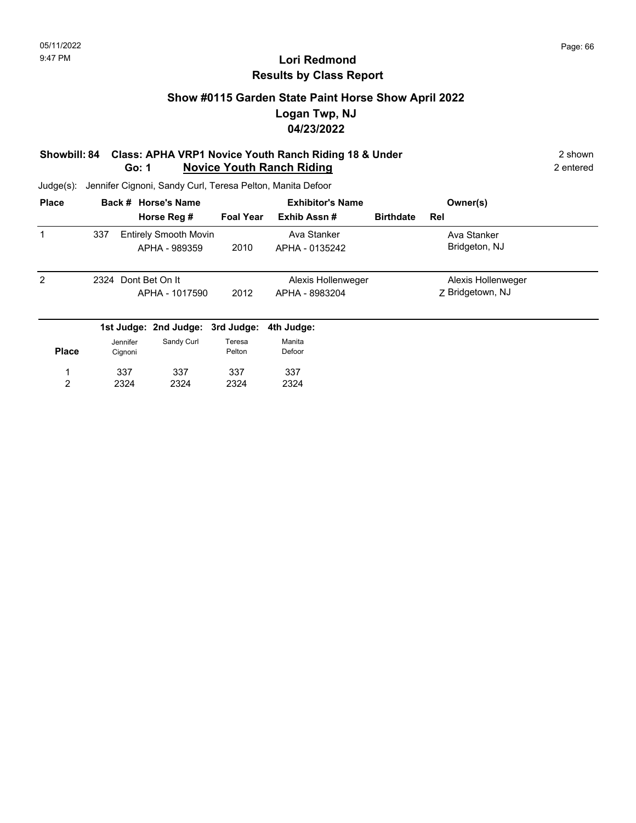### **Show #0115 Garden State Paint Horse Show April 2022 Logan Twp, NJ 04/23/2022**

#### **Showbill: 84 Class: APHA VRP1 Novice Youth Ranch Riding 18 & Under** 2 shown 2 shown **Go: 1 Novice Youth Ranch Riding** 2 entered

| <b>Place</b> |      |          | Back # Horse's Name              | <b>Exhibitor's Name</b> |                |                    | Owner(s)         |                    |  |
|--------------|------|----------|----------------------------------|-------------------------|----------------|--------------------|------------------|--------------------|--|
|              |      |          | Horse Reg #                      | <b>Foal Year</b>        | Exhib Assn#    |                    | <b>Birthdate</b> | Rel                |  |
| 1            | 337  |          | <b>Entirely Smooth Movin</b>     |                         | Ava Stanker    |                    |                  | Ava Stanker        |  |
|              |      |          | APHA - 989359                    | 2010                    | APHA - 0135242 |                    |                  | Bridgeton, NJ      |  |
| 2            | 2324 |          | Dont Bet On It                   |                         |                | Alexis Hollenweger |                  | Alexis Hollenweger |  |
|              |      |          | APHA - 1017590                   | 2012                    | APHA - 8983204 |                    |                  | Z Bridgetown, NJ   |  |
|              |      |          | 1st Judge: 2nd Judge: 3rd Judge: |                         | 4th Judge:     |                    |                  |                    |  |
|              |      | Jennifer | Sandy Curl                       | Teresa                  | Manita         |                    |                  |                    |  |
| <b>Place</b> |      | Cignoni  |                                  | Pelton                  | Defoor         |                    |                  |                    |  |
| 1            |      | 337      | 337                              | 337                     | 337            |                    |                  |                    |  |
| 2            |      | 2324     | 2324                             | 2324                    | 2324           |                    |                  |                    |  |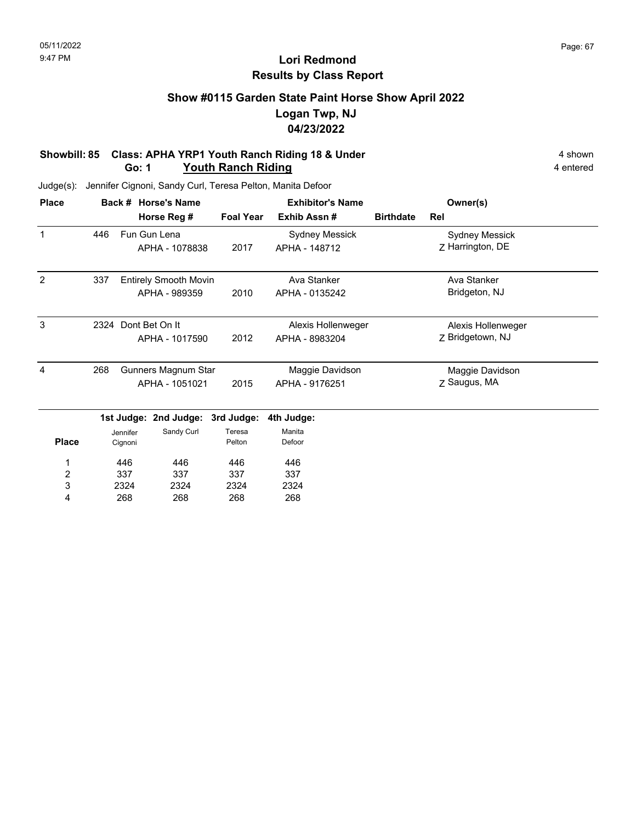### **Show #0115 Garden State Paint Horse Show April 2022 Logan Twp, NJ 04/23/2022**

#### **Showbill: 85 Class: APHA YRP1 Youth Ranch Riding 18 & Under** 4 shown 4 shown **Go: 1 Youth Ranch Riding 4** entered

Judge(s): Jennifer Cignoni, Sandy Curl, Teresa Pelton, Manita Defoor

| <b>Place</b> |      | Back #   | <b>Horse's Name</b>          |                  | <b>Exhibitor's Name</b> | Owner(s)         |                                           |  |
|--------------|------|----------|------------------------------|------------------|-------------------------|------------------|-------------------------------------------|--|
|              |      |          | Horse Reg #                  | <b>Foal Year</b> | Exhib Assn#             | <b>Birthdate</b> | Rel                                       |  |
|              | 446  |          | Fun Gun Lena                 |                  | Sydney Messick          |                  | <b>Sydney Messick</b><br>Z Harrington, DE |  |
|              |      |          | APHA - 1078838               | 2017             | APHA - 148712           |                  |                                           |  |
| 2            | 337  |          | <b>Entirely Smooth Movin</b> |                  | Ava Stanker             |                  | Ava Stanker                               |  |
|              |      |          | APHA - 989359                | 2010             | APHA - 0135242          |                  | Bridgeton, NJ                             |  |
| 3            | 2324 |          | Dont Bet On It               |                  | Alexis Hollenweger      |                  | Alexis Hollenweger                        |  |
|              |      |          | APHA - 1017590               | 2012             | APHA - 8983204          |                  | Z Bridgetown, NJ                          |  |
| 4            | 268  |          | Gunners Magnum Star          |                  | Maggie Davidson         |                  | Maggie Davidson                           |  |
|              |      |          | APHA - 1051021               | 2015             | APHA - 9176251          |                  | Z Saugus, MA                              |  |
|              |      |          | 1st Judge: 2nd Judge:        | 3rd Judge:       | 4th Judge:              |                  |                                           |  |
|              |      | Jennifer | Sandy Curl                   | Teresa           | Manita                  |                  |                                           |  |
| <b>Place</b> |      | Cignoni  |                              | Pelton           | Defoor                  |                  |                                           |  |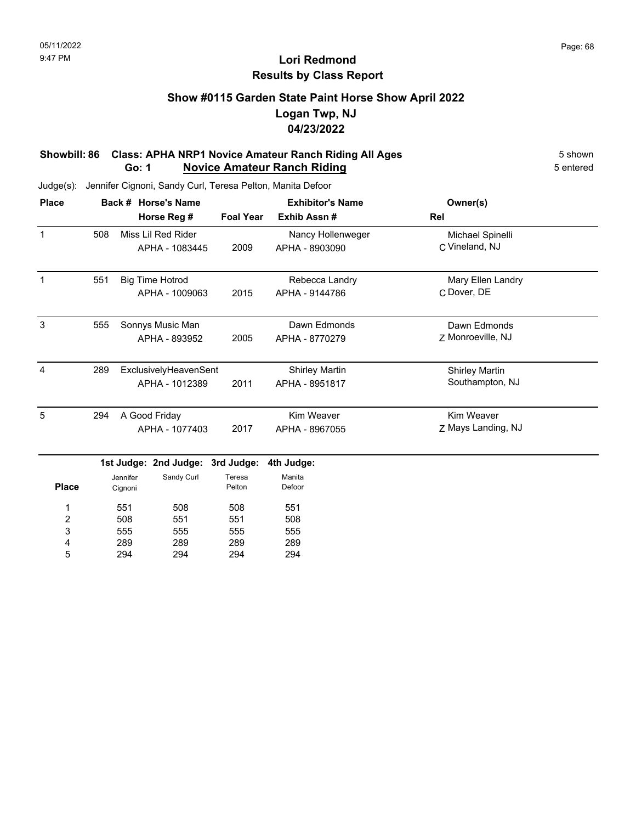### **Show #0115 Garden State Paint Horse Show April 2022 Logan Twp, NJ 04/23/2022**

#### **Showbill: 86 Class: APHA NRP1 Novice Amateur Ranch Riding All Ages** 5 Shown 5 shown **Go: 1 Novice Amateur Ranch Riding 1988 1998 5** entered

Judge(s): Jennifer Cignoni, Sandy Curl, Teresa Pelton, Manita Defoor

294

5

294

294

| <b>Place</b> |     |          | Back # Horse's Name    |                  | <b>Exhibitor's Name</b> | Owner(s)              |  |
|--------------|-----|----------|------------------------|------------------|-------------------------|-----------------------|--|
|              |     |          | Horse Reg #            | <b>Foal Year</b> | Exhib Assn#             | Rel                   |  |
| $\mathbf{1}$ | 508 |          | Miss Lil Red Rider     |                  | Nancy Hollenweger       | Michael Spinelli      |  |
|              |     |          | APHA - 1083445         | 2009             | APHA - 8903090          | C Vineland, NJ        |  |
| $\mathbf{1}$ | 551 |          | <b>Big Time Hotrod</b> |                  | Rebecca Landry          | Mary Ellen Landry     |  |
|              |     |          | APHA - 1009063         | 2015             | APHA - 9144786          | C Dover, DE           |  |
| 3            | 555 |          | Sonnys Music Man       |                  | Dawn Edmonds            | Dawn Edmonds          |  |
|              |     |          | APHA - 893952          | 2005             | APHA - 8770279          | Z Monroeville, NJ     |  |
| 4            | 289 |          | ExclusivelyHeavenSent  |                  | <b>Shirley Martin</b>   | <b>Shirley Martin</b> |  |
|              |     |          | APHA - 1012389         | 2011             | APHA - 8951817          | Southampton, NJ       |  |
| 5            | 294 |          | A Good Friday          |                  | Kim Weaver              | Kim Weaver            |  |
|              |     |          | APHA - 1077403         | 2017             | APHA - 8967055          | Z Mays Landing, NJ    |  |
|              |     |          | 1st Judge: 2nd Judge:  | 3rd Judge:       | 4th Judge:              |                       |  |
|              |     | Jennifer | Sandy Curl             | Teresa           | Manita                  |                       |  |
| <b>Place</b> |     | Cignoni  |                        | Pelton           | Defoor                  |                       |  |
| 1            |     | 551      | 508                    | 508              | 551                     |                       |  |
| 2            |     | 508      | 551                    | 551              | 508                     |                       |  |
| 3            |     | 555      | 555                    | 555              | 555                     |                       |  |
| 4            |     | 289      | 289                    | 289              | 289                     |                       |  |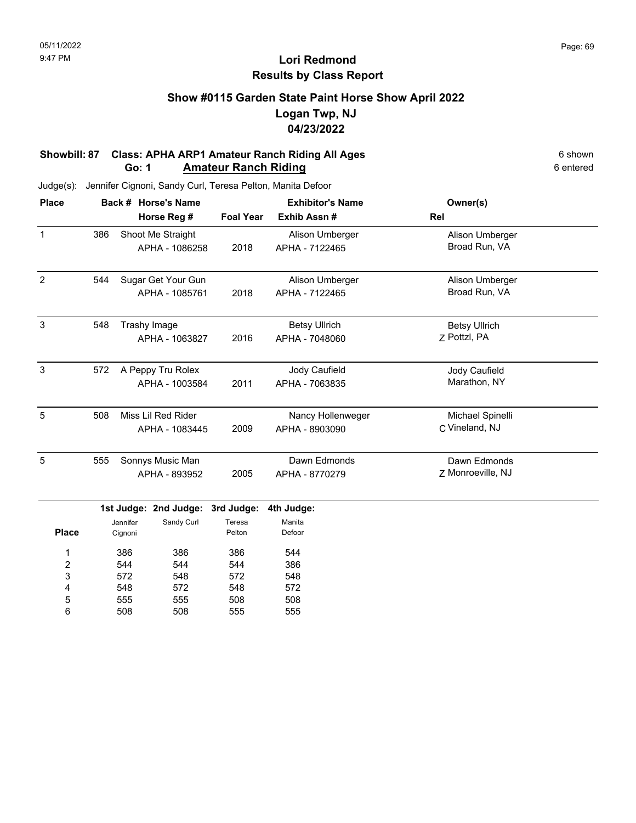## **Show #0115 Garden State Paint Horse Show April 2022 Logan Twp, NJ 04/23/2022**

#### **Showbill: 87 Class: APHA ARP1 Amateur Ranch Riding All Ages** 6 Shown 6 shown **Go: 1 Amateur Ranch Riding 6 entered** 6 entered

| <b>Place</b>            |     |          | Back # Horse's Name   |                  | <b>Exhibitor's Name</b> | Owner(s)             |  |
|-------------------------|-----|----------|-----------------------|------------------|-------------------------|----------------------|--|
|                         |     |          | Horse Reg #           | <b>Foal Year</b> | Exhib Assn #            | Rel                  |  |
| $\mathbf{1}$            | 386 |          | Shoot Me Straight     |                  | Alison Umberger         | Alison Umberger      |  |
|                         |     |          | APHA - 1086258        | 2018             | APHA - 7122465          | Broad Run, VA        |  |
| $\overline{2}$          | 544 |          | Sugar Get Your Gun    |                  | Alison Umberger         | Alison Umberger      |  |
|                         |     |          | APHA - 1085761        | 2018             | APHA - 7122465          | Broad Run, VA        |  |
| $\mathbf{3}$            | 548 |          | Trashy Image          |                  | <b>Betsy Ullrich</b>    | <b>Betsy Ullrich</b> |  |
|                         |     |          | APHA - 1063827        | 2016             | APHA - 7048060          | Z Pottzl, PA         |  |
| $\mathbf{3}$            | 572 |          | A Peppy Tru Rolex     |                  | Jody Caufield           | Jody Caufield        |  |
|                         |     |          | APHA - 1003584        | 2011             | APHA - 7063835          | Marathon, NY         |  |
| 5                       | 508 |          | Miss Lil Red Rider    |                  | Nancy Hollenweger       | Michael Spinelli     |  |
|                         |     |          | APHA - 1083445        | 2009             | APHA - 8903090          | C Vineland, NJ       |  |
| 5                       | 555 |          | Sonnys Music Man      |                  | Dawn Edmonds            | Dawn Edmonds         |  |
|                         |     |          | APHA - 893952         | 2005             | APHA - 8770279          | Z Monroeville, NJ    |  |
|                         |     |          | 1st Judge: 2nd Judge: | 3rd Judge:       | 4th Judge:              |                      |  |
|                         |     | Jennifer | Sandy Curl            | Teresa           | Manita                  |                      |  |
| <b>Place</b>            |     | Cignoni  |                       | Pelton           | Defoor                  |                      |  |
| 1                       |     | 386      | 386                   | 386              | 544                     |                      |  |
| $\overline{\mathbf{c}}$ |     | 544      | 544                   | 544              | 386                     |                      |  |
| 3                       |     | 572      | 548                   | 572              | 548                     |                      |  |
| 4                       |     | 548      | 572                   | 548              | 572                     |                      |  |
| 5                       |     | 555      | 555                   | 508              | 508                     |                      |  |
| 6                       |     | 508      | 508                   | 555              | 555                     |                      |  |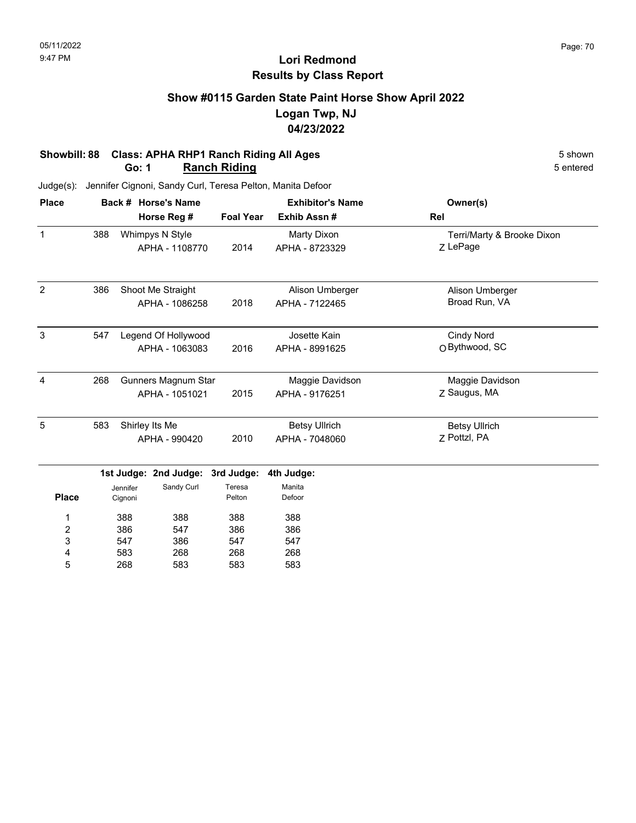## **Show #0115 Garden State Paint Horse Show April 2022 Logan Twp, NJ 04/23/2022**

#### **Showbill: 88 Class: APHA RHP1 Ranch Riding All Ages** 5 shown 5 shown 5 shown 5 shown 5 shown **Go: 1 Ranch Riding**

547 583 268

3 4 5 386 268 583 547 268 583

547 268 583

| <b>Place</b>   |     |          | Back # Horse's Name   |                  | <b>Exhibitor's Name</b> | Owner(s)                   |
|----------------|-----|----------|-----------------------|------------------|-------------------------|----------------------------|
|                |     |          | Horse Reg #           | <b>Foal Year</b> | Exhib Assn#             | Rel                        |
| 1              | 388 |          | Whimpys N Style       |                  | Marty Dixon             | Terri/Marty & Brooke Dixon |
|                |     |          | APHA - 1108770        | 2014             | APHA - 8723329          | Z LePage                   |
| 2              | 386 |          | Shoot Me Straight     |                  | Alison Umberger         | Alison Umberger            |
|                |     |          | APHA - 1086258        | 2018             | APHA - 7122465          | Broad Run, VA              |
| 3              | 547 |          | Legend Of Hollywood   |                  | Josette Kain            | <b>Cindy Nord</b>          |
|                |     |          | APHA - 1063083        | 2016             | APHA - 8991625          | O Bythwood, SC             |
| 4              | 268 |          | Gunners Magnum Star   |                  | Maggie Davidson         | Maggie Davidson            |
|                |     |          | APHA - 1051021        | 2015             | APHA - 9176251          | Z Saugus, MA               |
| 5              | 583 |          | Shirley Its Me        |                  | <b>Betsy Ullrich</b>    | <b>Betsy Ullrich</b>       |
|                |     |          | APHA - 990420         | 2010             | APHA - 7048060          | 7 Pottzl, PA               |
|                |     |          | 1st Judge: 2nd Judge: | 3rd Judge:       | 4th Judge:              |                            |
|                |     | Jennifer | Sandy Curl            | Teresa           | Manita                  |                            |
| <b>Place</b>   |     | Cignoni  |                       | Pelton           | Defoor                  |                            |
| 1              |     | 388      | 388                   | 388              | 388                     |                            |
| $\overline{c}$ |     | 386      | 547                   | 386              | 386                     |                            |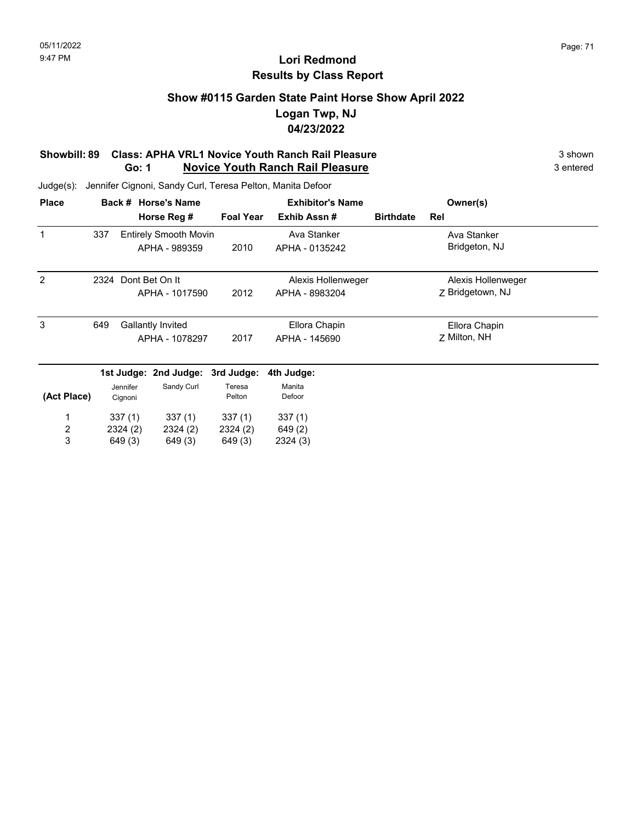# **Show #0115 Garden State Paint Horse Show April 2022 Logan Twp, NJ 04/23/2022**

#### **Showbill: 89 Class: APHA VRL1 Novice Youth Ranch Rail Pleasure** 3 shown 3 shown **Go: 1 Novice Youth Ranch Rail Pleasure** 3 entered

| <b>Place</b> |                     |                          | Back # Horse's Name          |                  | <b>Exhibitor's Name</b> |                  | Owner(s)           |  |
|--------------|---------------------|--------------------------|------------------------------|------------------|-------------------------|------------------|--------------------|--|
|              |                     |                          | Horse Reg #                  | <b>Foal Year</b> | Exhib Assn#             | <b>Birthdate</b> | Rel                |  |
| 1            | 337                 |                          | <b>Entirely Smooth Movin</b> |                  | Ava Stanker             |                  | Ava Stanker        |  |
|              |                     |                          | APHA - 989359                | 2010             | APHA - 0135242          |                  | Bridgeton, NJ      |  |
| 2            | 2324                |                          | Dont Bet On It               |                  | Alexis Hollenweger      |                  | Alexis Hollenweger |  |
|              |                     |                          | APHA - 1017590               | 2012             | APHA - 8983204          |                  | Z Bridgetown, NJ   |  |
| 3            | 649                 | <b>Gallantly Invited</b> |                              |                  | Ellora Chapin           |                  | Ellora Chapin      |  |
|              | APHA - 1078297      |                          | 2017                         | APHA - 145690    |                         | Z Milton, NH     |                    |  |
|              |                     |                          | 1st Judge: 2nd Judge:        | 3rd Judge:       | 4th Judge:              |                  |                    |  |
| (Act Place)  | Jennifer<br>Cignoni |                          | Sandy Curl                   | Teresa<br>Pelton | Manita<br>Defoor        |                  |                    |  |
| 1            | 337(1)              |                          | 337(1)                       | 337(1)           | 337(1)                  |                  |                    |  |
| 2            |                     | 2324(2)                  | 2324(2)                      | 2324 (2)         | 649(2)                  |                  |                    |  |
| 3            |                     | 649 (3)                  | 649 (3)                      | 649(3)           | 2324 (3)                |                  |                    |  |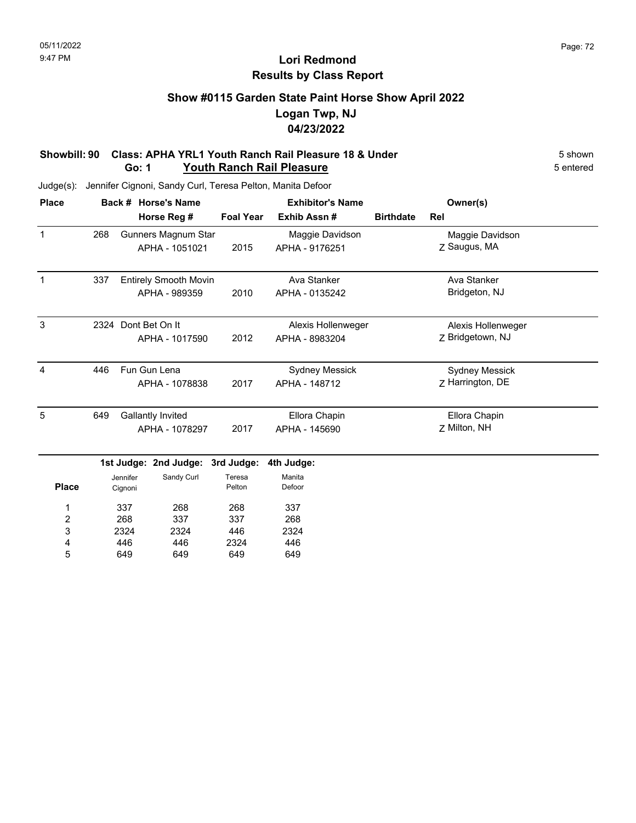# **Show #0115 Garden State Paint Horse Show April 2022 Logan Twp, NJ 04/23/2022**

#### **Showbill: 90 Class: APHA YRL1 Youth Ranch Rail Pleasure 18 & Under** 5 Shown 5 shown **Go: 1 Youth Ranch Rail Pleasure** 5 entered

| <b>Place</b>            |      |                                     | Back # Horse's Name        |                  | <b>Exhibitor's Name</b> |                  | Owner(s)              |  |
|-------------------------|------|-------------------------------------|----------------------------|------------------|-------------------------|------------------|-----------------------|--|
|                         |      |                                     | Horse Reg #                | <b>Foal Year</b> | Exhib Assn #            | <b>Birthdate</b> | Rel                   |  |
| $\mathbf{1}$            | 268  |                                     | <b>Gunners Magnum Star</b> |                  | Maggie Davidson         |                  | Maggie Davidson       |  |
|                         |      |                                     | APHA - 1051021             | 2015             | APHA - 9176251          |                  | Z Saugus, MA          |  |
| $\mathbf 1$             |      | 337<br><b>Entirely Smooth Movin</b> |                            |                  | Ava Stanker             |                  | Ava Stanker           |  |
|                         |      |                                     | APHA - 989359              | 2010             | APHA - 0135242          |                  | Bridgeton, NJ         |  |
| 3                       | 2324 |                                     | Dont Bet On It             |                  | Alexis Hollenweger      |                  | Alexis Hollenweger    |  |
|                         |      |                                     | APHA - 1017590             | 2012             | APHA - 8983204          |                  | Z Bridgetown, NJ      |  |
| 4                       | 446  |                                     | Fun Gun Lena               |                  | <b>Sydney Messick</b>   |                  | <b>Sydney Messick</b> |  |
|                         |      |                                     | APHA - 1078838             | 2017             | APHA - 148712           |                  | Z Harrington, DE      |  |
| 5                       |      | 649<br><b>Gallantly Invited</b>     |                            |                  | Ellora Chapin           |                  | Ellora Chapin         |  |
|                         |      | APHA - 1078297                      |                            | 2017             | APHA - 145690           |                  | Z Milton, NH          |  |
|                         |      |                                     | 1st Judge: 2nd Judge:      | 3rd Judge:       | 4th Judge:              |                  |                       |  |
| <b>Place</b>            |      | Jennifer<br>Cignoni                 | Sandy Curl                 | Teresa<br>Pelton | Manita<br>Defoor        |                  |                       |  |
| 1                       |      | 337                                 | 268                        | 268              | 337                     |                  |                       |  |
| $\overline{\mathbf{c}}$ |      | 268                                 | 337                        | 337              | 268                     |                  |                       |  |
| 3                       |      | 2324                                | 2324                       | 446              | 2324                    |                  |                       |  |
| 4                       |      | 446                                 | 446                        | 2324             | 446                     |                  |                       |  |
| 5                       |      | 649                                 | 649                        | 649              | 649                     |                  |                       |  |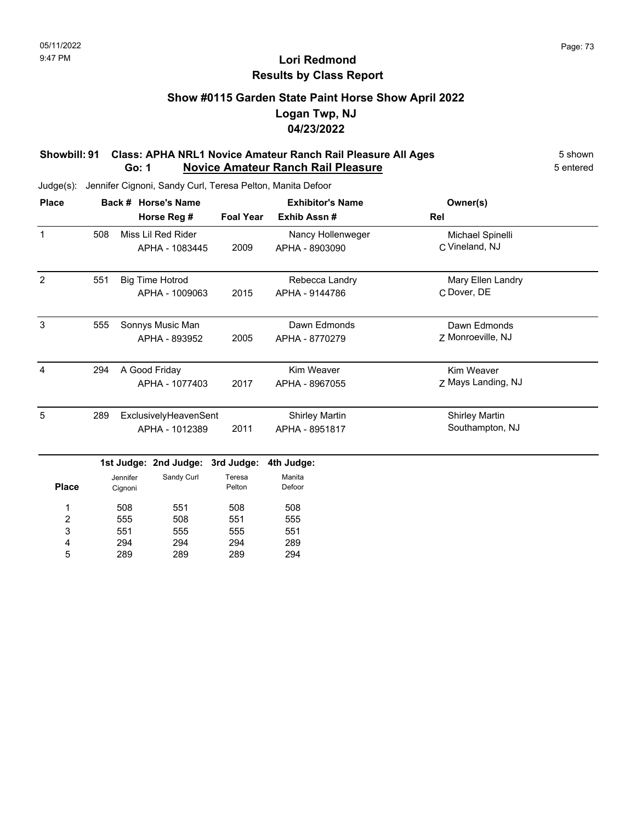### **Show #0115 Garden State Paint Horse Show April 2022 Logan Twp, NJ 04/23/2022**

#### **Showbill: 91 Class: APHA NRL1 Novice Amateur Ranch Rail Pleasure All Ages** 5 shown **Go: 1 Novice Amateur Ranch Rail Pleasure** 5 entered

Judge(s): Jennifer Cignoni, Sandy Curl, Teresa Pelton, Manita Defoor

289

5

289

289

294

| <b>Place</b>            |     |                        | Back # Horse's Name   |                   | <b>Exhibitor's Name</b> | Owner(s)              |  |
|-------------------------|-----|------------------------|-----------------------|-------------------|-------------------------|-----------------------|--|
|                         |     |                        | Horse Reg #           | <b>Foal Year</b>  | Exhib Assn#             | Rel                   |  |
| $\mathbf{1}$            | 508 | Miss Lil Red Rider     |                       | Nancy Hollenweger | Michael Spinelli        |                       |  |
|                         |     |                        | APHA - 1083445        | 2009              | APHA - 8903090          | C Vineland, NJ        |  |
| $\overline{2}$          | 551 | <b>Big Time Hotrod</b> |                       |                   | Rebecca Landry          | Mary Ellen Landry     |  |
|                         |     |                        | APHA - 1009063        | 2015              | APHA - 9144786          | C Dover, DE           |  |
| 3                       | 555 |                        | Sonnys Music Man      |                   | Dawn Edmonds            | Dawn Edmonds          |  |
|                         |     |                        | APHA - 893952         | 2005              | APHA - 8770279          | Z Monroeville, NJ     |  |
| 4                       | 294 |                        | A Good Friday         |                   | Kim Weaver              | Kim Weaver            |  |
|                         |     |                        | APHA - 1077403        | 2017              | APHA - 8967055          | Z Mays Landing, NJ    |  |
| 5                       | 289 |                        | ExclusivelyHeavenSent |                   | <b>Shirley Martin</b>   | <b>Shirley Martin</b> |  |
|                         |     | APHA - 1012389         |                       | 2011              | APHA - 8951817          | Southampton, NJ       |  |
|                         |     |                        | 1st Judge: 2nd Judge: | 3rd Judge:        | 4th Judge:              |                       |  |
| <b>Place</b>            |     | Jennifer<br>Cignoni    | Sandy Curl            | Teresa<br>Pelton  | Manita<br>Defoor        |                       |  |
| 1                       |     | 508                    | 551                   | 508               | 508                     |                       |  |
| $\overline{\mathbf{c}}$ |     | 555                    | 508                   | 551               | 555                     |                       |  |
| 3                       |     | 551                    | 555                   | 555               | 551                     |                       |  |
| 4                       |     | 294                    | 294                   | 294               | 289                     |                       |  |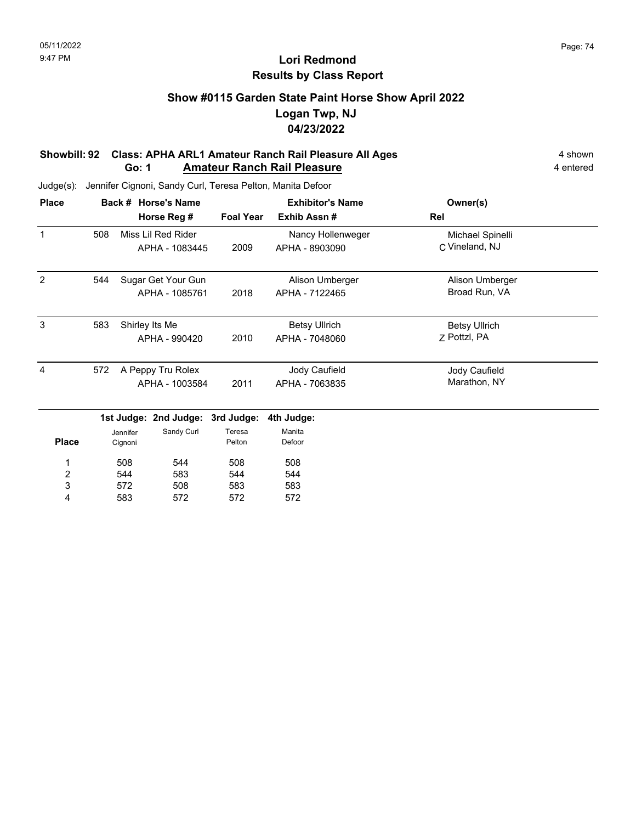### **Show #0115 Garden State Paint Horse Show April 2022 Logan Twp, NJ 04/23/2022**

#### **Showbill: 92 Class: APHA ARL1 Amateur Ranch Rail Pleasure All Ages** 4 shown **Go: 1 Amateur Ranch Rail Pleasure** 4 **entered** 4 **entered**

| <b>Place</b> |     | Back # Horse's Name                                 | <b>Foal Year</b> | <b>Exhibitor's Name</b><br>Exhib Assn# | Owner(s)<br>Rel                      |  |
|--------------|-----|-----------------------------------------------------|------------------|----------------------------------------|--------------------------------------|--|
| 1            | 508 | Horse Reg #<br>Miss Lil Red Rider<br>APHA - 1083445 | 2009             | Nancy Hollenweger<br>APHA - 8903090    | Michael Spinelli<br>C Vineland, NJ   |  |
|              |     |                                                     |                  |                                        |                                      |  |
| 2            | 544 | Sugar Get Your Gun<br>APHA - 1085761                | 2018             | Alison Umberger<br>APHA - 7122465      | Alison Umberger<br>Broad Run, VA     |  |
| 3            | 583 | Shirley Its Me<br>APHA - 990420                     | 2010             | <b>Betsy Ullrich</b><br>APHA - 7048060 | <b>Betsy Ullrich</b><br>7 Pottzl, PA |  |
| 4            | 572 | A Peppy Tru Rolex<br>APHA - 1003584                 | 2011             | Jody Caufield<br>APHA - 7063835        | Jody Caufield<br>Marathon, NY        |  |
|              |     | 1st Judge: 2nd Judge: 3rd Judge:                    |                  | 4th Judge:                             |                                      |  |

|              | .                   | ---------- | - - - - - - - - - | .                |
|--------------|---------------------|------------|-------------------|------------------|
| <b>Place</b> | Jennifer<br>Cignoni | Sandy Curl | Teresa<br>Pelton  | Manita<br>Defoor |
| 1            | 508                 | 544        | 508               | 508              |
| 2            | 544                 | 583        | 544               | 544              |
| 3            | 572                 | 508        | 583               | 583              |
| Δ            | 583                 | 572        | 572               | 572              |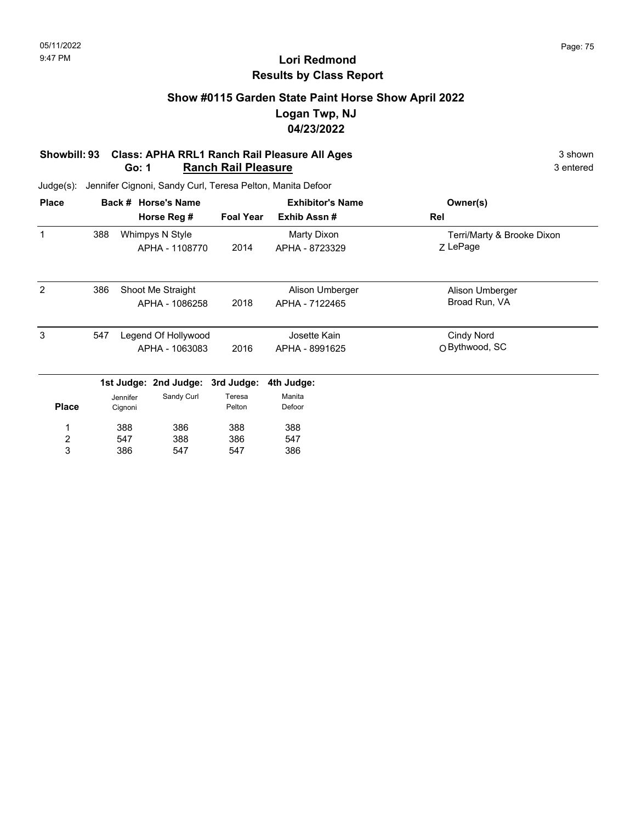### **Show #0115 Garden State Paint Horse Show April 2022 Logan Twp, NJ 04/23/2022**

#### **Showbill: 93 Class: APHA RRL1 Ranch Rail Pleasure All Ages** 3 shown 3 shown **Go: 1 Ranch Rail Pleasure** 3 entered

| <b>Place</b> |     |          | Back # Horse's Name   |                  | <b>Exhibitor's Name</b> | Owner(s)                   |
|--------------|-----|----------|-----------------------|------------------|-------------------------|----------------------------|
|              |     |          | Horse Reg #           | <b>Foal Year</b> | Exhib Assn#             | Rel                        |
| 1            | 388 |          | Whimpys N Style       |                  | Marty Dixon             | Terri/Marty & Brooke Dixon |
|              |     |          | APHA - 1108770        | 2014             | APHA - 8723329          | Z LePage                   |
| 2            | 386 |          | Shoot Me Straight     |                  | Alison Umberger         | Alison Umberger            |
|              |     |          | APHA - 1086258        | 2018             | APHA - 7122465          | Broad Run, VA              |
| 3            | 547 |          | Legend Of Hollywood   |                  | Josette Kain            | Cindy Nord                 |
|              |     |          | APHA - 1063083        | 2016             | APHA - 8991625          | O Bythwood, SC             |
|              |     |          | 1st Judge: 2nd Judge: | 3rd Judge:       | 4th Judge:              |                            |
|              |     | Jennifer | Sandy Curl            | Teresa           | Manita                  |                            |
| <b>Place</b> |     | Cignoni  |                       | Pelton           | Defoor                  |                            |
| 1            |     | 388      | 386                   | 388              | 388                     |                            |
| 2            |     | 547      | 388                   | 386              | 547                     |                            |
| 3            |     | 386      | 547                   | 547              | 386                     |                            |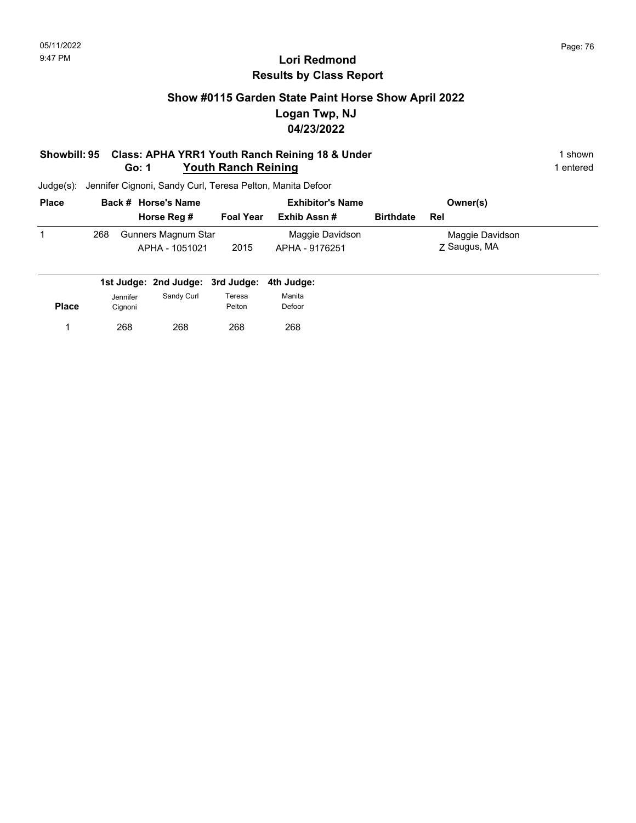### **Show #0115 Garden State Paint Horse Show April 2022 Logan Twp, NJ 04/23/2022**

#### **Showbill: 95 Class: APHA YRR1 Youth Ranch Reining 18 & Under** 1 **Shown** 1 shown **Go: 1 Youth Ranch Reining 1** entered

| <b>Place</b> |     | Back # Horse's Name                   | <b>Exhibitor's Name</b> |                                   |                  | Owner(s)                        |
|--------------|-----|---------------------------------------|-------------------------|-----------------------------------|------------------|---------------------------------|
|              |     | Horse Reg #                           | <b>Foal Year</b>        | Exhib Assn #                      | <b>Birthdate</b> | Rel                             |
|              | 268 | Gunners Magnum Star<br>APHA - 1051021 | 2015                    | Maggie Davidson<br>APHA - 9176251 |                  | Maggie Davidson<br>Z Saugus, MA |

|              |                     | 1st Judge: 2nd Judge: 3rd Judge: 4th Judge: |                  |                  |
|--------------|---------------------|---------------------------------------------|------------------|------------------|
| <b>Place</b> | Jennifer<br>Cignoni | Sandy Curl                                  | Teresa<br>Pelton | Manita<br>Defoor |
|              | 268                 | 268                                         | 268              | 268              |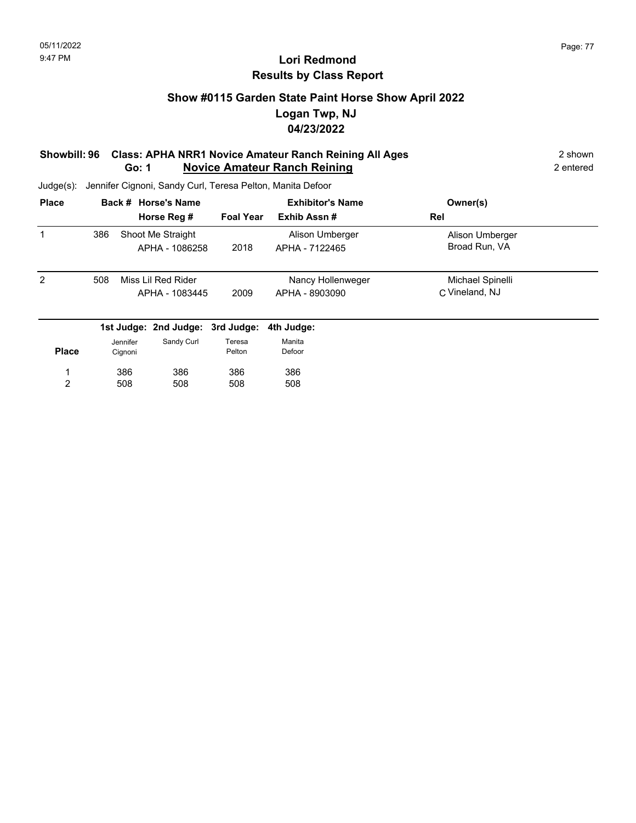### **Show #0115 Garden State Paint Horse Show April 2022 Logan Twp, NJ 04/23/2022**

#### **Showbill: 96 Class: APHA NRR1 Novice Amateur Ranch Reining All Ages** 2 shown **Go: 1 Novice Amateur Ranch Reining 2 entered 2 entered 2 entered**

Judge(s): Jennifer Cignoni, Sandy Curl, Teresa Pelton, Manita Defoor

| <b>Place</b>   |                           | Back # Horse's Name |                                     |                   | <b>Exhibitor's Name</b>           | Owner(s)                         |  |
|----------------|---------------------------|---------------------|-------------------------------------|-------------------|-----------------------------------|----------------------------------|--|
|                |                           |                     | Horse Reg #                         | <b>Foal Year</b>  | Exhib Assn#                       | Rel                              |  |
| 1              | 386                       |                     | Shoot Me Straight<br>APHA - 1086258 | 2018              | Alison Umberger<br>APHA - 7122465 | Alison Umberger<br>Broad Run, VA |  |
|                |                           |                     |                                     |                   |                                   |                                  |  |
| $\overline{2}$ | 508<br>Miss Lil Red Rider |                     |                                     | Nancy Hollenweger | Michael Spinelli                  |                                  |  |
|                |                           |                     | APHA - 1083445                      | 2009              | APHA - 8903090                    | C Vineland, NJ                   |  |
|                |                           |                     | 1st Judge: 2nd Judge: 3rd Judge:    |                   | 4th Judge:                        |                                  |  |
|                |                           | Jennifer            | Sandy Curl                          | Teresa            | Manita                            |                                  |  |
| <b>Place</b>   |                           | Cignoni             |                                     | Pelton            | Defoor                            |                                  |  |
|                |                           | 386                 | 386                                 | 386               | 386                               |                                  |  |
| 2              |                           | 508                 | 508                                 | 508               | 508                               |                                  |  |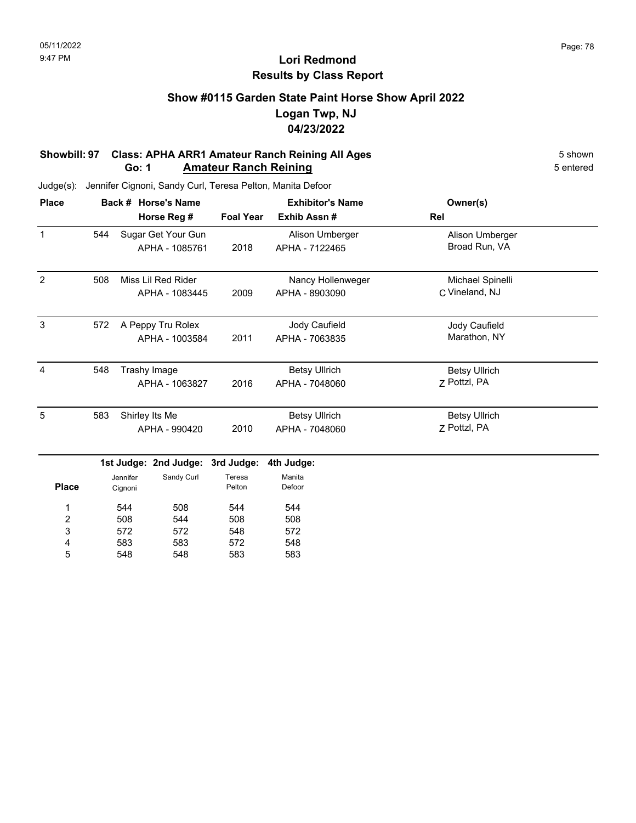### **Show #0115 Garden State Paint Horse Show April 2022 Logan Twp, NJ 04/23/2022**

#### **Showbill: 97 Class: APHA ARR1 Amateur Ranch Reining All Ages** 5 Shown 5 shown **Go: 1 Amateur Ranch Reining** 5 entered

Judge(s): Jennifer Cignoni, Sandy Curl, Teresa Pelton, Manita Defoor

548

5

548

583

583

| <b>Place</b>            |     |             | Back # Horse's Name   |            | <b>Exhibitor's Name</b>         | Owner(s)             |  |
|-------------------------|-----|-------------|-----------------------|------------|---------------------------------|----------------------|--|
|                         |     | Horse Reg # |                       |            | Exhib Assn#<br><b>Foal Year</b> | Rel                  |  |
| $\mathbf{1}$            | 544 |             | Sugar Get Your Gun    |            | Alison Umberger                 | Alison Umberger      |  |
|                         |     |             | APHA - 1085761        |            | APHA - 7122465                  | Broad Run, VA        |  |
| $\overline{2}$          | 508 |             | Miss Lil Red Rider    |            | Nancy Hollenweger               | Michael Spinelli     |  |
|                         |     |             | APHA - 1083445        | 2009       | APHA - 8903090                  | C Vineland, NJ       |  |
| 3                       | 572 |             | A Peppy Tru Rolex     |            | Jody Caufield                   | Jody Caufield        |  |
|                         |     |             | APHA - 1003584        | 2011       | APHA - 7063835                  | Marathon, NY         |  |
| $\overline{4}$          | 548 |             | Trashy Image          |            | <b>Betsy Ullrich</b>            | <b>Betsy Ullrich</b> |  |
|                         |     |             | APHA - 1063827        | 2016       | APHA - 7048060                  | Z Pottzl, PA         |  |
| 5                       | 583 |             | Shirley Its Me        |            | <b>Betsy Ullrich</b>            | <b>Betsy Ullrich</b> |  |
|                         |     |             | APHA - 990420         | 2010       | APHA - 7048060                  | Z Pottzl, PA         |  |
|                         |     |             | 1st Judge: 2nd Judge: | 3rd Judge: | 4th Judge:                      |                      |  |
|                         |     | Jennifer    | Sandy Curl            | Teresa     | Manita                          |                      |  |
| <b>Place</b>            |     | Cignoni     |                       | Pelton     | Defoor                          |                      |  |
| 1                       |     | 544         | 508                   | 544        | 544                             |                      |  |
| $\overline{\mathbf{c}}$ |     | 508         | 544                   | 508        | 508                             |                      |  |
| 3                       |     | 572         | 572                   | 548        | 572                             |                      |  |
| 4                       |     | 583         | 583                   | 572        | 548                             |                      |  |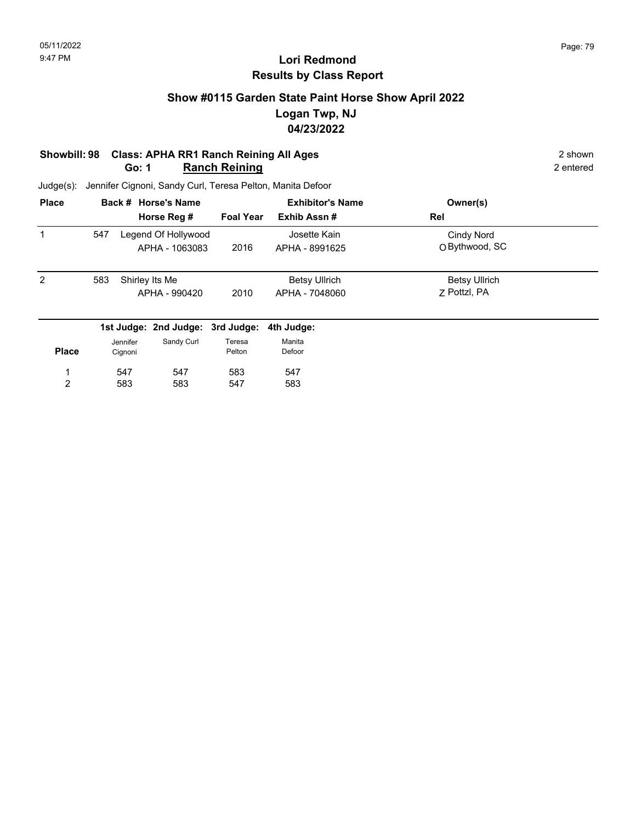### **Show #0115 Garden State Paint Horse Show April 2022 Logan Twp, NJ 04/23/2022**

#### **Showbill: 98 Class: APHA RR1 Ranch Reining All Ages** 2 shown **Go: 1 Ranch Reining** 2 entered

| <b>Place</b><br>1 |                       |                                  | Back # Horse's Name                   |                      | <b>Exhibitor's Name</b>        | Owner(s)                     |  |
|-------------------|-----------------------|----------------------------------|---------------------------------------|----------------------|--------------------------------|------------------------------|--|
|                   |                       |                                  | Horse Reg #                           | <b>Foal Year</b>     | Exhib Assn#                    | Rel                          |  |
|                   | 547                   |                                  | Legend Of Hollywood<br>APHA - 1063083 | 2016                 | Josette Kain<br>APHA - 8991625 | Cindy Nord<br>O Bythwood, SC |  |
|                   |                       |                                  |                                       |                      |                                |                              |  |
| $\overline{2}$    | 583<br>Shirley Its Me |                                  |                                       | <b>Betsy Ullrich</b> | <b>Betsy Ullrich</b>           |                              |  |
|                   |                       |                                  | APHA - 990420                         | 2010                 | APHA - 7048060                 | 7 Pottzl, PA                 |  |
|                   |                       | 1st Judge: 2nd Judge: 3rd Judge: |                                       |                      | 4th Judge:                     |                              |  |
|                   |                       | Jennifer                         | Sandy Curl                            | Teresa               | Manita                         |                              |  |
| <b>Place</b>      |                       | Cignoni                          |                                       | Pelton               | Defoor                         |                              |  |
| 1                 |                       | 547                              | 547                                   | 583                  | 547                            |                              |  |
| 2                 |                       | 583                              | 583                                   | 547                  | 583                            |                              |  |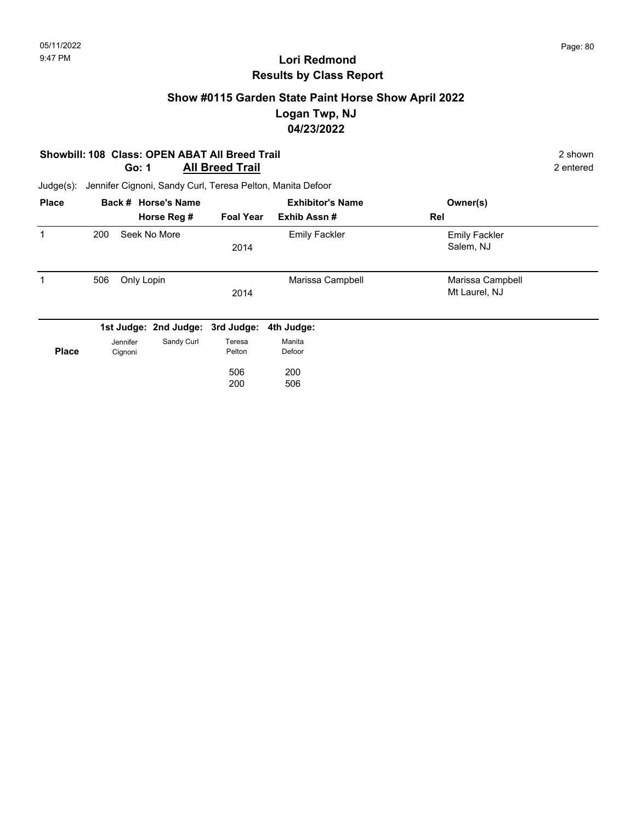### **Show #0115 Garden State Paint Horse Show April 2022 Logan Twp, NJ 04/23/2022**

#### **Showbill: 108 Class: OPEN ABAT All Breed Trail** 2 shown 2 shown 2 shown 2 shown 2 shown 2 shown 2 shown 2 shown 2 **Go: 1 All Breed Trail**

| <b>Place</b> |                     | Back # Horse's Name              |                  | <b>Exhibitor's Name</b> | Owner(s)                          |  |
|--------------|---------------------|----------------------------------|------------------|-------------------------|-----------------------------------|--|
|              |                     | Horse Reg #                      | <b>Foal Year</b> | Exhib Assn#             | Rel                               |  |
| 1            | 200                 | Seek No More                     | 2014             | <b>Emily Fackler</b>    | <b>Emily Fackler</b><br>Salem, NJ |  |
| 1            | 506                 | Only Lopin                       | 2014             | Marissa Campbell        | Marissa Campbell<br>Mt Laurel, NJ |  |
|              |                     | 1st Judge: 2nd Judge: 3rd Judge: |                  | 4th Judge:              |                                   |  |
| <b>Place</b> | Jennifer<br>Cignoni | Sandy Curl                       | Teresa<br>Pelton | Manita<br>Defoor        |                                   |  |
|              |                     |                                  | 506<br>200       | 200<br>506              |                                   |  |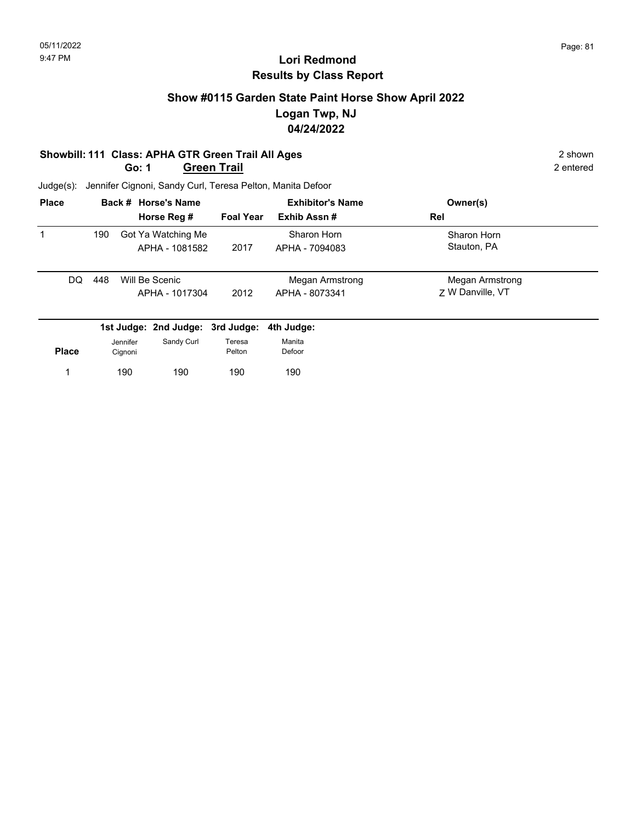### **Show #0115 Garden State Paint Horse Show April 2022 Logan Twp, NJ 04/24/2022**

#### **Showbill: 111 Class: APHA GTR Green Trail All Ages**<br> **Go: 1 Green Trail All Ages** 2 shown<br>
2 entered
2 entered **Go: 1 Green Trail**

| <b>Place</b> |     | Back # Horse's Name |                                      |                  | <b>Exhibitor's Name</b>           | Owner(s)                            |  |
|--------------|-----|---------------------|--------------------------------------|------------------|-----------------------------------|-------------------------------------|--|
|              |     |                     | Horse Reg #                          | <b>Foal Year</b> | Exhib Assn#                       | Rel                                 |  |
|              | 190 |                     | Got Ya Watching Me<br>APHA - 1081582 | 2017             | Sharon Horn<br>APHA - 7094083     | Sharon Horn<br>Stauton, PA          |  |
| DQ.          | 448 |                     | Will Be Scenic<br>APHA - 1017304     | 2012             | Megan Armstrong<br>APHA - 8073341 | Megan Armstrong<br>7 W Danville, VT |  |
|              |     |                     | 1st Judge: 2nd Judge: 3rd Judge:     |                  | 4th Judge:                        |                                     |  |
|              |     | Jennifer            | Sandy Curl                           | Teresa           | Manita                            |                                     |  |
| <b>Place</b> |     | Cignoni             |                                      | Pelton           | Defoor                            |                                     |  |
|              |     | 190                 | 190                                  | 190              | 190                               |                                     |  |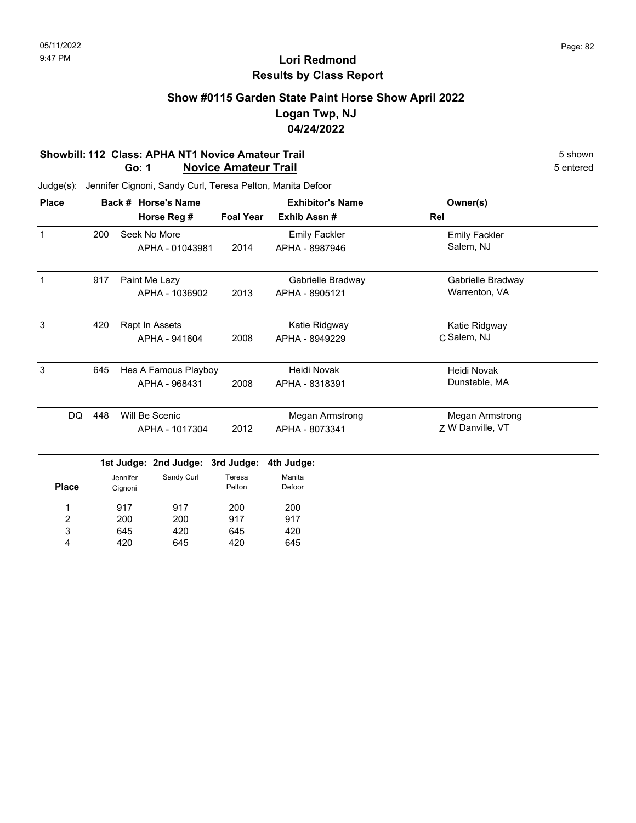### **Show #0115 Garden State Paint Horse Show April 2022 Logan Twp, NJ 04/24/2022**

#### **Showbill: 112 Class: APHA NT1 Novice Amateur Trail** 5 Shown 5 shown 5 Shown 5 shown 5 shown 5 shown 5 chtered **Go: 1 Novice Amateur Trail**

| <b>Place</b> |    |                      |          | Back # Horse's Name   |                  | <b>Exhibitor's Name</b> | Owner(s)               |  |
|--------------|----|----------------------|----------|-----------------------|------------------|-------------------------|------------------------|--|
|              |    | Horse Reg #          |          |                       | <b>Foal Year</b> | Exhib Assn#             | Rel                    |  |
| $\mathbf{1}$ |    | 200                  |          | Seek No More          |                  | <b>Emily Fackler</b>    | <b>Emily Fackler</b>   |  |
|              |    |                      |          | APHA - 01043981       |                  | APHA - 8987946          | Salem, NJ              |  |
| $\mathbf{1}$ |    | 917<br>Paint Me Lazy |          |                       |                  | Gabrielle Bradway       | Gabrielle Bradway      |  |
|              |    |                      |          | APHA - 1036902        | 2013             | APHA - 8905121          | Warrenton, VA          |  |
| 3            |    | 420                  |          | Rapt In Assets        |                  | Katie Ridgway           | Katie Ridgway          |  |
|              |    |                      |          | APHA - 941604         | 2008             | APHA - 8949229          | C Salem, NJ            |  |
| $\mathbf{3}$ |    | 645                  |          | Hes A Famous Playboy  |                  | Heidi Novak             | Heidi Novak            |  |
|              |    |                      |          | APHA - 968431         | 2008             | APHA - 8318391          | Dunstable, MA          |  |
|              | DQ | 448                  |          | Will Be Scenic        |                  | Megan Armstrong         | <b>Megan Armstrong</b> |  |
|              |    |                      |          | APHA - 1017304        | 2012             | APHA - 8073341          | Z W Danville, VT       |  |
|              |    |                      |          | 1st Judge: 2nd Judge: | 3rd Judge:       | 4th Judge:              |                        |  |
|              |    |                      | Jennifer | Sandy Curl            | Teresa           | Manita                  |                        |  |
| <b>Place</b> |    |                      | Cignoni  |                       | Pelton           | Defoor                  |                        |  |
| 1            |    |                      | 917      | 917                   | 200              | 200                     |                        |  |
| 2            |    |                      | 200      | 200                   | 917              | 917                     |                        |  |
| 3            |    |                      | 645      | 420                   | 645              | 420                     |                        |  |
| 4            |    |                      | 420      | 645                   | 420              | 645                     |                        |  |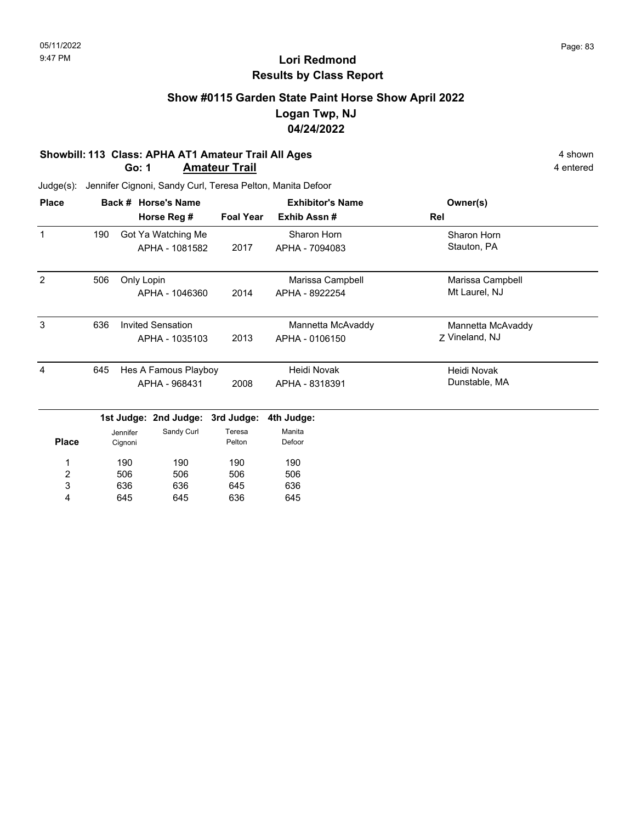### **Show #0115 Garden State Paint Horse Show April 2022 Logan Twp, NJ 04/24/2022**

#### **Showbill: 113 Class: APHA AT1 Amateur Trail All Ages** 4 shown **Go: 1 Amateur Trail** 4 entered

Judge(s): Jennifer Cignoni, Sandy Curl, Teresa Pelton, Manita Defoor

| <b>Place</b> |     | Back # Horse's Name      |                |                  | <b>Exhibitor's Name</b> |     | Owner(s)          |  |
|--------------|-----|--------------------------|----------------|------------------|-------------------------|-----|-------------------|--|
|              |     | Horse Reg #              |                | <b>Foal Year</b> | Exhib Assn#             | Rel |                   |  |
| $\mathbf 1$  | 190 | Got Ya Watching Me       |                |                  | Sharon Horn             |     | Sharon Horn       |  |
|              |     |                          | APHA - 1081582 | 2017             | APHA - 7094083          |     | Stauton, PA       |  |
| 2            | 506 | Only Lopin               |                |                  | Marissa Campbell        |     | Marissa Campbell  |  |
|              |     |                          | APHA - 1046360 | 2014             | APHA - 8922254          |     | Mt Laurel, NJ     |  |
| 3            | 636 | <b>Invited Sensation</b> |                |                  | Mannetta McAvaddy       |     | Mannetta McAvaddy |  |
|              |     |                          | APHA - 1035103 | 2013             | APHA - 0106150          |     | Z Vineland, NJ    |  |
| 4            | 645 | Hes A Famous Playboy     |                |                  | Heidi Novak             |     | Heidi Novak       |  |
|              |     |                          | APHA - 968431  | 2008             | APHA - 8318391          |     | Dunstable, MA     |  |
|              |     | 1st Judge: 2nd Judge:    |                | 3rd Judge:       | 4th Judge:              |     |                   |  |
|              |     | Jennifer                 | Sandy Curl     | Teresa           | Manita                  |     |                   |  |
| <b>Place</b> |     | Cignoni                  |                | Pelton           | Defoor                  |     |                   |  |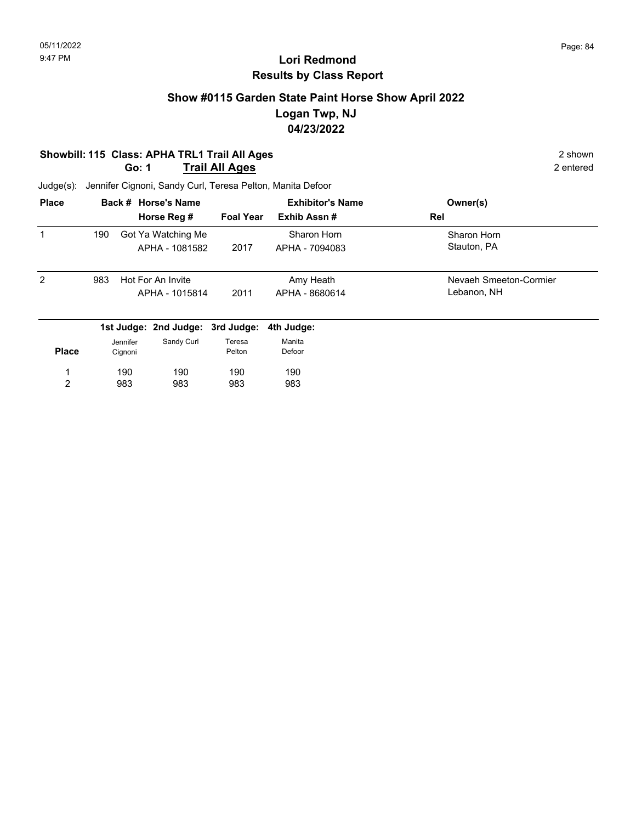### **Show #0115 Garden State Paint Horse Show April 2022 Logan Twp, NJ 04/23/2022**

#### **Showbill: 115 Class: APHA TRL1 Trail All Ages** 2 shown **Go: 1 Trail All Ages** 2 entered

| <b>Place</b>   |     |                     | Back # Horse's Name                  |                  | <b>Exhibitor's Name</b>       | Owner(s)                              |
|----------------|-----|---------------------|--------------------------------------|------------------|-------------------------------|---------------------------------------|
|                |     |                     | Horse Reg #                          | <b>Foal Year</b> | Exhib Assn#                   | Rel                                   |
| 1              | 190 |                     | Got Ya Watching Me<br>APHA - 1081582 | 2017             | Sharon Horn<br>APHA - 7094083 | Sharon Horn<br>Stauton, PA            |
| 2              | 983 |                     | Hot For An Invite<br>APHA - 1015814  | 2011             | Amy Heath<br>APHA - 8680614   | Nevaeh Smeeton-Cormier<br>Lebanon, NH |
|                |     |                     | 1st Judge: 2nd Judge: 3rd Judge:     |                  | 4th Judge:                    |                                       |
| <b>Place</b>   |     | Jennifer<br>Cignoni | Sandy Curl                           | Teresa<br>Pelton | Manita<br>Defoor              |                                       |
| 1              |     | 190                 | 190                                  | 190              | 190                           |                                       |
| $\overline{c}$ |     | 983                 | 983                                  | 983              | 983                           |                                       |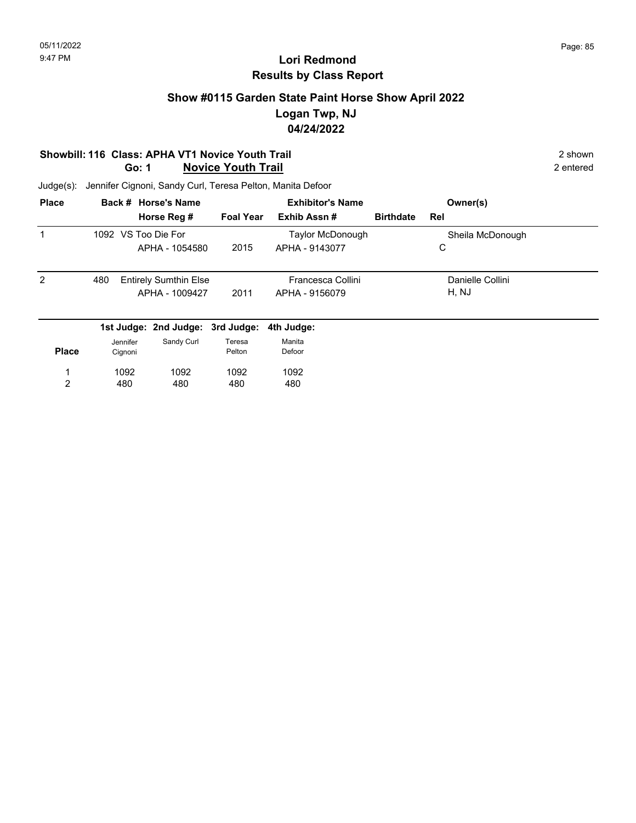### **Show #0115 Garden State Paint Horse Show April 2022 Logan Twp, NJ 04/24/2022**

#### **Showbill: 116 Class: APHA VT1 Novice Youth Trail 2 shown 2 shown 2 shown Go: 1 Novice Youth Trail** 2 entered

| <b>Place</b> |          | Back # Horse's Name              |                  | <b>Exhibitor's Name</b> |                  | Owner(s)         |  |
|--------------|----------|----------------------------------|------------------|-------------------------|------------------|------------------|--|
|              |          | Horse Reg #                      | <b>Foal Year</b> | Exhib Assn#             | <b>Birthdate</b> | Rel              |  |
| 1            |          | 1092 VS Too Die For              |                  | Taylor McDonough        |                  | Sheila McDonough |  |
|              |          | APHA - 1054580                   | 2015             | APHA - 9143077          |                  | С                |  |
| 2            | 480      | <b>Entirely Sumthin Else</b>     |                  | Francesca Collini       |                  | Danielle Collini |  |
|              |          | APHA - 1009427                   | 2011             | APHA - 9156079          |                  | H, NJ            |  |
|              |          | 1st Judge: 2nd Judge: 3rd Judge: |                  | 4th Judge:              |                  |                  |  |
|              | Jennifer | Sandy Curl                       | Teresa           | Manita                  |                  |                  |  |
| <b>Place</b> | Cignoni  |                                  | Pelton           | Defoor                  |                  |                  |  |
|              | 1092     | 1092                             | 1092             | 1092                    |                  |                  |  |
| 2            | 480      | 480                              | 480              | 480                     |                  |                  |  |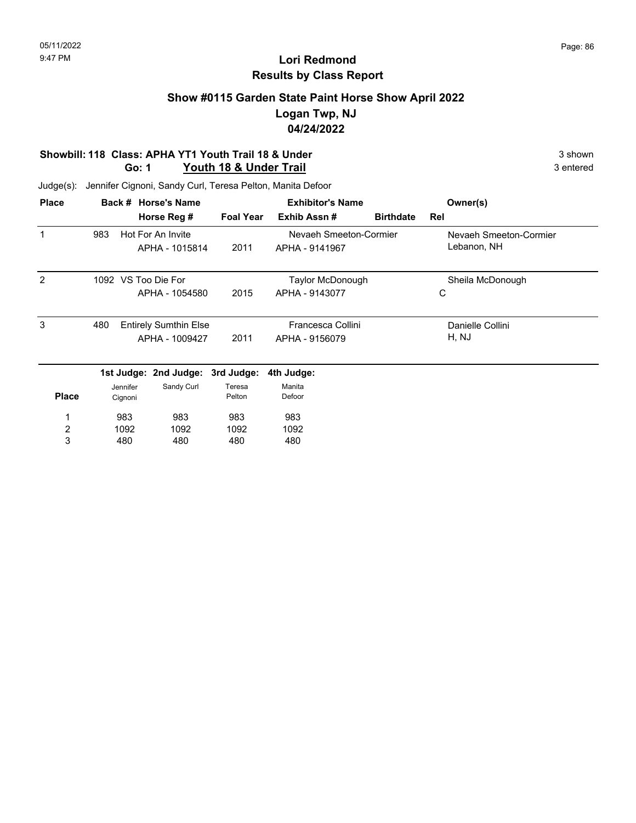### **Show #0115 Garden State Paint Horse Show April 2022 Logan Twp, NJ 04/24/2022**

#### **Showbill: 118 Class: APHA YT1 Youth Trail 18 & Under** 3 shown 3 shown 3 shown 3 shown 3 shown 3 shown 3 entered **Go: 1 Youth 18 & Under Trail**

| <b>Place</b>   |     |          | Back # Horse's Name          |                  | <b>Exhibitor's Name</b> |                  | Owner(s)               |
|----------------|-----|----------|------------------------------|------------------|-------------------------|------------------|------------------------|
|                |     |          | Horse Reg #                  | <b>Foal Year</b> | Exhib Assn#             | <b>Birthdate</b> | Rel                    |
|                | 983 |          | Hot For An Invite            |                  | Nevaeh Smeeton-Cormier  |                  | Nevaeh Smeeton-Cormier |
|                |     |          | APHA - 1015814               | 2011             | APHA - 9141967          |                  | Lebanon, NH            |
| $\mathcal{P}$  |     |          | 1092 VS Too Die For          |                  | Taylor McDonough        |                  | Sheila McDonough       |
|                |     |          | APHA - 1054580               | 2015             | APHA - 9143077          |                  | C                      |
| 3              | 480 |          | <b>Entirely Sumthin Else</b> |                  | Francesca Collini       |                  | Danielle Collini       |
|                |     |          | APHA - 1009427               | 2011             | APHA - 9156079          |                  | H, NJ                  |
|                |     |          | 1st Judge: 2nd Judge:        | 3rd Judge:       | 4th Judge:              |                  |                        |
|                |     | Jennifer | Sandy Curl                   | Teresa           | Manita                  |                  |                        |
| <b>Place</b>   |     | Cignoni  |                              | Pelton           | Defoor                  |                  |                        |
| 1              |     | 983      | 983                          | 983              | 983                     |                  |                        |
| $\overline{2}$ |     | 1092     | 1092                         | 1092             | 1092                    |                  |                        |
| 3              |     | 480      | 480                          | 480              | 480                     |                  |                        |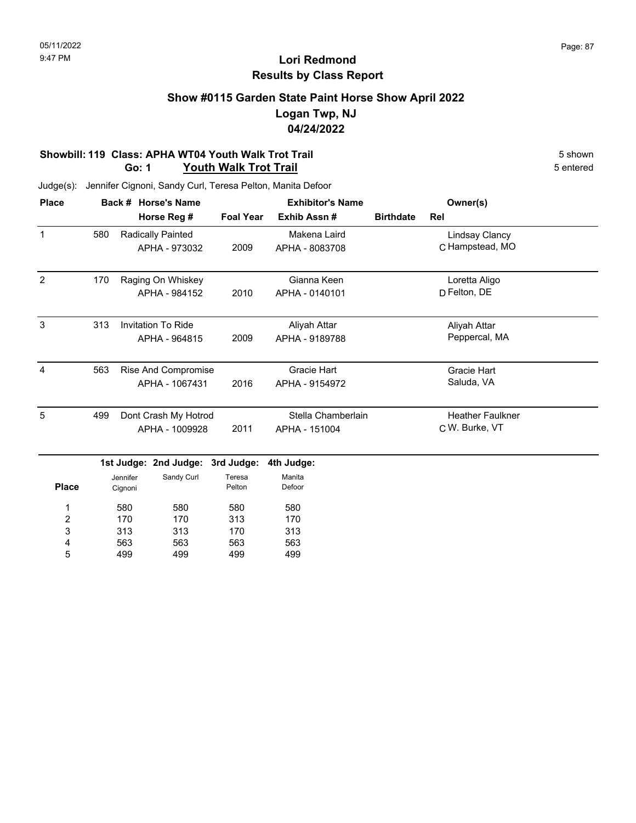### **Show #0115 Garden State Paint Horse Show April 2022 Logan Twp, NJ 04/24/2022**

#### **Showbill: 119 Class: APHA WT04 Youth Walk Trot Trail 5 shown 5 shown 5 shown 5 shown 6 shown Go: 1 Youth Walk Trot Trail**

| <b>Place</b>   |     | Back # Horse's Name |                           |                  | <b>Exhibitor's Name</b> |                  | Owner(s)                |  |
|----------------|-----|---------------------|---------------------------|------------------|-------------------------|------------------|-------------------------|--|
|                |     |                     | Horse Reg #               | <b>Foal Year</b> | Exhib Assn#             | <b>Birthdate</b> | Rel                     |  |
| $\mathbf{1}$   | 580 |                     | <b>Radically Painted</b>  |                  | Makena Laird            |                  | Lindsay Clancy          |  |
|                |     |                     | APHA - 973032             | 2009             | APHA - 8083708          |                  | C Hampstead, MO         |  |
| 2              | 170 |                     | Raging On Whiskey         |                  | Gianna Keen             |                  | Loretta Aligo           |  |
|                |     |                     | APHA - 984152             | 2010             | APHA - 0140101          |                  | D Felton, DE            |  |
| 3              | 313 |                     | <b>Invitation To Ride</b> |                  | Aliyah Attar            |                  | Aliyah Attar            |  |
|                |     |                     | APHA - 964815             | 2009             | APHA - 9189788          |                  | Peppercal, MA           |  |
| $\overline{4}$ | 563 |                     | Rise And Compromise       |                  | <b>Gracie Hart</b>      |                  | Gracie Hart             |  |
|                |     |                     | APHA - 1067431            | 2016             | APHA - 9154972          |                  | Saluda, VA              |  |
| 5              | 499 |                     | Dont Crash My Hotrod      |                  | Stella Chamberlain      |                  | <b>Heather Faulkner</b> |  |
|                |     |                     | APHA - 1009928            | 2011             | APHA - 151004           |                  | C W. Burke, VT          |  |
|                |     |                     | 1st Judge: 2nd Judge:     | 3rd Judge:       | 4th Judge:              |                  |                         |  |
|                |     | Jennifer            | Sandy Curl                | Teresa           | Manita                  |                  |                         |  |
| <b>Place</b>   |     | Cignoni             |                           | Pelton           | Defoor                  |                  |                         |  |
| 1              |     | 580                 | 580                       | 580              | 580                     |                  |                         |  |
| 2              |     | 170                 | 170                       | 313              | 170                     |                  |                         |  |
| 3              |     | 313                 | 313                       | 170              | 313                     |                  |                         |  |
| 4              |     | 563                 | 563                       | 563              | 563                     |                  |                         |  |
| 5              |     | 499                 | 499                       | 499              | 499                     |                  |                         |  |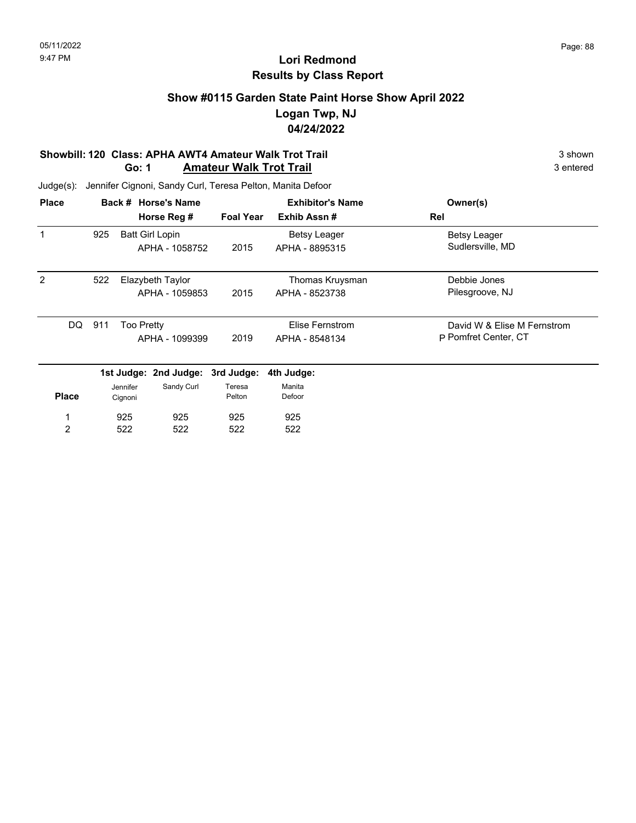### **Show #0115 Garden State Paint Horse Show April 2022 Logan Twp, NJ 04/24/2022**

#### **Showbill: 120 Class: APHA AWT4 Amateur Walk Trot Trail** 3 shown 3 shown 3 shown 3 shown 3 shown **Go: 1 Amateur Walk Trot Trail**

| <b>Place</b>   |     |                   | Back # Horse's Name    |                  | <b>Exhibitor's Name</b> | Owner(s)                    |
|----------------|-----|-------------------|------------------------|------------------|-------------------------|-----------------------------|
|                |     |                   | Horse Reg #            | <b>Foal Year</b> | Exhib Assn#             | Rel                         |
|                | 925 |                   | <b>Batt Girl Lopin</b> |                  | Betsy Leager            | Betsy Leager                |
|                |     |                   | APHA - 1058752         | 2015             | APHA - 8895315          | Sudlersville, MD            |
| $\mathcal{P}$  | 522 |                   | Elazybeth Taylor       |                  | Thomas Kruysman         | Debbie Jones                |
|                |     |                   | APHA - 1059853         | 2015             | APHA - 8523738          | Pilesgroove, NJ             |
| DQ             | 911 | <b>Too Pretty</b> |                        |                  | Elise Fernstrom         | David W & Elise M Fernstrom |
|                |     |                   | APHA - 1099399         | 2019             | APHA - 8548134          | P Pomfret Center, CT        |
|                |     |                   | 1st Judge: 2nd Judge:  | 3rd Judge:       | 4th Judge:              |                             |
|                |     | Jennifer          | Sandy Curl             | Teresa           | Manita                  |                             |
| <b>Place</b>   |     | Cignoni           |                        | Pelton           | Defoor                  |                             |
| 1              |     | 925               | 925                    | 925              | 925                     |                             |
| $\overline{2}$ |     | 522               | 522                    | 522              | 522                     |                             |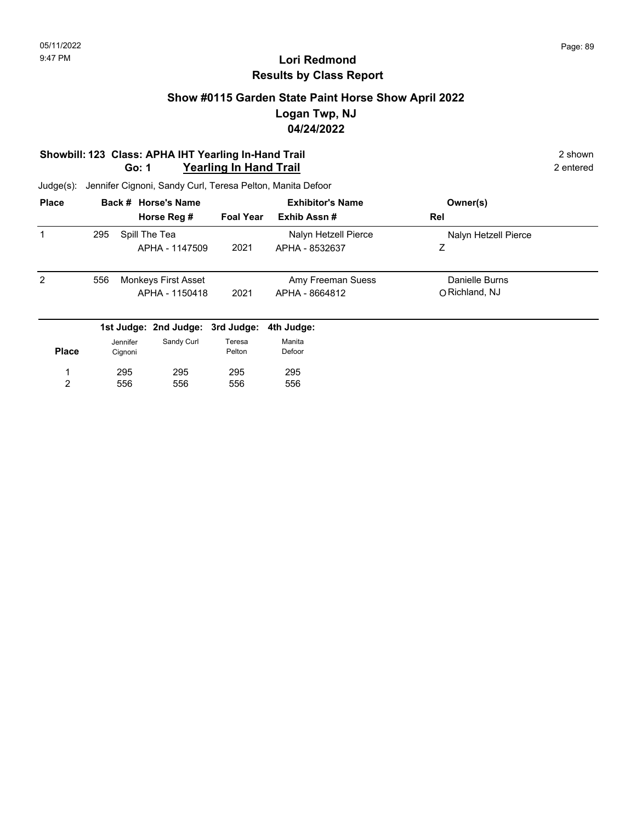### **Show #0115 Garden State Paint Horse Show April 2022 Logan Twp, NJ 04/24/2022**

#### **Showbill: 123 Class: APHA IHT Yearling In-Hand Trail 2 shown 2 shown 2 shown Go: 1 Yearling In Hand Trail** 2 entered

| <b>Place</b> |     |          | Back # Horse's Name              |                  |                | <b>Exhibitor's Name</b> |     | Owner(s)             |  |
|--------------|-----|----------|----------------------------------|------------------|----------------|-------------------------|-----|----------------------|--|
|              |     |          | Horse Reg #                      | <b>Foal Year</b> | Exhib Assn#    |                         | Rel |                      |  |
| 1            | 295 |          | Spill The Tea                    |                  |                | Nalyn Hetzell Pierce    |     | Nalyn Hetzell Pierce |  |
|              |     |          | APHA - 1147509                   | 2021             |                | APHA - 8532637          | Z   |                      |  |
| 2            | 556 |          | Monkeys First Asset              |                  |                | Amy Freeman Suess       |     | Danielle Burns       |  |
|              |     |          | APHA - 1150418                   | 2021             | APHA - 8664812 |                         |     | O Richland, NJ       |  |
|              |     |          | 1st Judge: 2nd Judge: 3rd Judge: |                  | 4th Judge:     |                         |     |                      |  |
|              |     | Jennifer | Sandy Curl                       | Teresa           | Manita         |                         |     |                      |  |
| <b>Place</b> |     | Cignoni  |                                  | Pelton           | Defoor         |                         |     |                      |  |
|              |     | 295      | 295                              | 295              | 295            |                         |     |                      |  |
| 2            |     | 556      | 556                              | 556              | 556            |                         |     |                      |  |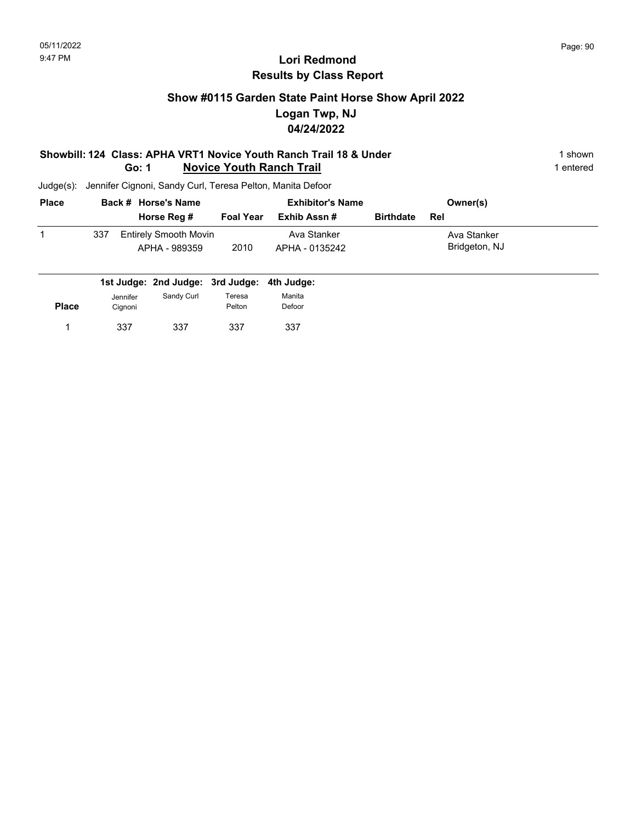### **Show #0115 Garden State Paint Horse Show April 2022 Logan Twp, NJ 04/24/2022**

#### **Showbill: 124 Class: APHA VRT1 Novice Youth Ranch Trail 18 & Under** 1 **Shown** 1 shown **Go: 1 Novice Youth Ranch Trail** 1 entered

| <b>Place</b> |     | Back # Horse's Name                           | <b>Exhibitor's Name</b> |                               |                  | Owner(s)                     |  |
|--------------|-----|-----------------------------------------------|-------------------------|-------------------------------|------------------|------------------------------|--|
|              |     | Horse Reg #                                   | <b>Foal Year</b>        | Exhib Assn #                  | <b>Birthdate</b> | Rel                          |  |
|              | 337 | <b>Entirely Smooth Movin</b><br>APHA - 989359 | 2010                    | Ava Stanker<br>APHA - 0135242 |                  | Ava Stanker<br>Bridgeton, NJ |  |

| Jennifer | Sandy Curl | Teresa | Manita                                                |
|----------|------------|--------|-------------------------------------------------------|
| Cignoni  |            |        | Defoor                                                |
| 337      | 337        | 337    | 337                                                   |
|          |            |        | 1st Judge: 2nd Judge: 3rd Judge: 4th Judge:<br>Pelton |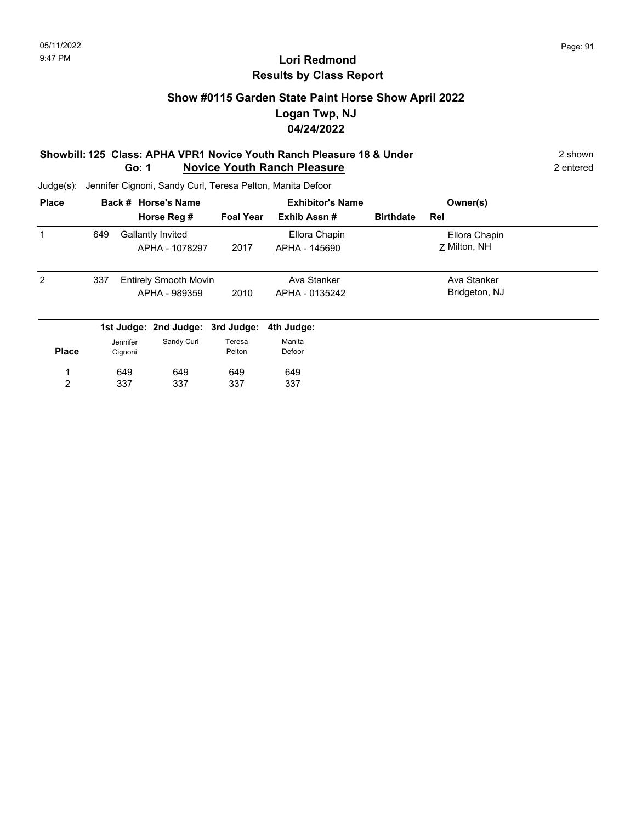### **Show #0115 Garden State Paint Horse Show April 2022 Logan Twp, NJ 04/24/2022**

#### **Showbill: 125 Class: APHA VPR1 Novice Youth Ranch Pleasure 18 & Under** 2 shown 2 shown **Go: 1 Novice Youth Ranch Pleasure** 2 entered

| <b>Place</b>   |     |          | Back # Horse's Name                 |                  | <b>Exhibitor's Name</b>        |                  | Owner(s)                      |  |
|----------------|-----|----------|-------------------------------------|------------------|--------------------------------|------------------|-------------------------------|--|
|                |     |          | Horse Reg #                         | <b>Foal Year</b> | Exhib Assn#                    | <b>Birthdate</b> | Rel                           |  |
| 1              | 649 |          | Gallantly Invited<br>APHA - 1078297 | 2017             | Ellora Chapin<br>APHA - 145690 |                  | Ellora Chapin<br>7 Milton, NH |  |
|                |     |          |                                     |                  |                                |                  |                               |  |
| 2              | 337 |          | <b>Entirely Smooth Movin</b>        |                  | Ava Stanker                    |                  | Ava Stanker                   |  |
|                |     |          | APHA - 989359                       | 2010             | APHA - 0135242                 |                  | Bridgeton, NJ                 |  |
|                |     |          | 1st Judge: 2nd Judge: 3rd Judge:    |                  | 4th Judge:                     |                  |                               |  |
|                |     | Jennifer | Sandy Curl                          | Teresa           | Manita                         |                  |                               |  |
| <b>Place</b>   |     | Cignoni  |                                     | Pelton           | Defoor                         |                  |                               |  |
|                |     | 649      | 649                                 | 649              | 649                            |                  |                               |  |
| $\overline{2}$ |     | 337      | 337                                 | 337              | 337                            |                  |                               |  |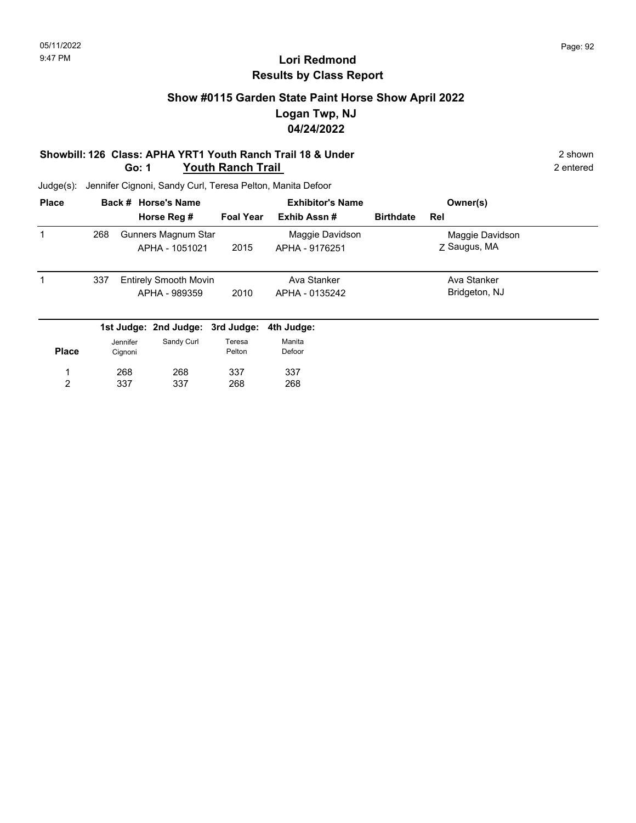### **Show #0115 Garden State Paint Horse Show April 2022 Logan Twp, NJ 04/24/2022**

#### **Showbill: 126 Class: APHA YRT1 Youth Ranch Trail 18 & Under** 2 shown 2 shown **Go: 1 Youth Ranch Trail** 2 entered

| <b>Place</b> |     |          | Back # Horse's Name              |                  | <b>Exhibitor's Name</b> |                  | Owner(s)        |  |
|--------------|-----|----------|----------------------------------|------------------|-------------------------|------------------|-----------------|--|
|              |     |          | Horse Reg #                      | <b>Foal Year</b> | Exhib Assn#             | <b>Birthdate</b> | Rel             |  |
| 1            | 268 |          | Gunners Magnum Star              |                  | Maggie Davidson         |                  | Maggie Davidson |  |
|              |     |          | APHA - 1051021                   | 2015             | APHA - 9176251          |                  | Z Saugus, MA    |  |
| 1            | 337 |          | <b>Entirely Smooth Movin</b>     |                  | Ava Stanker             |                  | Ava Stanker     |  |
|              |     |          | APHA - 989359                    | 2010             | APHA - 0135242          |                  | Bridgeton, NJ   |  |
|              |     |          | 1st Judge: 2nd Judge: 3rd Judge: |                  | 4th Judge:              |                  |                 |  |
|              |     | Jennifer | Sandy Curl                       | Teresa           | Manita                  |                  |                 |  |
| <b>Place</b> |     | Cignoni  |                                  | Pelton           | Defoor                  |                  |                 |  |
|              |     | 268      | 268                              | 337              | 337                     |                  |                 |  |
| 2            |     | 337      | 337                              | 268              | 268                     |                  |                 |  |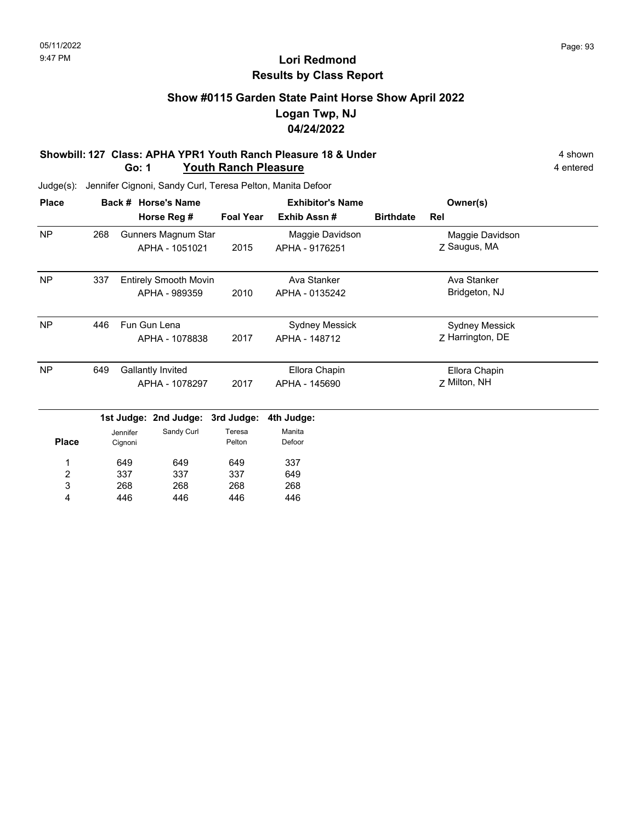### **Show #0115 Garden State Paint Horse Show April 2022 Logan Twp, NJ 04/24/2022**

#### **Showbill: 127 Class: APHA YPR1 Youth Ranch Pleasure 18 & Under** 4 Shown 4 shown **Go: 1 Youth Ranch Pleasure** 4 entered

| <b>Place</b> |     | <b>Horse's Name</b><br>Back #         | <b>Exhibitor's Name</b> |                                   |                  | Owner(s)                        |  |
|--------------|-----|---------------------------------------|-------------------------|-----------------------------------|------------------|---------------------------------|--|
|              |     | Horse Reg #                           | <b>Foal Year</b>        | Exhib Assn#                       | <b>Birthdate</b> | Rel                             |  |
| <b>NP</b>    | 268 | Gunners Magnum Star<br>APHA - 1051021 | 2015                    | Maggie Davidson<br>APHA - 9176251 |                  | Maggie Davidson<br>Z Saugus, MA |  |
|              |     |                                       |                         |                                   |                  |                                 |  |
| <b>NP</b>    | 337 | <b>Entirely Smooth Movin</b>          |                         | Ava Stanker                       |                  | Ava Stanker                     |  |
|              |     | APHA - 989359                         | 2010                    | APHA - 0135242                    |                  | Bridgeton, NJ                   |  |
| <b>NP</b>    | 446 | Fun Gun Lena                          |                         | Sydney Messick                    |                  | <b>Sydney Messick</b>           |  |
|              |     | APHA - 1078838                        | 2017                    | APHA - 148712                     |                  | Z Harrington, DE                |  |
| <b>NP</b>    | 649 | <b>Gallantly Invited</b>              |                         | Ellora Chapin                     |                  | Ellora Chapin                   |  |
|              |     | APHA - 1078297                        | 2017                    | APHA - 145690                     |                  | Z Milton, NH                    |  |
|              |     | 1st Judge: 2nd Judge: 3rd Judge:      |                         | 4th Judge:                        |                  |                                 |  |
|              |     | Sandy Curl<br>.lennifer               | Teresa                  | Manita                            |                  |                                 |  |

| <b>Place</b> | Jennifer<br>Cignoni | Sandy Curl | Teresa<br>Pelton | Manita<br>Defoor |
|--------------|---------------------|------------|------------------|------------------|
| 1            | 649                 | 649        | 649              | 337              |
| 2            | 337                 | 337        | 337              | 649              |
| 3            | 268                 | 268        | 268              | 268              |
| 4            | 446                 | 446        | 446              | 446              |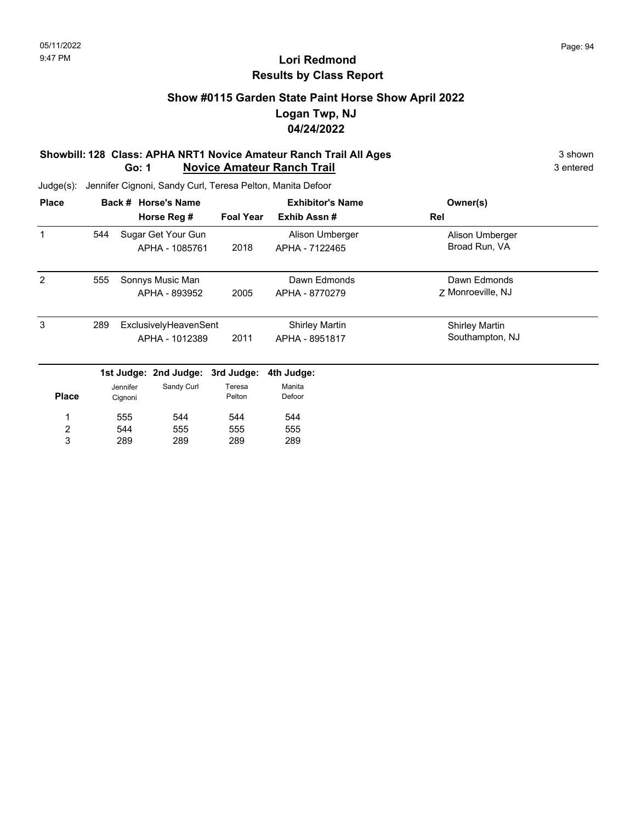### **Show #0115 Garden State Paint Horse Show April 2022 Logan Twp, NJ 04/24/2022**

#### **Showbill: 128 Class: APHA NRT1 Novice Amateur Ranch Trail All Ages** 3 shown 3 shown **Go: 1 Novice Amateur Ranch Trail** 3 entered

| <b>Place</b>   |     |          | Back # Horse's Name   |                  | <b>Exhibitor's Name</b> | Owner(s)              |
|----------------|-----|----------|-----------------------|------------------|-------------------------|-----------------------|
|                |     |          | Horse Reg #           | <b>Foal Year</b> | Exhib Assn#             | Rel                   |
|                | 544 |          | Sugar Get Your Gun    |                  | Alison Umberger         | Alison Umberger       |
|                |     |          | APHA - 1085761        | 2018             | APHA - 7122465          | Broad Run, VA         |
| 2              | 555 |          | Sonnys Music Man      |                  | Dawn Edmonds            | Dawn Edmonds          |
|                |     |          | APHA - 893952         | 2005             | APHA - 8770279          | Z Monroeville, NJ     |
| 3              | 289 |          | ExclusivelyHeavenSent |                  | <b>Shirley Martin</b>   | <b>Shirley Martin</b> |
|                |     |          | APHA - 1012389        | 2011             | APHA - 8951817          | Southampton, NJ       |
|                |     |          | 1st Judge: 2nd Judge: | 3rd Judge:       | 4th Judge:              |                       |
|                |     | Jennifer | Sandy Curl            | Teresa           | Manita                  |                       |
| <b>Place</b>   |     | Cignoni  |                       | Pelton           | Defoor                  |                       |
| 1              |     | 555      | 544                   | 544              | 544                     |                       |
| $\overline{c}$ |     | 544      | 555                   | 555              | 555                     |                       |
| 3              |     | 289      | 289                   | 289              | 289                     |                       |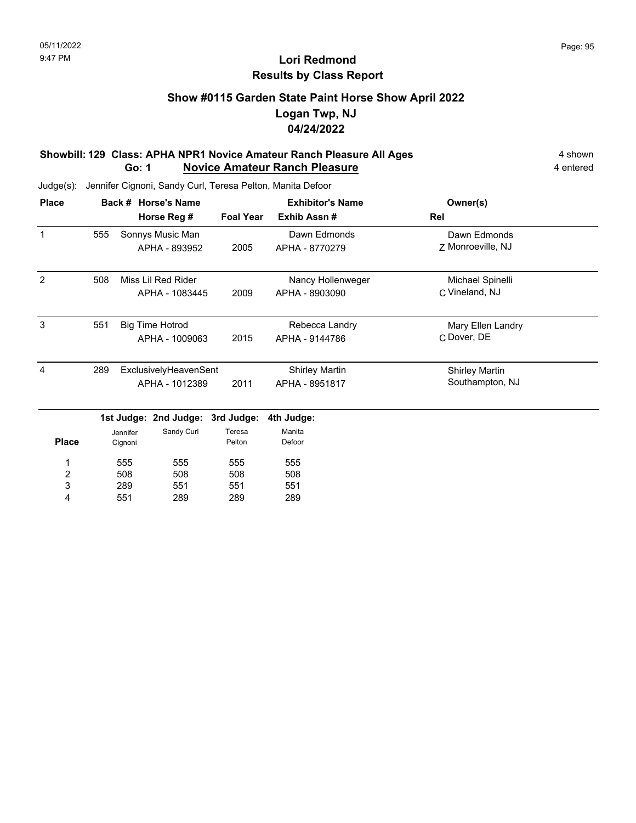### **Show #0115 Garden State Paint Horse Show April 2022 Logan Twp, NJ 04/24/2022**

#### **Showbill: 129 Class: APHA NPR1 Novice Amateur Ranch Pleasure All Ages** 4 shown **Go: 1 Novice Amateur Ranch Pleasure** 4 entered

Judge(s): Jennifer Cignoni, Sandy Curl, Teresa Pelton, Manita Defoor

| <b>Place</b> |     | <b>Horse's Name</b><br>Back # |                        |                  | <b>Exhibitor's Name</b> | Owner(s)              |
|--------------|-----|-------------------------------|------------------------|------------------|-------------------------|-----------------------|
|              |     |                               | Horse Reg #            | <b>Foal Year</b> | Exhib Assn#             | Rel                   |
| 1            | 555 |                               | Sonnys Music Man       |                  | Dawn Edmonds            | Dawn Edmonds          |
|              |     |                               | APHA - 893952          | 2005             | APHA - 8770279          | Z Monroeville, NJ     |
| 2            | 508 |                               | Miss Lil Red Rider     |                  | Nancy Hollenweger       | Michael Spinelli      |
|              |     |                               | APHA - 1083445         | 2009             | APHA - 8903090          | C Vineland, NJ        |
| 3            | 551 |                               | <b>Big Time Hotrod</b> |                  | Rebecca Landry          | Mary Ellen Landry     |
|              |     |                               | APHA - 1009063         | 2015             | APHA - 9144786          | C Dover, DE           |
| 4            | 289 |                               | ExclusivelyHeavenSent  |                  | <b>Shirley Martin</b>   | <b>Shirley Martin</b> |
|              |     |                               | APHA - 1012389         | 2011             | APHA - 8951817          | Southampton, NJ       |
|              |     |                               | 1st Judge: 2nd Judge:  | 3rd Judge:       | 4th Judge:              |                       |
|              |     | Jennifer                      | Sandy Curl             | Teresa           | Manita                  |                       |
| <b>Place</b> |     | Cignoni                       |                        | Pelton           | Defoor                  |                       |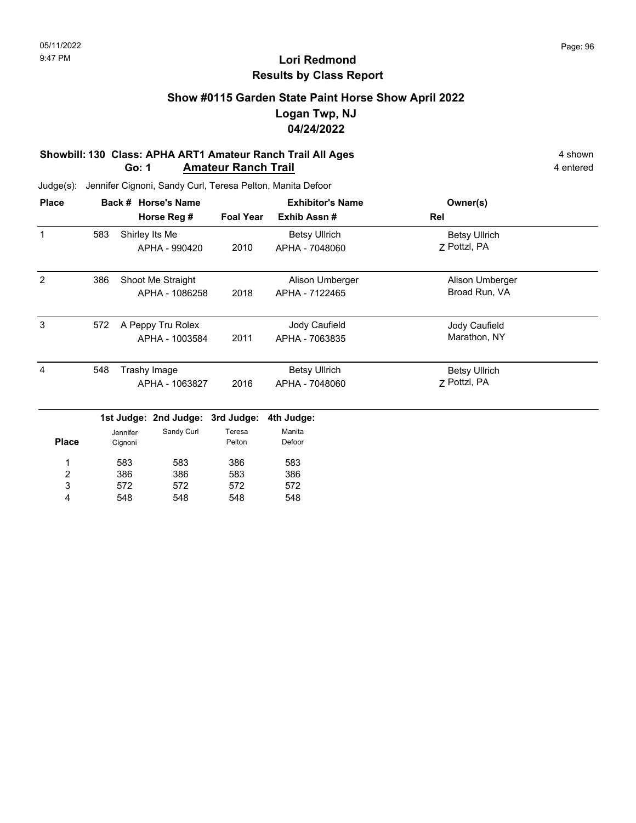### **Show #0115 Garden State Paint Horse Show April 2022 Logan Twp, NJ 04/24/2022**

#### **Showbill: 130 Class: APHA ART1 Amateur Ranch Trail All Ages** 4 shown **Go: 1 Amateur Ranch Trail 1988 Amateur Ranch Trail 1988 Amateur Ranch Trail 1988 4** entered

| <b>Place</b> |     | <b>Horse's Name</b><br>Back #    |                  | <b>Exhibitor's Name</b> | Owner(s)             |  |
|--------------|-----|----------------------------------|------------------|-------------------------|----------------------|--|
|              |     | Horse Reg #                      | <b>Foal Year</b> | Exhib Assn#             | Rel                  |  |
| 1            | 583 | Shirley Its Me                   |                  | <b>Betsy Ullrich</b>    | <b>Betsy Ullrich</b> |  |
|              |     | APHA - 990420                    | 2010             | APHA - 7048060          | 7 Pottzl, PA         |  |
| 2            | 386 | Shoot Me Straight                |                  | Alison Umberger         | Alison Umberger      |  |
|              |     | APHA - 1086258                   | 2018             | APHA - 7122465          | Broad Run, VA        |  |
| 3            | 572 | A Peppy Tru Rolex                |                  | Jody Caufield           | Jody Caufield        |  |
|              |     | APHA - 1003584                   | 2011             | APHA - 7063835          | Marathon, NY         |  |
| 4            | 548 | Trashy Image                     |                  | <b>Betsy Ullrich</b>    | <b>Betsy Ullrich</b> |  |
|              |     | APHA - 1063827                   | 2016             | APHA - 7048060          | 7 Pottzl, PA         |  |
|              |     | 1st Judge: 2nd Judge: 3rd Judge: |                  | 4th Judge:              |                      |  |
|              |     | Sandy Curl<br>Jennifer           | Teresa           | Manita                  |                      |  |

| <b>Place</b> | Jennifer<br>Cignoni | Sandy Curl | Teresa<br>Pelton | Manita<br>Defoor |
|--------------|---------------------|------------|------------------|------------------|
| 1            | 583                 | 583        | 386              | 583              |
| 2            | 386                 | 386        | 583              | 386              |
| 3            | 572                 | 572        | 572              | 572              |
| 4            | 548                 | 548        | 548              | 548              |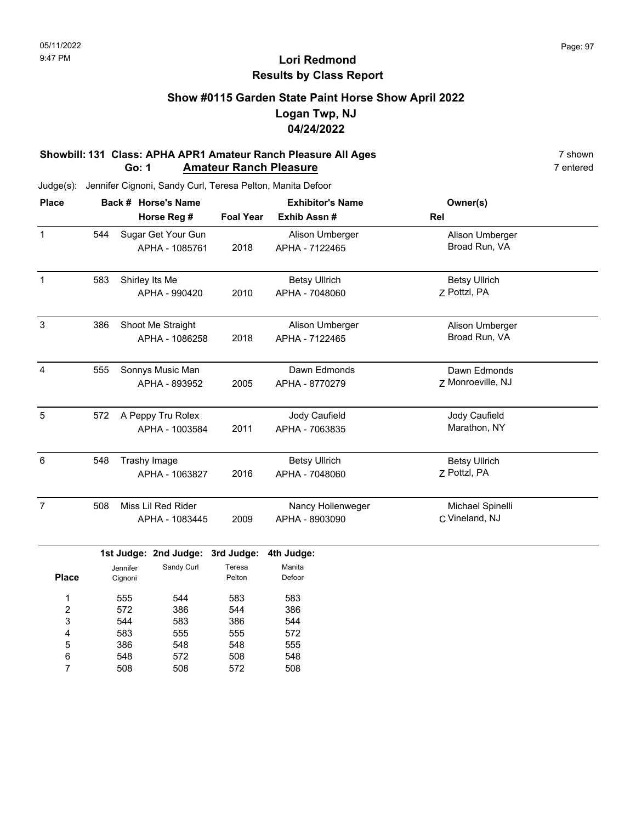#### **Show #0115 Garden State Paint Horse Show April 2022 Logan Twp, NJ 04/24/2022**

#### **Showbill: 131 Class: APHA APR1 Amateur Ranch Pleasure All Ages** 7 shown 7 shown 7 shown<br>**Go: 1 Amateur Ranch Pleasure 1 Amateur Ranch Pleasure Go: 1 Amateur Ranch Pleasure**

Judge(s): Jennifer Cignoni, Sandy Curl, Teresa Pelton, Manita Defoor

| <b>Place</b>   |     |                                | Back # Horse's Name                  |                                | <b>Exhibitor's Name</b>                | Owner(s)                             |  |
|----------------|-----|--------------------------------|--------------------------------------|--------------------------------|----------------------------------------|--------------------------------------|--|
|                |     |                                | Horse Reg #                          | <b>Foal Year</b>               | Exhib Assn #                           | Rel                                  |  |
| $\mathbf{1}$   | 544 |                                | Sugar Get Your Gun<br>APHA - 1085761 | 2018                           | Alison Umberger<br>APHA - 7122465      | Alison Umberger<br>Broad Run, VA     |  |
| $\mathbf{1}$   | 583 |                                | Shirley Its Me<br>APHA - 990420      | 2010                           | <b>Betsy Ullrich</b><br>APHA - 7048060 | <b>Betsy Ullrich</b><br>7 Pottzl, PA |  |
| $\mathbf{3}$   | 386 |                                | Shoot Me Straight<br>APHA - 1086258  | 2018                           | Alison Umberger<br>APHA - 7122465      | Alison Umberger<br>Broad Run, VA     |  |
| $\overline{4}$ | 555 |                                | Sonnys Music Man<br>APHA - 893952    | 2005                           | Dawn Edmonds<br>APHA - 8770279         | Dawn Edmonds<br>Z Monroeville, NJ    |  |
| $\sqrt{5}$     | 572 |                                | A Peppy Tru Rolex<br>APHA - 1003584  | 2011                           | Jody Caufield<br>APHA - 7063835        | Jody Caufield<br>Marathon, NY        |  |
| 6              | 548 | Trashy Image<br>APHA - 1063827 |                                      | 2016                           | <b>Betsy Ullrich</b><br>APHA - 7048060 | <b>Betsy Ullrich</b><br>Z Pottzl, PA |  |
| $\overline{7}$ | 508 |                                | Miss Lil Red Rider<br>APHA - 1083445 | 2009                           | Nancy Hollenweger<br>APHA - 8903090    | Michael Spinelli<br>C Vineland, NJ   |  |
| <b>Place</b>   |     | Jennifer<br>Cignoni            | 1st Judge: 2nd Judge:<br>Sandy Curl  | 3rd Judge:<br>Teresa<br>Pelton | 4th Judge:<br>Manita<br>Defoor         |                                      |  |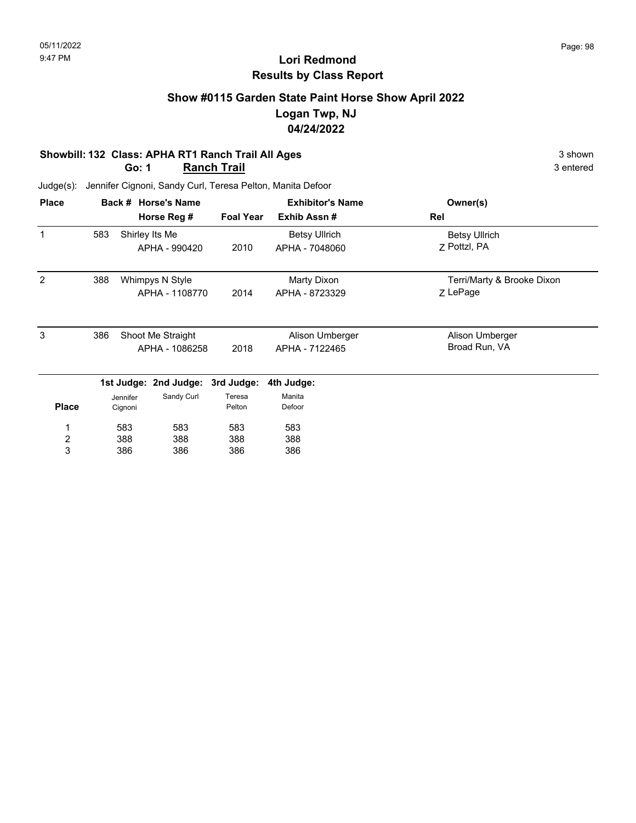### **Show #0115 Garden State Paint Horse Show April 2022 Logan Twp, NJ 04/24/2022**

#### **Showbill: 132 Class: APHA RT1 Ranch Trail All Ages** 3 shown **Go: 1 Ranch Trail** 3 entered

| <b>Place</b>   |     |          | Back # Horse's Name   |                  | <b>Exhibitor's Name</b> | Owner(s)                   |
|----------------|-----|----------|-----------------------|------------------|-------------------------|----------------------------|
|                |     |          | Horse Reg #           | <b>Foal Year</b> | Exhib Assn#             | Rel                        |
|                | 583 |          | Shirley Its Me        |                  | <b>Betsy Ullrich</b>    | <b>Betsy Ullrich</b>       |
|                |     |          | APHA - 990420         | 2010             | APHA - 7048060          | 7 Pottzl, PA               |
| 2              | 388 |          | Whimpys N Style       |                  | Marty Dixon             | Terri/Marty & Brooke Dixon |
|                |     |          | APHA - 1108770        | 2014             | APHA - 8723329          | Z LePage                   |
| 3              | 386 |          | Shoot Me Straight     |                  | Alison Umberger         | Alison Umberger            |
|                |     |          | APHA - 1086258        | 2018             | APHA - 7122465          | Broad Run, VA              |
|                |     |          | 1st Judge: 2nd Judge: | 3rd Judge:       | 4th Judge:              |                            |
|                |     | Jennifer | Sandy Curl            | Teresa           | Manita                  |                            |
| <b>Place</b>   |     | Cignoni  |                       | Pelton           | Defoor                  |                            |
| 1              |     | 583      | 583                   | 583              | 583                     |                            |
| $\overline{2}$ |     | 388      | 388                   | 388              | 388                     |                            |
| 3              |     | 386      | 386                   | 386              | 386                     |                            |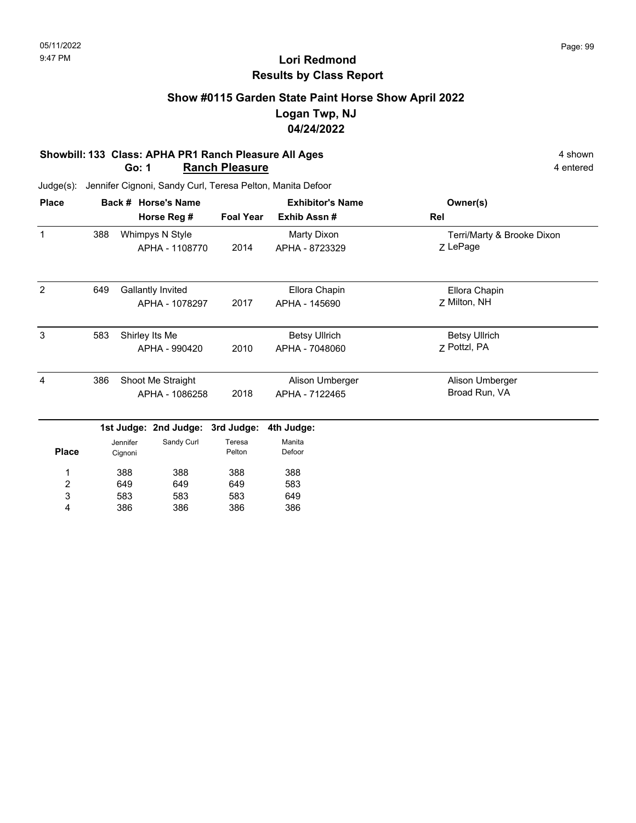### **Show #0115 Garden State Paint Horse Show April 2022 Logan Twp, NJ 04/24/2022**

#### **Showbill: 133 Class: APHA PR1 Ranch Pleasure All Ages** 4 shown **Go: 1 Ranch Pleasure** 4 entered

Judge(s): Jennifer Cignoni, Sandy Curl, Teresa Pelton, Manita Defoor

| <b>Place</b> |     | Back # Horse's Name |                                   |                  | <b>Exhibitor's Name</b>       | Owner(s)                               |
|--------------|-----|---------------------|-----------------------------------|------------------|-------------------------------|----------------------------------------|
|              |     |                     | Horse Reg #                       | <b>Foal Year</b> | Exhib Assn#                   | Rel                                    |
| 1            | 388 |                     | Whimpys N Style<br>APHA - 1108770 | 2014             | Marty Dixon<br>APHA - 8723329 | Terri/Marty & Brooke Dixon<br>Z LePage |
|              |     |                     |                                   |                  |                               |                                        |
| 2            | 649 |                     | Gallantly Invited                 |                  | Ellora Chapin                 | Ellora Chapin                          |
|              |     |                     | APHA - 1078297                    | 2017             | APHA - 145690                 | Z Milton, NH                           |
| 3            | 583 |                     | Shirley Its Me                    |                  | <b>Betsy Ullrich</b>          | <b>Betsy Ullrich</b>                   |
|              |     |                     | APHA - 990420                     | 2010             | APHA - 7048060                | 7 Pottzl, PA                           |
| 4            | 386 |                     | Shoot Me Straight                 |                  | Alison Umberger               | Alison Umberger                        |
|              |     |                     | APHA - 1086258                    | 2018             | APHA - 7122465                | Broad Run, VA                          |
|              |     |                     | 1st Judge: 2nd Judge:             | 3rd Judge:       | 4th Judge:                    |                                        |
|              |     | Jennifer            | Sandy Curl                        | Teresa           | Manita                        |                                        |
| <b>Place</b> |     | Cignoni             |                                   | Pelton           | Defoor                        |                                        |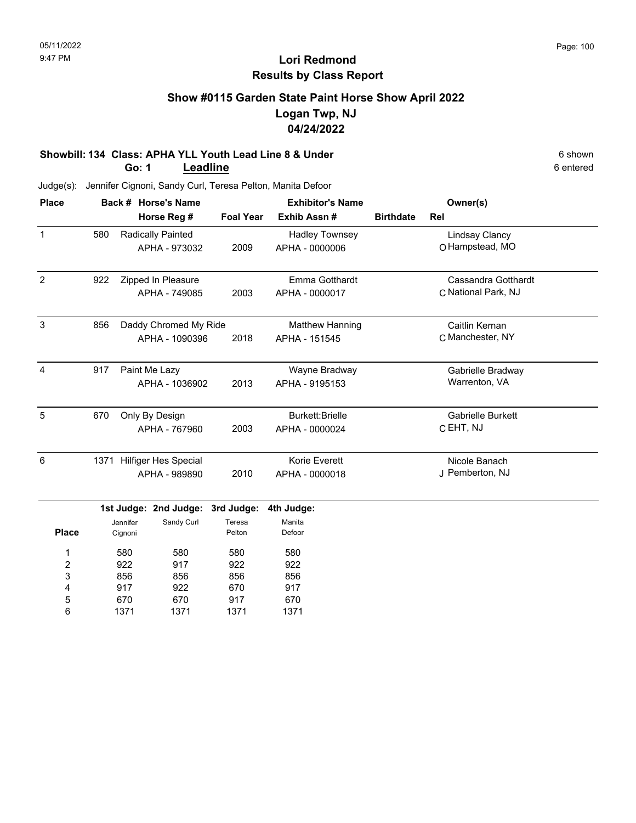### **Show #0115 Garden State Paint Horse Show April 2022 Logan Twp, NJ 04/24/2022**

#### **Showbill: 134 Class: APHA YLL Youth Lead Line 8 & Under** 6 shown **Go: 1 Leadline**

| <b>Place</b>     |     |          | Back # Horse's Name       |                  | <b>Exhibitor's Name</b> |                  | Owner(s)                 |  |
|------------------|-----|----------|---------------------------|------------------|-------------------------|------------------|--------------------------|--|
|                  |     |          | Horse Reg #               | <b>Foal Year</b> | Exhib Assn #            | <b>Birthdate</b> | Rel                      |  |
| $\mathbf{1}$     | 580 |          | Radically Painted         |                  | <b>Hadley Townsey</b>   |                  | <b>Lindsay Clancy</b>    |  |
|                  |     |          | APHA - 973032             | 2009             | APHA - 0000006          |                  | O Hampstead, MO          |  |
| $\overline{2}$   | 922 |          | Zipped In Pleasure        |                  | Emma Gotthardt          |                  | Cassandra Gotthardt      |  |
|                  |     |          | APHA - 749085             | 2003             | APHA - 0000017          |                  | C National Park, NJ      |  |
| $\mathbf{3}$     | 856 |          | Daddy Chromed My Ride     |                  | Matthew Hanning         |                  | Caitlin Kernan           |  |
|                  |     |          | APHA - 1090396            | 2018             | APHA - 151545           |                  | C Manchester, NY         |  |
| $\overline{4}$   | 917 |          | Paint Me Lazy             |                  | Wayne Bradway           |                  | Gabrielle Bradway        |  |
|                  |     |          | APHA - 1036902            | 2013             | APHA - 9195153          |                  | Warrenton, VA            |  |
| 5                | 670 |          | Only By Design            |                  | <b>Burkett:Brielle</b>  |                  | <b>Gabrielle Burkett</b> |  |
|                  |     |          | APHA - 767960             | 2003             | APHA - 0000024          |                  | C EHT, NJ                |  |
| 6                |     |          | 1371 Hilfiger Hes Special |                  | Korie Everett           |                  | Nicole Banach            |  |
|                  |     |          | APHA - 989890             | 2010             | APHA - 0000018          |                  | J Pemberton, NJ          |  |
|                  |     |          | 1st Judge: 2nd Judge:     | 3rd Judge:       | 4th Judge:              |                  |                          |  |
|                  |     | Jennifer | Sandy Curl                | Teresa           | Manita                  |                  |                          |  |
| <b>Place</b>     |     | Cignoni  |                           | Pelton           | Defoor                  |                  |                          |  |
| 1                |     | 580      | 580                       | 580              | 580                     |                  |                          |  |
| $\boldsymbol{2}$ |     | 922      | 917                       | 922              | 922                     |                  |                          |  |
| 3                |     | 856      | 856                       | 856              | 856                     |                  |                          |  |
| 4                |     | 917      | 922                       | 670              | 917                     |                  |                          |  |
| 5                |     | 670      | 670                       | 917              | 670                     |                  |                          |  |
| 6                |     | 1371     | 1371                      | 1371             | 1371                    |                  |                          |  |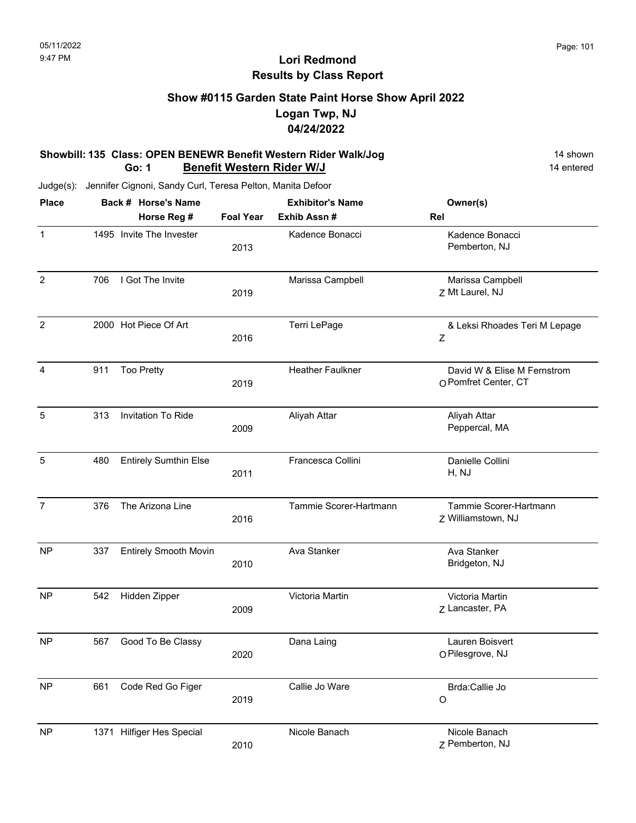### **Show #0115 Garden State Paint Horse Show April 2022 Logan Twp, NJ 04/24/2022**

#### **Showbill: 135 Class: OPEN BENEWR Benefit Western Rider Walk/Jog** 14 Shown 14 shown **Go: 1 Benefit Western Rider W/J** 14 entered

| <b>Place</b>   |     | Back # Horse's Name          |                  | <b>Exhibitor's Name</b> | Owner(s)                                            |
|----------------|-----|------------------------------|------------------|-------------------------|-----------------------------------------------------|
|                |     | Horse Reg #                  | <b>Foal Year</b> | Exhib Assn #            | Rel                                                 |
| $\mathbf{1}$   |     | 1495 Invite The Invester     | 2013             | Kadence Bonacci         | Kadence Bonacci<br>Pemberton, NJ                    |
| $\overline{2}$ | 706 | I Got The Invite             | 2019             | Marissa Campbell        | Marissa Campbell<br>Z Mt Laurel, NJ                 |
| $\overline{2}$ |     | 2000 Hot Piece Of Art        | 2016             | Terri LePage            | & Leksi Rhoades Teri M Lepage<br>Z                  |
| 4              | 911 | <b>Too Pretty</b>            | 2019             | <b>Heather Faulkner</b> | David W & Elise M Fernstrom<br>O Pomfret Center, CT |
| 5              | 313 | Invitation To Ride           | 2009             | Aliyah Attar            | Aliyah Attar<br>Peppercal, MA                       |
| 5              | 480 | <b>Entirely Sumthin Else</b> | 2011             | Francesca Collini       | Danielle Collini<br>H, NJ                           |
| $\overline{7}$ | 376 | The Arizona Line             | 2016             | Tammie Scorer-Hartmann  | Tammie Scorer-Hartmann<br>Z Williamstown, NJ        |
| <b>NP</b>      | 337 | <b>Entirely Smooth Movin</b> | 2010             | Ava Stanker             | Ava Stanker<br>Bridgeton, NJ                        |
| <b>NP</b>      | 542 | Hidden Zipper                | 2009             | Victoria Martin         | Victoria Martin<br>Z Lancaster, PA                  |
| <b>NP</b>      | 567 | Good To Be Classy            | 2020             | Dana Laing              | Lauren Boisvert<br>O Pilesgrove, NJ                 |
| <b>NP</b>      | 661 | Code Red Go Figer            | 2019             | Callie Jo Ware          | Brda:Callie Jo<br>$\circ$                           |
| <b>NP</b>      |     | 1371 Hilfiger Hes Special    | 2010             | Nicole Banach           | Nicole Banach<br>Z Pemberton, NJ                    |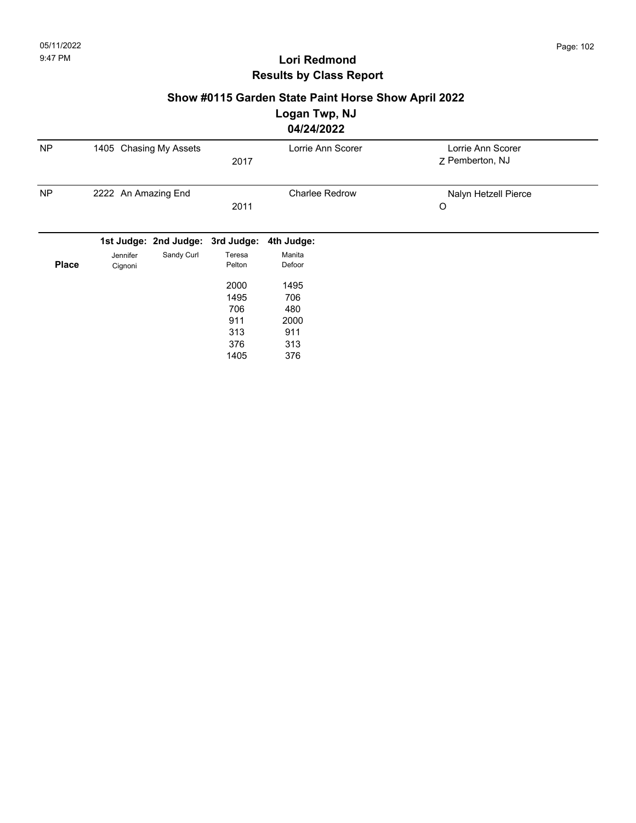### **Show #0115 Garden State Paint Horse Show April 2022**

## **Logan Twp, NJ**

|              |                        |                                  |                  | 04/24/2022            |                                      |
|--------------|------------------------|----------------------------------|------------------|-----------------------|--------------------------------------|
| <b>NP</b>    | 1405 Chasing My Assets |                                  | 2017             | Lorrie Ann Scorer     | Lorrie Ann Scorer<br>Z Pemberton, NJ |
| <b>NP</b>    | 2222 An Amazing End    |                                  | 2011             | <b>Charlee Redrow</b> | Nalyn Hetzell Pierce<br>O            |
|              |                        | 1st Judge: 2nd Judge: 3rd Judge: |                  | 4th Judge:            |                                      |
| <b>Place</b> | Jennifer<br>Cignoni    | Sandy Curl                       | Teresa<br>Pelton | Manita<br>Defoor      |                                      |
|              |                        |                                  | 2000             | 1495                  |                                      |
|              |                        |                                  | 1495             | 706                   |                                      |
|              |                        |                                  | 706              | 480                   |                                      |
|              |                        |                                  | 911              | 2000                  |                                      |
|              |                        |                                  | 313              | 911                   |                                      |
|              |                        |                                  | 376              | 313                   |                                      |
|              |                        |                                  | 1405             | 376                   |                                      |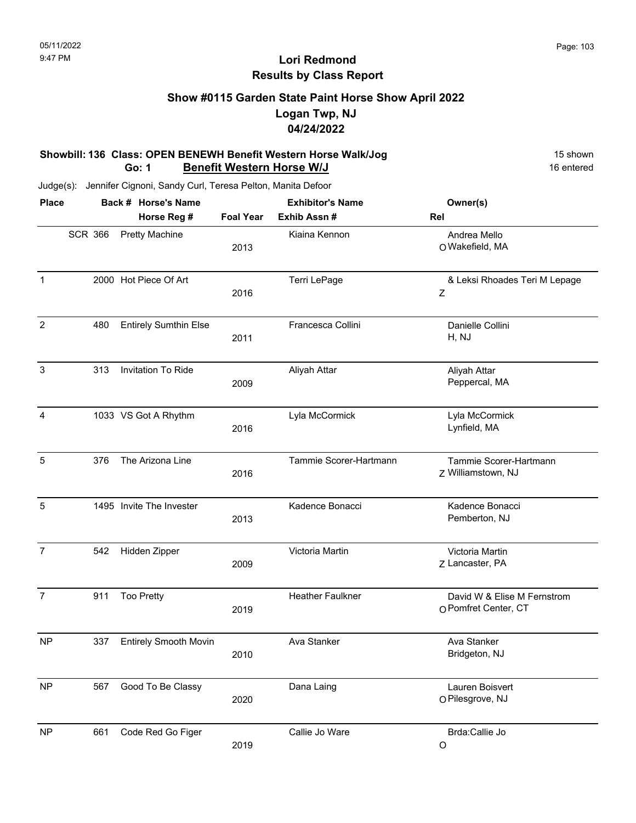### **Show #0115 Garden State Paint Horse Show April 2022 Logan Twp, NJ 04/24/2022**

#### **Showbill: 136 Class: OPEN BENEWH Benefit Western Horse Walk/Jog** 15 Shown 15 shown **Go: 1 Benefit Western Horse W/J** 16 entered

| <b>Place</b>   |                | Back # Horse's Name                  |                          | <b>Exhibitor's Name</b>      | Owner(s)                                            |
|----------------|----------------|--------------------------------------|--------------------------|------------------------------|-----------------------------------------------------|
|                | <b>SCR 366</b> | Horse Reg #<br><b>Pretty Machine</b> | <b>Foal Year</b><br>2013 | Exhib Assn#<br>Kiaina Kennon | Rel<br>Andrea Mello<br>O Wakefield, MA              |
| $\mathbf{1}$   |                | 2000 Hot Piece Of Art                | 2016                     | Terri LePage                 | & Leksi Rhoades Teri M Lepage<br>Ζ                  |
| $\overline{2}$ | 480            | <b>Entirely Sumthin Else</b>         | 2011                     | Francesca Collini            | Danielle Collini<br>H, NJ                           |
| 3              | 313            | Invitation To Ride                   | 2009                     | Aliyah Attar                 | Aliyah Attar<br>Peppercal, MA                       |
| $\overline{4}$ |                | 1033 VS Got A Rhythm                 | 2016                     | Lyla McCormick               | Lyla McCormick<br>Lynfield, MA                      |
| $\sqrt{5}$     | 376            | The Arizona Line                     | 2016                     | Tammie Scorer-Hartmann       | Tammie Scorer-Hartmann<br>Z Williamstown, NJ        |
| 5              |                | 1495 Invite The Invester             | 2013                     | Kadence Bonacci              | Kadence Bonacci<br>Pemberton, NJ                    |
| $\overline{7}$ | 542            | Hidden Zipper                        | 2009                     | Victoria Martin              | Victoria Martin<br>Z Lancaster, PA                  |
| $\overline{7}$ | 911            | <b>Too Pretty</b>                    | 2019                     | <b>Heather Faulkner</b>      | David W & Elise M Fernstrom<br>O Pomfret Center, CT |
| <b>NP</b>      | 337            | <b>Entirely Smooth Movin</b>         | 2010                     | Ava Stanker                  | Ava Stanker<br>Bridgeton, NJ                        |
| <b>NP</b>      | 567            | Good To Be Classy                    | 2020                     | Dana Laing                   | Lauren Boisvert<br>O Pilesgrove, NJ                 |
| <b>NP</b>      | 661            | Code Red Go Figer                    | 2019                     | Callie Jo Ware               | Brda:Callie Jo<br>$\circ$                           |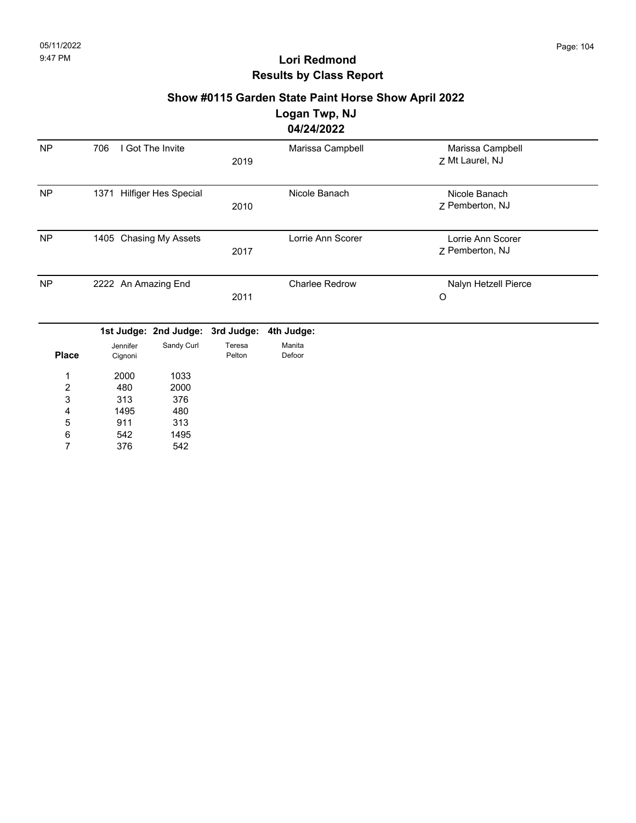# **Show #0115 Garden State Paint Horse Show April 2022**

**Logan Twp, NJ**

# **04/24/2022**

| <b>NP</b> | I Got The Invite<br>706   | 2019 | Marissa Campbell  | Marissa Campbell<br>7 Mt Laurel, NJ  |  |
|-----------|---------------------------|------|-------------------|--------------------------------------|--|
| <b>NP</b> | 1371 Hilfiger Hes Special | 2010 | Nicole Banach     | Nicole Banach<br>7 Pemberton, NJ     |  |
| <b>NP</b> | 1405 Chasing My Assets    | 2017 | Lorrie Ann Scorer | Lorrie Ann Scorer<br>7 Pemberton, NJ |  |
| <b>NP</b> | 2222 An Amazing End       | 2011 | Charlee Redrow    | Nalyn Hetzell Pierce<br>O            |  |

|              |          | 1st Judge: 2nd Judge: 3rd Judge: 4th Judge: |        |        |
|--------------|----------|---------------------------------------------|--------|--------|
|              | Jennifer | Sandy Curl                                  | Teresa | Manita |
| <b>Place</b> | Cignoni  |                                             | Pelton | Defoor |
| 1            | 2000     | 1033                                        |        |        |
| 2            | 480      | 2000                                        |        |        |
| 3            | 313      | 376                                         |        |        |
| 4            | 1495     | 480                                         |        |        |
| 5            | 911      | 313                                         |        |        |
| 6            | 542      | 1495                                        |        |        |
| 7            | 376      | 542                                         |        |        |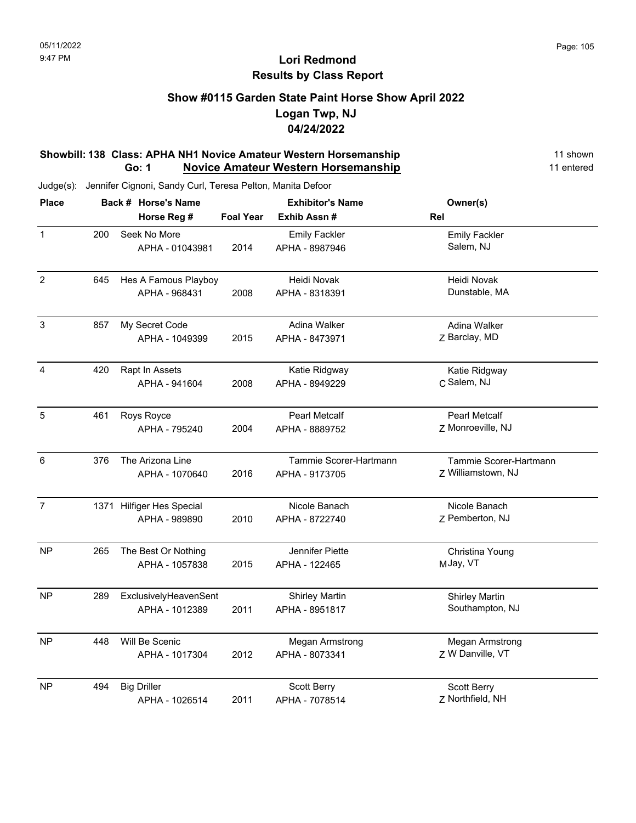### **Show #0115 Garden State Paint Horse Show April 2022 Logan Twp, NJ 04/24/2022**

#### **Showbill: 138 Class: APHA NH1 Novice Amateur Western Horsemanship** 11 Shown 11 shown **Go: 1 Novice Amateur Western Horsemanship** 11 entered

| <b>Place</b>            |     | Back # Horse's Name       |                  | <b>Exhibitor's Name</b> | Owner(s)               |
|-------------------------|-----|---------------------------|------------------|-------------------------|------------------------|
|                         |     | Horse Reg #               | <b>Foal Year</b> | Exhib Assn#             | Rel                    |
| $\mathbf{1}$            | 200 | Seek No More              |                  | <b>Emily Fackler</b>    | <b>Emily Fackler</b>   |
|                         |     | APHA - 01043981           | 2014             | APHA - 8987946          | Salem, NJ              |
| $\overline{2}$          | 645 | Hes A Famous Playboy      |                  | Heidi Novak             | Heidi Novak            |
|                         |     | APHA - 968431             | 2008             | APHA - 8318391          | Dunstable, MA          |
| $\mathbf{3}$            | 857 | My Secret Code            |                  | Adina Walker            | Adina Walker           |
|                         |     | APHA - 1049399            | 2015             | APHA - 8473971          | Z Barclay, MD          |
| $\overline{\mathbf{4}}$ | 420 | Rapt In Assets            |                  | Katie Ridgway           | Katie Ridgway          |
|                         |     | APHA - 941604             | 2008             | APHA - 8949229          | C Salem, NJ            |
| 5                       | 461 | Roys Royce                |                  | <b>Pearl Metcalf</b>    | <b>Pearl Metcalf</b>   |
|                         |     | APHA - 795240             | 2004             | APHA - 8889752          | Z Monroeville, NJ      |
| 6                       | 376 | The Arizona Line          |                  | Tammie Scorer-Hartmann  | Tammie Scorer-Hartmann |
|                         |     | APHA - 1070640            | 2016             | APHA - 9173705          | Z Williamstown, NJ     |
| $\overline{7}$          |     | 1371 Hilfiger Hes Special |                  | Nicole Banach           | Nicole Banach          |
|                         |     | APHA - 989890             | 2010             | APHA - 8722740          | Z Pemberton, NJ        |
| <b>NP</b>               | 265 | The Best Or Nothing       |                  | Jennifer Piette         | Christina Young        |
|                         |     | APHA - 1057838            | 2015             | APHA - 122465           | MJay, VT               |
| NP                      | 289 | ExclusivelyHeavenSent     |                  | <b>Shirley Martin</b>   | <b>Shirley Martin</b>  |
|                         |     | APHA - 1012389            | 2011             | APHA - 8951817          | Southampton, NJ        |
| <b>NP</b>               | 448 | Will Be Scenic            |                  | Megan Armstrong         | Megan Armstrong        |
|                         |     | APHA - 1017304            | 2012             | APHA - 8073341          | Z W Danville, VT       |
| <b>NP</b>               | 494 | <b>Big Driller</b>        |                  | Scott Berry             | Scott Berry            |
|                         |     | APHA - 1026514            | 2011             | APHA - 7078514          | Z Northfield, NH       |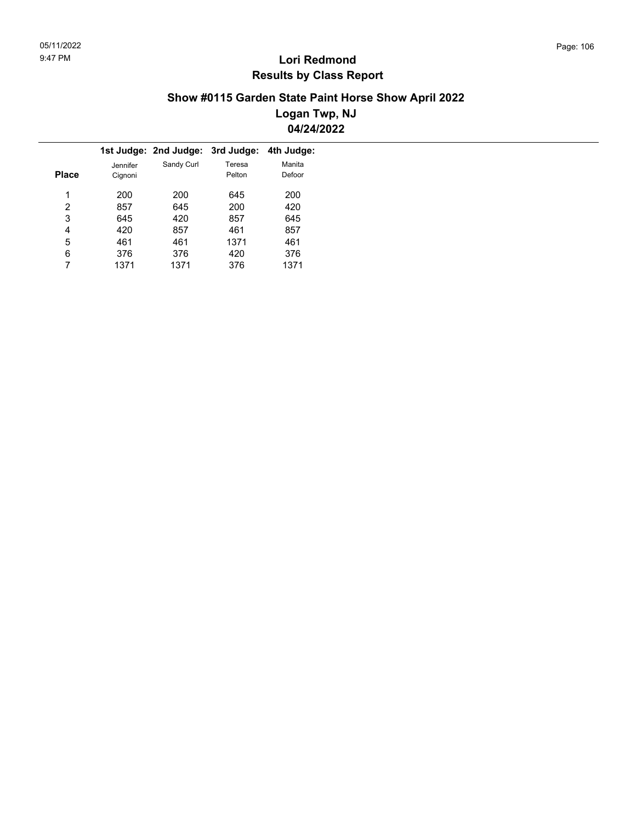#### **Show #0115 Garden State Paint Horse Show April 2022 Logan Twp, NJ 04/24/2022**

|          |            | 3rd Judge: | 4th Judge:                   |
|----------|------------|------------|------------------------------|
| Jennifer | Sandy Curl | Teresa     | Manita                       |
| Cignoni  |            | Pelton     | Defoor                       |
|          |            |            |                              |
|          |            |            | 200                          |
| 857      | 645        | 200        | 420                          |
| 645      | 420        | 857        | 645                          |
| 420      | 857        | 461        | 857                          |
| 461      | 461        | 1371       | 461                          |
| 376      | 376        | 420        | 376                          |
| 1371     | 1371       | 376        | 1371                         |
|          | 200        | 200        | 1st Judge: 2nd Judge:<br>645 |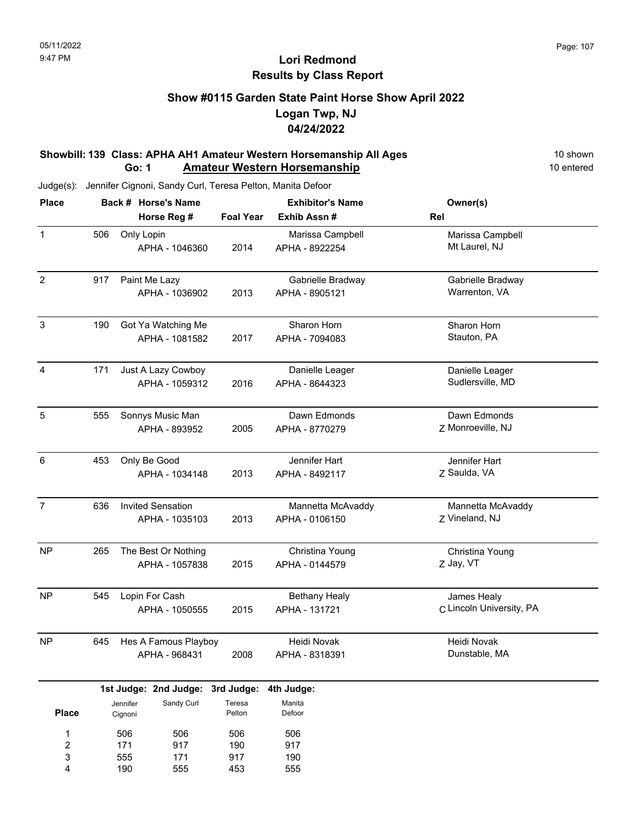### **Show #0115 Garden State Paint Horse Show April 2022 Logan Twp, NJ 04/24/2022**

#### **Showbill: 139 Class: APHA AH1 Amateur Western Horsemanship All Ages** 10 Shown 10 shown<br>**Go: 1 Amateur Western Horsemanship 10 Conducted** 10 entered **Go: 1 Amateur Western Horsemanship**

|     |                   |                            |                                                                                                                                                                                                                                                                                                                                                                                                                 | <b>Exhibitor's Name</b>                                         | Owner(s)                                |
|-----|-------------------|----------------------------|-----------------------------------------------------------------------------------------------------------------------------------------------------------------------------------------------------------------------------------------------------------------------------------------------------------------------------------------------------------------------------------------------------------------|-----------------------------------------------------------------|-----------------------------------------|
|     |                   |                            |                                                                                                                                                                                                                                                                                                                                                                                                                 | Exhib Assn #                                                    | Rel                                     |
| 506 |                   |                            | 2014                                                                                                                                                                                                                                                                                                                                                                                                            | Marissa Campbell<br>APHA - 8922254                              | Marissa Campbell<br>Mt Laurel, NJ       |
| 917 |                   |                            | 2013                                                                                                                                                                                                                                                                                                                                                                                                            | Gabrielle Bradway<br>APHA - 8905121                             | Gabrielle Bradway<br>Warrenton, VA      |
| 190 |                   |                            | 2017                                                                                                                                                                                                                                                                                                                                                                                                            | Sharon Horn<br>APHA - 7094083                                   | Sharon Horn<br>Stauton, PA              |
| 171 |                   |                            | 2016                                                                                                                                                                                                                                                                                                                                                                                                            | Danielle Leager<br>APHA - 8644323                               | Danielle Leager<br>Sudlersville, MD     |
| 555 |                   |                            | 2005                                                                                                                                                                                                                                                                                                                                                                                                            | Dawn Edmonds<br>APHA - 8770279                                  | Dawn Edmonds<br>Z Monroeville, NJ       |
| 453 |                   |                            | 2013                                                                                                                                                                                                                                                                                                                                                                                                            | Jennifer Hart<br>APHA - 8492117                                 | Jennifer Hart<br>Z Saulda, VA           |
| 636 |                   |                            | 2013                                                                                                                                                                                                                                                                                                                                                                                                            | Mannetta McAvaddy<br>APHA - 0106150                             | Mannetta McAvaddy<br>Z Vineland, NJ     |
| 265 |                   |                            | 2015                                                                                                                                                                                                                                                                                                                                                                                                            | Christina Young<br>APHA - 0144579                               | Christina Young<br>Z Jay, VT            |
| 545 |                   |                            | 2015                                                                                                                                                                                                                                                                                                                                                                                                            | <b>Bethany Healy</b><br>APHA - 131721                           | James Healy<br>C Lincoln University, PA |
| 645 |                   |                            | 2008                                                                                                                                                                                                                                                                                                                                                                                                            | Heidi Novak<br>APHA - 8318391                                   | Heidi Novak<br>Dunstable, MA            |
|     |                   |                            |                                                                                                                                                                                                                                                                                                                                                                                                                 | 4th Judge:                                                      |                                         |
|     |                   | Sandy Curl                 | Teresa<br>Pelton                                                                                                                                                                                                                                                                                                                                                                                                | Manita<br>Defoor                                                |                                         |
|     | 506<br>171<br>555 | 506<br>917<br>171          | 506<br>190<br>917                                                                                                                                                                                                                                                                                                                                                                                               | 506<br>917<br>190                                               |                                         |
|     |                   | Jennifer<br>Cignoni<br>190 | Back # Horse's Name<br>Horse Reg #<br>Only Lopin<br>APHA - 1046360<br>Paint Me Lazy<br>APHA - 1036902<br>Got Ya Watching Me<br>APHA - 1081582<br>Just A Lazy Cowboy<br>APHA - 1059312<br>Sonnys Music Man<br>APHA - 893952<br>Only Be Good<br>APHA - 1034148<br><b>Invited Sensation</b><br>APHA - 1035103<br>The Best Or Nothing<br>APHA - 1057838<br>Lopin For Cash<br>APHA - 1050555<br>APHA - 968431<br>555 | Hes A Famous Playboy<br>1st Judge: 2nd Judge: 3rd Judge:<br>453 | <b>Foal Year</b><br>555                 |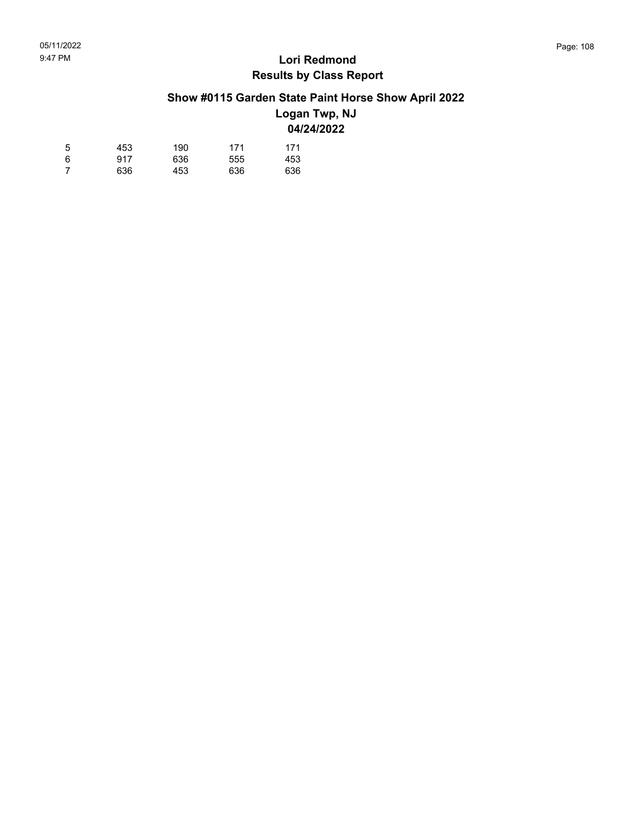### **Show #0115 Garden State Paint Horse Show April 2022**

#### **Logan Twp, NJ 04/24/2022**

| 5 | 453 | 190 | 171 | 171 |
|---|-----|-----|-----|-----|
| 6 | 917 | 636 | 555 | 453 |
|   | 636 | 453 | 636 | 636 |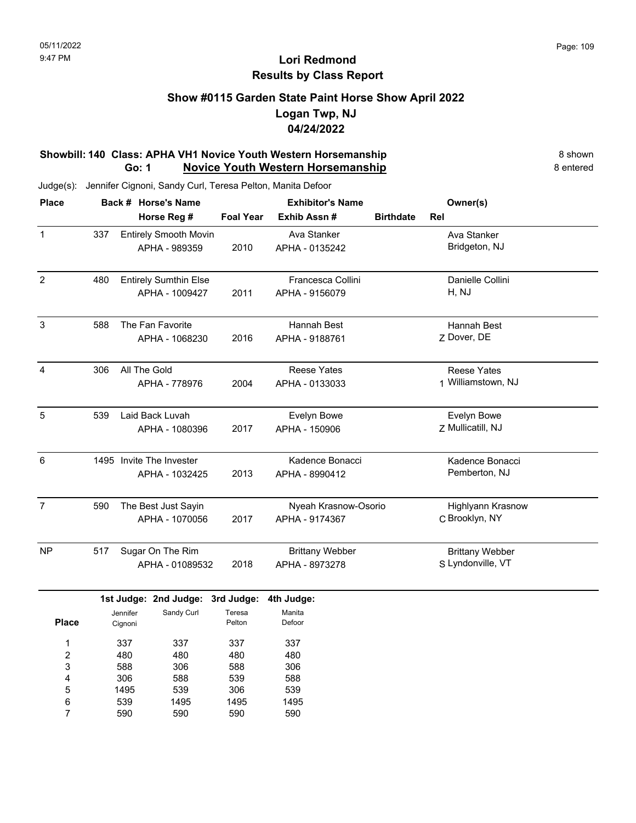### **Show #0115 Garden State Paint Horse Show April 2022 Logan Twp, NJ 04/24/2022**

#### **Showbill: 140 Class: APHA VH1 Novice Youth Western Horsemanship** 8 Shown 8 shown **Go: 1 Novice Youth Western Horsemanship** 8 entered

Judge(s): Jennifer Cignoni, Sandy Curl, Teresa Pelton, Manita Defoor

590

7

590

590

| <b>Place</b>     | Back # Horse's Name |                     |                                  | <b>Exhibitor's Name</b> |                        |                  | Owner(s)               |  |
|------------------|---------------------|---------------------|----------------------------------|-------------------------|------------------------|------------------|------------------------|--|
|                  |                     |                     | Horse Reg #                      | <b>Foal Year</b>        | Exhib Assn #           | <b>Birthdate</b> | Rel                    |  |
| $\mathbf{1}$     | 337                 |                     | <b>Entirely Smooth Movin</b>     |                         | Ava Stanker            |                  | Ava Stanker            |  |
|                  |                     |                     | APHA - 989359                    | 2010                    | APHA - 0135242         |                  | Bridgeton, NJ          |  |
| $\overline{c}$   | 480                 |                     | <b>Entirely Sumthin Else</b>     |                         | Francesca Collini      |                  | Danielle Collini       |  |
|                  |                     |                     | APHA - 1009427                   | 2011                    | APHA - 9156079         |                  | H, NJ                  |  |
| 3                | 588                 |                     | The Fan Favorite                 |                         | Hannah Best            |                  | Hannah Best            |  |
|                  |                     |                     | APHA - 1068230                   | 2016                    | APHA - 9188761         |                  | Z Dover, DE            |  |
| 4                | 306                 | All The Gold        |                                  |                         | <b>Reese Yates</b>     |                  | <b>Reese Yates</b>     |  |
|                  |                     |                     | APHA - 778976                    | 2004                    | APHA - 0133033         |                  | 1 Williamstown, NJ     |  |
| 5                | 539                 |                     | Laid Back Luvah                  |                         | Evelyn Bowe            |                  | Evelyn Bowe            |  |
|                  |                     |                     | APHA - 1080396                   | 2017                    | APHA - 150906          |                  | Z Mullicatill, NJ      |  |
| 6                |                     |                     | 1495 Invite The Invester         |                         | Kadence Bonacci        |                  | Kadence Bonacci        |  |
|                  |                     |                     | APHA - 1032425                   | 2013                    | APHA - 8990412         |                  | Pemberton, NJ          |  |
| $\boldsymbol{7}$ | 590                 |                     | The Best Just Sayin              |                         | Nyeah Krasnow-Osorio   |                  | Highlyann Krasnow      |  |
|                  |                     |                     | APHA - 1070056                   | 2017                    | APHA - 9174367         |                  | C Brooklyn, NY         |  |
| <b>NP</b>        | 517                 |                     | Sugar On The Rim                 |                         | <b>Brittany Webber</b> |                  | <b>Brittany Webber</b> |  |
|                  |                     |                     | APHA - 01089532                  | 2018                    | APHA - 8973278         |                  | S Lyndonville, VT      |  |
|                  |                     |                     | 1st Judge: 2nd Judge: 3rd Judge: |                         | 4th Judge:             |                  |                        |  |
| <b>Place</b>     |                     | Jennifer<br>Cignoni | Sandy Curl                       | Teresa<br>Pelton        | Manita<br>Defoor       |                  |                        |  |
| 1                |                     | 337                 | 337                              | 337                     | 337                    |                  |                        |  |
| 2                |                     | 480                 | 480                              | 480                     | 480                    |                  |                        |  |
| 3                |                     | 588                 | 306                              | 588                     | 306                    |                  |                        |  |
| 4                |                     | 306                 | 588                              | 539                     | 588                    |                  |                        |  |
| 5                |                     | 1495                | 539                              | 306                     | 539                    |                  |                        |  |
| 6                |                     | 539                 | 1495                             | 1495                    | 1495                   |                  |                        |  |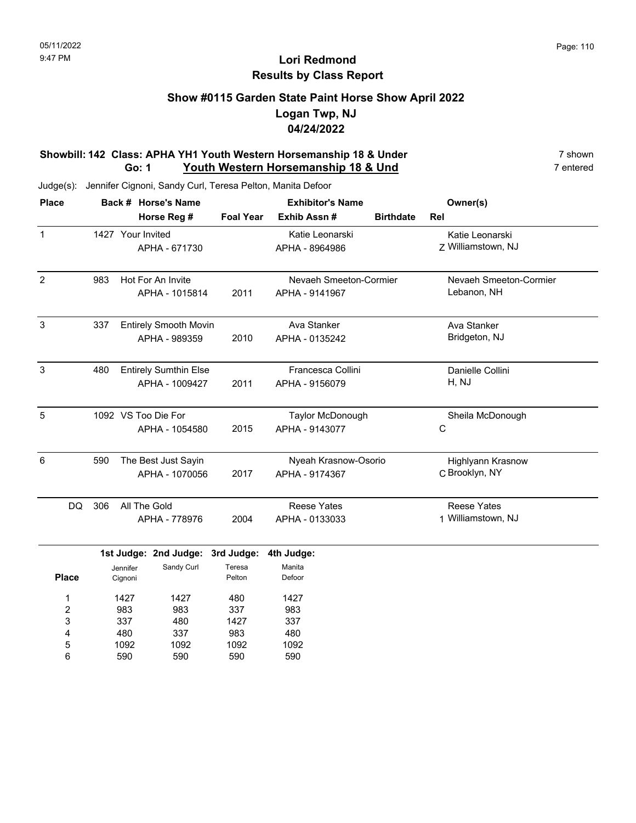### **Show #0115 Garden State Paint Horse Show April 2022 Logan Twp, NJ 04/24/2022**

#### **Showbill: 142 Class: APHA YH1 Youth Western Horsemanship 18 & Under** 7 shown 7 shown<br>**Go: 1** Youth Western Horsemanship 18 & Und 7 entered **Go: 1 Youth Western Horsemanship 18 & Und**

Judge(s): Jennifer Cignoni, Sandy Curl, Teresa Pelton, Manita Defoor

590

6

590

590

| <b>Place</b>   | Back # Horse's Name |                   |                                  | <b>Exhibitor's Name</b> |                        |                  | Owner(s)                 |  |
|----------------|---------------------|-------------------|----------------------------------|-------------------------|------------------------|------------------|--------------------------|--|
|                |                     |                   | Horse Reg #                      | <b>Foal Year</b>        | Exhib Assn #           | <b>Birthdate</b> | Rel                      |  |
| $\mathbf{1}$   |                     | 1427 Your Invited |                                  |                         | Katie Leonarski        |                  | Katie Leonarski          |  |
|                |                     |                   | APHA - 671730                    |                         | APHA - 8964986         |                  | Z Williamstown, NJ       |  |
| $\overline{2}$ | 983                 |                   | Hot For An Invite                |                         | Nevaeh Smeeton-Cormier |                  | Nevaeh Smeeton-Cormier   |  |
|                |                     |                   | APHA - 1015814                   | 2011                    | APHA - 9141967         |                  | Lebanon, NH              |  |
| $\mathbf{3}$   | 337                 |                   | <b>Entirely Smooth Movin</b>     |                         | Ava Stanker            |                  | Ava Stanker              |  |
|                |                     |                   | APHA - 989359                    | 2010                    | APHA - 0135242         |                  | Bridgeton, NJ            |  |
| 3              | 480                 |                   | <b>Entirely Sumthin Else</b>     |                         | Francesca Collini      |                  | Danielle Collini         |  |
|                |                     |                   | APHA - 1009427                   | 2011                    | APHA - 9156079         |                  | H, NJ                    |  |
| $\overline{5}$ |                     |                   | 1092 VS Too Die For              |                         | Taylor McDonough       |                  | Sheila McDonough         |  |
|                |                     |                   | APHA - 1054580                   | 2015                    | APHA - 9143077         |                  | С                        |  |
| 6              | 590                 |                   | The Best Just Sayin              |                         | Nyeah Krasnow-Osorio   |                  | <b>Highlyann Krasnow</b> |  |
|                |                     |                   | APHA - 1070056                   | 2017                    | APHA - 9174367         |                  | C Brooklyn, NY           |  |
| DQ             | 306                 | All The Gold      |                                  |                         | <b>Reese Yates</b>     |                  | <b>Reese Yates</b>       |  |
|                |                     |                   | APHA - 778976                    | 2004                    | APHA - 0133033         |                  | 1 Williamstown, NJ       |  |
|                |                     |                   | 1st Judge: 2nd Judge: 3rd Judge: |                         | 4th Judge:             |                  |                          |  |
|                |                     | Jennifer          | Sandy Curl                       | Teresa                  | Manita                 |                  |                          |  |
| <b>Place</b>   |                     | Cignoni           |                                  | Pelton                  | Defoor                 |                  |                          |  |
| 1              |                     | 1427              | 1427                             | 480                     | 1427                   |                  |                          |  |
| 2              |                     | 983               | 983                              | 337                     | 983                    |                  |                          |  |
| 3              |                     | 337               | 480                              | 1427                    | 337                    |                  |                          |  |
| 4              |                     | 480               | 337                              | 983                     | 480                    |                  |                          |  |
| 5              |                     | 1092              | 1092                             | 1092                    | 1092                   |                  |                          |  |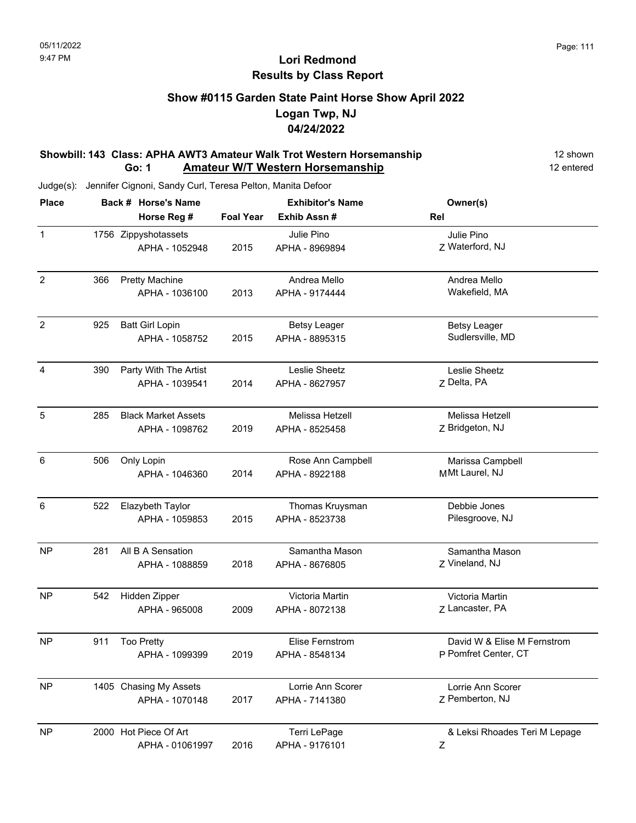### **Show #0115 Garden State Paint Horse Show April 2022 Logan Twp, NJ 04/24/2022**

#### **Showbill: 143 Class: APHA AWT3 Amateur Walk Trot Western Horsemanship** 12 shown **Go: 1 Amateur W/T Western Horsemanship** 12 entered

| <b>Place</b>   |     | Back # Horse's Name        |                  | <b>Exhibitor's Name</b> | Owner(s)                      |  |  |
|----------------|-----|----------------------------|------------------|-------------------------|-------------------------------|--|--|
|                |     | Horse Reg #                | <b>Foal Year</b> | Exhib Assn#             | Rel                           |  |  |
| $\mathbf{1}$   |     | 1756 Zippyshotassets       |                  | Julie Pino              | Julie Pino                    |  |  |
|                |     | APHA - 1052948             | 2015             | APHA - 8969894          | Z Waterford, NJ               |  |  |
| $\overline{2}$ | 366 | <b>Pretty Machine</b>      |                  | Andrea Mello            | Andrea Mello                  |  |  |
|                |     | APHA - 1036100             | 2013             | APHA - 9174444          | Wakefield, MA                 |  |  |
| $\overline{2}$ | 925 | <b>Batt Girl Lopin</b>     |                  | <b>Betsy Leager</b>     | <b>Betsy Leager</b>           |  |  |
|                |     | APHA - 1058752             | 2015             | APHA - 8895315          | Sudlersville, MD              |  |  |
| 4              | 390 | Party With The Artist      |                  | Leslie Sheetz           | Leslie Sheetz                 |  |  |
|                |     | APHA - 1039541             | 2014             | APHA - 8627957          | Z Delta, PA                   |  |  |
| 5              | 285 | <b>Black Market Assets</b> |                  | Melissa Hetzell         | Melissa Hetzell               |  |  |
|                |     | APHA - 1098762             | 2019             | APHA - 8525458          | Z Bridgeton, NJ               |  |  |
| 6              | 506 | Only Lopin                 |                  | Rose Ann Campbell       | Marissa Campbell              |  |  |
|                |     | APHA - 1046360             | 2014             | APHA - 8922188          | MMt Laurel, NJ                |  |  |
| 6              | 522 | Elazybeth Taylor           |                  | Thomas Kruysman         | Debbie Jones                  |  |  |
|                |     | APHA - 1059853             | 2015             | APHA - 8523738          | Pilesgroove, NJ               |  |  |
| <b>NP</b>      | 281 | All B A Sensation          |                  | Samantha Mason          | Samantha Mason                |  |  |
|                |     | APHA - 1088859             | 2018             | APHA - 8676805          | Z Vineland, NJ                |  |  |
| <b>NP</b>      | 542 | Hidden Zipper              |                  | Victoria Martin         | Victoria Martin               |  |  |
|                |     | APHA - 965008              | 2009             | APHA - 8072138          | Z Lancaster, PA               |  |  |
| <b>NP</b>      | 911 | <b>Too Pretty</b>          |                  | <b>Elise Fernstrom</b>  | David W & Elise M Fernstrom   |  |  |
|                |     | APHA - 1099399             | 2019             | APHA - 8548134          | P Pomfret Center, CT          |  |  |
| <b>NP</b>      |     | 1405 Chasing My Assets     |                  | Lorrie Ann Scorer       | Lorrie Ann Scorer             |  |  |
|                |     | APHA - 1070148             | 2017             | APHA - 7141380          | Z Pemberton, NJ               |  |  |
| <b>NP</b>      |     | 2000 Hot Piece Of Art      |                  | Terri LePage            | & Leksi Rhoades Teri M Lepage |  |  |
|                |     | APHA - 01061997            | 2016             | APHA - 9176101          | Ζ                             |  |  |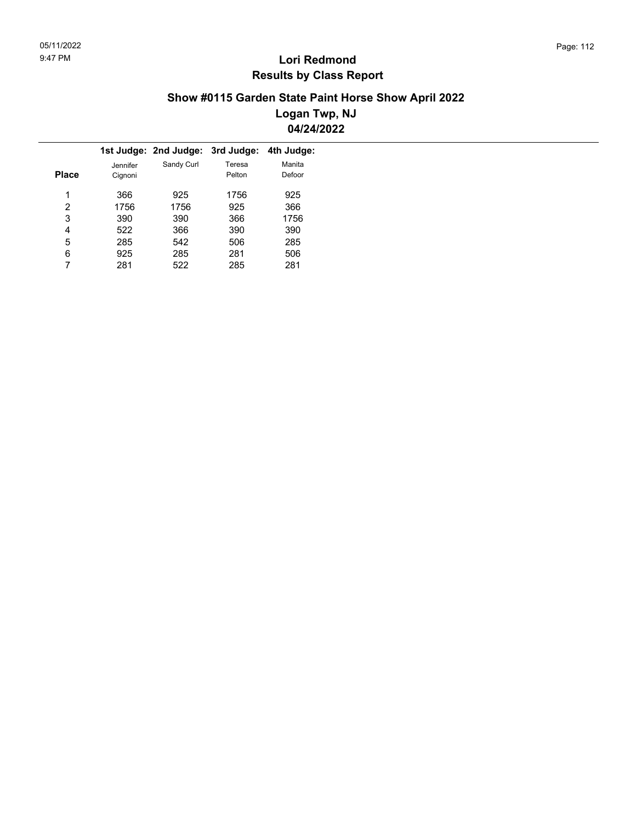### **Show #0115 Garden State Paint Horse Show April 2022 Logan Twp, NJ 04/24/2022**

|          |            | 3rd Judge: | 4th Judge:                    |
|----------|------------|------------|-------------------------------|
| Jennifer | Sandy Curl | Teresa     | Manita                        |
| Cignoni  |            | Pelton     | Defoor                        |
|          |            |            |                               |
|          |            |            | 925                           |
| 1756     | 1756       | 925        | 366                           |
| 390      | 390        | 366        | 1756                          |
| 522      | 366        | 390        | 390                           |
| 285      | 542        | 506        | 285                           |
| 925      | 285        | 281        | 506                           |
| 281      | 522        | 285        | 281                           |
|          | 366        | 925        | 1st Judge: 2nd Judge:<br>1756 |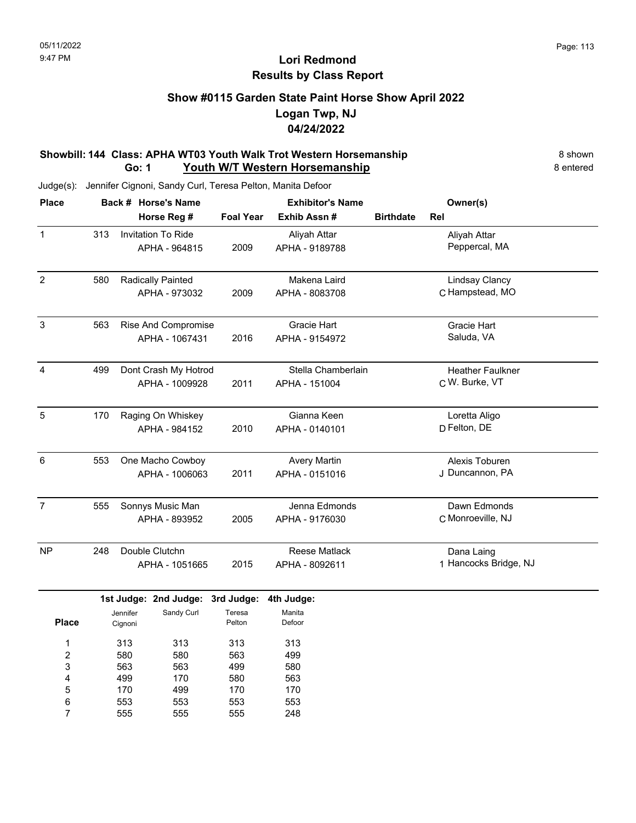### **Show #0115 Garden State Paint Horse Show April 2022 Logan Twp, NJ 04/24/2022**

#### **Showbill: 144 Class: APHA WT03 Youth Walk Trot Western Horsemanship** 8 Shown 8 shown **Go: 1 Youth W/T Western Horsemanship** 8 entered

| <b>Place</b>   |     | Back # Horse's Name       | <b>Exhibitor's Name</b> |                      |                  | Owner(s)                |  |
|----------------|-----|---------------------------|-------------------------|----------------------|------------------|-------------------------|--|
|                |     | Horse Reg #               | <b>Foal Year</b>        | Exhib Assn #         | <b>Birthdate</b> | Rel                     |  |
| $\mathbf{1}$   | 313 | <b>Invitation To Ride</b> |                         | Aliyah Attar         |                  | Aliyah Attar            |  |
|                |     | APHA - 964815             | 2009                    | APHA - 9189788       |                  | Peppercal, MA           |  |
| $\overline{2}$ | 580 | Radically Painted         |                         | Makena Laird         |                  | <b>Lindsay Clancy</b>   |  |
|                |     | APHA - 973032             | 2009                    | APHA - 8083708       |                  | C Hampstead, MO         |  |
| 3              | 563 | Rise And Compromise       |                         | <b>Gracie Hart</b>   |                  | Gracie Hart             |  |
|                |     | APHA - 1067431            | 2016                    | APHA - 9154972       |                  | Saluda, VA              |  |
| 4              | 499 | Dont Crash My Hotrod      |                         | Stella Chamberlain   |                  | <b>Heather Faulkner</b> |  |
|                |     | APHA - 1009928            | 2011                    | APHA - 151004        |                  | C W. Burke, VT          |  |
| 5              | 170 | Raging On Whiskey         |                         | Gianna Keen          |                  | Loretta Aligo           |  |
|                |     | APHA - 984152             | 2010                    | APHA - 0140101       |                  | D Felton, DE            |  |
| 6              | 553 | One Macho Cowboy          |                         | <b>Avery Martin</b>  |                  | Alexis Toburen          |  |
|                |     | APHA - 1006063            | 2011                    | APHA - 0151016       |                  | J Duncannon, PA         |  |
| $\overline{7}$ | 555 | Sonnys Music Man          |                         | Jenna Edmonds        |                  | Dawn Edmonds            |  |
|                |     | APHA - 893952             | 2005                    | APHA - 9176030       |                  | C Monroeville, NJ       |  |
| <b>NP</b>      | 248 | Double Clutchn            |                         | <b>Reese Matlack</b> |                  | Dana Laing              |  |
|                |     | APHA - 1051665            | 2015                    | APHA - 8092611       |                  | 1 Hancocks Bridge, NJ   |  |
|                |     | 1st Judge: 2nd Judge:     | 3rd Judge:              | 4th Judge:           |                  |                         |  |
|                |     | Sandy Curl<br>Jennifer    | Teresa                  | Manita<br>. .        |                  |                         |  |

| <b>Place</b> | ucililici<br>Cignoni | ounur oun | .<br>Pelton | Defoor |
|--------------|----------------------|-----------|-------------|--------|
| 1            | 313                  | 313       | 313         | 313    |
| 2            | 580                  | 580       | 563         | 499    |
| 3            | 563                  | 563       | 499         | 580    |
| 4            | 499                  | 170       | 580         | 563    |
| 5            | 170                  | 499       | 170         | 170    |
| 6            | 553                  | 553       | 553         | 553    |
| 7            | 555                  | 555       | 555         | 248    |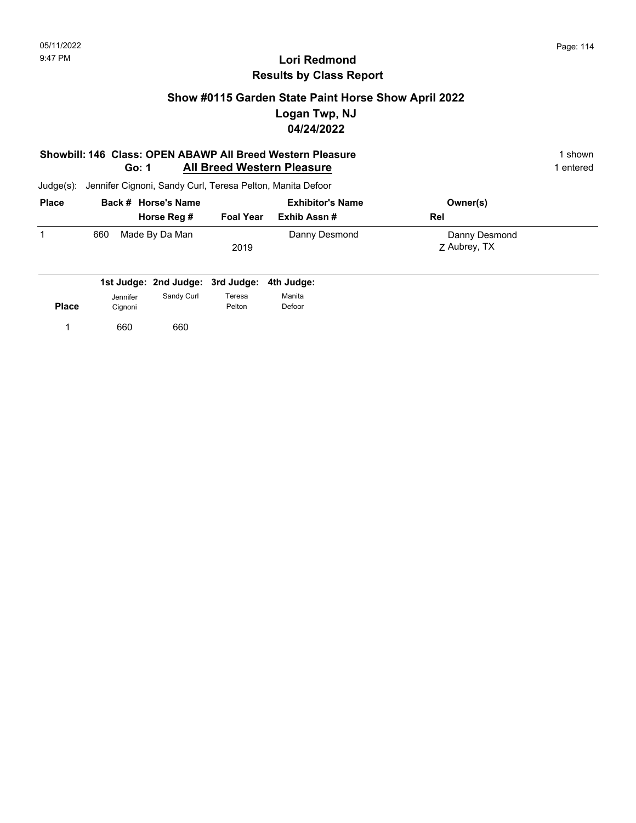### **Show #0115 Garden State Paint Horse Show April 2022 Logan Twp, NJ 04/24/2022**

#### **Showbill: 146 Class: OPEN ABAWP All Breed Western Pleasure** 1 shown 1 shown **Go: 1 All Breed Western Pleasure** 1 entered

| <b>Place</b> | Back # Horse's Name   |                  | <b>Exhibitor's Name</b> | Owner(s)      |  |
|--------------|-----------------------|------------------|-------------------------|---------------|--|
|              | Horse Reg #           | <b>Foal Year</b> | Exhib Assn #            | Rel           |  |
|              | Made By Da Man<br>660 |                  | Danny Desmond           | Danny Desmond |  |
|              |                       | 2019             |                         | Z Aubrey, TX  |  |
|              |                       |                  |                         |               |  |

| Jennifer | Sandy Curl | Teresa | Manita                                      |
|----------|------------|--------|---------------------------------------------|
| Cignoni  |            | Pelton | Defoor                                      |
| 660      | 660        |        |                                             |
|          |            |        | 1st Judge: 2nd Judge: 3rd Judge: 4th Judge: |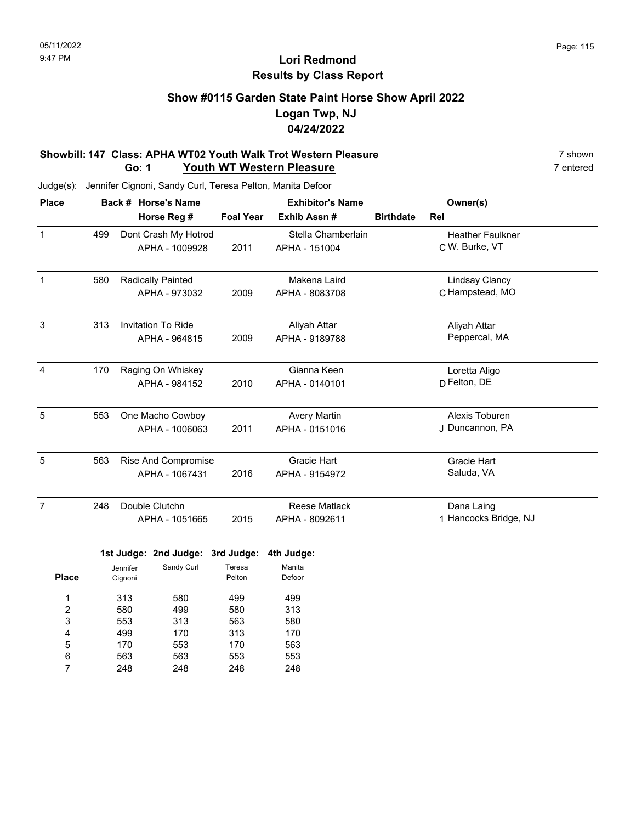### **Show #0115 Garden State Paint Horse Show April 2022 Logan Twp, NJ 04/24/2022**

#### **Showbill: 147 Class: APHA WT02 Youth Walk Trot Western Pleasure** 7 shown 7 shown 7 shown 7 shown 7 shown **Go: 1 Youth WT Western Pleasure**

Judge(s): Jennifer Cignoni, Sandy Curl, Teresa Pelton, Manita Defoor

| <b>Place</b>   |     | Back # Horse's Name                    | <b>Exhibitor's Name</b> |                                     |                  | Owner(s)                                  |  |
|----------------|-----|----------------------------------------|-------------------------|-------------------------------------|------------------|-------------------------------------------|--|
|                |     | Horse Reg #                            | <b>Foal Year</b>        | Exhib Assn#                         | <b>Birthdate</b> | Rel                                       |  |
| $\mathbf{1}$   | 499 | Dont Crash My Hotrod<br>APHA - 1009928 | 2011                    | Stella Chamberlain<br>APHA - 151004 |                  | <b>Heather Faulkner</b><br>C W. Burke, VT |  |
|                |     |                                        |                         |                                     |                  |                                           |  |
| $\mathbf{1}$   | 580 | Radically Painted                      |                         | Makena Laird                        |                  | <b>Lindsay Clancy</b>                     |  |
|                |     | APHA - 973032                          | 2009                    | APHA - 8083708                      |                  | C Hampstead, MO                           |  |
| 3              | 313 | <b>Invitation To Ride</b>              |                         | Aliyah Attar                        |                  | Aliyah Attar                              |  |
|                |     | APHA - 964815                          | 2009                    | APHA - 9189788                      |                  | Peppercal, MA                             |  |
| $\overline{4}$ | 170 | Raging On Whiskey                      |                         | Gianna Keen                         |                  | Loretta Aligo                             |  |
|                |     | APHA - 984152                          | 2010                    | APHA - 0140101                      |                  | D Felton, DE                              |  |
| 5              | 553 | One Macho Cowboy                       |                         | <b>Avery Martin</b>                 |                  | Alexis Toburen                            |  |
|                |     | APHA - 1006063                         | 2011                    | APHA - 0151016                      |                  | J Duncannon, PA                           |  |
| 5              | 563 | <b>Rise And Compromise</b>             |                         | <b>Gracie Hart</b>                  |                  | <b>Gracie Hart</b>                        |  |
|                |     | APHA - 1067431                         | 2016                    | APHA - 9154972                      |                  | Saluda, VA                                |  |
| $\overline{7}$ | 248 | Double Clutchn                         |                         | <b>Reese Matlack</b>                |                  | Dana Laing                                |  |
|                |     | APHA - 1051665                         | 2015                    | APHA - 8092611                      |                  | 1 Hancocks Bridge, NJ                     |  |
|                |     | 1st Judge: 2nd Judge:                  | 3rd Judge:              | 4th Judge:                          |                  |                                           |  |
| <b>Place</b>   |     | Sandy Curl<br>Jennifer<br>Cignoni      | Teresa<br>Pelton        | Manita<br>Defoor                    |                  |                                           |  |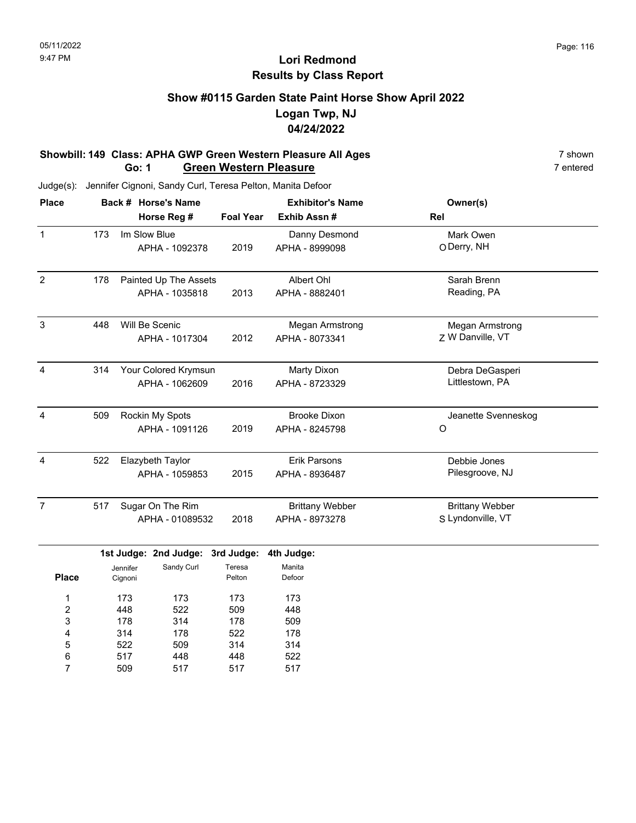### **Show #0115 Garden State Paint Horse Show April 2022 Logan Twp, NJ 04/24/2022**

#### **Showbill: 149 Class: APHA GWP Green Western Pleasure All Ages** 7 shown 7 shown 7 shown<br>**Go: 1 Green Western Pleasure Go: 1 Green Western Pleasure**

Judge(s): Jennifer Cignoni, Sandy Curl, Teresa Pelton, Manita Defoor

| <b>Place</b>   | Back # Horse's Name |                     |                       |                  | <b>Exhibitor's Name</b> | Owner(s)               |  |
|----------------|---------------------|---------------------|-----------------------|------------------|-------------------------|------------------------|--|
|                |                     |                     | Horse Reg #           | <b>Foal Year</b> | Exhib Assn #            | Rel                    |  |
| $\mathbf{1}$   | 173                 |                     | Im Slow Blue          |                  | Danny Desmond           | Mark Owen              |  |
|                |                     |                     | APHA - 1092378        | 2019             | APHA - 8999098          | O Derry, NH            |  |
| $\overline{2}$ | 178                 |                     | Painted Up The Assets |                  | Albert Ohl              | Sarah Brenn            |  |
|                |                     |                     | APHA - 1035818        | 2013             | APHA - 8882401          | Reading, PA            |  |
| 3              | 448                 |                     | Will Be Scenic        |                  | <b>Megan Armstrong</b>  | Megan Armstrong        |  |
|                |                     |                     | APHA - 1017304        | 2012             | APHA - 8073341          | Z W Danville, VT       |  |
| $\overline{4}$ | 314                 |                     | Your Colored Krymsun  |                  | <b>Marty Dixon</b>      | Debra DeGasperi        |  |
|                |                     |                     | APHA - 1062609        | 2016             | APHA - 8723329          | Littlestown, PA        |  |
| $\overline{4}$ | 509                 |                     | Rockin My Spots       |                  | <b>Brooke Dixon</b>     | Jeanette Svenneskog    |  |
|                |                     |                     | APHA - 1091126        | 2019             | APHA - 8245798          | O                      |  |
| $\overline{4}$ | 522                 |                     | Elazybeth Taylor      |                  | <b>Erik Parsons</b>     | Debbie Jones           |  |
|                |                     |                     | APHA - 1059853        | 2015             | APHA - 8936487          | Pilesgroove, NJ        |  |
| $\overline{7}$ | 517                 |                     | Sugar On The Rim      |                  | <b>Brittany Webber</b>  | <b>Brittany Webber</b> |  |
|                |                     |                     | APHA - 01089532       | 2018             | APHA - 8973278          | S Lyndonville, VT      |  |
|                |                     |                     | 1st Judge: 2nd Judge: | 3rd Judge:       | 4th Judge:              |                        |  |
| <b>Place</b>   |                     | Jennifer<br>Cignoni | Sandy Curl            | Teresa<br>Pelton | Manita<br>Defoor        |                        |  |
| 1              |                     | 173                 | 173                   | 173              | 173                     |                        |  |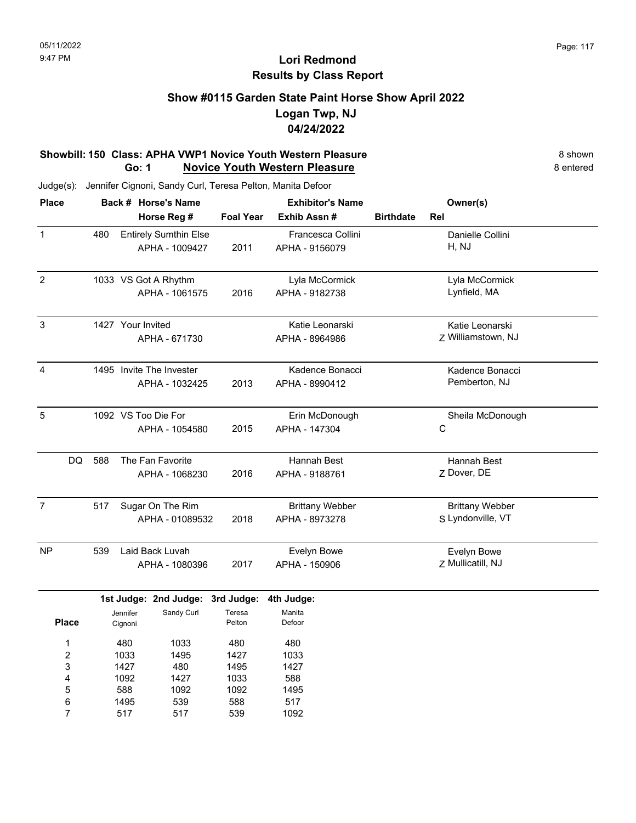### **Show #0115 Garden State Paint Horse Show April 2022 Logan Twp, NJ 04/24/2022**

#### **Showbill: 150 Class: APHA VWP1 Novice Youth Western Pleasure** 8 Shown 8 shown **Go: 1 Novice Youth Western Pleasure** 8 entered

| <b>Place</b>            |     |                   | Back # Horse's Name              |                  | <b>Exhibitor's Name</b> |                  | Owner(s)               |  |
|-------------------------|-----|-------------------|----------------------------------|------------------|-------------------------|------------------|------------------------|--|
|                         |     |                   | Horse Reg #                      | <b>Foal Year</b> | Exhib Assn#             | <b>Birthdate</b> | Rel                    |  |
| $\mathbf{1}$            | 480 |                   | <b>Entirely Sumthin Else</b>     |                  | Francesca Collini       |                  | Danielle Collini       |  |
|                         |     |                   | APHA - 1009427                   | 2011             | APHA - 9156079          |                  | H, NJ                  |  |
|                         |     |                   |                                  |                  |                         |                  |                        |  |
| $\overline{2}$          |     |                   | 1033 VS Got A Rhythm             |                  | Lyla McCormick          |                  | Lyla McCormick         |  |
|                         |     |                   | APHA - 1061575                   | 2016             | APHA - 9182738          |                  | Lynfield, MA           |  |
| $\sqrt{3}$              |     | 1427 Your Invited |                                  |                  | Katie Leonarski         |                  | Katie Leonarski        |  |
|                         |     |                   | APHA - 671730                    |                  | APHA - 8964986          |                  | Z Williamstown, NJ     |  |
| $\overline{4}$          |     |                   | 1495 Invite The Invester         |                  | Kadence Bonacci         |                  | Kadence Bonacci        |  |
|                         |     |                   | APHA - 1032425                   | 2013             | APHA - 8990412          |                  | Pemberton, NJ          |  |
| $\overline{5}$          |     |                   | 1092 VS Too Die For              |                  | Erin McDonough          |                  | Sheila McDonough       |  |
|                         |     |                   | APHA - 1054580                   | 2015             | APHA - 147304           |                  | С                      |  |
| DQ                      | 588 |                   | The Fan Favorite                 |                  | Hannah Best             |                  | Hannah Best            |  |
|                         |     |                   | APHA - 1068230                   | 2016             | APHA - 9188761          |                  | Z Dover, DE            |  |
| $\overline{7}$          | 517 |                   | Sugar On The Rim                 |                  | <b>Brittany Webber</b>  |                  | <b>Brittany Webber</b> |  |
|                         |     |                   | APHA - 01089532                  | 2018             | APHA - 8973278          |                  | S Lyndonville, VT      |  |
| <b>NP</b>               | 539 |                   | Laid Back Luvah                  |                  | Evelyn Bowe             |                  | Evelyn Bowe            |  |
|                         |     |                   | APHA - 1080396                   | 2017             | APHA - 150906           |                  | Z Mullicatill, NJ      |  |
|                         |     |                   | 1st Judge: 2nd Judge: 3rd Judge: |                  | 4th Judge:              |                  |                        |  |
|                         |     | Jennifer          | Sandy Curl                       | Teresa           | Manita                  |                  |                        |  |
| <b>Place</b>            |     | Cignoni           |                                  | Pelton           | Defoor                  |                  |                        |  |
| 1                       |     | 480               | 1033                             | 480              | 480                     |                  |                        |  |
| $\overline{\mathbf{c}}$ |     | 1033              | 1495                             | 1427             | 1033                    |                  |                        |  |
| 3                       |     | 1427              | 480                              | 1495             | 1427                    |                  |                        |  |
| 4                       |     | 1092              | 1427                             | 1033             | 588                     |                  |                        |  |
| 5                       |     | 588               | 1092                             | 1092             | 1495                    |                  |                        |  |
| 6                       |     | 1495              | 539                              | 588              | 517                     |                  |                        |  |
| 7                       |     | 517               | 517                              | 539              | 1092                    |                  |                        |  |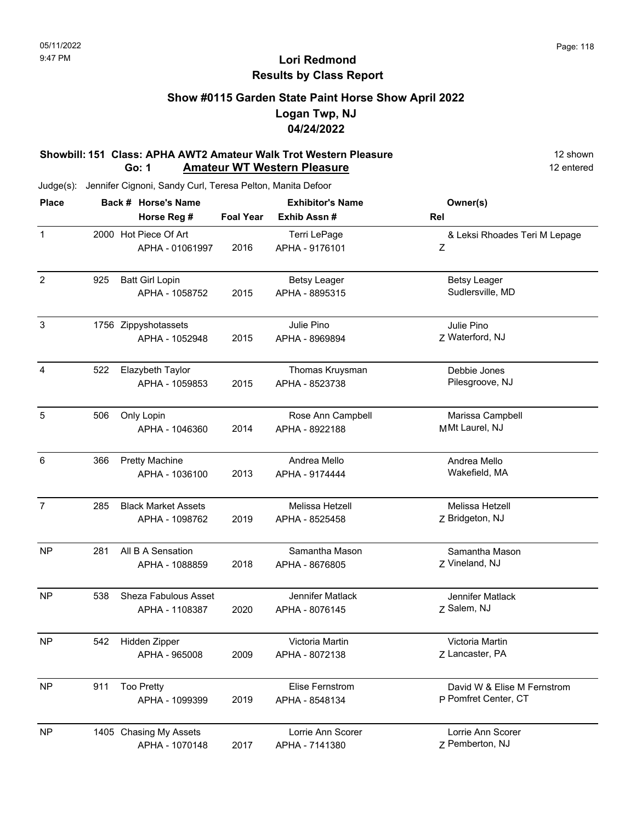### **Show #0115 Garden State Paint Horse Show April 2022 Logan Twp, NJ 04/24/2022**

#### **Showbill: 151 Class: APHA AWT2 Amateur Walk Trot Western Pleasure** 12 Shown 12 shown **Go: 1 Amateur WT Western Pleasure** 12 entered

| <b>Place</b>   |     | Back # Horse's Name        | <b>Exhibitor's Name</b> |                        | Owner(s)                      |
|----------------|-----|----------------------------|-------------------------|------------------------|-------------------------------|
|                |     | Horse Reg #                | <b>Foal Year</b>        | Exhib Assn#            | Rel                           |
| $\mathbf{1}$   |     | 2000 Hot Piece Of Art      |                         | Terri LePage           | & Leksi Rhoades Teri M Lepage |
|                |     | APHA - 01061997            | 2016                    | APHA - 9176101         | Ζ                             |
| $\overline{2}$ | 925 | <b>Batt Girl Lopin</b>     |                         | <b>Betsy Leager</b>    | <b>Betsy Leager</b>           |
|                |     | APHA - 1058752             | 2015                    | APHA - 8895315         | Sudlersville, MD              |
| $\sqrt{3}$     |     | 1756 Zippyshotassets       |                         | Julie Pino             | Julie Pino                    |
|                |     | APHA - 1052948             | 2015                    | APHA - 8969894         | Z Waterford, NJ               |
| 4              | 522 | Elazybeth Taylor           |                         | Thomas Kruysman        | Debbie Jones                  |
|                |     | APHA - 1059853             | 2015                    | APHA - 8523738         | Pilesgroove, NJ               |
| 5              | 506 | Only Lopin                 |                         | Rose Ann Campbell      | Marissa Campbell              |
|                |     | APHA - 1046360             | 2014                    | APHA - 8922188         | MMt Laurel, NJ                |
| 6              | 366 | <b>Pretty Machine</b>      |                         | Andrea Mello           | Andrea Mello                  |
|                |     | APHA - 1036100             | 2013                    | APHA - 9174444         | Wakefield, MA                 |
| $\overline{7}$ | 285 | <b>Black Market Assets</b> |                         | Melissa Hetzell        | Melissa Hetzell               |
|                |     | APHA - 1098762             | 2019                    | APHA - 8525458         | Z Bridgeton, NJ               |
| <b>NP</b>      | 281 | All B A Sensation          |                         | Samantha Mason         | Samantha Mason                |
|                |     | APHA - 1088859             | 2018                    | APHA - 8676805         | Z Vineland, NJ                |
| <b>NP</b>      | 538 | Sheza Fabulous Asset       |                         | Jennifer Matlack       | Jennifer Matlack              |
|                |     | APHA - 1108387             | 2020                    | APHA - 8076145         | Z Salem, NJ                   |
| <b>NP</b>      | 542 | Hidden Zipper              |                         | Victoria Martin        | Victoria Martin               |
|                |     | APHA - 965008              | 2009                    | APHA - 8072138         | Z Lancaster, PA               |
| <b>NP</b>      | 911 | <b>Too Pretty</b>          |                         | <b>Elise Fernstrom</b> | David W & Elise M Fernstrom   |
|                |     | APHA - 1099399             | 2019                    | APHA - 8548134         | P Pomfret Center, CT          |
| <b>NP</b>      |     | 1405 Chasing My Assets     |                         | Lorrie Ann Scorer      | Lorrie Ann Scorer             |
|                |     | APHA - 1070148             | 2017                    | APHA - 7141380         | Z Pemberton, NJ               |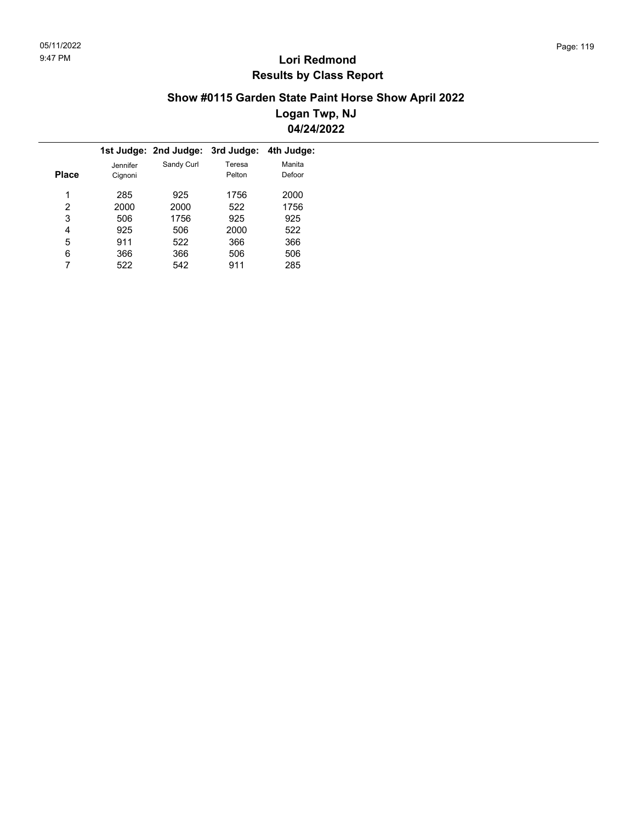### **Show #0115 Garden State Paint Horse Show April 2022 Logan Twp, NJ 04/24/2022**

|          |            | 3rd Judge: | 4th Judge:            |
|----------|------------|------------|-----------------------|
| Jennifer | Sandy Curl | Teresa     | Manita                |
| Cignoni  |            | Pelton     | Defoor                |
|          |            |            |                       |
| 285      | 925        | 1756       | 2000                  |
| 2000     | 2000       | 522        | 1756                  |
| 506      | 1756       | 925        | 925                   |
| 925      | 506        | 2000       | 522                   |
| 911      | 522        | 366        | 366                   |
| 366      | 366        | 506        | 506                   |
| 522      | 542        | 911        | 285                   |
|          |            |            | 1st Judge: 2nd Judge: |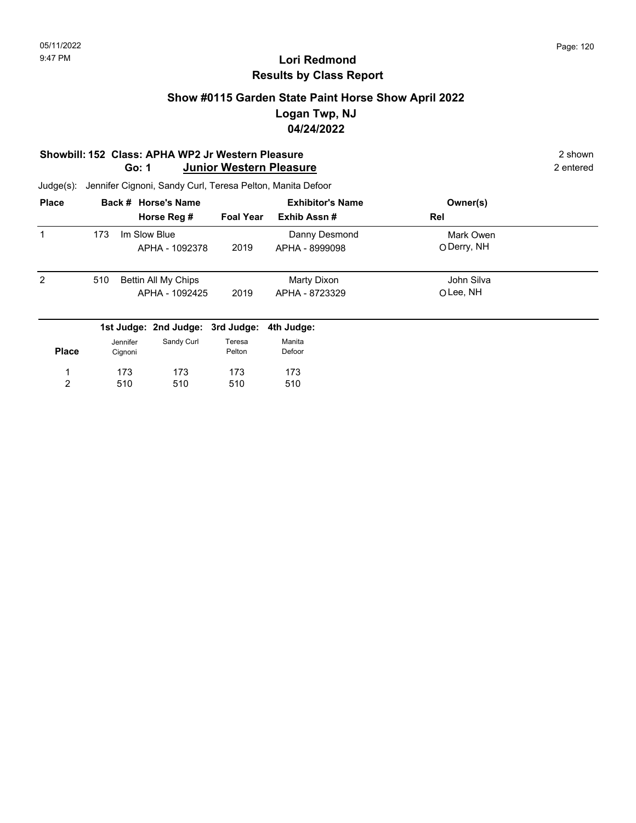### **Show #0115 Garden State Paint Horse Show April 2022 Logan Twp, NJ 04/24/2022**

#### **Showbill: 152 Class: APHA WP2 Jr Western Pleasure**<br> **Shown** 2 shown<br> **Go: 1 Junior Western Pleasure** 2 **ntered** 2 entered **Go: 1 Junior Western Pleasure**

| <b>Place</b>   |     |                     | Back # Horse's Name                   |                  | <b>Exhibitor's Name</b>         | Owner(s)                 |  |
|----------------|-----|---------------------|---------------------------------------|------------------|---------------------------------|--------------------------|--|
|                |     |                     | Horse Reg #                           | <b>Foal Year</b> | Exhib Assn#                     | Rel                      |  |
| 1              | 173 | Im Slow Blue        | APHA - 1092378                        | 2019             | Danny Desmond<br>APHA - 8999098 | Mark Owen<br>O Derry, NH |  |
| $\overline{2}$ | 510 |                     | Bettin All My Chips<br>APHA - 1092425 | 2019             | Marty Dixon<br>APHA - 8723329   | John Silva<br>OLee, NH   |  |
|                |     |                     | 1st Judge: 2nd Judge: 3rd Judge:      |                  | 4th Judge:                      |                          |  |
| <b>Place</b>   |     | Jennifer<br>Cignoni | Sandy Curl                            | Teresa<br>Pelton | Manita<br>Defoor                |                          |  |
|                |     | 173                 | 173                                   | 173              | 173                             |                          |  |
| 2              |     | 510                 | 510                                   | 510              | 510                             |                          |  |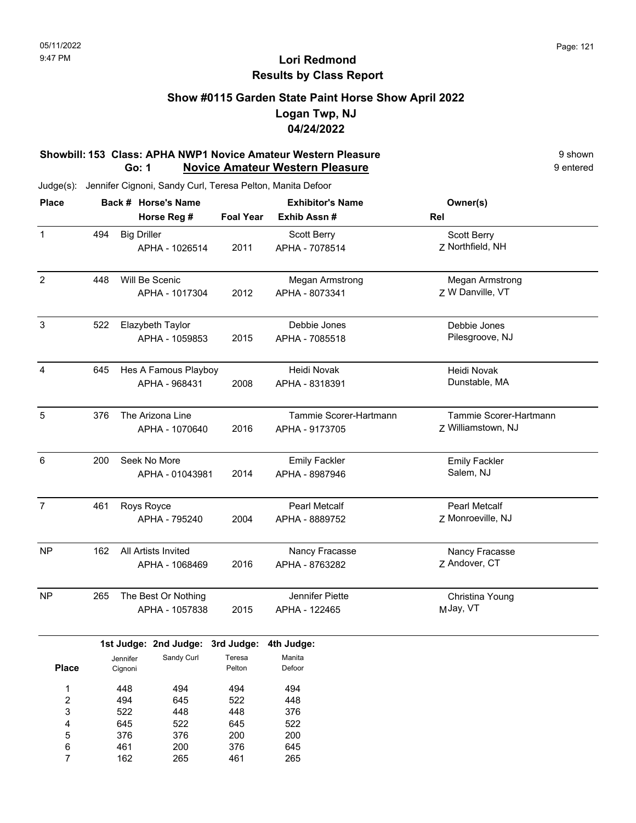### **Show #0115 Garden State Paint Horse Show April 2022 Logan Twp, NJ 04/24/2022**

#### **Showbill: 153 Class: APHA NWP1 Novice Amateur Western Pleasure 19 Shown** 9 shown **Go: 1 Novice Amateur Western Pleasure 19 and 19 and 19 and 19 and 19 and 19 and 19 and 19 and 19 and 19 and 19 and 19 and 19 and 19 and 19 and 19 and 19 and 19 and 19 and 19 and 19 and 19 and 19 and 19 and 19 and 19 and 19 an**

Judge(s): Jennifer Cignoni, Sandy Curl, Teresa Pelton, Manita Defoor

| <b>Place</b>   |     |                     | Back # Horse's Name   |                  | <b>Exhibitor's Name</b> | Owner(s)               |
|----------------|-----|---------------------|-----------------------|------------------|-------------------------|------------------------|
|                |     |                     | Horse Reg #           | <b>Foal Year</b> | Exhib Assn#             | Rel                    |
| $\mathbf{1}$   | 494 | <b>Big Driller</b>  |                       |                  | Scott Berry             | Scott Berry            |
|                |     |                     | APHA - 1026514        | 2011             | APHA - 7078514          | Z Northfield, NH       |
| $\overline{2}$ | 448 |                     | Will Be Scenic        |                  | Megan Armstrong         | <b>Megan Armstrong</b> |
|                |     |                     | APHA - 1017304        | 2012             | APHA - 8073341          | Z W Danville, VT       |
| $\mathbf{3}$   | 522 |                     | Elazybeth Taylor      |                  | Debbie Jones            | Debbie Jones           |
|                |     |                     | APHA - 1059853        | 2015             | APHA - 7085518          | Pilesgroove, NJ        |
| 4              | 645 |                     | Hes A Famous Playboy  |                  | Heidi Novak             | Heidi Novak            |
|                |     |                     | APHA - 968431         | 2008             | APHA - 8318391          | Dunstable, MA          |
| $\overline{5}$ | 376 |                     | The Arizona Line      |                  | Tammie Scorer-Hartmann  | Tammie Scorer-Hartmann |
|                |     |                     | APHA - 1070640        | 2016             | APHA - 9173705          | Z Williamstown, NJ     |
| 6              | 200 |                     | Seek No More          |                  | <b>Emily Fackler</b>    | <b>Emily Fackler</b>   |
|                |     |                     | APHA - 01043981       | 2014             | APHA - 8987946          | Salem, NJ              |
| $\overline{7}$ | 461 |                     | Roys Royce            |                  | <b>Pearl Metcalf</b>    | Pearl Metcalf          |
|                |     |                     | APHA - 795240         | 2004             | APHA - 8889752          | Z Monroeville, NJ      |
| <b>NP</b>      | 162 |                     | All Artists Invited   |                  | Nancy Fracasse          | Nancy Fracasse         |
|                |     |                     | APHA - 1068469        | 2016             | APHA - 8763282          | Z Andover, CT          |
| NP             | 265 |                     | The Best Or Nothing   |                  | Jennifer Piette         | Christina Young        |
|                |     |                     | APHA - 1057838        | 2015             | APHA - 122465           | MJay, VT               |
|                |     |                     | 1st Judge: 2nd Judge: | 3rd Judge:       | 4th Judge:              |                        |
| <b>Place</b>   |     | Jennifer<br>Cignoni | Sandy Curl            | Teresa<br>Pelton | Manita<br>Defoor        |                        |
| 1              |     | 448                 | 494                   | 494              | 494                     |                        |
| 2              |     | 494                 | 645                   | 522              | 448                     |                        |
| 3              |     | 522                 | 448                   | 448              | 376                     |                        |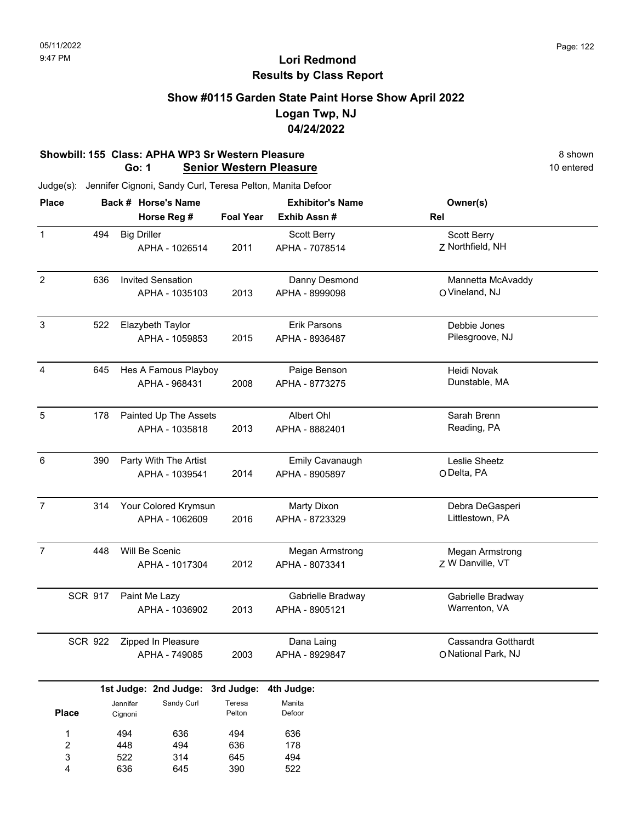### **Show #0115 Garden State Paint Horse Show April 2022 Logan Twp, NJ 04/24/2022**

#### **Showbill: 155 Class: APHA WP3 Sr Western Pleasure** 8 **Shown** 8 shown **Go: 1 Senior Western Pleasure** 10 **entered** 10 entered

| <b>Place</b>            |                |                    | Back # Horse's Name              |                  | <b>Exhibitor's Name</b> | Owner(s)                           |
|-------------------------|----------------|--------------------|----------------------------------|------------------|-------------------------|------------------------------------|
|                         |                |                    | Horse Reg #                      | <b>Foal Year</b> | Exhib Assn #            | Rel                                |
| $\mathbf{1}$            | 494            | <b>Big Driller</b> |                                  |                  | Scott Berry             | Scott Berry                        |
|                         |                |                    | APHA - 1026514                   | 2011             | APHA - 7078514          | Z Northfield, NH                   |
|                         |                |                    |                                  |                  |                         |                                    |
| $\overline{2}$          | 636            |                    | <b>Invited Sensation</b>         |                  | Danny Desmond           | Mannetta McAvaddy                  |
|                         |                |                    | APHA - 1035103                   | 2013             | APHA - 8999098          | O Vineland, NJ                     |
| 3                       | 522            |                    | Elazybeth Taylor                 |                  | Erik Parsons            | Debbie Jones                       |
|                         |                |                    | APHA - 1059853                   | 2015             | APHA - 8936487          | Pilesgroove, NJ                    |
|                         |                |                    |                                  |                  |                         |                                    |
| 4                       | 645            |                    | Hes A Famous Playboy             |                  | Paige Benson            | Heidi Novak                        |
|                         |                |                    | APHA - 968431                    | 2008             | APHA - 8773275          | Dunstable, MA                      |
|                         |                |                    |                                  |                  |                         |                                    |
| $\sqrt{5}$              | 178            |                    | Painted Up The Assets            |                  | Albert Ohl              | Sarah Brenn                        |
|                         |                |                    | APHA - 1035818                   | 2013             | APHA - 8882401          | Reading, PA                        |
|                         |                |                    |                                  |                  |                         |                                    |
| 6                       | 390            |                    | Party With The Artist            |                  | <b>Emily Cavanaugh</b>  | Leslie Sheetz                      |
|                         |                |                    | APHA - 1039541                   | 2014             | APHA - 8905897          | ODelta, PA                         |
|                         |                |                    |                                  |                  |                         |                                    |
| $\overline{7}$          | 314            |                    | Your Colored Krymsun             |                  | <b>Marty Dixon</b>      | Debra DeGasperi                    |
|                         |                |                    | APHA - 1062609                   | 2016             | APHA - 8723329          | Littlestown, PA                    |
|                         |                |                    |                                  |                  |                         |                                    |
| $\overline{7}$          | 448            |                    | Will Be Scenic                   |                  | Megan Armstrong         | Megan Armstrong                    |
|                         |                |                    | APHA - 1017304                   | 2012             | APHA - 8073341          | Z W Danville, VT                   |
|                         |                |                    |                                  |                  |                         |                                    |
|                         | <b>SCR 917</b> |                    | Paint Me Lazy                    | 2013             | Gabrielle Bradway       | Gabrielle Bradway<br>Warrenton, VA |
|                         |                |                    | APHA - 1036902                   |                  | APHA - 8905121          |                                    |
|                         | <b>SCR 922</b> |                    | Zipped In Pleasure               |                  | Dana Laing              | Cassandra Gotthardt                |
|                         |                |                    | APHA - 749085                    | 2003             | APHA - 8929847          | O National Park, NJ                |
|                         |                |                    |                                  |                  |                         |                                    |
|                         |                |                    | 1st Judge: 2nd Judge: 3rd Judge: |                  | 4th Judge:              |                                    |
|                         |                | Jennifer           | Sandy Curl                       | Teresa           | Manita                  |                                    |
| <b>Place</b>            |                | Cignoni            |                                  | Pelton           | Defoor                  |                                    |
| 1                       |                | 494                | 636                              | 494              | 636                     |                                    |
| $\overline{\mathbf{c}}$ |                | 448                | 494                              | 636              | 178                     |                                    |
| 3                       |                | 522                | 314                              | 645              | 494                     |                                    |
| 4                       |                | 636                | 645                              | 390              | 522                     |                                    |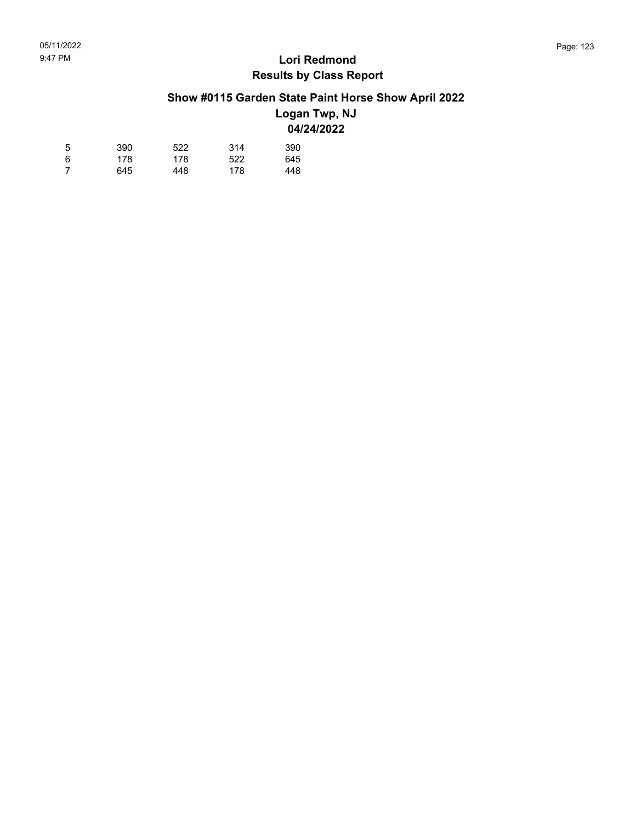## **Show #0115 Garden State Paint Horse Show April 2022**

### **Logan Twp, NJ 04/24/2022**

| 5 | 390 | 522 | 314 | 390 |
|---|-----|-----|-----|-----|
| 6 | 178 | 178 | 522 | 645 |
| 7 | 645 | 448 | 178 | 448 |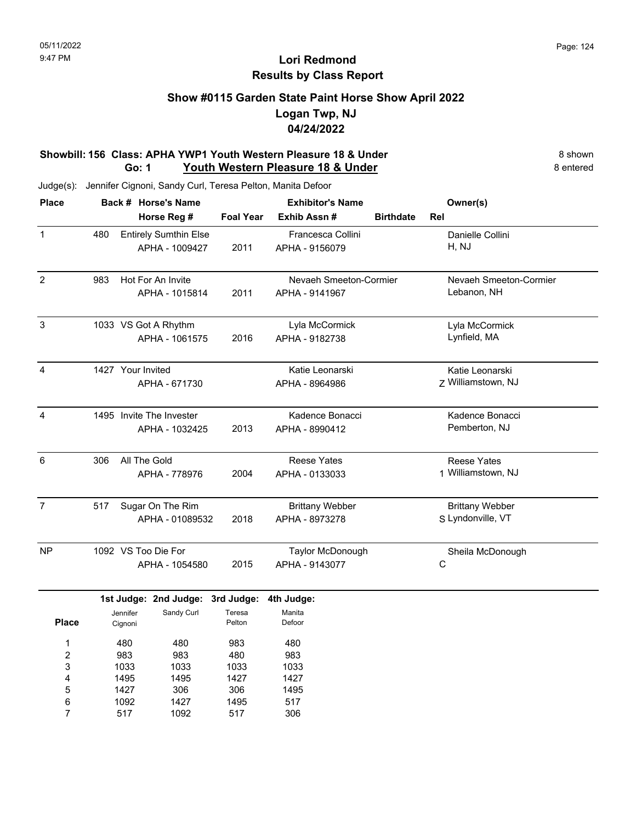### **Show #0115 Garden State Paint Horse Show April 2022 Logan Twp, NJ 04/24/2022**

#### **Showbill: 156 Class: APHA YWP1 Youth Western Pleasure 18 & Under** 8 **Shown** 8 shown **Go: 1 Youth Western Pleasure 18 & Under** 8 **Exercísie 18 & Under** 8 entered

Judge(s): Jennifer Cignoni, Sandy Curl, Teresa Pelton, Manita Defoor

| <b>Place</b>   |     |                     | Back # Horse's Name          |                  | <b>Exhibitor's Name</b> |                  | Owner(s)               |
|----------------|-----|---------------------|------------------------------|------------------|-------------------------|------------------|------------------------|
|                |     |                     | Horse Reg #                  | <b>Foal Year</b> | Exhib Assn#             | <b>Birthdate</b> | Rel                    |
| 1              | 480 |                     | <b>Entirely Sumthin Else</b> |                  | Francesca Collini       |                  | Danielle Collini       |
|                |     |                     | APHA - 1009427               | 2011             | APHA - 9156079          |                  | H, NJ                  |
| $\overline{2}$ | 983 |                     | Hot For An Invite            |                  | Nevaeh Smeeton-Cormier  |                  | Nevaeh Smeeton-Cormier |
|                |     |                     | APHA - 1015814               | 2011             | APHA - 9141967          |                  | Lebanon, NH            |
| 3              |     |                     | 1033 VS Got A Rhythm         |                  | Lyla McCormick          |                  | Lyla McCormick         |
|                |     |                     | APHA - 1061575               | 2016             | APHA - 9182738          |                  | Lynfield, MA           |
| 4              |     |                     | 1427 Your Invited            |                  | Katie Leonarski         |                  | Katie Leonarski        |
|                |     |                     | APHA - 671730                |                  | APHA - 8964986          |                  | Z Williamstown, NJ     |
| 4              |     |                     | 1495 Invite The Invester     |                  | Kadence Bonacci         |                  | Kadence Bonacci        |
|                |     |                     | APHA - 1032425               | 2013             | APHA - 8990412          |                  | Pemberton, NJ          |
| 6              | 306 |                     | All The Gold                 |                  | <b>Reese Yates</b>      |                  | <b>Reese Yates</b>     |
|                |     |                     | APHA - 778976                | 2004             | APHA - 0133033          |                  | 1 Williamstown, NJ     |
| $\overline{7}$ | 517 |                     | Sugar On The Rim             |                  | <b>Brittany Webber</b>  |                  | <b>Brittany Webber</b> |
|                |     |                     | APHA - 01089532              | 2018             | APHA - 8973278          |                  | S Lyndonville, VT      |
| <b>NP</b>      |     |                     | 1092 VS Too Die For          |                  | Taylor McDonough        |                  | Sheila McDonough       |
|                |     |                     | APHA - 1054580               | 2015             | APHA - 9143077          |                  | С                      |
|                |     |                     | 1st Judge: 2nd Judge:        | 3rd Judge:       | 4th Judge:              |                  |                        |
| <b>Place</b>   |     | Jennifer<br>Cignoni | Sandy Curl                   | Teresa<br>Pelton | Manita<br>Defoor        |                  |                        |
| 1              |     | 480                 | 480                          | 983              | 480                     |                  |                        |
| 2              |     | 983                 | 983                          | 480              | 983                     |                  |                        |
| 3              |     | 1033                | 1033                         | 1033             | 1033                    |                  |                        |
| 4              |     | 1495                | 1495                         | 1427             | 1427                    |                  |                        |
| 5              |     | 1427                | 306                          | 306              | 1495                    |                  |                        |
| 6              |     | 1092                | 1427                         | 1495             | 517                     |                  |                        |
| 7              |     | 517                 | 1092                         | 517              | 306                     |                  |                        |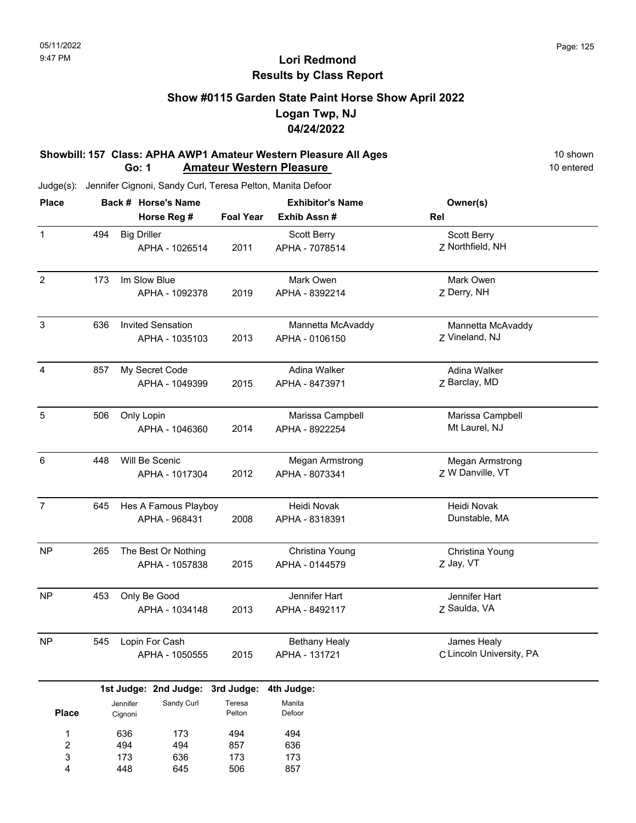### **Show #0115 Garden State Paint Horse Show April 2022 Logan Twp, NJ 04/24/2022**

#### **Showbill: 157 Class: APHA AWP1 Amateur Western Pleasure All Ages** 10 Shown 10 shown<br>**Go: 1 Amateur Western Pleasure** 10 **Amateur Western Pleasure** 10 **entered Go: 1 Amateur Western Pleasure**

| <b>Place</b>   |                                   |                    | Back # Horse's Name              |                  | <b>Exhibitor's Name</b> | Owner(s)                 |  |
|----------------|-----------------------------------|--------------------|----------------------------------|------------------|-------------------------|--------------------------|--|
|                |                                   |                    | Horse Reg #                      | <b>Foal Year</b> | Exhib Assn#             | Rel                      |  |
| $\mathbf{1}$   | 494                               | <b>Big Driller</b> |                                  |                  | Scott Berry             | Scott Berry              |  |
|                |                                   |                    | APHA - 1026514                   | 2011             | APHA - 7078514          | Z Northfield, NH         |  |
| $\overline{2}$ | 173                               |                    | Im Slow Blue                     |                  | Mark Owen               | Mark Owen                |  |
|                |                                   |                    | APHA - 1092378                   | 2019             | APHA - 8392214          | Z Derry, NH              |  |
| $\sqrt{3}$     | <b>Invited Sensation</b><br>636   |                    |                                  |                  | Mannetta McAvaddy       | Mannetta McAvaddy        |  |
|                |                                   |                    | APHA - 1035103                   | 2013             | APHA - 0106150          | Z Vineland, NJ           |  |
| 4              | 857                               |                    | My Secret Code                   |                  | Adina Walker            | Adina Walker             |  |
|                |                                   |                    | APHA - 1049399                   | 2015             | APHA - 8473971          | Z Barclay, MD            |  |
| 5              | 506                               | Only Lopin         |                                  |                  | Marissa Campbell        | Marissa Campbell         |  |
|                |                                   |                    | APHA - 1046360                   | 2014             | APHA - 8922254          | Mt Laurel, NJ            |  |
| 6              | 448                               |                    | Will Be Scenic                   |                  | Megan Armstrong         | Megan Armstrong          |  |
|                |                                   |                    | APHA - 1017304                   | 2012             | APHA - 8073341          | Z W Danville, VT         |  |
| $\overline{7}$ | 645                               |                    | Hes A Famous Playboy             |                  | Heidi Novak             | Heidi Novak              |  |
|                |                                   |                    | APHA - 968431                    | 2008             | APHA - 8318391          | Dunstable, MA            |  |
| <b>NP</b>      | 265                               |                    | The Best Or Nothing              |                  | Christina Young         | Christina Young          |  |
|                |                                   |                    | APHA - 1057838                   | 2015             | APHA - 0144579          | Z Jay, VT                |  |
| <b>NP</b>      | 453                               |                    | Only Be Good                     |                  | Jennifer Hart           | Jennifer Hart            |  |
|                |                                   |                    | APHA - 1034148                   | 2013             | APHA - 8492117          | Z Saulda, VA             |  |
| <b>NP</b>      | 545                               |                    | Lopin For Cash                   |                  | <b>Bethany Healy</b>    | James Healy              |  |
|                |                                   |                    | APHA - 1050555                   | 2015             | APHA - 131721           | C Lincoln University, PA |  |
|                |                                   |                    | 1st Judge: 2nd Judge: 3rd Judge: |                  | 4th Judge:              |                          |  |
| <b>Place</b>   | Sandy Curl<br>Jennifer<br>Cignoni |                    | Teresa<br>Pelton                 | Manita<br>Defoor |                         |                          |  |
| $\mathbf 1$    |                                   | 636                | 173                              | 494              | 494                     |                          |  |
| 2              |                                   | 494                | 494                              | 857              | 636                     |                          |  |
| 3              |                                   | 173                | 636                              | 173              | 173                     |                          |  |
| 4              |                                   | 448                | 645                              | 506              | 857                     |                          |  |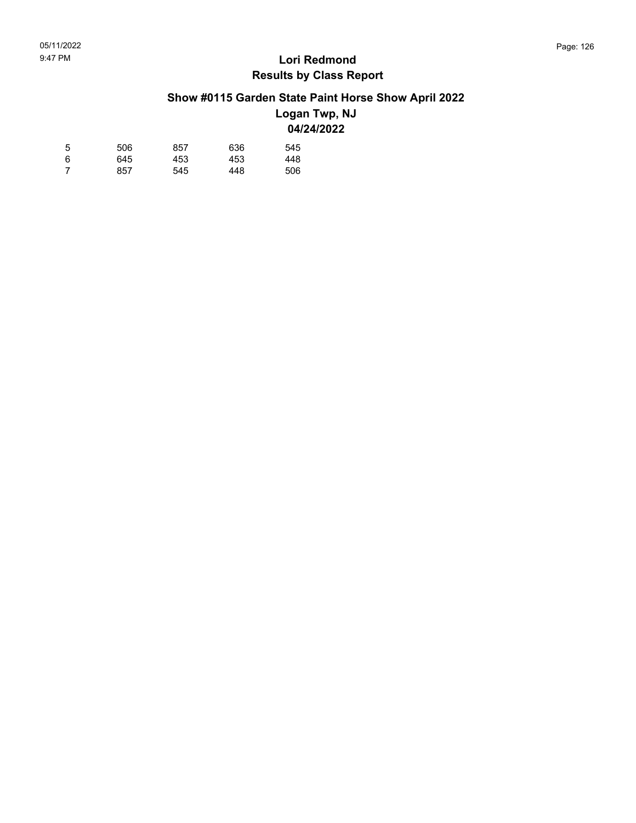## **Show #0115 Garden State Paint Horse Show April 2022**

### **Logan Twp, NJ 04/24/2022**

| 5 | 506 | 857 | 636 | 545 |
|---|-----|-----|-----|-----|
| 6 | 645 | 453 | 453 | 448 |
| 7 | 857 | 545 | 448 | 506 |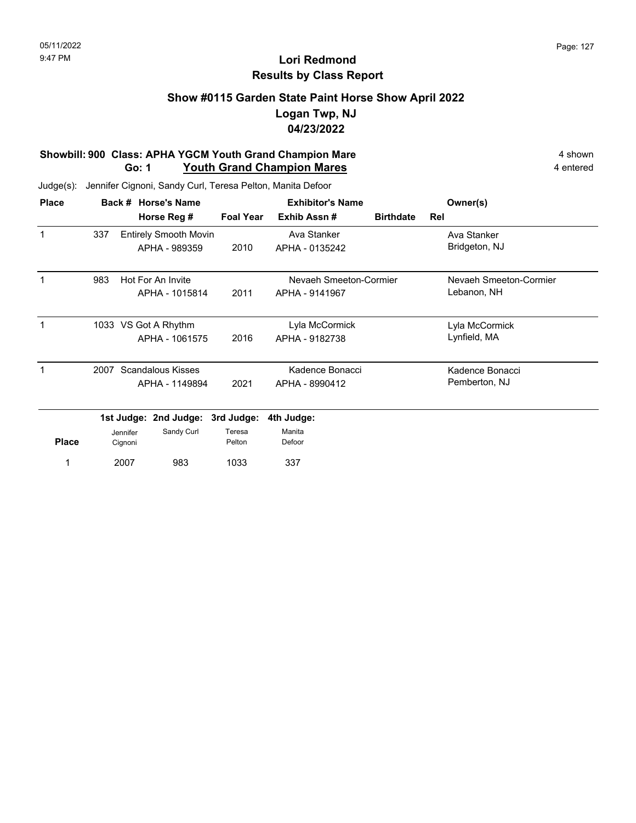### **Show #0115 Garden State Paint Horse Show April 2022 Logan Twp, NJ 04/23/2022**

#### **Showbill: 900 Class: APHA YGCM Youth Grand Champion Mare** 4 shown 4 shown **Go: 1** Youth Grand Champion Mares **1988** 4 entered

| <b>Place</b> |      | Back #              | <b>Horse's Name</b>          |                  | <b>Exhibitor's Name</b> | Owner(s)               |                        |
|--------------|------|---------------------|------------------------------|------------------|-------------------------|------------------------|------------------------|
|              |      |                     | Horse Reg #                  | <b>Foal Year</b> | Exhib Assn#             | <b>Birthdate</b>       | Rel                    |
| 1            | 337  |                     | <b>Entirely Smooth Movin</b> |                  | Ava Stanker             |                        | Ava Stanker            |
|              |      |                     | APHA - 989359                | 2010             | APHA - 0135242          |                        | Bridgeton, NJ          |
| 983          |      |                     | Hot For An Invite            |                  |                         | Nevaeh Smeeton-Cormier | Nevaeh Smeeton-Cormier |
|              |      |                     | APHA - 1015814               | 2011             | APHA - 9141967          |                        | Lebanon, NH            |
|              |      |                     | 1033 VS Got A Rhythm         |                  | Lyla McCormick          |                        | Lyla McCormick         |
|              |      |                     | APHA - 1061575               | 2016             | APHA - 9182738          |                        | Lynfield, MA           |
|              | 2007 |                     | <b>Scandalous Kisses</b>     |                  | Kadence Bonacci         |                        | Kadence Bonacci        |
|              |      |                     | APHA - 1149894               | 2021             | APHA - 8990412          |                        | Pemberton, NJ          |
|              |      |                     | 1st Judge: 2nd Judge:        | 3rd Judge:       | 4th Judge:              |                        |                        |
| <b>Place</b> |      | Jennifer<br>Cignoni | Sandy Curl                   | Teresa<br>Pelton | Manita<br>Defoor        |                        |                        |
| 1            |      | 2007                | 983                          | 1033             | 337                     |                        |                        |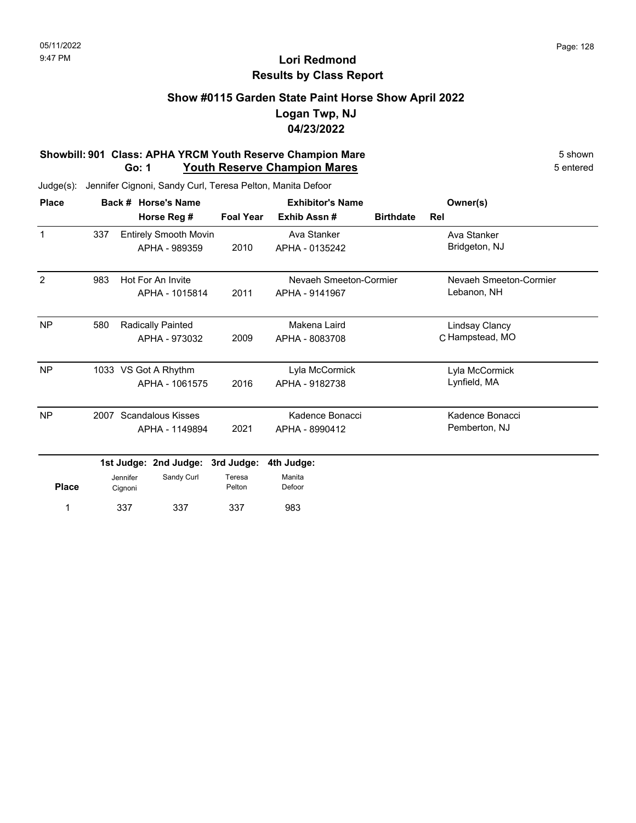### **Show #0115 Garden State Paint Horse Show April 2022 Logan Twp, NJ 04/23/2022**

#### **Showbill: 901 Class: APHA YRCM Youth Reserve Champion Mare** 5 Shown 5 shown 5 shown 5 shown 5 chtered **Go: 1 Youth Reserve Champion Mares**

| <b>Place</b> |                                   |     | Back # Horse's Name          |                  | <b>Exhibitor's Name</b> | Owner(s)         |                        |  |
|--------------|-----------------------------------|-----|------------------------------|------------------|-------------------------|------------------|------------------------|--|
|              |                                   |     | Horse Reg #                  | <b>Foal Year</b> | Exhib Assn#             | <b>Birthdate</b> | Rel                    |  |
| $\mathbf{1}$ | 337                               |     | <b>Entirely Smooth Movin</b> |                  | Ava Stanker             |                  | Ava Stanker            |  |
|              |                                   |     | APHA - 989359                | 2010             | APHA - 0135242          |                  | Bridgeton, NJ          |  |
| 2            | 983<br>Hot For An Invite          |     |                              |                  | Nevaeh Smeeton-Cormier  |                  | Nevaeh Smeeton-Cormier |  |
|              |                                   |     | APHA - 1015814               | 2011             | APHA - 9141967          |                  | Lebanon, NH            |  |
| <b>NP</b>    | 580                               |     | Radically Painted            |                  | Makena Laird            |                  | <b>Lindsay Clancy</b>  |  |
|              |                                   |     | APHA - 973032                | 2009             | APHA - 8083708          |                  | C Hampstead, MO        |  |
| <b>NP</b>    |                                   |     | 1033 VS Got A Rhythm         |                  | Lyla McCormick          |                  | Lyla McCormick         |  |
|              |                                   |     | APHA - 1061575               | 2016             | APHA - 9182738          |                  | Lynfield, MA           |  |
| <b>NP</b>    | 2007                              |     | <b>Scandalous Kisses</b>     |                  | Kadence Bonacci         |                  | Kadence Bonacci        |  |
|              |                                   |     | APHA - 1149894               | 2021             | APHA - 8990412          |                  | Pemberton, NJ          |  |
|              |                                   |     | 1st Judge: 2nd Judge:        | 3rd Judge:       | 4th Judge:              |                  |                        |  |
| <b>Place</b> | Sandy Curl<br>Jennifer<br>Cignoni |     | Teresa<br>Pelton             | Manita<br>Defoor |                         |                  |                        |  |
|              |                                   | 337 | 337                          | 337              | 983                     |                  |                        |  |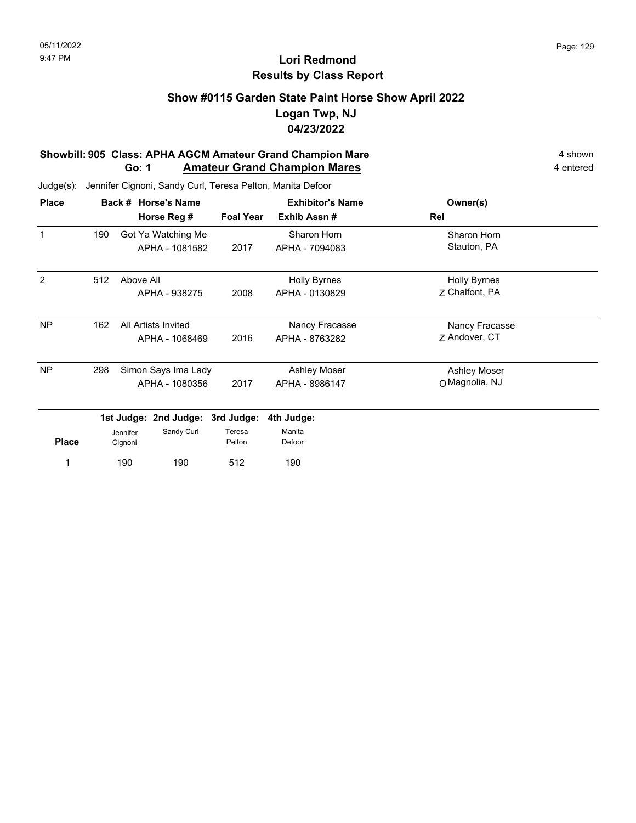### **Show #0115 Garden State Paint Horse Show April 2022 Logan Twp, NJ 04/23/2022**

#### **Showbill: 905 Class: APHA AGCM Amateur Grand Champion Mare** 4 shown 4 shown **Go: 1** Amateur Grand Champion Mares **4 entered** 4 entered

Judge(s): Jennifer Cignoni, Sandy Curl, Teresa Pelton, Manita Defoor

190 190

1 190 190 512 190

| <b>Place</b> |     |           | Back # Horse's Name   |                  | <b>Exhibitor's Name</b> | Owner(s)            |
|--------------|-----|-----------|-----------------------|------------------|-------------------------|---------------------|
|              |     |           | Horse Reg #           | <b>Foal Year</b> | Exhib Assn#             | Rel                 |
| 1            | 190 |           | Got Ya Watching Me    |                  | Sharon Horn             | Sharon Horn         |
|              |     |           | APHA - 1081582        | 2017             | APHA - 7094083          | Stauton, PA         |
| 2            | 512 | Above All |                       |                  | <b>Holly Byrnes</b>     | <b>Holly Byrnes</b> |
|              |     |           | APHA - 938275         | 2008             | APHA - 0130829          | 7 Chalfont, PA      |
| <b>NP</b>    | 162 |           | All Artists Invited   |                  | Nancy Fracasse          | Nancy Fracasse      |
|              |     |           | APHA - 1068469        | 2016             | APHA - 8763282          | Z Andover, CT       |
| <b>NP</b>    | 298 |           | Simon Says Ima Lady   |                  | Ashley Moser            | <b>Ashley Moser</b> |
|              |     |           | APHA - 1080356        | 2017             | APHA - 8986147          | O Magnolia, NJ      |
|              |     |           | 1st Judge: 2nd Judge: | 3rd Judge:       | 4th Judge:              |                     |
|              |     | Jennifer  | Sandy Curl            | Teresa           | Manita                  |                     |
| <b>Place</b> |     | Cignoni   |                       | Pelton           | Defoor                  |                     |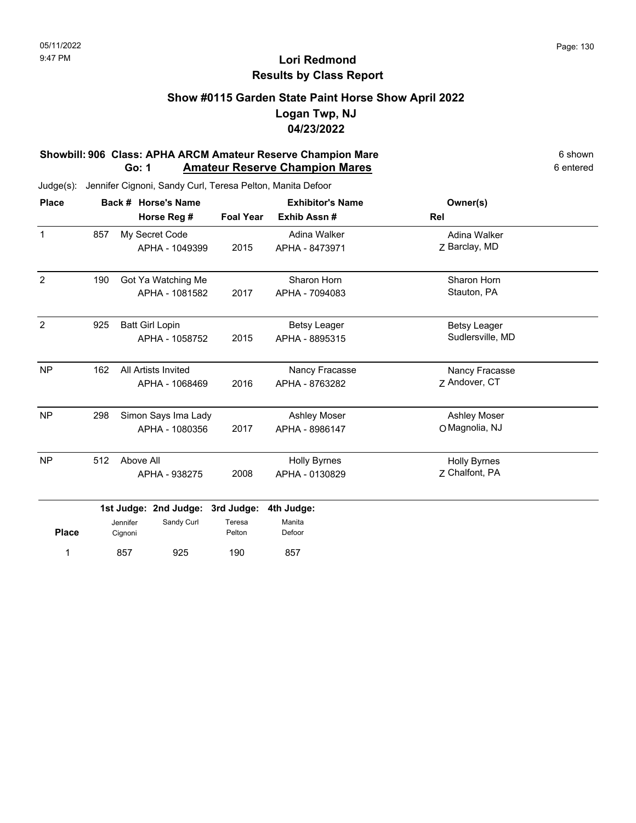### **Show #0115 Garden State Paint Horse Show April 2022 Logan Twp, NJ 04/23/2022**

#### **Showbill: 906 Class: APHA ARCM Amateur Reserve Champion Mare** 6 **Shown** 6 shown **Go: 1 Amateur Reserve Champion Mares 6 entered** 6 entered

| <b>Place</b>   | Back # Horse's Name |                     |                                          |                  | <b>Exhibitor's Name</b>               | Owner(s)                                |  |
|----------------|---------------------|---------------------|------------------------------------------|------------------|---------------------------------------|-----------------------------------------|--|
|                |                     |                     | Horse Reg #                              | <b>Foal Year</b> | Exhib Assn#                           | Rel                                     |  |
| $\mathbf{1}$   | 857                 |                     | My Secret Code<br>APHA - 1049399         | 2015             | Adina Walker<br>APHA - 8473971        | Adina Walker<br>Z Barclay, MD           |  |
| $\overline{2}$ | 190                 |                     | Got Ya Watching Me<br>APHA - 1081582     | 2017             | Sharon Horn<br>APHA - 7094083         | Sharon Horn<br>Stauton, PA              |  |
| $\overline{2}$ | 925                 |                     | <b>Batt Girl Lopin</b><br>APHA - 1058752 | 2015             | <b>Betsy Leager</b><br>APHA - 8895315 | <b>Betsy Leager</b><br>Sudlersville, MD |  |
| <b>NP</b>      | 162                 |                     | All Artists Invited<br>APHA - 1068469    | 2016             | Nancy Fracasse<br>APHA - 8763282      | Nancy Fracasse<br>Z Andover, CT         |  |
| <b>NP</b>      | 298                 |                     | Simon Says Ima Lady<br>APHA - 1080356    | 2017             | <b>Ashley Moser</b><br>APHA - 8986147 | Ashley Moser<br>O Magnolia, NJ          |  |
| <b>NP</b>      | 512                 | Above All           | APHA - 938275                            | 2008             | <b>Holly Byrnes</b><br>APHA - 0130829 | <b>Holly Byrnes</b><br>Z Chalfont, PA   |  |
|                |                     |                     | 1st Judge: 2nd Judge:                    | 3rd Judge:       | 4th Judge:                            |                                         |  |
| <b>Place</b>   |                     | Jennifer<br>Cignoni | Sandy Curl                               | Teresa<br>Pelton | Manita<br>Defoor                      |                                         |  |
| 1              |                     | 857                 | 925                                      | 190              | 857                                   |                                         |  |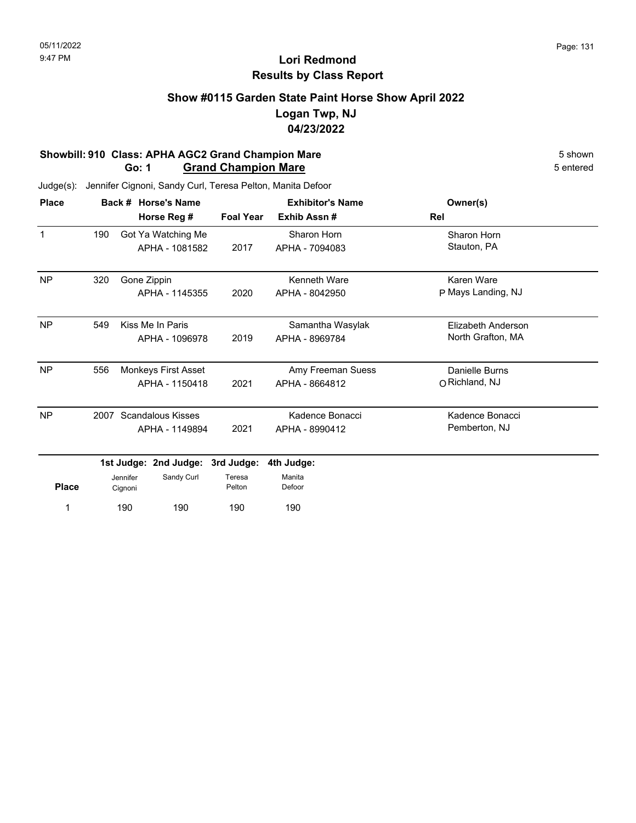### **Show #0115 Garden State Paint Horse Show April 2022 Logan Twp, NJ 04/23/2022**

#### **Showbill: 910 Class: APHA AGC2 Grand Champion Mare** 5 Shown 5 shown 5 shown 5 shown 5 shown 5 chtered **Go: 1 Grand Champion Mare**

| <b>Place</b> |                                  |                     | Back # Horse's Name |                  | <b>Exhibitor's Name</b> | Owner(s)           |
|--------------|----------------------------------|---------------------|---------------------|------------------|-------------------------|--------------------|
|              |                                  |                     | Horse Reg #         | <b>Foal Year</b> | Exhib Assn#             | Rel                |
| $\mathbf{1}$ | 190                              |                     | Got Ya Watching Me  |                  | Sharon Horn             | Sharon Horn        |
|              |                                  |                     | APHA - 1081582      | 2017             | APHA - 7094083          | Stauton, PA        |
| <b>NP</b>    | 320                              | Gone Zippin         |                     |                  | <b>Kenneth Ware</b>     | Karen Ware         |
|              |                                  |                     | APHA - 1145355      | 2020             | APHA - 8042950          | P Mays Landing, NJ |
| <b>NP</b>    | 549                              |                     | Kiss Me In Paris    |                  | Samantha Wasylak        | Elizabeth Anderson |
|              |                                  |                     | APHA - 1096978      | 2019             | APHA - 8969784          | North Grafton, MA  |
| <b>NP</b>    | 556                              |                     | Monkeys First Asset |                  | Amy Freeman Suess       | Danielle Burns     |
|              |                                  |                     | APHA - 1150418      | 2021             | APHA - 8664812          | O Richland, NJ     |
| NP           | <b>Scandalous Kisses</b><br>2007 |                     |                     |                  | Kadence Bonacci         | Kadence Bonacci    |
|              |                                  |                     | APHA - 1149894      | 2021             | APHA - 8990412          | Pemberton, NJ      |
|              | 1st Judge: 2nd Judge:            |                     |                     | 3rd Judge:       | 4th Judge:              |                    |
| <b>Place</b> |                                  | Jennifer<br>Cignoni | Sandy Curl          | Teresa<br>Pelton | Manita<br>Defoor        |                    |
|              |                                  | 190                 | 190                 | 190              | 190                     |                    |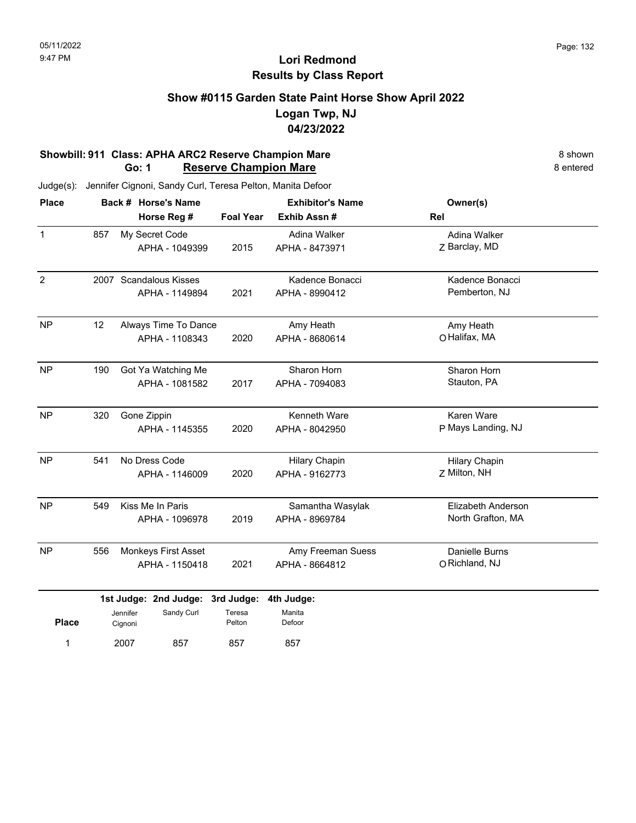### **Show #0115 Garden State Paint Horse Show April 2022 Logan Twp, NJ 04/23/2022**

#### **Showbill: 911 Class: APHA ARC2 Reserve Champion Mare** 8 **Shown** 8 shown 8 shown 8 shown **Go: 1** Reserve Champion Mare **Go: 1 Reserve Champion Mare**

2007 857

1 2007 857 857 857

857

| <b>Place</b>   |     |                     | Back # Horse's Name              |                  | <b>Exhibitor's Name</b> | Owner(s)             |  |
|----------------|-----|---------------------|----------------------------------|------------------|-------------------------|----------------------|--|
|                |     |                     | Horse Reg #                      | <b>Foal Year</b> | Exhib Assn#             | Rel                  |  |
| $\mathbf{1}$   | 857 |                     | My Secret Code                   |                  | Adina Walker            | Adina Walker         |  |
|                |     |                     | APHA - 1049399                   | 2015             | APHA - 8473971          | Z Barclay, MD        |  |
| $\overline{2}$ |     |                     | 2007 Scandalous Kisses           |                  | Kadence Bonacci         | Kadence Bonacci      |  |
|                |     |                     | APHA - 1149894                   | 2021             | APHA - 8990412          | Pemberton, NJ        |  |
| <b>NP</b>      | 12  |                     | Always Time To Dance             |                  | Amy Heath               | Amy Heath            |  |
|                |     |                     | APHA - 1108343                   | 2020             | APHA - 8680614          | O Halifax, MA        |  |
| <b>NP</b>      | 190 |                     | Got Ya Watching Me               |                  | Sharon Horn             | Sharon Horn          |  |
|                |     |                     | APHA - 1081582                   | 2017             | APHA - 7094083          | Stauton, PA          |  |
| <b>NP</b>      | 320 | Gone Zippin         |                                  |                  | Kenneth Ware            | Karen Ware           |  |
|                |     |                     | APHA - 1145355                   | 2020             | APHA - 8042950          | P Mays Landing, NJ   |  |
| <b>NP</b>      | 541 | No Dress Code       |                                  |                  | <b>Hilary Chapin</b>    | <b>Hilary Chapin</b> |  |
|                |     |                     | APHA - 1146009                   | 2020             | APHA - 9162773          | Z Milton, NH         |  |
| <b>NP</b>      | 549 |                     | Kiss Me In Paris                 |                  | Samantha Wasylak        | Elizabeth Anderson   |  |
|                |     |                     | APHA - 1096978                   | 2019             | APHA - 8969784          | North Grafton, MA    |  |
| <b>NP</b>      | 556 |                     | Monkeys First Asset              |                  | Amy Freeman Suess       | Danielle Burns       |  |
|                |     |                     | APHA - 1150418                   | 2021             | APHA - 8664812          | O Richland, NJ       |  |
|                |     |                     | 1st Judge: 2nd Judge: 3rd Judge: |                  | 4th Judge:              |                      |  |
| <b>Place</b>   |     | Jennifer<br>Cignoni | Sandy Curl                       | Teresa<br>Pelton | Manita<br>Defoor        |                      |  |
|                |     |                     |                                  |                  |                         |                      |  |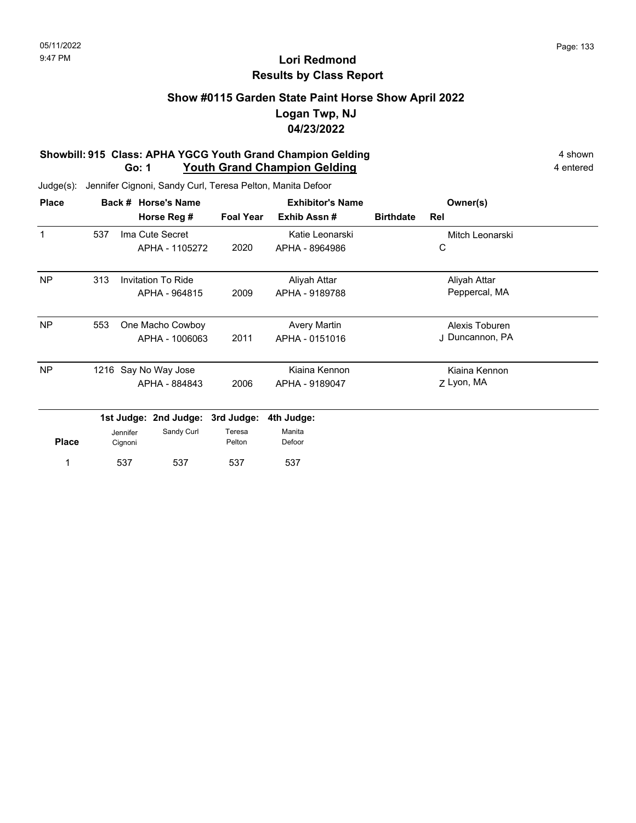## **Show #0115 Garden State Paint Horse Show April 2022 Logan Twp, NJ 04/23/2022**

#### **Showbill: 915 Class: APHA YGCG Youth Grand Champion Gelding 4 shown 4 shown Go: 1** Youth Grand Champion Gelding **4** entered

Judge(s): Jennifer Cignoni, Sandy Curl, Teresa Pelton, Manita Defoor

537 537

1 537 537 537 537

| <b>Place</b> |     |          | Back # Horse's Name       |                  | <b>Exhibitor's Name</b> |                  | Owner(s)        |  |
|--------------|-----|----------|---------------------------|------------------|-------------------------|------------------|-----------------|--|
|              |     |          | Horse Reg #               | <b>Foal Year</b> | Exhib Assn#             | <b>Birthdate</b> | Rel             |  |
| 1            | 537 |          | Ima Cute Secret           |                  | Katie Leonarski         |                  | Mitch Leonarski |  |
|              |     |          | APHA - 1105272            | 2020             | APHA - 8964986          |                  | C               |  |
| <b>NP</b>    | 313 |          | <b>Invitation To Ride</b> |                  | Aliyah Attar            |                  | Aliyah Attar    |  |
|              |     |          | APHA - 964815             | 2009             | APHA - 9189788          |                  | Peppercal, MA   |  |
| <b>NP</b>    | 553 |          | One Macho Cowboy          |                  | <b>Avery Martin</b>     |                  | Alexis Toburen  |  |
|              |     |          | APHA - 1006063            | 2011             | APHA - 0151016          |                  | J Duncannon, PA |  |
| <b>NP</b>    |     |          | 1216 Say No Way Jose      |                  | Kiaina Kennon           |                  | Kiaina Kennon   |  |
|              |     |          | APHA - 884843             | 2006             | APHA - 9189047          |                  | Z Lyon, MA      |  |
|              |     |          | 1st Judge: 2nd Judge:     | 3rd Judge:       | 4th Judge:              |                  |                 |  |
|              |     | Jennifer | Sandy Curl                | Teresa           | Manita                  |                  |                 |  |
| <b>Place</b> |     | Cignoni  |                           | Pelton           | Defoor                  |                  |                 |  |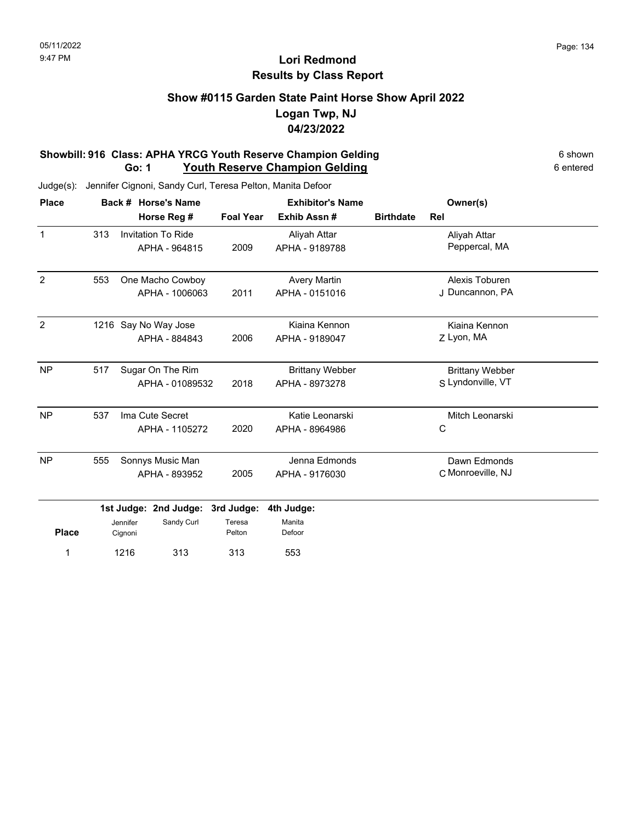### **Show #0115 Garden State Paint Horse Show April 2022 Logan Twp, NJ 04/23/2022**

#### **Showbill: 916 Class: APHA YRCG Youth Reserve Champion Gelding 6 Shown 6 shown Go: 1** Youth Reserve Champion Gelding **Construction** 6 entered

| <b>Place</b>   |     |                                   | Back # Horse's Name                        |                                | <b>Exhibitor's Name</b>                  |                  | Owner(s)                                    |  |
|----------------|-----|-----------------------------------|--------------------------------------------|--------------------------------|------------------------------------------|------------------|---------------------------------------------|--|
|                |     |                                   | Horse Reg #                                | <b>Foal Year</b>               | Exhib Assn#                              | <b>Birthdate</b> | Rel                                         |  |
| $\mathbf{1}$   | 313 |                                   | <b>Invitation To Ride</b><br>APHA - 964815 | 2009                           | Aliyah Attar<br>APHA - 9189788           |                  | Aliyah Attar<br>Peppercal, MA               |  |
| 2              | 553 |                                   | One Macho Cowboy<br>APHA - 1006063         | 2011                           | <b>Avery Martin</b><br>APHA - 0151016    |                  | Alexis Toburen<br>J Duncannon, PA           |  |
| $\overline{2}$ |     |                                   | 1216 Say No Way Jose<br>APHA - 884843      | 2006                           | Kiaina Kennon<br>APHA - 9189047          |                  | Kiaina Kennon<br>Z Lyon, MA                 |  |
| <b>NP</b>      | 517 |                                   | Sugar On The Rim<br>APHA - 01089532        | 2018                           | <b>Brittany Webber</b><br>APHA - 8973278 |                  | <b>Brittany Webber</b><br>S Lyndonville, VT |  |
| <b>NP</b>      | 537 | Ima Cute Secret<br>APHA - 1105272 |                                            | 2020                           | Katie Leonarski<br>APHA - 8964986        |                  | Mitch Leonarski<br>C                        |  |
| <b>NP</b>      | 555 |                                   | Sonnys Music Man<br>APHA - 893952          | 2005                           | Jenna Edmonds<br>APHA - 9176030          |                  | Dawn Edmonds<br>C Monroeville, NJ           |  |
| <b>Place</b>   |     | Jennifer<br>Cignoni               | 1st Judge: 2nd Judge:<br>Sandy Curl        | 3rd Judge:<br>Teresa<br>Pelton | 4th Judge:<br>Manita<br>Defoor           |                  |                                             |  |
| 1              |     | 1216                              | 313                                        | 313                            | 553                                      |                  |                                             |  |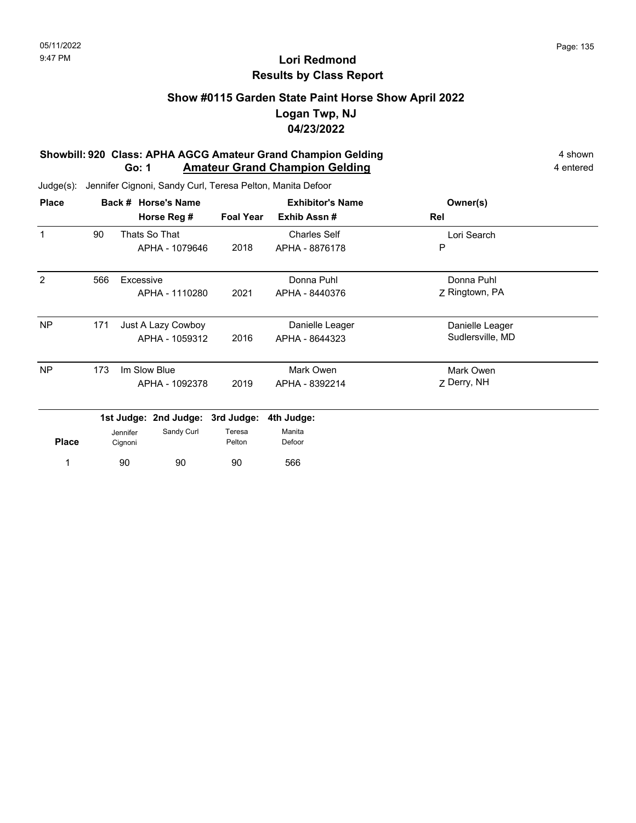### **Show #0115 Garden State Paint Horse Show April 2022 Logan Twp, NJ 04/23/2022**

#### **Showbill: 920 Class: APHA AGCG Amateur Grand Champion Gelding 4 shown 4 shown Go: 1 Amateur Grand Champion Gelding 4 entered**

Judge(s): Jennifer Cignoni, Sandy Curl, Teresa Pelton, Manita Defoor

90 90

1 566

| <b>Place</b> |     |           | Back # Horse's Name              |                  | <b>Exhibitor's Name</b> | Owner(s)         |  |
|--------------|-----|-----------|----------------------------------|------------------|-------------------------|------------------|--|
|              |     |           | Horse Reg #                      | <b>Foal Year</b> | Exhib Assn#             | Rel              |  |
|              | 90  |           | Thats So That                    |                  | <b>Charles Self</b>     | Lori Search      |  |
|              |     |           | APHA - 1079646                   | 2018             | APHA - 8876178          | P                |  |
| 2            | 566 | Excessive |                                  |                  | Donna Puhl              | Donna Puhl       |  |
|              |     |           | APHA - 1110280                   | 2021             | APHA - 8440376          | Z Ringtown, PA   |  |
| <b>NP</b>    | 171 |           | Just A Lazy Cowboy               |                  | Danielle Leager         | Danielle Leager  |  |
|              |     |           | APHA - 1059312                   | 2016             | APHA - 8644323          | Sudlersville, MD |  |
| <b>NP</b>    | 173 |           | Im Slow Blue                     |                  | Mark Owen               | Mark Owen        |  |
|              |     |           | APHA - 1092378                   | 2019             | APHA - 8392214          | Z Derry, NH      |  |
|              |     |           | 1st Judge: 2nd Judge: 3rd Judge: |                  | 4th Judge:              |                  |  |
|              |     | Jennifer  | Sandy Curl                       | Teresa           | Manita                  |                  |  |
| <b>Place</b> |     | Cignoni   |                                  | Pelton           | Defoor                  |                  |  |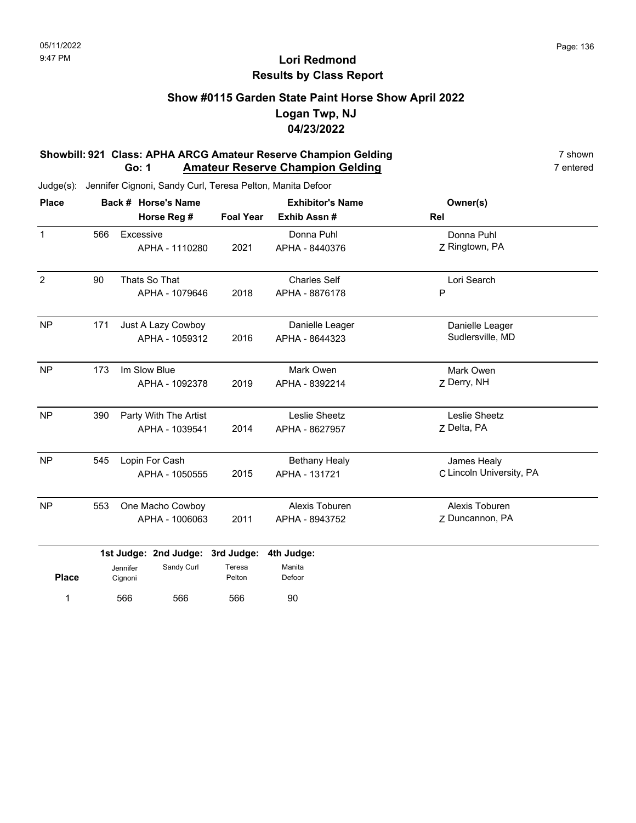### **Show #0115 Garden State Paint Horse Show April 2022 Logan Twp, NJ 04/23/2022**

#### **Showbill: 921 Class: APHA ARCG Amateur Reserve Champion Gelding**<br>**Go: 1 Amateur Reserve Champion Gelding** 7 **numerical 7** entered **Go: 1 Amateur Reserve Champion Gelding**

| <b>Place</b>   |     |                     | Back # Horse's Name   |                  | <b>Exhibitor's Name</b> | Owner(s)                 |  |
|----------------|-----|---------------------|-----------------------|------------------|-------------------------|--------------------------|--|
|                |     |                     | Horse Reg #           | <b>Foal Year</b> | Exhib Assn#             | Rel                      |  |
| $\mathbf{1}$   | 566 | Excessive           |                       |                  | Donna Puhl              | Donna Puhl               |  |
|                |     |                     | APHA - 1110280        | 2021             | APHA - 8440376          | Z Ringtown, PA           |  |
| $\overline{2}$ | 90  |                     | Thats So That         |                  | <b>Charles Self</b>     | Lori Search              |  |
|                |     |                     | APHA - 1079646        | 2018             | APHA - 8876178          | P                        |  |
| <b>NP</b>      | 171 |                     | Just A Lazy Cowboy    |                  | Danielle Leager         | Danielle Leager          |  |
|                |     |                     | APHA - 1059312        | 2016             | APHA - 8644323          | Sudlersville, MD         |  |
| <b>NP</b>      | 173 |                     | Im Slow Blue          |                  | Mark Owen               | Mark Owen                |  |
|                |     |                     | APHA - 1092378        | 2019             | APHA - 8392214          | Z Derry, NH              |  |
| <b>NP</b>      | 390 |                     | Party With The Artist |                  | Leslie Sheetz           | Leslie Sheetz            |  |
|                |     |                     | APHA - 1039541        | 2014             | APHA - 8627957          | Z Delta, PA              |  |
| <b>NP</b>      | 545 |                     | Lopin For Cash        |                  | <b>Bethany Healy</b>    | James Healy              |  |
|                |     |                     | APHA - 1050555        | 2015             | APHA - 131721           | C Lincoln University, PA |  |
| <b>NP</b>      | 553 |                     | One Macho Cowboy      |                  | Alexis Toburen          | Alexis Toburen           |  |
|                |     |                     | APHA - 1006063        | 2011             | APHA - 8943752          | Z Duncannon, PA          |  |
|                |     |                     | 1st Judge: 2nd Judge: | 3rd Judge:       | 4th Judge:              |                          |  |
| <b>Place</b>   |     | Jennifer<br>Cignoni | Sandy Curl            | Teresa<br>Pelton | Manita<br>Defoor        |                          |  |
| 1              |     | 566                 | 566                   | 566              | 90                      |                          |  |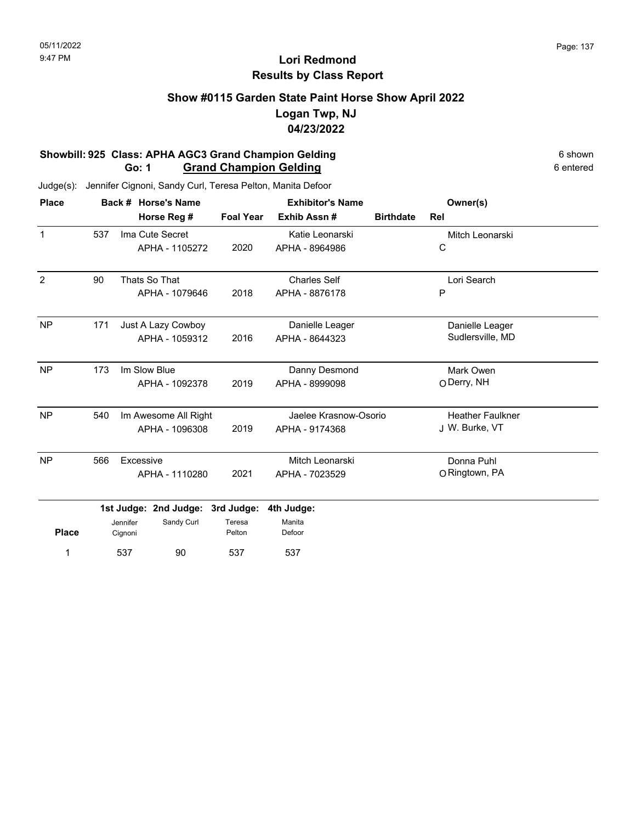### **Show #0115 Garden State Paint Horse Show April 2022 Logan Twp, NJ 04/23/2022**

#### **Showbill: 925 Class: APHA AGC3 Grand Champion Gelding**<br> **Go: 1 Grand Champion Gelding** 6 shown 6 entered 6 entered **Go: 1 Grand Champion Gelding**

| <b>Place</b>   |                             |                     | Back # Horse's Name | <b>Exhibitor's Name</b> |                       |                  | Owner(s)                |  |
|----------------|-----------------------------|---------------------|---------------------|-------------------------|-----------------------|------------------|-------------------------|--|
|                |                             |                     | Horse Reg #         | <b>Foal Year</b>        | Exhib Assn#           | <b>Birthdate</b> | Rel                     |  |
| $\mathbf{1}$   | 537                         |                     | Ima Cute Secret     |                         | Katie Leonarski       |                  | Mitch Leonarski         |  |
|                |                             |                     | APHA - 1105272      | 2020                    | APHA - 8964986        |                  | $\mathsf C$             |  |
| $\overline{2}$ | 90                          |                     | Thats So That       |                         | <b>Charles Self</b>   |                  | Lori Search             |  |
|                |                             |                     | APHA - 1079646      | 2018                    | APHA - 8876178        |                  | P                       |  |
| <b>NP</b>      | 171                         |                     | Just A Lazy Cowboy  |                         | Danielle Leager       |                  | Danielle Leager         |  |
|                |                             |                     | APHA - 1059312      | 2016                    | APHA - 8644323        |                  | Sudlersville, MD        |  |
| <b>NP</b>      | 173                         |                     | Im Slow Blue        |                         | Danny Desmond         |                  | Mark Owen               |  |
|                |                             |                     | APHA - 1092378      | 2019                    | APHA - 8999098        |                  | O Derry, NH             |  |
| <b>NP</b>      | 540<br>Im Awesome All Right |                     |                     |                         | Jaelee Krasnow-Osorio |                  | <b>Heather Faulkner</b> |  |
|                |                             |                     | APHA - 1096308      | 2019                    | APHA - 9174368        |                  | J W. Burke, VT          |  |
| <b>NP</b>      | 566                         | Excessive           |                     |                         | Mitch Leonarski       |                  | Donna Puhl              |  |
|                |                             |                     | APHA - 1110280      | 2021                    | APHA - 7023529        |                  | O Ringtown, PA          |  |
|                | 1st Judge: 2nd Judge:       |                     |                     | 3rd Judge:              | 4th Judge:            |                  |                         |  |
| <b>Place</b>   |                             | Jennifer<br>Cignoni | Sandy Curl          | Teresa<br>Pelton        | Manita<br>Defoor      |                  |                         |  |
| 1              |                             | 537                 | 90                  | 537                     | 537                   |                  |                         |  |